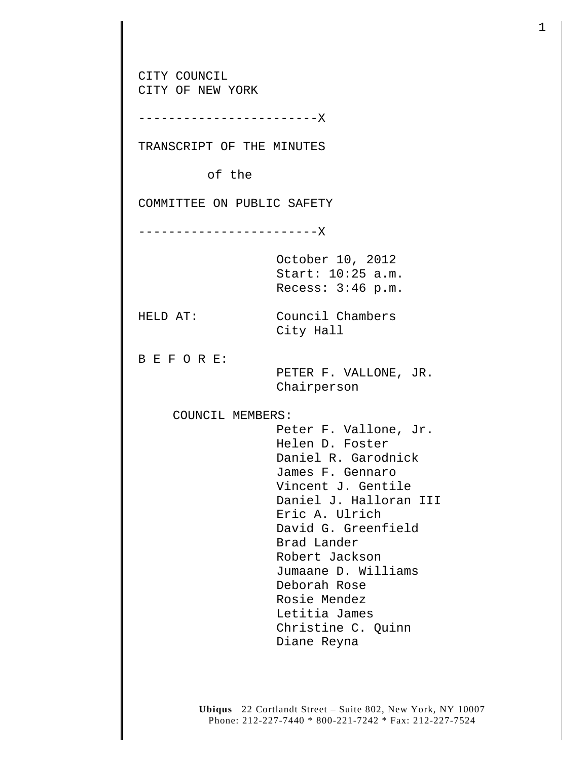CITY COUNCIL CITY OF NEW YORK ------------------------X TRANSCRIPT OF THE MINUTES of the COMMITTEE ON PUBLIC SAFETY ------------------------X October 10, 2012 Start: 10:25 a.m. Recess: 3:46 p.m. HELD AT: Council Chambers City Hall B E F O R E: PETER F. VALLONE, JR. Chairperson COUNCIL MEMBERS: Peter F. Vallone, Jr. Helen D. Foster Daniel R. Garodnick James F. Gennaro Vincent J. Gentile Daniel J. Halloran III Eric A. Ulrich David G. Greenfield Brad Lander Robert Jackson Jumaane D. Williams Deborah Rose Rosie Mendez Letitia James Christine C. Quinn Diane Reyna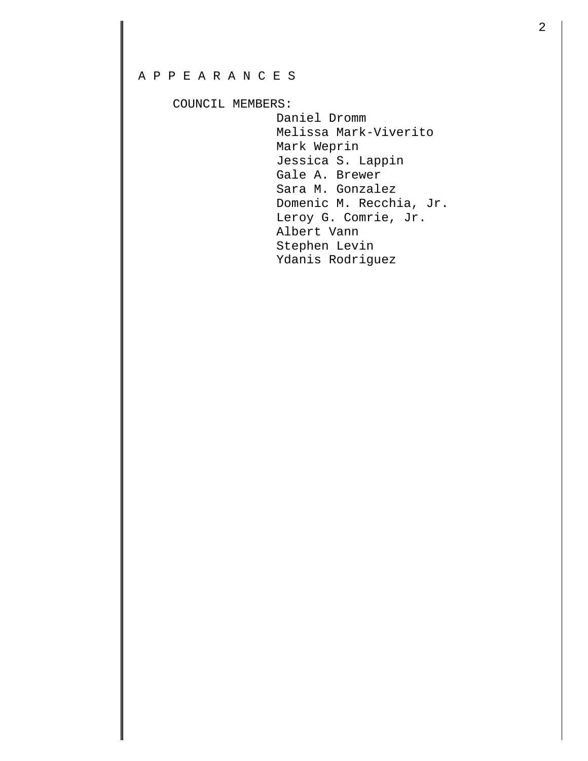## A P P E A R A N C E S

COUNCIL MEMBERS:

 Daniel Dromm Melissa Mark-Viverito Mark Weprin Jessica S. Lappin Gale A. Brewer Sara M. Gonzalez Domenic M. Recchia, Jr. Leroy G. Comrie, Jr. Albert Vann Stephen Levin Ydanis Rodriguez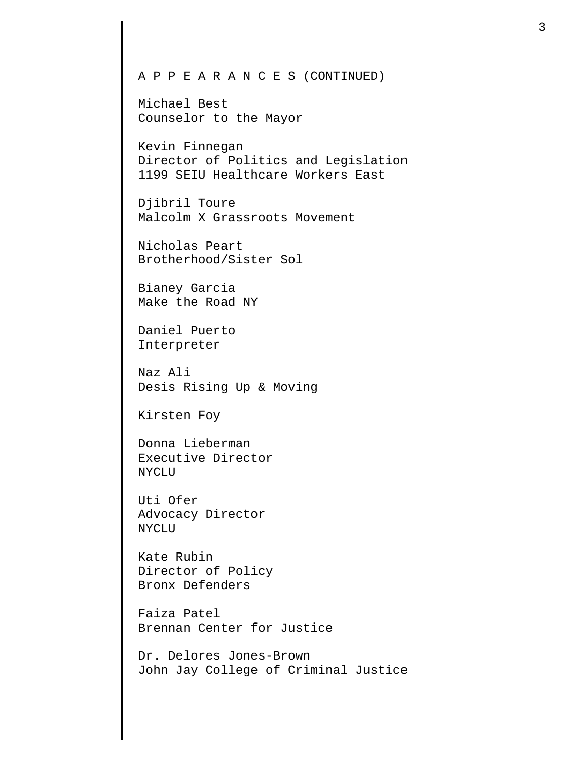Michael Best Counselor to the Mayor

Kevin Finnegan Director of Politics and Legislation 1199 SEIU Healthcare Workers East

Djibril Toure Malcolm X Grassroots Movement

Nicholas Peart Brotherhood/Sister Sol

Bianey Garcia Make the Road NY

Daniel Puerto Interpreter

Naz Ali Desis Rising Up & Moving

Kirsten Foy

Donna Lieberman Executive Director NYCLU

Uti Ofer Advocacy Director NYCLU

Kate Rubin Director of Policy Bronx Defenders

Faiza Patel Brennan Center for Justice

Dr. Delores Jones-Brown John Jay College of Criminal Justice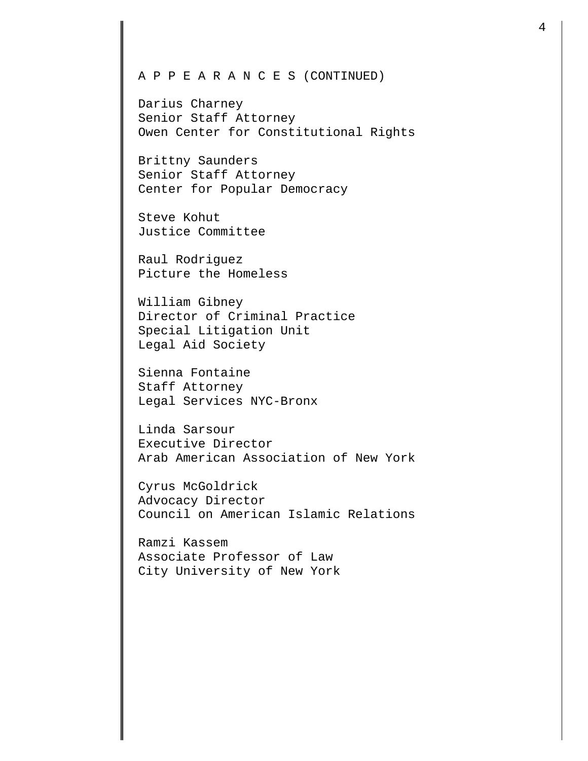Darius Charney Senior Staff Attorney Owen Center for Constitutional Rights

Brittny Saunders Senior Staff Attorney Center for Popular Democracy

Steve Kohut Justice Committee

Raul Rodriguez Picture the Homeless

William Gibney Director of Criminal Practice Special Litigation Unit Legal Aid Society

Sienna Fontaine Staff Attorney Legal Services NYC-Bronx

Linda Sarsour Executive Director Arab American Association of New York

Cyrus McGoldrick Advocacy Director Council on American Islamic Relations

Ramzi Kassem Associate Professor of Law City University of New York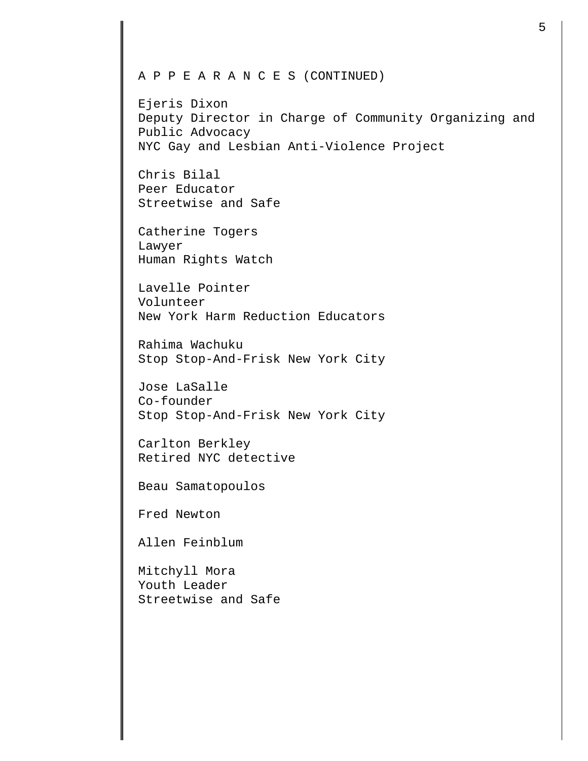Ejeris Dixon Deputy Director in Charge of Community Organizing and Public Advocacy NYC Gay and Lesbian Anti-Violence Project

Chris Bilal Peer Educator Streetwise and Safe

Catherine Togers Lawyer Human Rights Watch

Lavelle Pointer Volunteer New York Harm Reduction Educators

Rahima Wachuku Stop Stop-And-Frisk New York City

Jose LaSalle Co-founder Stop Stop-And-Frisk New York City

Carlton Berkley Retired NYC detective

Beau Samatopoulos

Fred Newton

Allen Feinblum

Mitchyll Mora Youth Leader Streetwise and Safe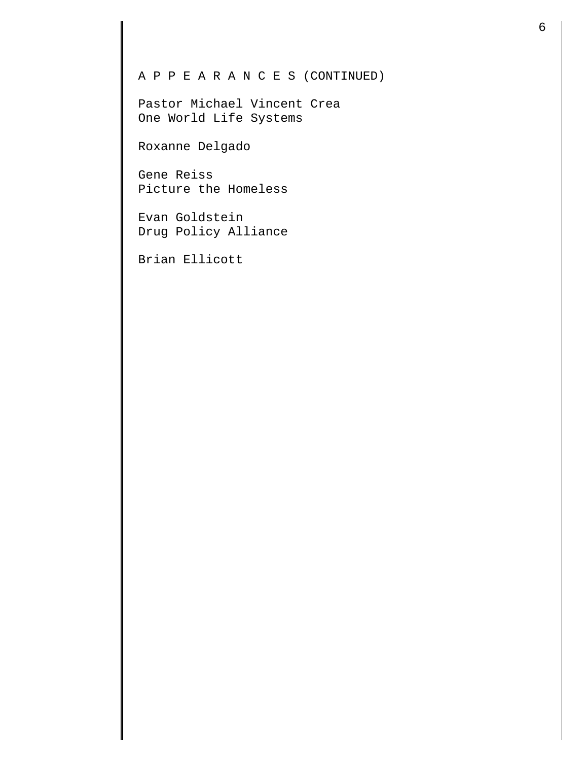Pastor Michael Vincent Crea One World Life Systems

Roxanne Delgado

Gene Reiss Picture the Homeless

Evan Goldstein Drug Policy Alliance

Brian Ellicott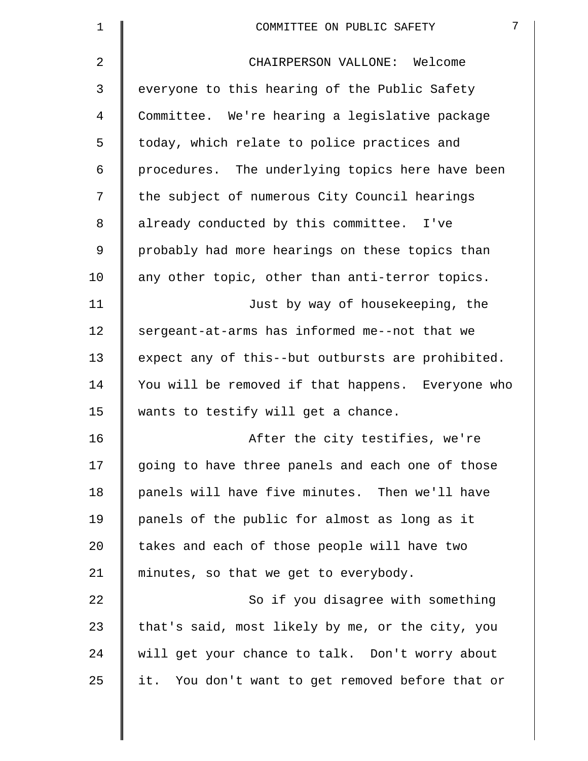| $\mathbf 1$ | $7\overline{ }$<br>COMMITTEE ON PUBLIC SAFETY     |
|-------------|---------------------------------------------------|
| 2           | CHAIRPERSON VALLONE: Welcome                      |
| 3           | everyone to this hearing of the Public Safety     |
| 4           | Committee. We're hearing a legislative package    |
| 5           | today, which relate to police practices and       |
| 6           | procedures. The underlying topics here have been  |
| 7           | the subject of numerous City Council hearings     |
| 8           | already conducted by this committee. I've         |
| 9           | probably had more hearings on these topics than   |
| 10          | any other topic, other than anti-terror topics.   |
| 11          | Just by way of housekeeping, the                  |
| 12          | sergeant-at-arms has informed me--not that we     |
| 13          | expect any of this--but outbursts are prohibited. |
| 14          | You will be removed if that happens. Everyone who |
| 15          | wants to testify will get a chance.               |
| 16          | After the city testifies, we're                   |
| 17          | going to have three panels and each one of those  |
| 18          | panels will have five minutes. Then we'll have    |
| 19          | panels of the public for almost as long as it     |
| 20          | takes and each of those people will have two      |
| 21          | minutes, so that we get to everybody.             |
| 22          | So if you disagree with something                 |
| 23          | that's said, most likely by me, or the city, you  |
| 24          | will get your chance to talk. Don't worry about   |
| 25          | it. You don't want to get removed before that or  |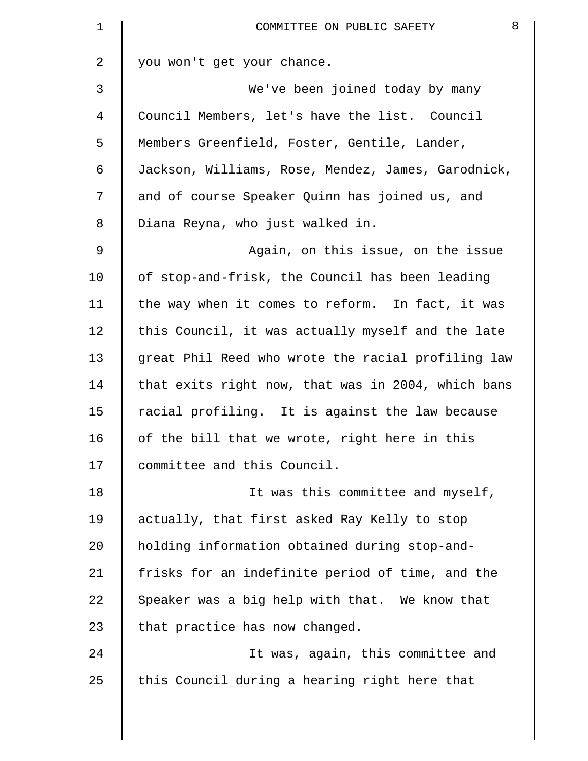| 1              | 8<br>COMMITTEE ON PUBLIC SAFETY                    |
|----------------|----------------------------------------------------|
| $\overline{a}$ | you won't get your chance.                         |
| 3              | We've been joined today by many                    |
| 4              | Council Members, let's have the list. Council      |
| 5              | Members Greenfield, Foster, Gentile, Lander,       |
| 6              | Jackson, Williams, Rose, Mendez, James, Garodnick, |
| 7              | and of course Speaker Quinn has joined us, and     |
| 8              | Diana Reyna, who just walked in.                   |
| 9              | Again, on this issue, on the issue                 |
| 10             | of stop-and-frisk, the Council has been leading    |
| 11             | the way when it comes to reform. In fact, it was   |
| 12             | this Council, it was actually myself and the late  |
| 13             | great Phil Reed who wrote the racial profiling law |
| 14             | that exits right now, that was in 2004, which bans |
| 15             | racial profiling. It is against the law because    |
| 16             | of the bill that we wrote, right here in this      |
| 17             | committee and this Council.                        |
| 18             | It was this committee and myself,                  |
| 19             | actually, that first asked Ray Kelly to stop       |
| 20             | holding information obtained during stop-and-      |
| 21             | frisks for an indefinite period of time, and the   |
| 22             | Speaker was a big help with that. We know that     |
| 23             | that practice has now changed.                     |
| 24             | It was, again, this committee and                  |
| 25             | this Council during a hearing right here that      |
|                |                                                    |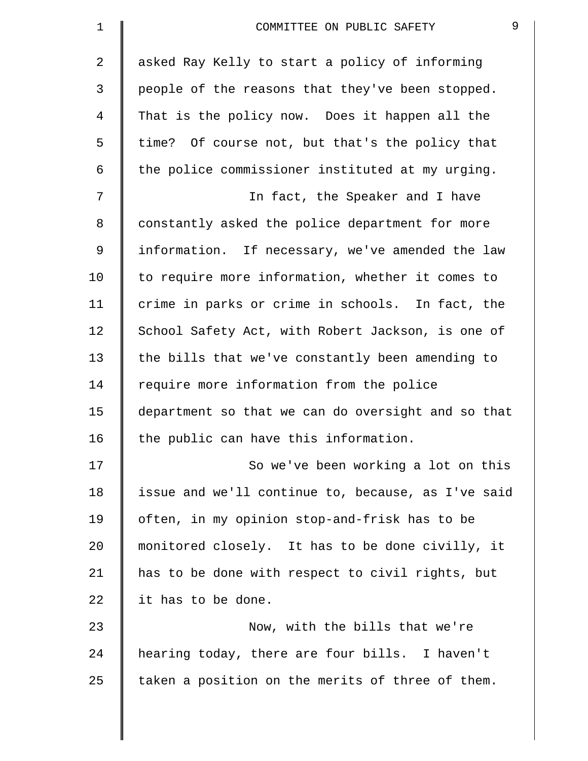| $\mathbf 1$ | 9<br>COMMITTEE ON PUBLIC SAFETY                    |
|-------------|----------------------------------------------------|
| 2           | asked Ray Kelly to start a policy of informing     |
| 3           | people of the reasons that they've been stopped.   |
| 4           | That is the policy now. Does it happen all the     |
| 5           | time? Of course not, but that's the policy that    |
| 6           | the police commissioner instituted at my urging.   |
| 7           | In fact, the Speaker and I have                    |
| 8           | constantly asked the police department for more    |
| 9           | information. If necessary, we've amended the law   |
| 10          | to require more information, whether it comes to   |
| 11          | crime in parks or crime in schools. In fact, the   |
| 12          | School Safety Act, with Robert Jackson, is one of  |
| 13          | the bills that we've constantly been amending to   |
| 14          | require more information from the police           |
| 15          | department so that we can do oversight and so that |
| 16          | the public can have this information.              |
| 17          | So we've been working a lot on this                |
| 18          | issue and we'll continue to, because, as I've said |
| 19          | often, in my opinion stop-and-frisk has to be      |
| 20          | monitored closely. It has to be done civilly, it   |
| 21          | has to be done with respect to civil rights, but   |
| 22          | it has to be done.                                 |
| 23          | Now, with the bills that we're                     |
| 24          | hearing today, there are four bills. I haven't     |
| 25          | taken a position on the merits of three of them.   |
|             |                                                    |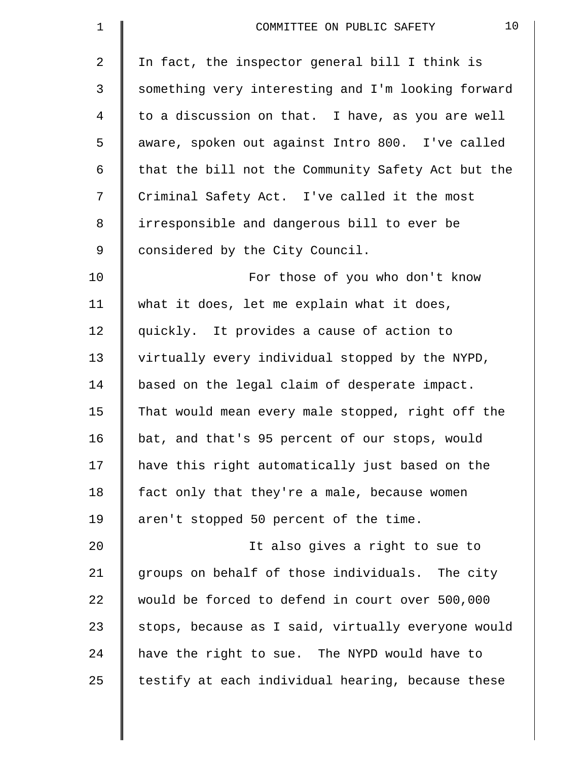| $\mathbf{1}$   | 10<br>COMMITTEE ON PUBLIC SAFETY                   |
|----------------|----------------------------------------------------|
| 2              | In fact, the inspector general bill I think is     |
| $\mathfrak{Z}$ | something very interesting and I'm looking forward |
| $\overline{4}$ | to a discussion on that. I have, as you are well   |
| 5              | aware, spoken out against Intro 800. I've called   |
| 6              | that the bill not the Community Safety Act but the |
| 7              | Criminal Safety Act. I've called it the most       |
| $8\,$          | irresponsible and dangerous bill to ever be        |
| $\mathsf 9$    | considered by the City Council.                    |
| 10             | For those of you who don't know                    |
| 11             | what it does, let me explain what it does,         |
| 12             | quickly. It provides a cause of action to          |
| 13             | virtually every individual stopped by the NYPD,    |
| 14             | based on the legal claim of desperate impact.      |
| 15             | That would mean every male stopped, right off the  |
| 16             | bat, and that's 95 percent of our stops, would     |
| 17             | have this right automatically just based on the    |
| 18             | fact only that they're a male, because women       |
| 19             | aren't stopped 50 percent of the time.             |
| 20             | It also gives a right to sue to                    |
| 21             | groups on behalf of those individuals. The city    |
| 22             | would be forced to defend in court over 500,000    |
| 23             | stops, because as I said, virtually everyone would |
| 24             | have the right to sue. The NYPD would have to      |
| 25             | testify at each individual hearing, because these  |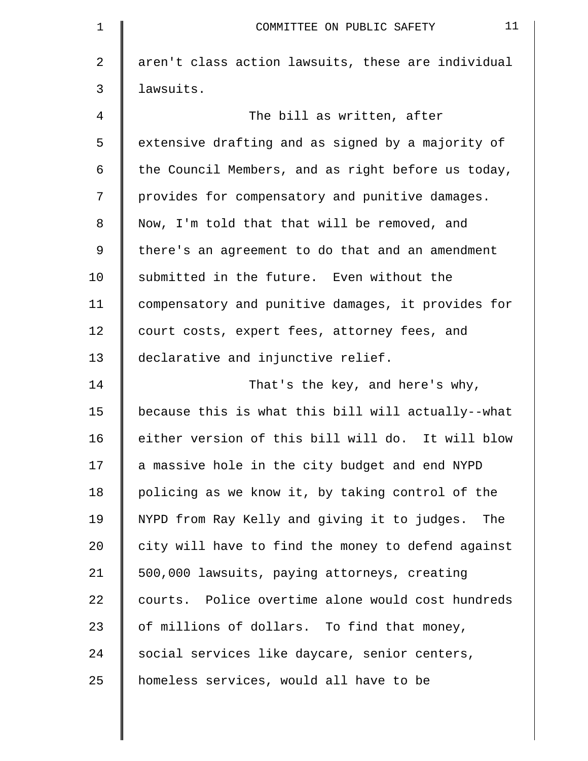| 1  | 11<br>COMMITTEE ON PUBLIC SAFETY                   |
|----|----------------------------------------------------|
| 2  | aren't class action lawsuits, these are individual |
| 3  | lawsuits.                                          |
| 4  | The bill as written, after                         |
| 5  | extensive drafting and as signed by a majority of  |
| 6  | the Council Members, and as right before us today, |
| 7  | provides for compensatory and punitive damages.    |
| 8  | Now, I'm told that that will be removed, and       |
| 9  | there's an agreement to do that and an amendment   |
| 10 | submitted in the future. Even without the          |
| 11 | compensatory and punitive damages, it provides for |
| 12 | court costs, expert fees, attorney fees, and       |
| 13 | declarative and injunctive relief.                 |
| 14 | That's the key, and here's why,                    |
| 15 | because this is what this bill will actually--what |
| 16 | either version of this bill will do. It will blow  |
| 17 | a massive hole in the city budget and end NYPD     |
| 18 | policing as we know it, by taking control of the   |
| 19 | NYPD from Ray Kelly and giving it to judges. The   |
| 20 | city will have to find the money to defend against |
| 21 | 500,000 lawsuits, paying attorneys, creating       |
| 22 | courts. Police overtime alone would cost hundreds  |
| 23 | of millions of dollars. To find that money,        |
| 24 | social services like daycare, senior centers,      |
| 25 | homeless services, would all have to be            |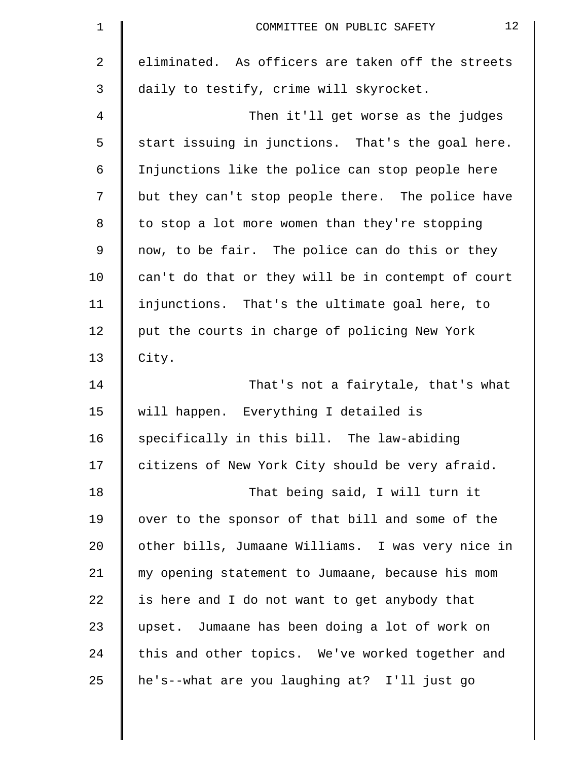| $\mathbf 1$ | 12<br>COMMITTEE ON PUBLIC SAFETY                   |
|-------------|----------------------------------------------------|
| 2           | eliminated. As officers are taken off the streets  |
| 3           | daily to testify, crime will skyrocket.            |
| 4           | Then it'll get worse as the judges                 |
| 5           | start issuing in junctions. That's the goal here.  |
| 6           | Injunctions like the police can stop people here   |
| 7           | but they can't stop people there. The police have  |
| 8           | to stop a lot more women than they're stopping     |
| $\mathsf 9$ | now, to be fair. The police can do this or they    |
| 10          | can't do that or they will be in contempt of court |
| 11          | injunctions. That's the ultimate goal here, to     |
| 12          | put the courts in charge of policing New York      |
| 13          | City.                                              |
| 14          | That's not a fairytale, that's what                |
| 15          | will happen. Everything I detailed is              |
| 16          | specifically in this bill. The law-abiding         |
| 17          | citizens of New York City should be very afraid.   |
| 18          | That being said, I will turn it                    |
| 19          | over to the sponsor of that bill and some of the   |
| 20          | other bills, Jumaane Williams. I was very nice in  |
| 21          | my opening statement to Jumaane, because his mom   |
| 22          | is here and I do not want to get anybody that      |
| 23          | upset. Jumaane has been doing a lot of work on     |
| 24          | this and other topics. We've worked together and   |
| 25          | he's--what are you laughing at? I'll just go       |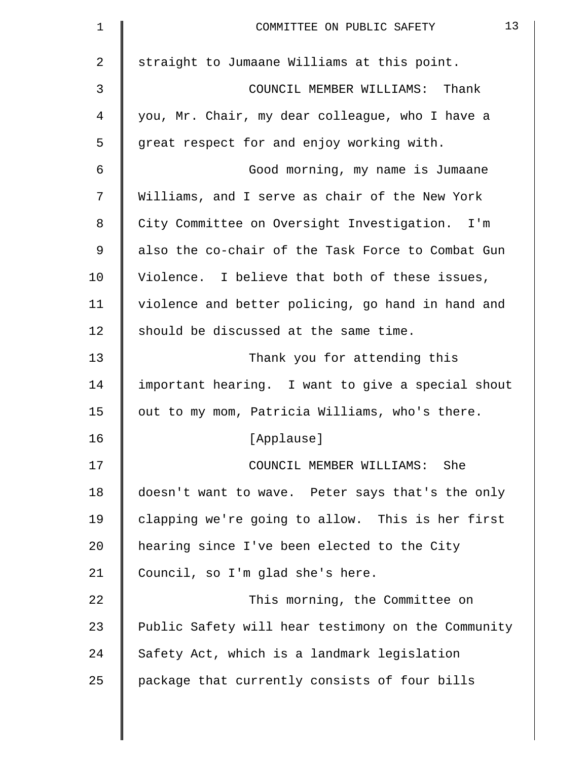| $\mathbf 1$ | 13<br>COMMITTEE ON PUBLIC SAFETY                   |
|-------------|----------------------------------------------------|
| 2           | straight to Jumaane Williams at this point.        |
| 3           | COUNCIL MEMBER WILLIAMS: Thank                     |
| 4           | you, Mr. Chair, my dear colleague, who I have a    |
| 5           | great respect for and enjoy working with.          |
| 6           | Good morning, my name is Jumaane                   |
| 7           | Williams, and I serve as chair of the New York     |
| 8           | City Committee on Oversight Investigation. I'm     |
| 9           | also the co-chair of the Task Force to Combat Gun  |
| 10          | Violence. I believe that both of these issues,     |
| 11          | violence and better policing, go hand in hand and  |
| 12          | should be discussed at the same time.              |
| 13          | Thank you for attending this                       |
| 14          | important hearing. I want to give a special shout  |
| 15          | out to my mom, Patricia Williams, who's there.     |
| 16          | [Applause]                                         |
| 17          | COUNCIL MEMBER WILLIAMS:<br>She                    |
| 18          | doesn't want to wave. Peter says that's the only   |
| 19          | clapping we're going to allow. This is her first   |
| 20          | hearing since I've been elected to the City        |
| 21          | Council, so I'm glad she's here.                   |
| 22          | This morning, the Committee on                     |
| 23          | Public Safety will hear testimony on the Community |
| 24          | Safety Act, which is a landmark legislation        |
| 25          | package that currently consists of four bills      |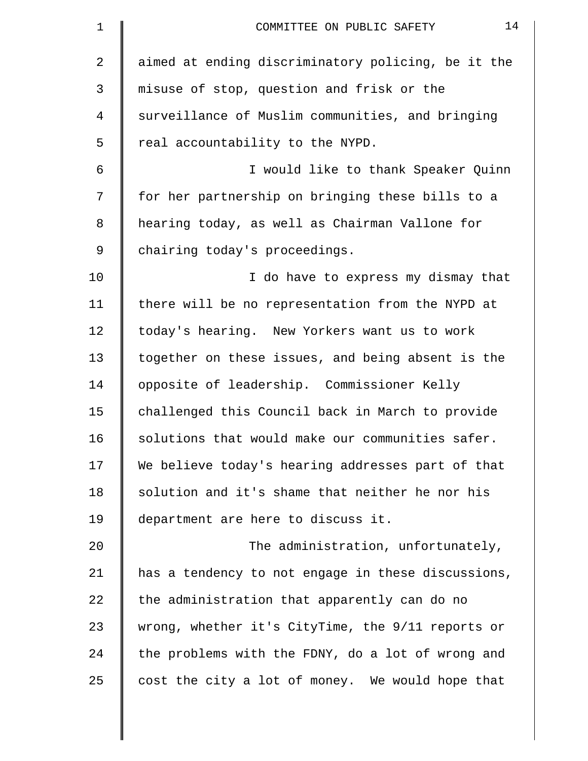| $\mathbf 1$ | 14<br>COMMITTEE ON PUBLIC SAFETY                   |
|-------------|----------------------------------------------------|
| 2           | aimed at ending discriminatory policing, be it the |
| 3           | misuse of stop, question and frisk or the          |
| 4           | surveillance of Muslim communities, and bringing   |
| 5           | real accountability to the NYPD.                   |
| 6           | I would like to thank Speaker Quinn                |
| 7           | for her partnership on bringing these bills to a   |
| 8           | hearing today, as well as Chairman Vallone for     |
| 9           | chairing today's proceedings.                      |
| 10          | I do have to express my dismay that                |
| 11          | there will be no representation from the NYPD at   |
| 12          | today's hearing. New Yorkers want us to work       |
| 13          | together on these issues, and being absent is the  |
| 14          | opposite of leadership. Commissioner Kelly         |
| 15          | challenged this Council back in March to provide   |
| 16          | solutions that would make our communities safer.   |
| 17          | We believe today's hearing addresses part of that  |
| 18          | solution and it's shame that neither he nor his    |
| 19          | department are here to discuss it.                 |
| 20          | The administration, unfortunately,                 |
| 21          | has a tendency to not engage in these discussions, |
| 22          | the administration that apparently can do no       |
| 23          | wrong, whether it's CityTime, the 9/11 reports or  |
| 24          | the problems with the FDNY, do a lot of wrong and  |
| 25          | cost the city a lot of money. We would hope that   |
|             |                                                    |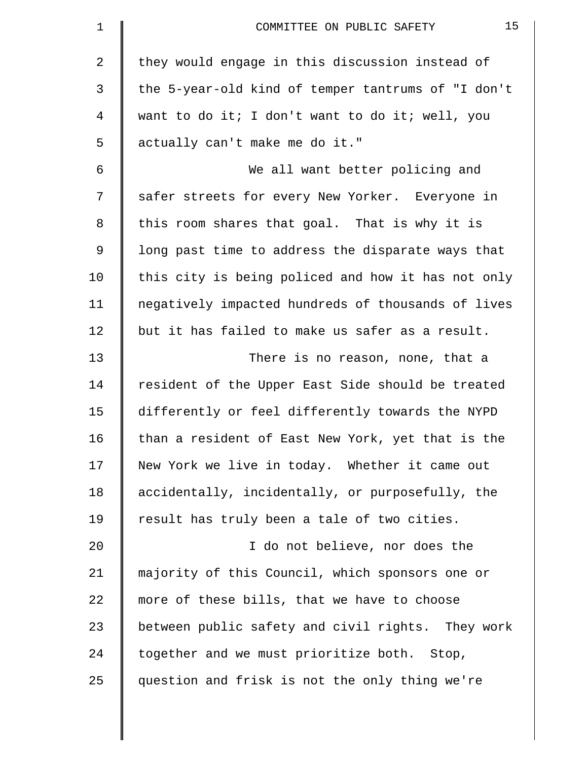| $\mathbf 1$    | 15<br>COMMITTEE ON PUBLIC SAFETY                   |
|----------------|----------------------------------------------------|
| $\overline{2}$ | they would engage in this discussion instead of    |
| 3              | the 5-year-old kind of temper tantrums of "I don't |
| 4              | want to do it; I don't want to do it; well, you    |
| 5              | actually can't make me do it."                     |
| 6              | We all want better policing and                    |
| 7              | safer streets for every New Yorker. Everyone in    |
| 8              | this room shares that goal. That is why it is      |
| 9              | long past time to address the disparate ways that  |
| 10             | this city is being policed and how it has not only |
| 11             | negatively impacted hundreds of thousands of lives |
| 12             | but it has failed to make us safer as a result.    |
| 13             | There is no reason, none, that a                   |
| 14             | resident of the Upper East Side should be treated  |
| 15             | differently or feel differently towards the NYPD   |
| 16             | than a resident of East New York, yet that is the  |
| 17             | New York we live in today. Whether it came out     |
| 18             | accidentally, incidentally, or purposefully, the   |
| 19             | result has truly been a tale of two cities.        |
| 20             | I do not believe, nor does the                     |
| 21             | majority of this Council, which sponsors one or    |
| 22             | more of these bills, that we have to choose        |
| 23             | between public safety and civil rights. They work  |
| 24             | together and we must prioritize both. Stop,        |
| 25             | question and frisk is not the only thing we're     |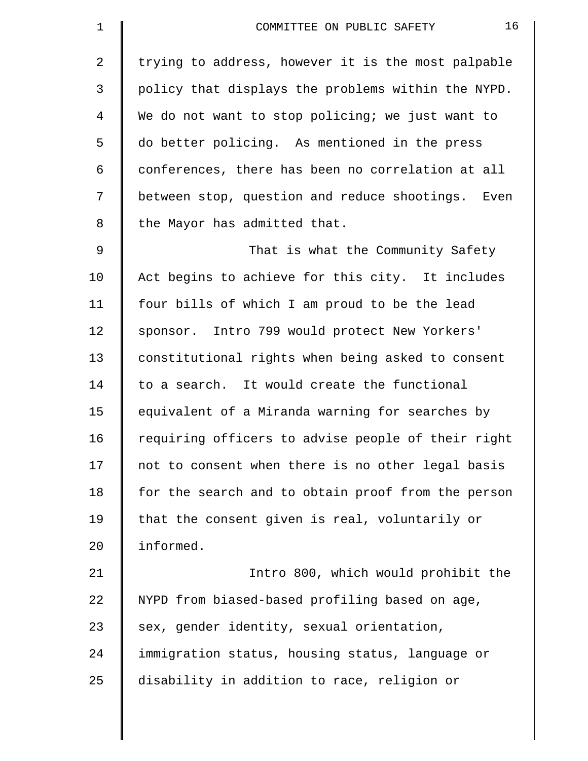| $\mathbf 1$    | 16<br>COMMITTEE ON PUBLIC SAFETY                   |
|----------------|----------------------------------------------------|
| $\overline{2}$ | trying to address, however it is the most palpable |
| 3              | policy that displays the problems within the NYPD. |
| 4              | We do not want to stop policing; we just want to   |
| 5              | do better policing. As mentioned in the press      |
| 6              | conferences, there has been no correlation at all  |
| 7              | between stop, question and reduce shootings. Even  |
| 8              | the Mayor has admitted that.                       |
| $\mathsf 9$    | That is what the Community Safety                  |
| 10             | Act begins to achieve for this city. It includes   |
| 11             | four bills of which I am proud to be the lead      |
| 12             | sponsor. Intro 799 would protect New Yorkers'      |
| 13             | constitutional rights when being asked to consent  |
| 14             | to a search. It would create the functional        |
| 15             | equivalent of a Miranda warning for searches by    |
| 16             | requiring officers to advise people of their right |
| 17             | not to consent when there is no other legal basis  |
| 18             | for the search and to obtain proof from the person |
| 19             | that the consent given is real, voluntarily or     |
| 20             | informed.                                          |
| 21             | Intro 800, which would prohibit the                |
| 22             | NYPD from biased-based profiling based on age,     |
| 23             | sex, gender identity, sexual orientation,          |
| 24             | immigration status, housing status, language or    |
| 25             | disability in addition to race, religion or        |
|                |                                                    |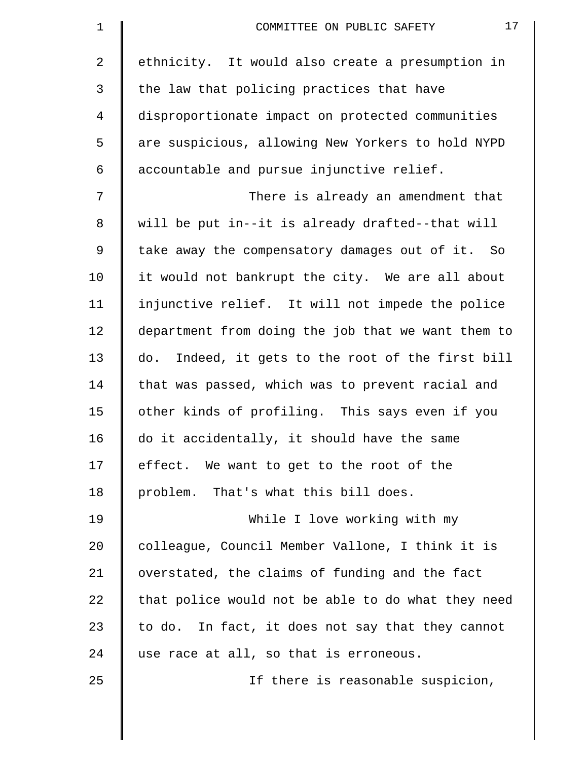| $\mathbf 1$ | 17<br>COMMITTEE ON PUBLIC SAFETY                   |
|-------------|----------------------------------------------------|
| 2           | ethnicity. It would also create a presumption in   |
| 3           | the law that policing practices that have          |
| 4           | disproportionate impact on protected communities   |
| 5           | are suspicious, allowing New Yorkers to hold NYPD  |
| 6           | accountable and pursue injunctive relief.          |
| 7           | There is already an amendment that                 |
| 8           | will be put in--it is already drafted--that will   |
| 9           | take away the compensatory damages out of it. So   |
| 10          | it would not bankrupt the city. We are all about   |
| 11          | injunctive relief. It will not impede the police   |
| 12          | department from doing the job that we want them to |
| 13          | do. Indeed, it gets to the root of the first bill  |
| 14          | that was passed, which was to prevent racial and   |
| 15          | other kinds of profiling. This says even if you    |
| 16          | do it accidentally, it should have the same        |
| 17          | effect. We want to get to the root of the          |
| 18          | problem. That's what this bill does.               |
| 19          | While I love working with my                       |
| 20          | colleague, Council Member Vallone, I think it is   |
| 21          | overstated, the claims of funding and the fact     |
| 22          | that police would not be able to do what they need |
| 23          | to do. In fact, it does not say that they cannot   |
| 24          | use race at all, so that is erroneous.             |
| 25          | If there is reasonable suspicion,                  |
|             |                                                    |
|             |                                                    |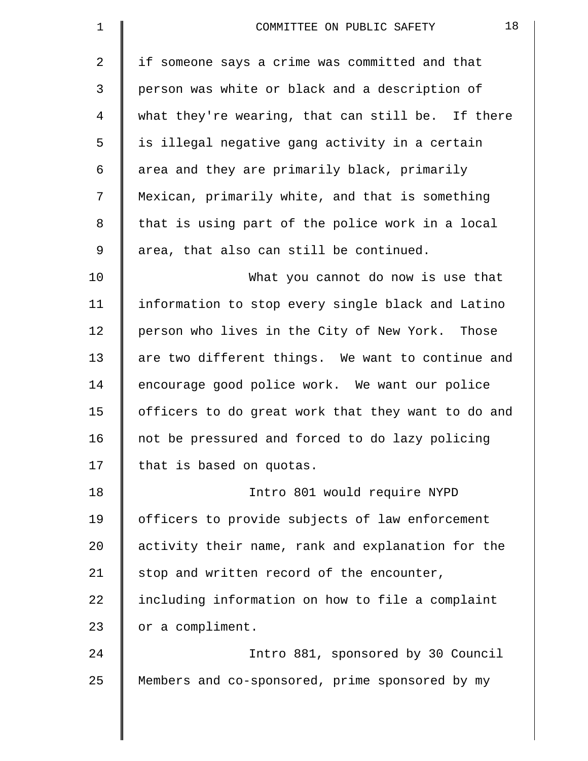| $\mathbf 1$    | 18<br>COMMITTEE ON PUBLIC SAFETY                   |
|----------------|----------------------------------------------------|
| $\overline{2}$ | if someone says a crime was committed and that     |
| 3              | person was white or black and a description of     |
| 4              | what they're wearing, that can still be. If there  |
| 5              | is illegal negative gang activity in a certain     |
| 6              | area and they are primarily black, primarily       |
| 7              | Mexican, primarily white, and that is something    |
| 8              | that is using part of the police work in a local   |
| $\mathsf 9$    | area, that also can still be continued.            |
| 10             | What you cannot do now is use that                 |
| 11             | information to stop every single black and Latino  |
| 12             | person who lives in the City of New York. Those    |
| 13             | are two different things. We want to continue and  |
| 14             | encourage good police work. We want our police     |
| 15             | officers to do great work that they want to do and |
| 16             | not be pressured and forced to do lazy policing    |
| 17             | that is based on quotas.                           |
| 18             | Intro 801 would require NYPD                       |
| 19             | officers to provide subjects of law enforcement    |
| 20             | activity their name, rank and explanation for the  |
| 21             | stop and written record of the encounter,          |
| 22             | including information on how to file a complaint   |
| 23             | or a compliment.                                   |
| 24             | Intro 881, sponsored by 30 Council                 |
| 25             | Members and co-sponsored, prime sponsored by my    |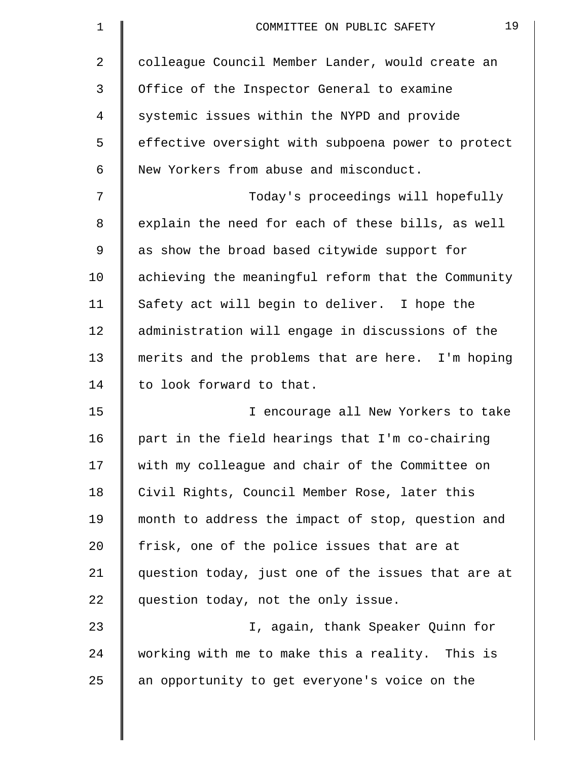| 1       | 19<br>COMMITTEE ON PUBLIC SAFETY                   |
|---------|----------------------------------------------------|
| 2       | colleague Council Member Lander, would create an   |
| 3       | Office of the Inspector General to examine         |
| 4       | systemic issues within the NYPD and provide        |
| 5       | effective oversight with subpoena power to protect |
| 6       | New Yorkers from abuse and misconduct.             |
| 7       | Today's proceedings will hopefully                 |
| 8       | explain the need for each of these bills, as well  |
| 9       | as show the broad based citywide support for       |
| 10      | achieving the meaningful reform that the Community |
| 11      | Safety act will begin to deliver. I hope the       |
| 12      | administration will engage in discussions of the   |
| 13      | merits and the problems that are here. I'm hoping  |
| 14      | to look forward to that.                           |
| 15      | I encourage all New Yorkers to take                |
| 16      | part in the field hearings that I'm co-chairing    |
| 17      | with my colleague and chair of the Committee on    |
| 18      | Civil Rights, Council Member Rose, later this      |
| 19      | month to address the impact of stop, question and  |
| $20 \,$ | frisk, one of the police issues that are at        |
| 21      | question today, just one of the issues that are at |
| 22      | question today, not the only issue.                |
| 23      | I, again, thank Speaker Quinn for                  |
| 24      | working with me to make this a reality. This is    |
| 25      | an opportunity to get everyone's voice on the      |
|         |                                                    |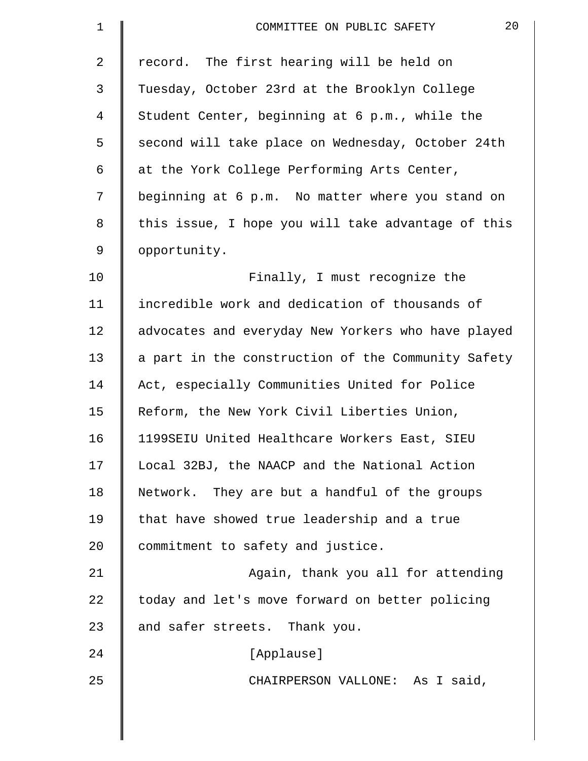| $\mathbf 1$    | 20<br>COMMITTEE ON PUBLIC SAFETY                   |
|----------------|----------------------------------------------------|
| $\overline{2}$ | record. The first hearing will be held on          |
| 3              | Tuesday, October 23rd at the Brooklyn College      |
| $\overline{4}$ | Student Center, beginning at 6 p.m., while the     |
| 5              | second will take place on Wednesday, October 24th  |
| 6              | at the York College Performing Arts Center,        |
| 7              | beginning at 6 p.m. No matter where you stand on   |
| 8              | this issue, I hope you will take advantage of this |
| 9              | opportunity.                                       |
| 10             | Finally, I must recognize the                      |
| 11             | incredible work and dedication of thousands of     |
| 12             | advocates and everyday New Yorkers who have played |
| 13             | a part in the construction of the Community Safety |
| 14             | Act, especially Communities United for Police      |
| 15             | Reform, the New York Civil Liberties Union,        |
| 16             | 1199SEIU United Healthcare Workers East, SIEU      |
| 17             | Local 32BJ, the NAACP and the National Action      |
| 18             | Network. They are but a handful of the groups      |
| 19             | that have showed true leadership and a true        |
| 20             | commitment to safety and justice.                  |
| 21             | Again, thank you all for attending                 |
| 22             | today and let's move forward on better policing    |
| 23             | and safer streets. Thank you.                      |
| 24             | [Applause]                                         |
| 25             | CHAIRPERSON VALLONE: As I said,                    |
|                |                                                    |

 $\parallel$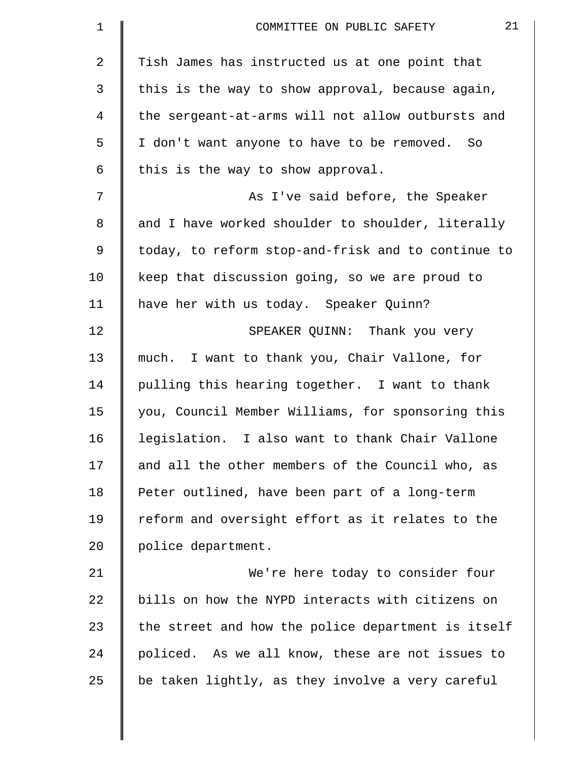| $\mathbf 1$    | 21<br>COMMITTEE ON PUBLIC SAFETY                   |
|----------------|----------------------------------------------------|
| $\overline{a}$ | Tish James has instructed us at one point that     |
| 3              | this is the way to show approval, because again,   |
| 4              | the sergeant-at-arms will not allow outbursts and  |
| 5              | I don't want anyone to have to be removed. So      |
| 6              | this is the way to show approval.                  |
| 7              | As I've said before, the Speaker                   |
| 8              | and I have worked shoulder to shoulder, literally  |
| 9              | today, to reform stop-and-frisk and to continue to |
| 10             | keep that discussion going, so we are proud to     |
| 11             | have her with us today. Speaker Quinn?             |
| 12             | SPEAKER QUINN: Thank you very                      |
| 13             | much. I want to thank you, Chair Vallone, for      |
| 14             | pulling this hearing together. I want to thank     |
| 15             | you, Council Member Williams, for sponsoring this  |
| 16             | legislation. I also want to thank Chair Vallone    |
| 17             | and all the other members of the Council who, as   |
| 18             | Peter outlined, have been part of a long-term      |
| 19             | reform and oversight effort as it relates to the   |
| 20             | police department.                                 |
| 21             | We're here today to consider four                  |
| 22             | bills on how the NYPD interacts with citizens on   |
| 23             | the street and how the police department is itself |
| 24             | policed. As we all know, these are not issues to   |
| 25             | be taken lightly, as they involve a very careful   |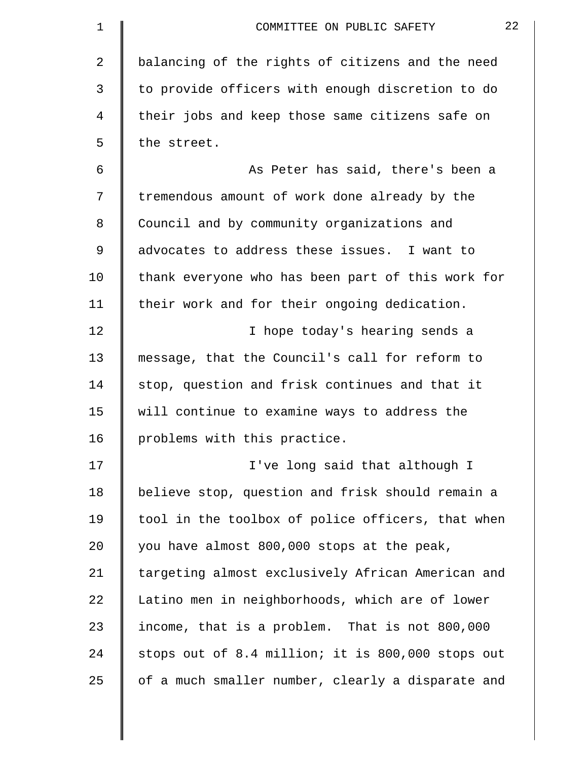| $\mathbf 1$ | 22<br>COMMITTEE ON PUBLIC SAFETY                  |
|-------------|---------------------------------------------------|
| 2           | balancing of the rights of citizens and the need  |
| 3           | to provide officers with enough discretion to do  |
| 4           | their jobs and keep those same citizens safe on   |
| 5           | the street.                                       |
| 6           | As Peter has said, there's been a                 |
| 7           | tremendous amount of work done already by the     |
| 8           | Council and by community organizations and        |
| 9           | advocates to address these issues. I want to      |
| 10          | thank everyone who has been part of this work for |
| 11          | their work and for their ongoing dedication.      |
| 12          | I hope today's hearing sends a                    |
| 13          | message, that the Council's call for reform to    |
| 14          | stop, question and frisk continues and that it    |
| 15          | will continue to examine ways to address the      |
| 16          | problems with this practice.                      |
| 17          | I've long said that although I                    |
| 18          | believe stop, question and frisk should remain a  |
| 19          | tool in the toolbox of police officers, that when |
| 20          | you have almost 800,000 stops at the peak,        |
| 21          | targeting almost exclusively African American and |
| 22          | Latino men in neighborhoods, which are of lower   |
| 23          | income, that is a problem. That is not 800,000    |
| 24          | stops out of 8.4 million; it is 800,000 stops out |
| 25          | of a much smaller number, clearly a disparate and |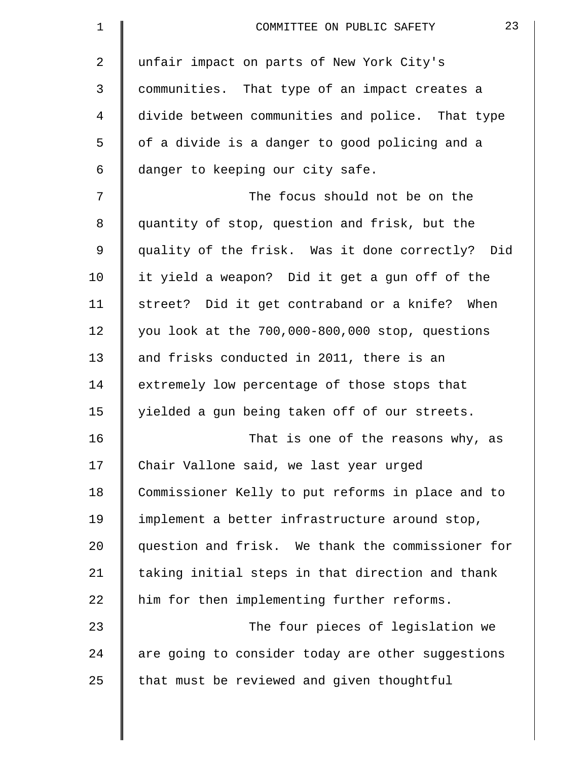| $\mathbf 1$ | 23<br>COMMITTEE ON PUBLIC SAFETY                  |
|-------------|---------------------------------------------------|
| 2           | unfair impact on parts of New York City's         |
| 3           | communities. That type of an impact creates a     |
| 4           | divide between communities and police. That type  |
| 5           | of a divide is a danger to good policing and a    |
| 6           | danger to keeping our city safe.                  |
| 7           | The focus should not be on the                    |
| 8           | quantity of stop, question and frisk, but the     |
| 9           | quality of the frisk. Was it done correctly? Did  |
| 10          | it yield a weapon? Did it get a gun off of the    |
| 11          | street? Did it get contraband or a knife? When    |
| 12          | you look at the 700,000-800,000 stop, questions   |
| 13          | and frisks conducted in 2011, there is an         |
| 14          | extremely low percentage of those stops that      |
| 15          | yielded a gun being taken off of our streets.     |
| 16          | That is one of the reasons why, as                |
| 17          | Chair Vallone said, we last year urged            |
| 18          | Commissioner Kelly to put reforms in place and to |
| 19          | implement a better infrastructure around stop,    |
| 20          | question and frisk. We thank the commissioner for |
| 21          | taking initial steps in that direction and thank  |
| 22          | him for then implementing further reforms.        |
| 23          | The four pieces of legislation we                 |
| 24          | are going to consider today are other suggestions |
| 25          | that must be reviewed and given thoughtful        |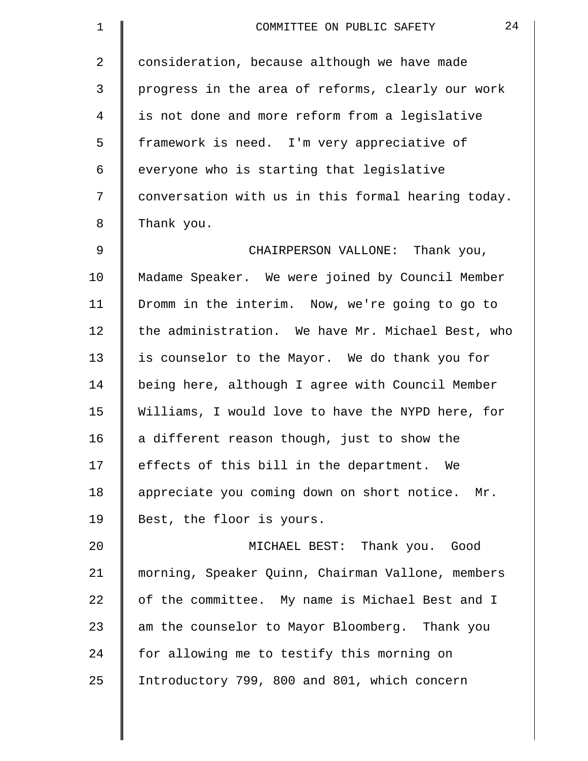| $\mathbf 1$    | 24<br>COMMITTEE ON PUBLIC SAFETY                   |
|----------------|----------------------------------------------------|
| $\overline{2}$ | consideration, because although we have made       |
| 3              | progress in the area of reforms, clearly our work  |
| 4              | is not done and more reform from a legislative     |
| 5              | framework is need. I'm very appreciative of        |
| 6              | everyone who is starting that legislative          |
| 7              | conversation with us in this formal hearing today. |
| 8              | Thank you.                                         |
| 9              | CHAIRPERSON VALLONE: Thank you,                    |
| 10             | Madame Speaker. We were joined by Council Member   |
| 11             | Dromm in the interim. Now, we're going to go to    |
| 12             | the administration. We have Mr. Michael Best, who  |
| 13             | is counselor to the Mayor. We do thank you for     |
| 14             | being here, although I agree with Council Member   |
| 15             | Williams, I would love to have the NYPD here, for  |
| 16             | a different reason though, just to show the        |
| 17             | effects of this bill in the department. We         |
| 18             | appreciate you coming down on short notice. Mr.    |
| 19             | Best, the floor is yours.                          |
| 20             | MICHAEL BEST: Thank you. Good                      |
| 21             | morning, Speaker Quinn, Chairman Vallone, members  |
| 22             | of the committee. My name is Michael Best and I    |
| 23             | am the counselor to Mayor Bloomberg. Thank you     |
| 24             | for allowing me to testify this morning on         |
| 25             | Introductory 799, 800 and 801, which concern       |
|                |                                                    |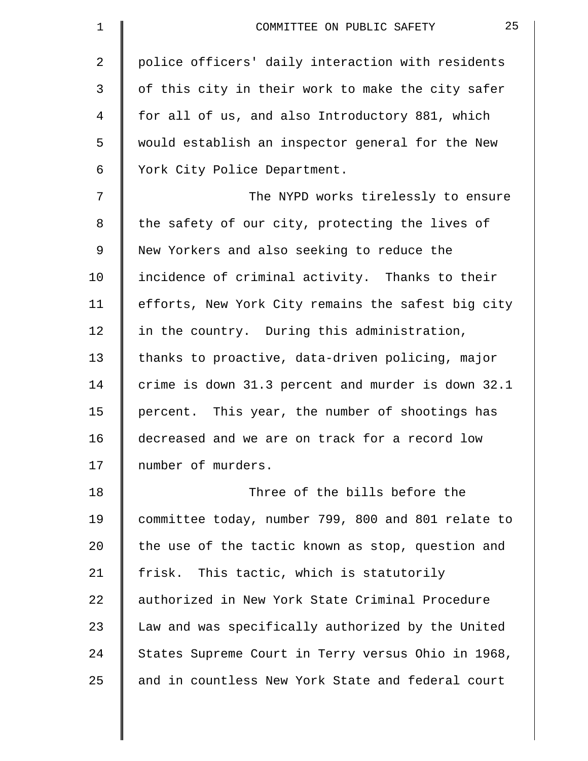| police officers' daily interaction with residents<br>of this city in their work to make the city safer<br>for all of us, and also Introductory 881, which<br>would establish an inspector general for the New<br>The NYPD works tirelessly to ensure<br>the safety of our city, protecting the lives of<br>incidence of criminal activity. Thanks to their<br>efforts, New York City remains the safest big city |
|------------------------------------------------------------------------------------------------------------------------------------------------------------------------------------------------------------------------------------------------------------------------------------------------------------------------------------------------------------------------------------------------------------------|
|                                                                                                                                                                                                                                                                                                                                                                                                                  |
|                                                                                                                                                                                                                                                                                                                                                                                                                  |
|                                                                                                                                                                                                                                                                                                                                                                                                                  |
|                                                                                                                                                                                                                                                                                                                                                                                                                  |
|                                                                                                                                                                                                                                                                                                                                                                                                                  |
|                                                                                                                                                                                                                                                                                                                                                                                                                  |
|                                                                                                                                                                                                                                                                                                                                                                                                                  |
|                                                                                                                                                                                                                                                                                                                                                                                                                  |
|                                                                                                                                                                                                                                                                                                                                                                                                                  |
|                                                                                                                                                                                                                                                                                                                                                                                                                  |
|                                                                                                                                                                                                                                                                                                                                                                                                                  |
| thanks to proactive, data-driven policing, major                                                                                                                                                                                                                                                                                                                                                                 |
| crime is down 31.3 percent and murder is down 32.1                                                                                                                                                                                                                                                                                                                                                               |
| percent. This year, the number of shootings has                                                                                                                                                                                                                                                                                                                                                                  |
| decreased and we are on track for a record low                                                                                                                                                                                                                                                                                                                                                                   |
|                                                                                                                                                                                                                                                                                                                                                                                                                  |
|                                                                                                                                                                                                                                                                                                                                                                                                                  |
| committee today, number 799, 800 and 801 relate to                                                                                                                                                                                                                                                                                                                                                               |
| the use of the tactic known as stop, question and                                                                                                                                                                                                                                                                                                                                                                |
|                                                                                                                                                                                                                                                                                                                                                                                                                  |
| authorized in New York State Criminal Procedure                                                                                                                                                                                                                                                                                                                                                                  |
| Law and was specifically authorized by the United                                                                                                                                                                                                                                                                                                                                                                |
| States Supreme Court in Terry versus Ohio in 1968,                                                                                                                                                                                                                                                                                                                                                               |
| and in countless New York State and federal court                                                                                                                                                                                                                                                                                                                                                                |
|                                                                                                                                                                                                                                                                                                                                                                                                                  |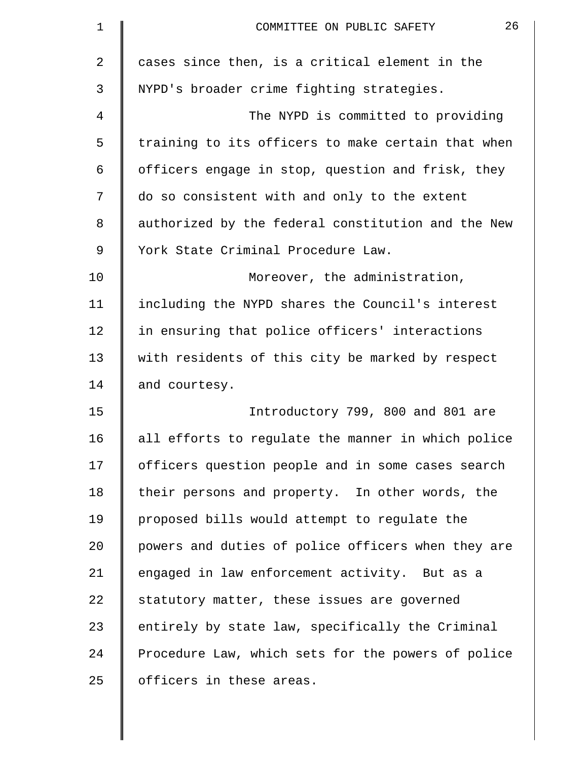| $\mathbf 1$    | 26<br>COMMITTEE ON PUBLIC SAFETY                   |
|----------------|----------------------------------------------------|
| $\overline{a}$ | cases since then, is a critical element in the     |
| 3              | NYPD's broader crime fighting strategies.          |
| 4              | The NYPD is committed to providing                 |
| 5              | training to its officers to make certain that when |
| 6              | officers engage in stop, question and frisk, they  |
| 7              | do so consistent with and only to the extent       |
| 8              | authorized by the federal constitution and the New |
| 9              | York State Criminal Procedure Law.                 |
| 10             | Moreover, the administration,                      |
| 11             | including the NYPD shares the Council's interest   |
| 12             | in ensuring that police officers' interactions     |
| 13             | with residents of this city be marked by respect   |
| 14             | and courtesy.                                      |
| 15             | Introductory 799, 800 and 801 are                  |
| 16             | all efforts to regulate the manner in which police |
| 17             | officers question people and in some cases search  |
| 18             | their persons and property. In other words, the    |
| 19             | proposed bills would attempt to regulate the       |
| 20             | powers and duties of police officers when they are |
| 21             | engaged in law enforcement activity. But as a      |
| 22             | statutory matter, these issues are governed        |
| 23             | entirely by state law, specifically the Criminal   |
| 24             | Procedure Law, which sets for the powers of police |
| 25             | officers in these areas.                           |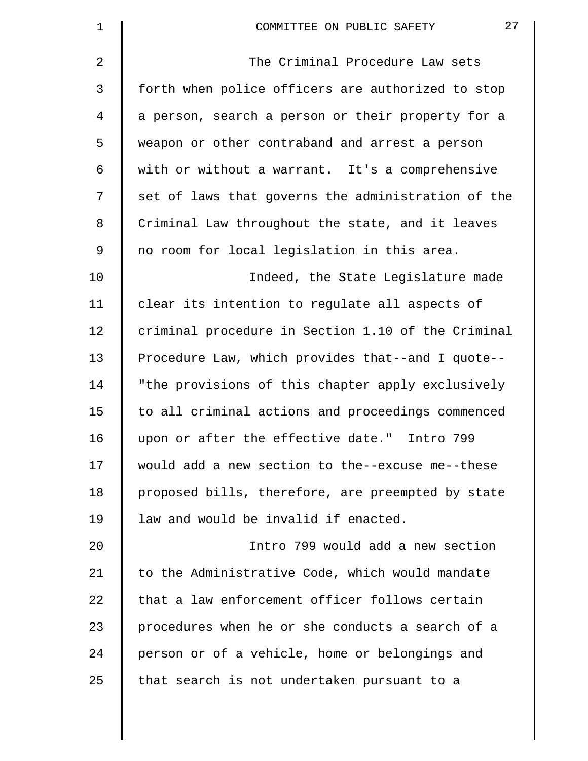| $\mathbf 1$ | 27<br>COMMITTEE ON PUBLIC SAFETY                   |
|-------------|----------------------------------------------------|
| 2           | The Criminal Procedure Law sets                    |
| 3           | forth when police officers are authorized to stop  |
| 4           | a person, search a person or their property for a  |
| 5           | weapon or other contraband and arrest a person     |
| 6           | with or without a warrant. It's a comprehensive    |
| 7           | set of laws that governs the administration of the |
| 8           | Criminal Law throughout the state, and it leaves   |
| 9           | no room for local legislation in this area.        |
| 10          | Indeed, the State Legislature made                 |
| 11          | clear its intention to regulate all aspects of     |
| 12          | criminal procedure in Section 1.10 of the Criminal |
| 13          | Procedure Law, which provides that--and I quote--  |
| 14          | "the provisions of this chapter apply exclusively  |
| 15          | to all criminal actions and proceedings commenced  |
| 16          | upon or after the effective date." Intro 799       |
| 17          | would add a new section to the--excuse me--these   |
| 18          | proposed bills, therefore, are preempted by state  |
| 19          | law and would be invalid if enacted.               |
| 20          | Intro 799 would add a new section                  |
| 21          | to the Administrative Code, which would mandate    |
| 22          | that a law enforcement officer follows certain     |
| 23          | procedures when he or she conducts a search of a   |
| 24          | person or of a vehicle, home or belongings and     |
| 25          | that search is not undertaken pursuant to a        |
|             |                                                    |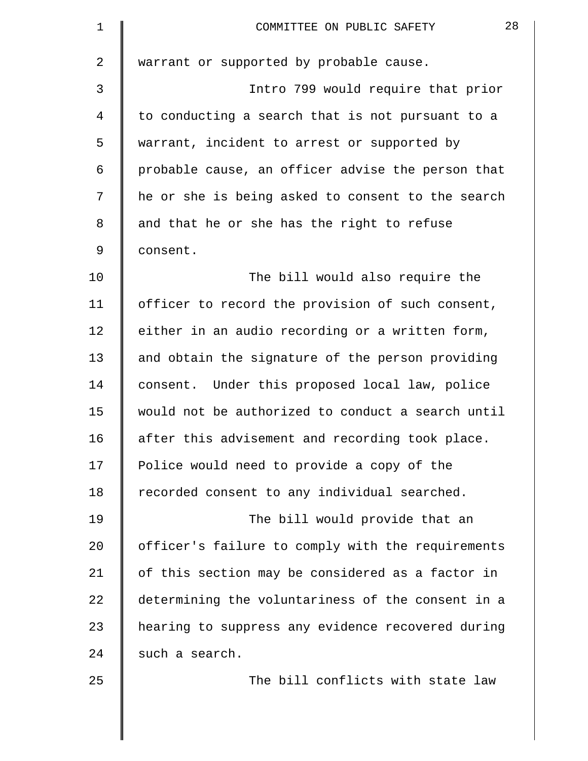| $\mathbf 1$ | 28<br>COMMITTEE ON PUBLIC SAFETY                  |
|-------------|---------------------------------------------------|
| 2           | warrant or supported by probable cause.           |
| 3           | Intro 799 would require that prior                |
| 4           | to conducting a search that is not pursuant to a  |
| 5           | warrant, incident to arrest or supported by       |
| 6           | probable cause, an officer advise the person that |
| 7           | he or she is being asked to consent to the search |
| 8           | and that he or she has the right to refuse        |
| 9           | consent.                                          |
| 10          | The bill would also require the                   |
| 11          | officer to record the provision of such consent,  |
| 12          | either in an audio recording or a written form,   |
| 13          | and obtain the signature of the person providing  |
| 14          | consent. Under this proposed local law, police    |
| 15          | would not be authorized to conduct a search until |
| 16          | after this advisement and recording took place.   |
| 17          | Police would need to provide a copy of the        |
| 18          | recorded consent to any individual searched.      |
| 19          | The bill would provide that an                    |
| 20          | officer's failure to comply with the requirements |
| 21          | of this section may be considered as a factor in  |
| 22          | determining the voluntariness of the consent in a |
| 23          | hearing to suppress any evidence recovered during |
| 24          | such a search.                                    |
| 25          | The bill conflicts with state law                 |
|             |                                                   |
|             |                                                   |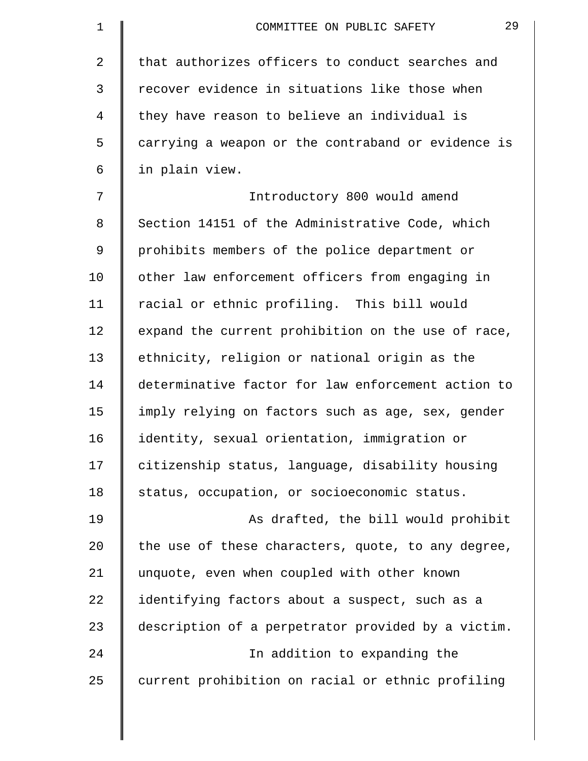| $\mathbf 1$ | 29<br>COMMITTEE ON PUBLIC SAFETY                   |
|-------------|----------------------------------------------------|
| 2           | that authorizes officers to conduct searches and   |
| 3           | recover evidence in situations like those when     |
| 4           | they have reason to believe an individual is       |
| 5           | carrying a weapon or the contraband or evidence is |
| 6           | in plain view.                                     |
| 7           | Introductory 800 would amend                       |
| 8           | Section 14151 of the Administrative Code, which    |
| 9           | prohibits members of the police department or      |
| 10          | other law enforcement officers from engaging in    |
| 11          | racial or ethnic profiling. This bill would        |
| 12          | expand the current prohibition on the use of race, |
| 13          | ethnicity, religion or national origin as the      |
| 14          | determinative factor for law enforcement action to |
| 15          | imply relying on factors such as age, sex, gender  |
| 16          | identity, sexual orientation, immigration or       |
| 17          | citizenship status, language, disability housing   |
| 18          | status, occupation, or socioeconomic status.       |
| 19          | As drafted, the bill would prohibit                |
| 20          | the use of these characters, quote, to any degree, |
| 21          | unquote, even when coupled with other known        |
| 22          | identifying factors about a suspect, such as a     |
| 23          | description of a perpetrator provided by a victim. |
| 24          | In addition to expanding the                       |
| 25          | current prohibition on racial or ethnic profiling  |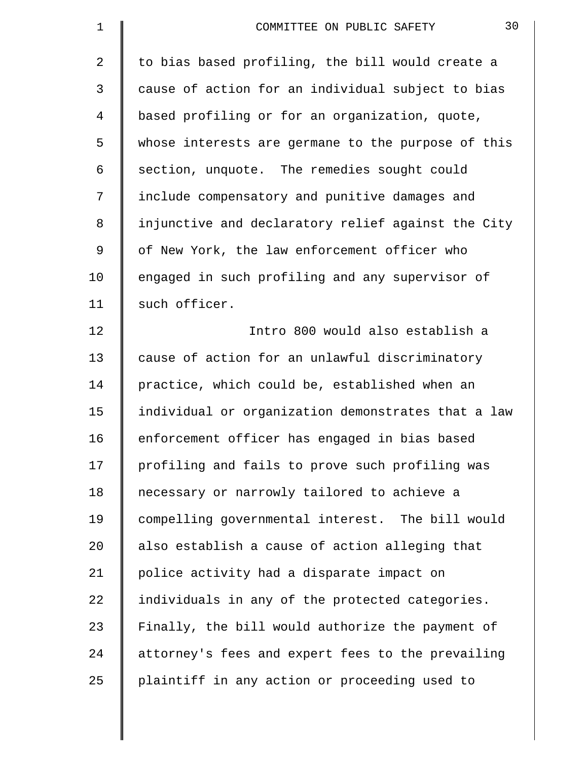| $\mathbf 1$    | 30<br>COMMITTEE ON PUBLIC SAFETY                   |
|----------------|----------------------------------------------------|
| $\overline{a}$ | to bias based profiling, the bill would create a   |
| 3              | cause of action for an individual subject to bias  |
| 4              | based profiling or for an organization, quote,     |
| 5              | whose interests are germane to the purpose of this |
| 6              | section, unquote. The remedies sought could        |
| 7              | include compensatory and punitive damages and      |
| 8              | injunctive and declaratory relief against the City |
| 9              | of New York, the law enforcement officer who       |
| 10             | engaged in such profiling and any supervisor of    |
| 11             | such officer.                                      |
| 12             | Intro 800 would also establish a                   |
| 13             | cause of action for an unlawful discriminatory     |
| 14             | practice, which could be, established when an      |
| 15             | individual or organization demonstrates that a law |
| 16             | enforcement officer has engaged in bias based      |
| 17             | profiling and fails to prove such profiling was    |
| 18             | necessary or narrowly tailored to achieve a        |
| 19             | compelling governmental interest. The bill would   |
| 20             | also establish a cause of action alleging that     |
| 21             | police activity had a disparate impact on          |
| 22             | individuals in any of the protected categories.    |
| 23             | Finally, the bill would authorize the payment of   |
| 24             | attorney's fees and expert fees to the prevailing  |
| 25             | plaintiff in any action or proceeding used to      |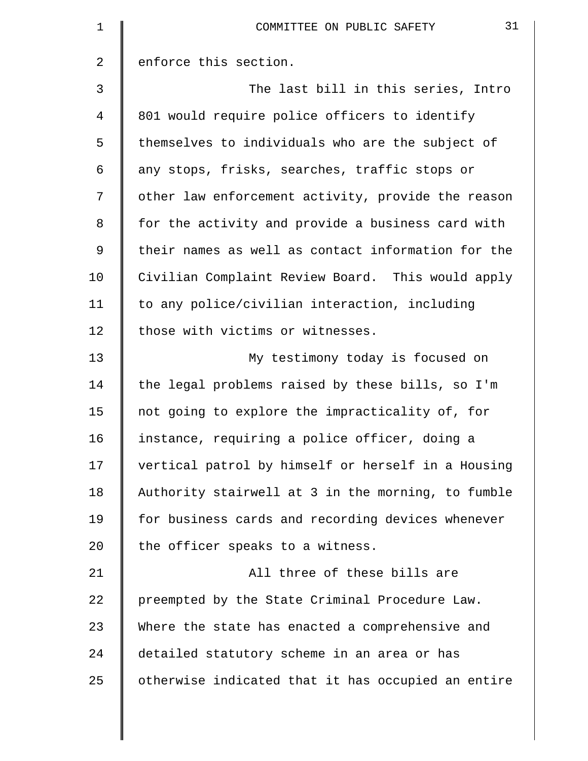| 1  | 31<br>COMMITTEE ON PUBLIC SAFETY                   |
|----|----------------------------------------------------|
| 2  | enforce this section.                              |
| 3  | The last bill in this series, Intro                |
| 4  | 801 would require police officers to identify      |
| 5  | themselves to individuals who are the subject of   |
| 6  | any stops, frisks, searches, traffic stops or      |
| 7  | other law enforcement activity, provide the reason |
| 8  | for the activity and provide a business card with  |
| 9  | their names as well as contact information for the |
| 10 | Civilian Complaint Review Board. This would apply  |
| 11 | to any police/civilian interaction, including      |
| 12 | those with victims or witnesses.                   |
| 13 | My testimony today is focused on                   |
| 14 | the legal problems raised by these bills, so I'm   |
| 15 | not going to explore the impracticality of, for    |
| 16 | instance, requiring a police officer, doing a      |
| 17 | vertical patrol by himself or herself in a Housing |
| 18 | Authority stairwell at 3 in the morning, to fumble |
| 19 | for business cards and recording devices whenever  |
| 20 | the officer speaks to a witness.                   |
| 21 | All three of these bills are                       |
| 22 | preempted by the State Criminal Procedure Law.     |
| 23 | Where the state has enacted a comprehensive and    |
| 24 | detailed statutory scheme in an area or has        |
| 25 | otherwise indicated that it has occupied an entire |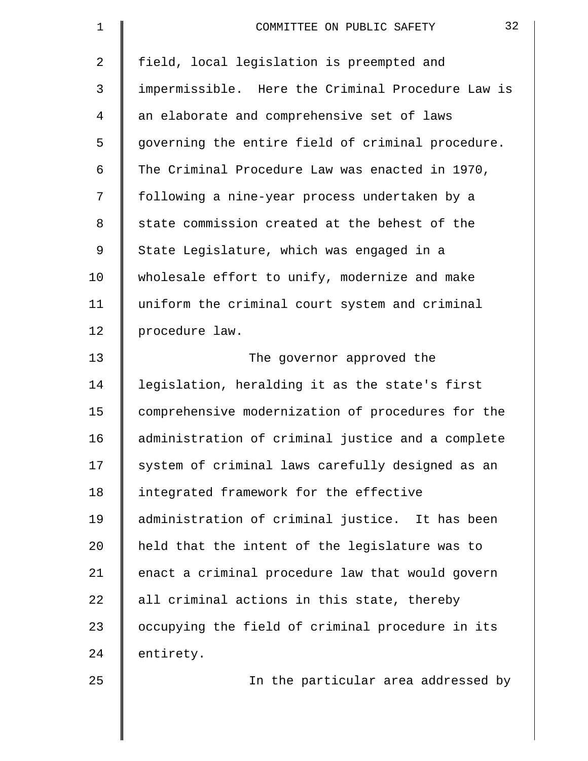| 1  | 32<br>COMMITTEE ON PUBLIC SAFETY                  |
|----|---------------------------------------------------|
| 2  | field, local legislation is preempted and         |
| 3  | impermissible. Here the Criminal Procedure Law is |
| 4  | an elaborate and comprehensive set of laws        |
| 5  | governing the entire field of criminal procedure. |
| 6  | The Criminal Procedure Law was enacted in 1970,   |
| 7  | following a nine-year process undertaken by a     |
| 8  | state commission created at the behest of the     |
| 9  | State Legislature, which was engaged in a         |
| 10 | wholesale effort to unify, modernize and make     |
| 11 | uniform the criminal court system and criminal    |
| 12 | procedure law.                                    |
| 13 | The governor approved the                         |
| 14 | legislation, heralding it as the state's first    |
| 15 | comprehensive modernization of procedures for the |
| 16 | administration of criminal justice and a complete |
| 17 | system of criminal laws carefully designed as an  |
| 18 | integrated framework for the effective            |
| 19 | administration of criminal justice. It has been   |
| 20 | held that the intent of the legislature was to    |
| 21 | enact a criminal procedure law that would govern  |
| 22 | all criminal actions in this state, thereby       |
| 23 | occupying the field of criminal procedure in its  |
| 24 | entirety.                                         |
| 25 | In the particular area addressed by               |
|    |                                                   |
|    |                                                   |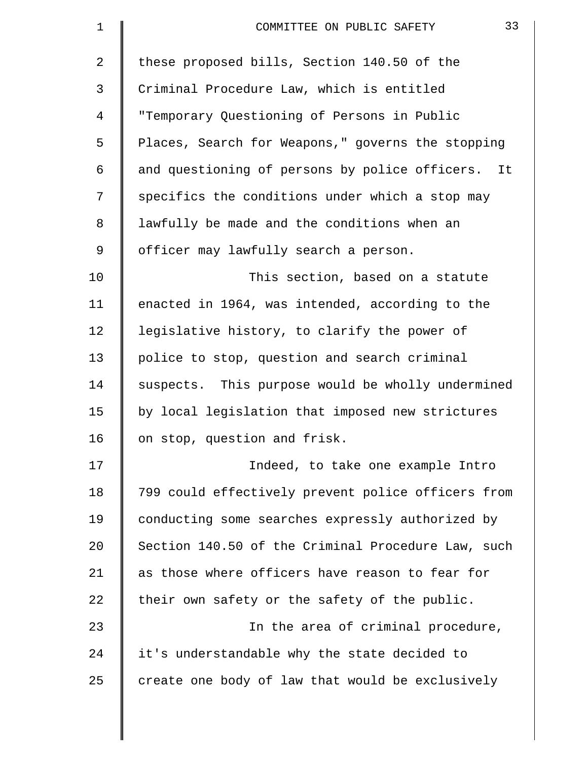| 1              | 33<br>COMMITTEE ON PUBLIC SAFETY                   |
|----------------|----------------------------------------------------|
| $\overline{a}$ | these proposed bills, Section 140.50 of the        |
| 3              | Criminal Procedure Law, which is entitled          |
| 4              | "Temporary Questioning of Persons in Public        |
| 5              | Places, Search for Weapons," governs the stopping  |
| 6              | and questioning of persons by police officers. It  |
| 7              | specifics the conditions under which a stop may    |
| 8              | lawfully be made and the conditions when an        |
| 9              | officer may lawfully search a person.              |
| 10             | This section, based on a statute                   |
| 11             | enacted in 1964, was intended, according to the    |
| 12             | legislative history, to clarify the power of       |
| 13             | police to stop, question and search criminal       |
| 14             | suspects. This purpose would be wholly undermined  |
| 15             | by local legislation that imposed new strictures   |
| 16             | on stop, question and frisk.                       |
| 17             | Indeed, to take one example Intro                  |
| 18             | 799 could effectively prevent police officers from |
| 19             | conducting some searches expressly authorized by   |
| 20             | Section 140.50 of the Criminal Procedure Law, such |
| 21             | as those where officers have reason to fear for    |
| 22             | their own safety or the safety of the public.      |
| 23             | In the area of criminal procedure,                 |
| 24             | it's understandable why the state decided to       |
| 25             | create one body of law that would be exclusively   |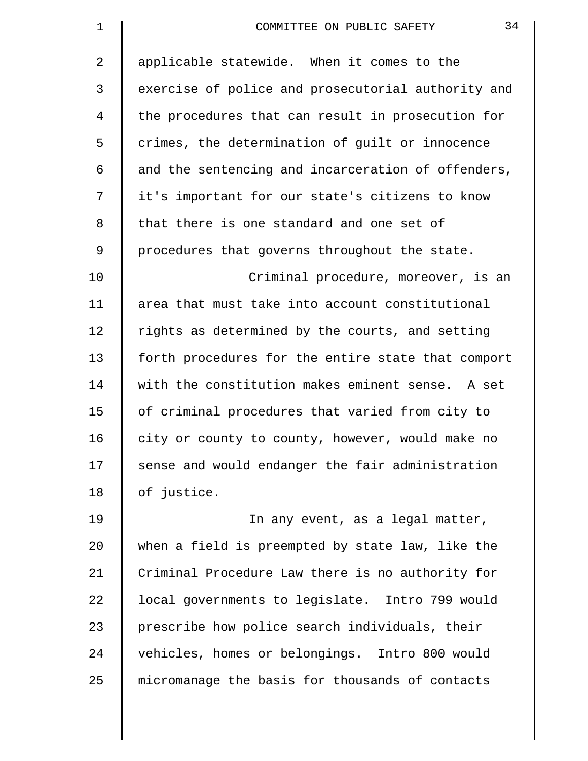| 1           | 34<br>COMMITTEE ON PUBLIC SAFETY                   |
|-------------|----------------------------------------------------|
| 2           | applicable statewide. When it comes to the         |
| 3           | exercise of police and prosecutorial authority and |
| 4           | the procedures that can result in prosecution for  |
| 5           | crimes, the determination of guilt or innocence    |
| 6           | and the sentencing and incarceration of offenders, |
| 7           | it's important for our state's citizens to know    |
| 8           | that there is one standard and one set of          |
| $\mathsf 9$ | procedures that governs throughout the state.      |
| 10          | Criminal procedure, moreover, is an                |
| 11          | area that must take into account constitutional    |
| 12          | rights as determined by the courts, and setting    |
| 13          | forth procedures for the entire state that comport |
| 14          | with the constitution makes eminent sense. A set   |
| 15          | of criminal procedures that varied from city to    |
| 16          | city or county to county, however, would make no   |
| 17          | sense and would endanger the fair administration   |
| 18          | of justice.                                        |
| 19          | In any event, as a legal matter,                   |
| 20          | when a field is preempted by state law, like the   |
| 21          | Criminal Procedure Law there is no authority for   |
| 22          | local governments to legislate. Intro 799 would    |
| 23          | prescribe how police search individuals, their     |
| 24          | vehicles, homes or belongings. Intro 800 would     |
| 25          | micromanage the basis for thousands of contacts    |
|             |                                                    |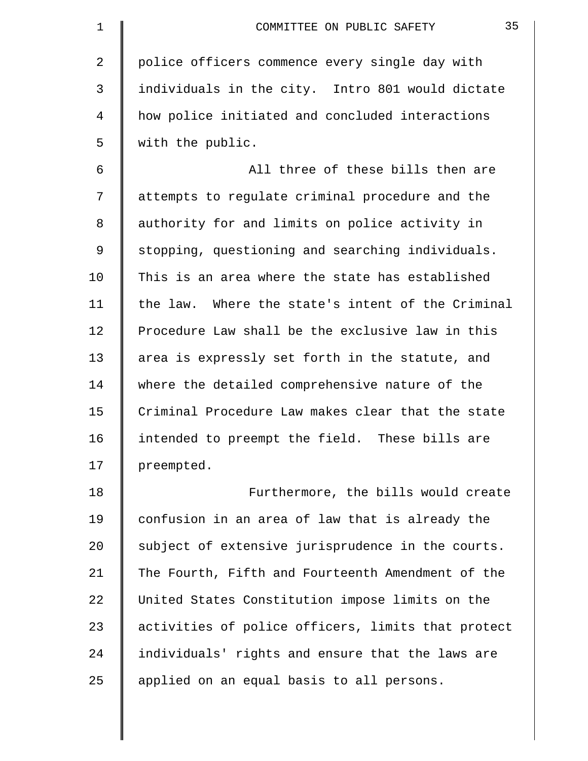| 1              | 35<br>COMMITTEE ON PUBLIC SAFETY                   |
|----------------|----------------------------------------------------|
| $\overline{2}$ | police officers commence every single day with     |
| 3              | individuals in the city. Intro 801 would dictate   |
| 4              | how police initiated and concluded interactions    |
| 5              | with the public.                                   |
| 6              | All three of these bills then are                  |
| 7              | attempts to regulate criminal procedure and the    |
| 8              | authority for and limits on police activity in     |
| 9              | stopping, questioning and searching individuals.   |
| 10             | This is an area where the state has established    |
| 11             | the law. Where the state's intent of the Criminal  |
| 12             | Procedure Law shall be the exclusive law in this   |
| 13             | area is expressly set forth in the statute, and    |
| 14             | where the detailed comprehensive nature of the     |
| 15             | Criminal Procedure Law makes clear that the state  |
| 16             | intended to preempt the field.<br>These bills are  |
| 17             | preempted.                                         |
| 18             | Furthermore, the bills would create                |
| 19             | confusion in an area of law that is already the    |
| 20             | subject of extensive jurisprudence in the courts.  |
| 21             | The Fourth, Fifth and Fourteenth Amendment of the  |
| 22             | United States Constitution impose limits on the    |
| 23             | activities of police officers, limits that protect |
| 24             | individuals' rights and ensure that the laws are   |
| 25             | applied on an equal basis to all persons.          |
|                |                                                    |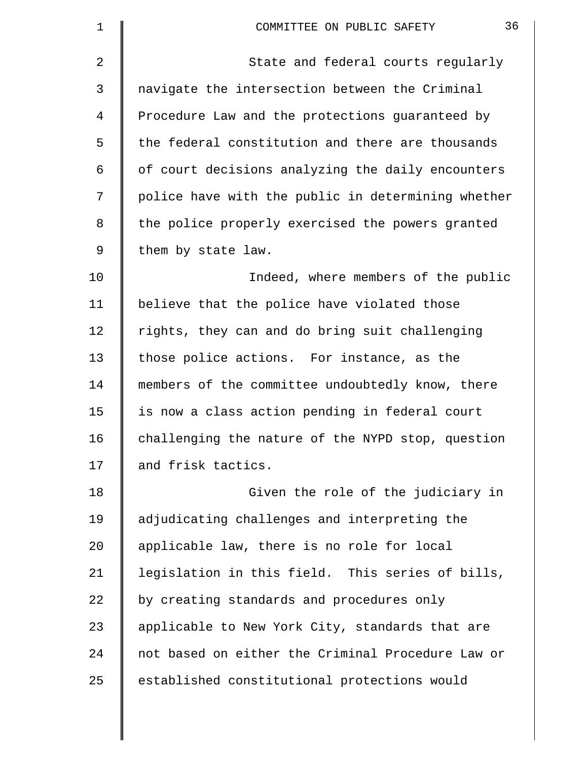| 1              | 36<br>COMMITTEE ON PUBLIC SAFETY                   |
|----------------|----------------------------------------------------|
| $\overline{2}$ | State and federal courts regularly                 |
| 3              | navigate the intersection between the Criminal     |
| 4              | Procedure Law and the protections guaranteed by    |
| 5              | the federal constitution and there are thousands   |
| 6              | of court decisions analyzing the daily encounters  |
| 7              | police have with the public in determining whether |
| 8              | the police properly exercised the powers granted   |
| 9              | them by state law.                                 |
| 10             | Indeed, where members of the public                |
| 11             | believe that the police have violated those        |
| 12             | rights, they can and do bring suit challenging     |
| 13             | those police actions. For instance, as the         |
| 14             | members of the committee undoubtedly know, there   |
| 15             | is now a class action pending in federal court     |
| 16             | challenging the nature of the NYPD stop, question  |
| 17             | and frisk tactics.                                 |
| 18             | Given the role of the judiciary in                 |
| 19             | adjudicating challenges and interpreting the       |
| 20             | applicable law, there is no role for local         |
| 21             | legislation in this field. This series of bills,   |
| 22             | by creating standards and procedures only          |
| 23             | applicable to New York City, standards that are    |
| 24             | not based on either the Criminal Procedure Law or  |
| 25             | established constitutional protections would       |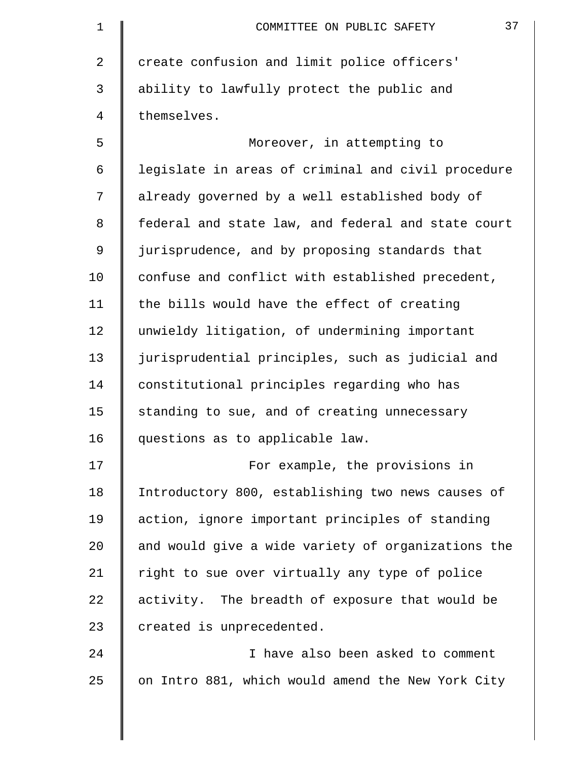| 1  | 37<br>COMMITTEE ON PUBLIC SAFETY                   |
|----|----------------------------------------------------|
| 2  | create confusion and limit police officers'        |
| 3  | ability to lawfully protect the public and         |
| 4  | themselves.                                        |
| 5  | Moreover, in attempting to                         |
| 6  | legislate in areas of criminal and civil procedure |
| 7  | already governed by a well established body of     |
| 8  | federal and state law, and federal and state court |
| 9  | jurisprudence, and by proposing standards that     |
| 10 | confuse and conflict with established precedent,   |
| 11 | the bills would have the effect of creating        |
| 12 | unwieldy litigation, of undermining important      |
| 13 | jurisprudential principles, such as judicial and   |
| 14 | constitutional principles regarding who has        |
| 15 | standing to sue, and of creating unnecessary       |
| 16 | questions as to applicable law.                    |
| 17 | For example, the provisions in                     |
| 18 | Introductory 800, establishing two news causes of  |
| 19 | action, ignore important principles of standing    |
| 20 | and would give a wide variety of organizations the |
| 21 | right to sue over virtually any type of police     |
| 22 | activity. The breadth of exposure that would be    |
| 23 | created is unprecedented.                          |
| 24 | I have also been asked to comment                  |
| 25 | on Intro 881, which would amend the New York City  |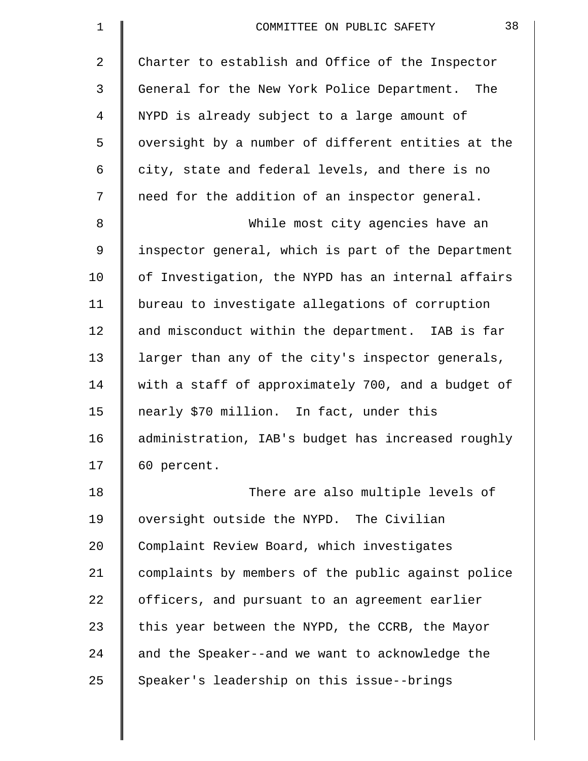| $\mathbf 1$ | 38<br>COMMITTEE ON PUBLIC SAFETY                   |
|-------------|----------------------------------------------------|
| 2           | Charter to establish and Office of the Inspector   |
| 3           | General for the New York Police Department. The    |
| 4           | NYPD is already subject to a large amount of       |
| 5           | oversight by a number of different entities at the |
| 6           | city, state and federal levels, and there is no    |
| 7           | need for the addition of an inspector general.     |
| 8           | While most city agencies have an                   |
| 9           | inspector general, which is part of the Department |
| 10          | of Investigation, the NYPD has an internal affairs |
| 11          | bureau to investigate allegations of corruption    |
| 12          | and misconduct within the department. IAB is far   |
| 13          | larger than any of the city's inspector generals,  |
| 14          | with a staff of approximately 700, and a budget of |
| 15          | nearly \$70 million. In fact, under this           |
| 16          | administration, IAB's budget has increased roughly |
| 17          | 60 percent.                                        |
| 18          | There are also multiple levels of                  |
| 19          | oversight outside the NYPD. The Civilian           |
| 20          | Complaint Review Board, which investigates         |
| 21          | complaints by members of the public against police |
| 22          | officers, and pursuant to an agreement earlier     |
| 23          | this year between the NYPD, the CCRB, the Mayor    |
| 24          | and the Speaker--and we want to acknowledge the    |
| 25          | Speaker's leadership on this issue--brings         |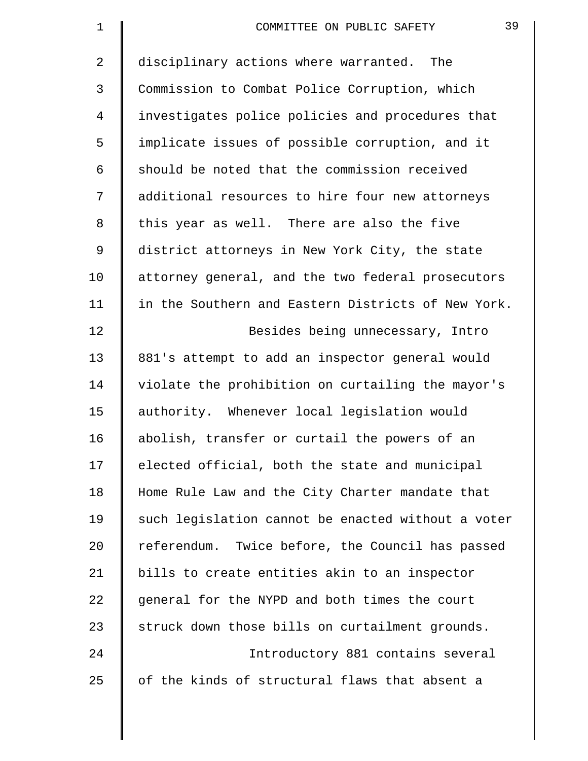| $\mathbf 1$    | 39<br>COMMITTEE ON PUBLIC SAFETY                   |
|----------------|----------------------------------------------------|
| $\overline{2}$ | disciplinary actions where warranted. The          |
| 3              | Commission to Combat Police Corruption, which      |
| 4              | investigates police policies and procedures that   |
| 5              | implicate issues of possible corruption, and it    |
| 6              | should be noted that the commission received       |
| 7              | additional resources to hire four new attorneys    |
| 8              | this year as well. There are also the five         |
| 9              | district attorneys in New York City, the state     |
| 10             | attorney general, and the two federal prosecutors  |
| 11             | in the Southern and Eastern Districts of New York. |
| 12             | Besides being unnecessary, Intro                   |
| 13             | 881's attempt to add an inspector general would    |
| 14             | violate the prohibition on curtailing the mayor's  |
| 15             | authority. Whenever local legislation would        |
| 16             | abolish, transfer or curtail the powers of an      |
| 17             | elected official, both the state and municipal     |
| 18             | Home Rule Law and the City Charter mandate that    |
| 19             | such legislation cannot be enacted without a voter |
| 20             | referendum. Twice before, the Council has passed   |
| 21             | bills to create entities akin to an inspector      |
| 22             | general for the NYPD and both times the court      |
| 23             | struck down those bills on curtailment grounds.    |
| 24             | Introductory 881 contains several                  |
| 25             | of the kinds of structural flaws that absent a     |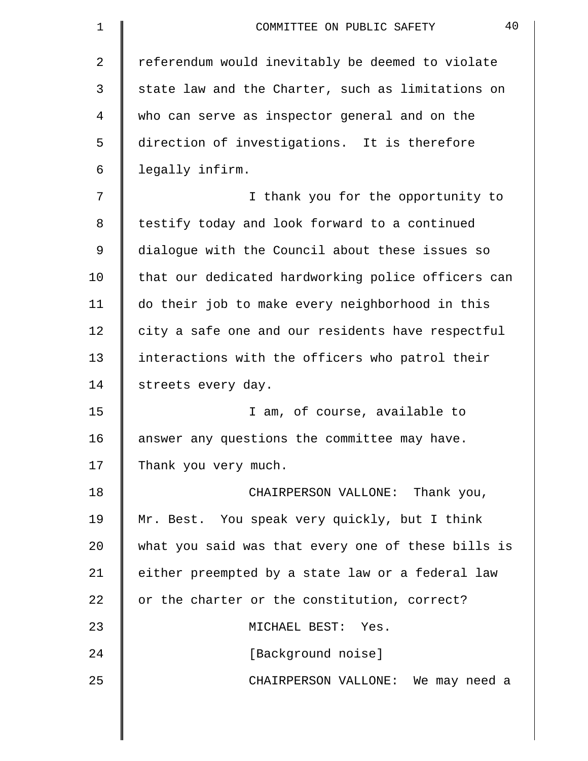| 1  | 40<br>COMMITTEE ON PUBLIC SAFETY                   |
|----|----------------------------------------------------|
| 2  | referendum would inevitably be deemed to violate   |
| 3  | state law and the Charter, such as limitations on  |
| 4  | who can serve as inspector general and on the      |
| 5  | direction of investigations. It is therefore       |
| 6  | legally infirm.                                    |
| 7  | I thank you for the opportunity to                 |
| 8  | testify today and look forward to a continued      |
| 9  | dialogue with the Council about these issues so    |
| 10 | that our dedicated hardworking police officers can |
| 11 | do their job to make every neighborhood in this    |
| 12 | city a safe one and our residents have respectful  |
| 13 | interactions with the officers who patrol their    |
| 14 | streets every day.                                 |
| 15 | I am, of course, available to                      |
| 16 | answer any questions the committee may have.       |
| 17 | Thank you very much.                               |
| 18 | CHAIRPERSON VALLONE: Thank you,                    |
| 19 | Mr. Best. You speak very quickly, but I think      |
| 20 | what you said was that every one of these bills is |
| 21 | either preempted by a state law or a federal law   |
| 22 | or the charter or the constitution, correct?       |
| 23 | MICHAEL BEST: Yes.                                 |
| 24 | [Background noise]                                 |
| 25 | CHAIRPERSON VALLONE: We may need a                 |

 $\parallel$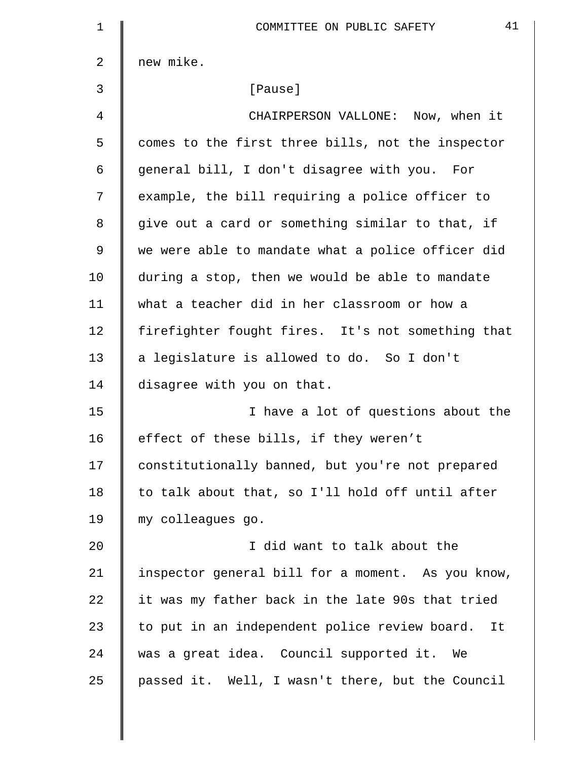| $\mathbf 1$  | 41<br>COMMITTEE ON PUBLIC SAFETY                    |
|--------------|-----------------------------------------------------|
| $\mathbf{2}$ | new mike.                                           |
| 3            | [Pause]                                             |
| 4            | CHAIRPERSON VALLONE: Now, when it                   |
| 5            | comes to the first three bills, not the inspector   |
| 6            | general bill, I don't disagree with you. For        |
| 7            | example, the bill requiring a police officer to     |
| 8            | give out a card or something similar to that, if    |
| 9            | we were able to mandate what a police officer did   |
| 10           | during a stop, then we would be able to mandate     |
| 11           | what a teacher did in her classroom or how a        |
| 12           | firefighter fought fires. It's not something that   |
| 13           | a legislature is allowed to do. So I don't          |
| 14           | disagree with you on that.                          |
| 15           | I have a lot of questions about the                 |
| 16           | effect of these bills, if they weren't              |
| 17           | constitutionally banned, but you're not prepared    |
| 18           | to talk about that, so I'll hold off until after    |
| 19           | my colleagues go.                                   |
| 20           | I did want to talk about the                        |
| 21           | inspector general bill for a moment. As you know,   |
| 22           | it was my father back in the late 90s that tried    |
| 23           | to put in an independent police review board.<br>It |
| 24           | was a great idea. Council supported it. We          |
| 25           | passed it. Well, I wasn't there, but the Council    |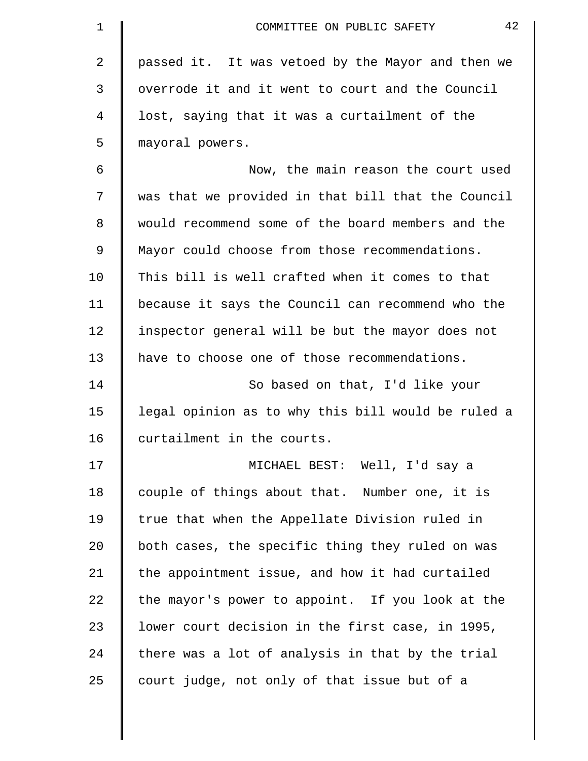| $\mathbf 1$    | 42<br>COMMITTEE ON PUBLIC SAFETY                   |
|----------------|----------------------------------------------------|
| $\overline{2}$ | passed it. It was vetoed by the Mayor and then we  |
| 3              | overrode it and it went to court and the Council   |
| 4              | lost, saying that it was a curtailment of the      |
| 5              | mayoral powers.                                    |
| 6              | Now, the main reason the court used                |
| 7              | was that we provided in that bill that the Council |
| 8              | would recommend some of the board members and the  |
| 9              | Mayor could choose from those recommendations.     |
| 10             | This bill is well crafted when it comes to that    |
| 11             | because it says the Council can recommend who the  |
| 12             | inspector general will be but the mayor does not   |
| 13             | have to choose one of those recommendations.       |
| 14             | So based on that, I'd like your                    |
| 15             | legal opinion as to why this bill would be ruled a |
| 16             | curtailment in the courts.                         |
| 17             | MICHAEL BEST: Well, I'd say a                      |
| 18             | couple of things about that. Number one, it is     |
| 19             | true that when the Appellate Division ruled in     |
| 20             | both cases, the specific thing they ruled on was   |
| 21             | the appointment issue, and how it had curtailed    |
| 22             | the mayor's power to appoint. If you look at the   |
| 23             | lower court decision in the first case, in 1995,   |
| 24             | there was a lot of analysis in that by the trial   |
| 25             | court judge, not only of that issue but of a       |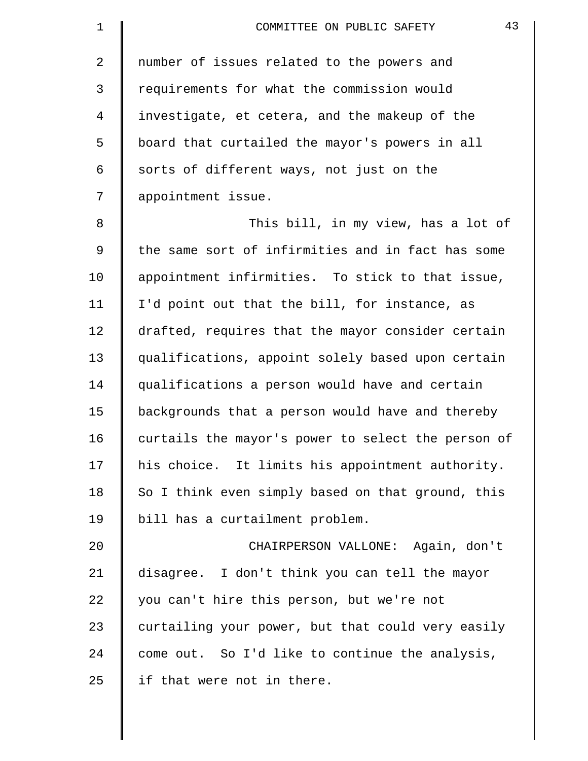| $\mathbf 1$ | 43<br>COMMITTEE ON PUBLIC SAFETY                   |
|-------------|----------------------------------------------------|
| 2           | number of issues related to the powers and         |
| 3           | requirements for what the commission would         |
| 4           | investigate, et cetera, and the makeup of the      |
| 5           | board that curtailed the mayor's powers in all     |
| 6           | sorts of different ways, not just on the           |
| 7           | appointment issue.                                 |
| 8           | This bill, in my view, has a lot of                |
| 9           | the same sort of infirmities and in fact has some  |
| 10          | appointment infirmities. To stick to that issue,   |
| 11          | I'd point out that the bill, for instance, as      |
| 12          | drafted, requires that the mayor consider certain  |
| 13          | qualifications, appoint solely based upon certain  |
| 14          | qualifications a person would have and certain     |
| 15          | backgrounds that a person would have and thereby   |
| 16          | curtails the mayor's power to select the person of |
| 17          | his choice. It limits his appointment authority.   |
| 18          | So I think even simply based on that ground, this  |
| 19          | bill has a curtailment problem.                    |
| 20          | CHAIRPERSON VALLONE: Again, don't                  |
| 21          | disagree. I don't think you can tell the mayor     |
| 22          | you can't hire this person, but we're not          |
| 23          | curtailing your power, but that could very easily  |
| 24          | come out. So I'd like to continue the analysis,    |
| 25          | if that were not in there.                         |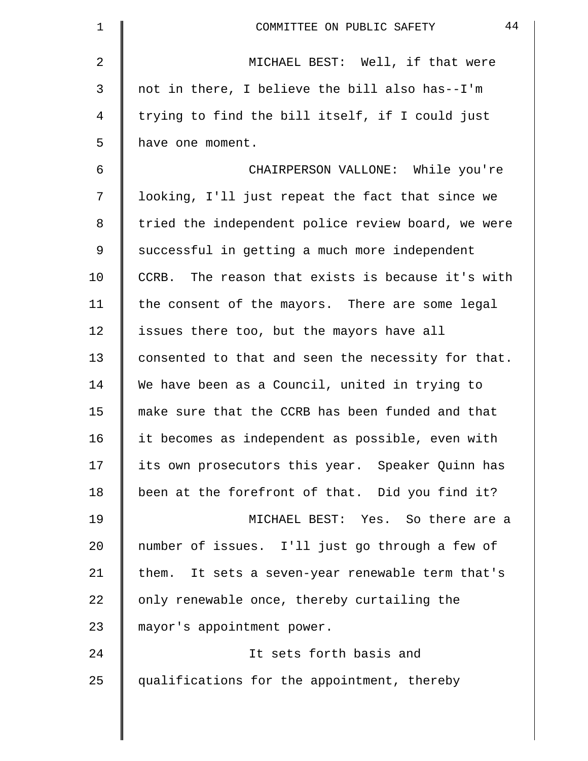| 1  | 44<br>COMMITTEE ON PUBLIC SAFETY                   |
|----|----------------------------------------------------|
| 2  | MICHAEL BEST: Well, if that were                   |
| 3  | not in there, I believe the bill also has--I'm     |
| 4  | trying to find the bill itself, if I could just    |
| 5  | have one moment.                                   |
| 6  | CHAIRPERSON VALLONE: While you're                  |
| 7  | looking, I'll just repeat the fact that since we   |
| 8  | tried the independent police review board, we were |
| 9  | successful in getting a much more independent      |
| 10 | CCRB. The reason that exists is because it's with  |
| 11 | the consent of the mayors. There are some legal    |
| 12 | issues there too, but the mayors have all          |
| 13 | consented to that and seen the necessity for that. |
| 14 | We have been as a Council, united in trying to     |
| 15 | make sure that the CCRB has been funded and that   |
| 16 | it becomes as independent as possible, even with   |
| 17 | its own prosecutors this year. Speaker Quinn has   |
| 18 | been at the forefront of that. Did you find it?    |
| 19 | MICHAEL BEST: Yes. So there are a                  |
| 20 | number of issues. I'll just go through a few of    |
| 21 | them. It sets a seven-year renewable term that's   |
| 22 | only renewable once, thereby curtailing the        |
| 23 | mayor's appointment power.                         |
| 24 | It sets forth basis and                            |
| 25 | qualifications for the appointment, thereby        |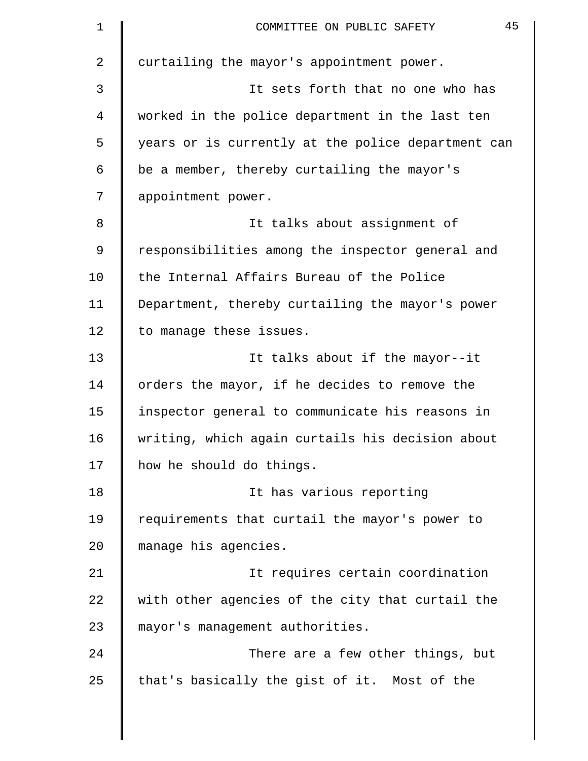| 1  | 45<br>COMMITTEE ON PUBLIC SAFETY                   |
|----|----------------------------------------------------|
| 2  | curtailing the mayor's appointment power.          |
| 3  | It sets forth that no one who has                  |
| 4  | worked in the police department in the last ten    |
| 5  | years or is currently at the police department can |
| 6  | be a member, thereby curtailing the mayor's        |
| 7  | appointment power.                                 |
| 8  | It talks about assignment of                       |
| 9  | responsibilities among the inspector general and   |
| 10 | the Internal Affairs Bureau of the Police          |
| 11 | Department, thereby curtailing the mayor's power   |
| 12 | to manage these issues.                            |
| 13 | It talks about if the mayor--it                    |
| 14 | orders the mayor, if he decides to remove the      |
| 15 | inspector general to communicate his reasons in    |
| 16 | writing, which again curtails his decision about   |
| 17 | how he should do things.                           |
| 18 | It has various reporting                           |
| 19 | requirements that curtail the mayor's power to     |
| 20 | manage his agencies.                               |
| 21 | It requires certain coordination                   |
| 22 | with other agencies of the city that curtail the   |
| 23 | mayor's management authorities.                    |
| 24 | There are a few other things, but                  |
| 25 | that's basically the gist of it. Most of the       |
|    |                                                    |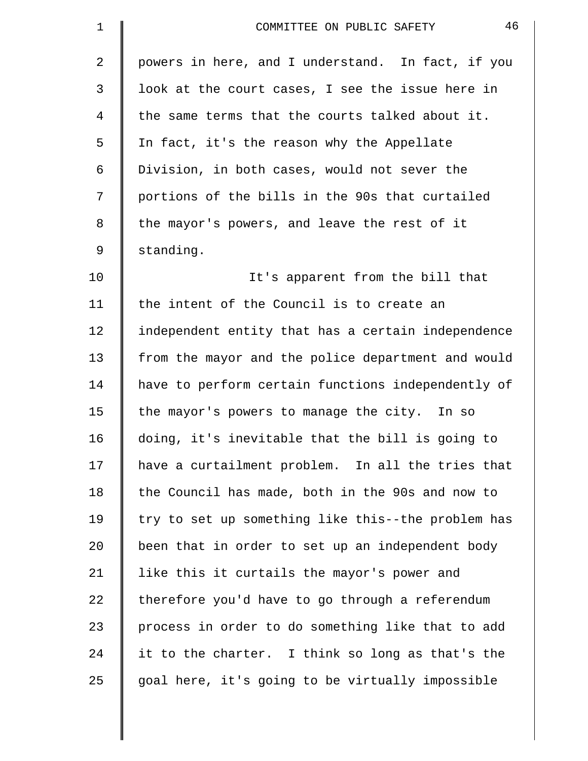| $\mathbf 1$    | 46<br>COMMITTEE ON PUBLIC SAFETY                   |
|----------------|----------------------------------------------------|
| $\overline{a}$ | powers in here, and I understand. In fact, if you  |
| $\mathfrak{Z}$ | look at the court cases, I see the issue here in   |
| 4              | the same terms that the courts talked about it.    |
| 5              | In fact, it's the reason why the Appellate         |
| 6              | Division, in both cases, would not sever the       |
| 7              | portions of the bills in the 90s that curtailed    |
| 8              | the mayor's powers, and leave the rest of it       |
| $\mathsf 9$    | standing.                                          |
| 10             | It's apparent from the bill that                   |
| 11             | the intent of the Council is to create an          |
| 12             | independent entity that has a certain independence |
| 13             | from the mayor and the police department and would |
| 14             | have to perform certain functions independently of |
| 15             | the mayor's powers to manage the city. In so       |
| 16             | doing, it's inevitable that the bill is going to   |
| 17             | have a curtailment problem. In all the tries that  |
| 18             | the Council has made, both in the 90s and now to   |
| 19             | try to set up something like this--the problem has |
| 20             | been that in order to set up an independent body   |
| 21             | like this it curtails the mayor's power and        |
| 22             | therefore you'd have to go through a referendum    |
| 23             | process in order to do something like that to add  |
| 24             | it to the charter. I think so long as that's the   |
| 25             | goal here, it's going to be virtually impossible   |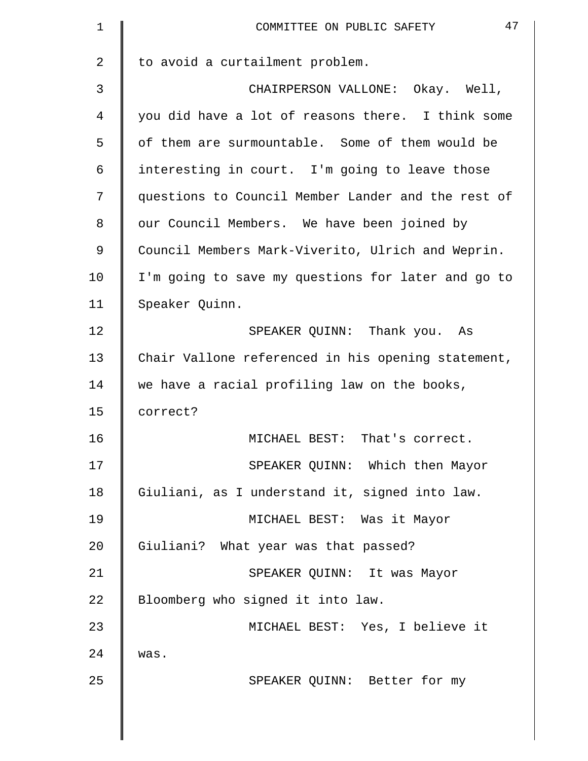| $\mathbf 1$    | 47<br>COMMITTEE ON PUBLIC SAFETY                   |
|----------------|----------------------------------------------------|
| $\overline{2}$ | to avoid a curtailment problem.                    |
| 3              | CHAIRPERSON VALLONE: Okay. Well,                   |
| 4              | you did have a lot of reasons there. I think some  |
| 5              | of them are surmountable. Some of them would be    |
| 6              | interesting in court. I'm going to leave those     |
| 7              | questions to Council Member Lander and the rest of |
| 8              | our Council Members. We have been joined by        |
| 9              | Council Members Mark-Viverito, Ulrich and Weprin.  |
| 10             | I'm going to save my questions for later and go to |
| 11             | Speaker Quinn.                                     |
| 12             | SPEAKER QUINN: Thank you. As                       |
| 13             | Chair Vallone referenced in his opening statement, |
| 14             | we have a racial profiling law on the books,       |
| 15             | correct?                                           |
| 16             | MICHAEL BEST: That's correct.                      |
| 17             | SPEAKER QUINN: Which then Mayor                    |
| 18             | Giuliani, as I understand it, signed into law.     |
| 19             | MICHAEL BEST: Was it Mayor                         |
| 20             | Giuliani? What year was that passed?               |
| 21             | SPEAKER QUINN: It was Mayor                        |
| 22             | Bloomberg who signed it into law.                  |
| 23             | MICHAEL BEST: Yes, I believe it                    |
| 24             | was.                                               |
| 25             | SPEAKER QUINN: Better for my                       |
|                |                                                    |
|                |                                                    |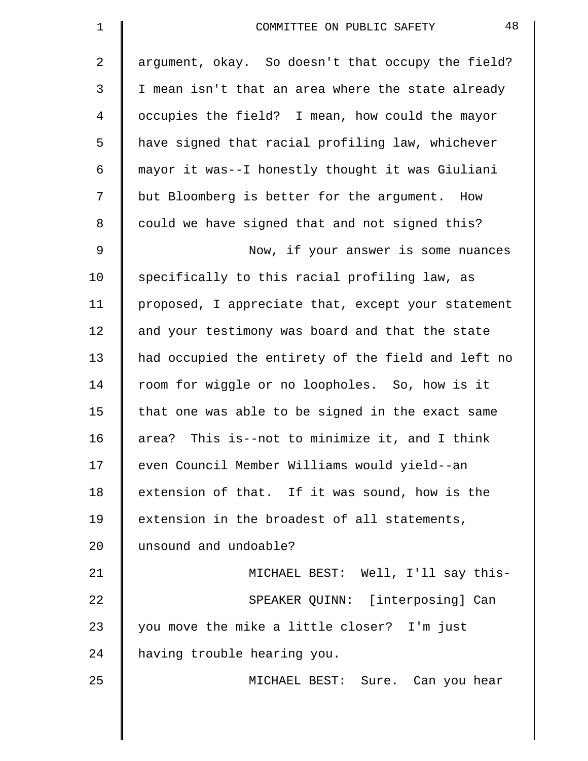| 1  | 48<br>COMMITTEE ON PUBLIC SAFETY                   |
|----|----------------------------------------------------|
| 2  | argument, okay. So doesn't that occupy the field?  |
| 3  | I mean isn't that an area where the state already  |
| 4  | occupies the field? I mean, how could the mayor    |
| 5  | have signed that racial profiling law, whichever   |
| 6  | mayor it was--I honestly thought it was Giuliani   |
| 7  | but Bloomberg is better for the argument. How      |
| 8  | could we have signed that and not signed this?     |
| 9  | Now, if your answer is some nuances                |
| 10 | specifically to this racial profiling law, as      |
| 11 | proposed, I appreciate that, except your statement |
| 12 | and your testimony was board and that the state    |
| 13 | had occupied the entirety of the field and left no |
| 14 | room for wiggle or no loopholes. So, how is it     |
| 15 | that one was able to be signed in the exact same   |
| 16 | area? This is--not to minimize it, and I think     |
| 17 | even Council Member Williams would yield--an       |
| 18 | extension of that. If it was sound, how is the     |
| 19 | extension in the broadest of all statements,       |
| 20 | unsound and undoable?                              |
| 21 | MICHAEL BEST: Well, I'll say this-                 |
| 22 | SPEAKER QUINN: [interposing] Can                   |
| 23 | you move the mike a little closer? I'm just        |
| 24 | having trouble hearing you.                        |
| 25 | MICHAEL BEST: Sure. Can you hear                   |
|    |                                                    |

 $\parallel$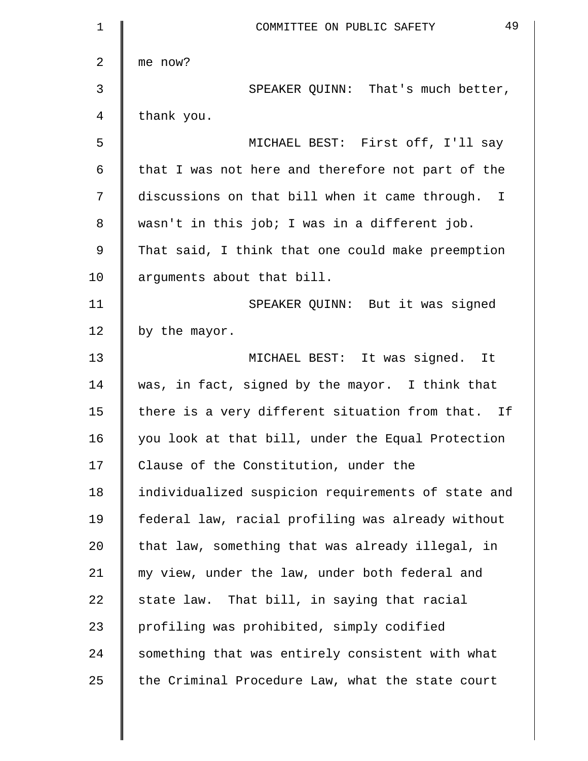| $\mathbf 1$    | 49<br>COMMITTEE ON PUBLIC SAFETY                   |
|----------------|----------------------------------------------------|
| $\overline{2}$ | me now?                                            |
| 3              | SPEAKER QUINN: That's much better,                 |
| 4              | thank you.                                         |
| 5              | MICHAEL BEST: First off, I'll say                  |
| 6              | that I was not here and therefore not part of the  |
| 7              | discussions on that bill when it came through. I   |
| 8              | wasn't in this job; I was in a different job.      |
| 9              | That said, I think that one could make preemption  |
| 10             | arguments about that bill.                         |
| 11             | SPEAKER QUINN: But it was signed                   |
| 12             | by the mayor.                                      |
| 13             | MICHAEL BEST: It was signed. It                    |
| 14             | was, in fact, signed by the mayor. I think that    |
| 15             | there is a very different situation from that. If  |
| 16             | you look at that bill, under the Equal Protection  |
| 17             | Clause of the Constitution, under the              |
| 18             | individualized suspicion requirements of state and |
| 19             | federal law, racial profiling was already without  |
| 20             | that law, something that was already illegal, in   |
| 21             | my view, under the law, under both federal and     |
| 22             | state law. That bill, in saying that racial        |
| 23             | profiling was prohibited, simply codified          |
| 24             | something that was entirely consistent with what   |
| 25             | the Criminal Procedure Law, what the state court   |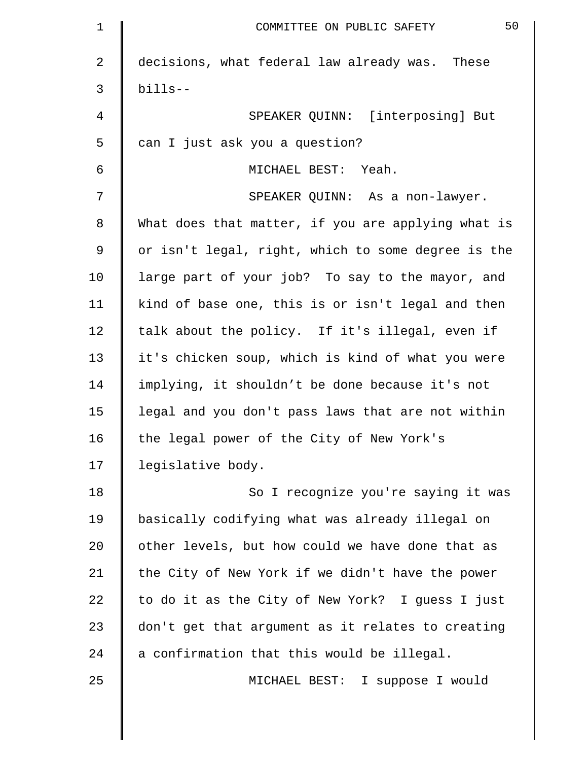| $\mathbf 1$ | 50<br>COMMITTEE ON PUBLIC SAFETY                   |
|-------------|----------------------------------------------------|
| 2           | decisions, what federal law already was. These     |
| 3           | $b$ ills--                                         |
| 4           | SPEAKER QUINN: [interposing] But                   |
| 5           | can I just ask you a question?                     |
| 6           | MICHAEL BEST: Yeah.                                |
| 7           | SPEAKER QUINN: As a non-lawyer.                    |
| 8           | What does that matter, if you are applying what is |
| 9           | or isn't legal, right, which to some degree is the |
| 10          | large part of your job? To say to the mayor, and   |
| 11          | kind of base one, this is or isn't legal and then  |
| 12          | talk about the policy. If it's illegal, even if    |
| 13          | it's chicken soup, which is kind of what you were  |
| 14          | implying, it shouldn't be done because it's not    |
| 15          | legal and you don't pass laws that are not within  |
| 16          | the legal power of the City of New York's          |
| 17          | legislative body.                                  |
| 18          | So I recognize you're saying it was                |
| 19          | basically codifying what was already illegal on    |
| 20          | other levels, but how could we have done that as   |
| 21          | the City of New York if we didn't have the power   |
| 22          | to do it as the City of New York? I guess I just   |
| 23          | don't get that argument as it relates to creating  |
| 24          | a confirmation that this would be illegal.         |
| 25          | MICHAEL BEST: I suppose I would                    |

║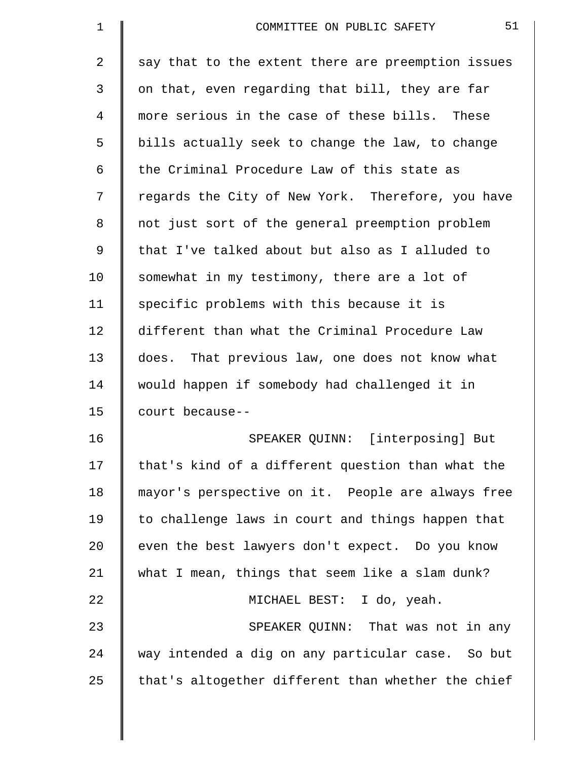| 1              | 51<br>COMMITTEE ON PUBLIC SAFETY                   |
|----------------|----------------------------------------------------|
| $\overline{a}$ | say that to the extent there are preemption issues |
| 3              | on that, even regarding that bill, they are far    |
| 4              | more serious in the case of these bills. These     |
| 5              | bills actually seek to change the law, to change   |
| 6              | the Criminal Procedure Law of this state as        |
| 7              | regards the City of New York. Therefore, you have  |
| 8              | not just sort of the general preemption problem    |
| 9              | that I've talked about but also as I alluded to    |
| 10             | somewhat in my testimony, there are a lot of       |
| 11             | specific problems with this because it is          |
| 12             | different than what the Criminal Procedure Law     |
| 13             | does. That previous law, one does not know what    |
| 14             | would happen if somebody had challenged it in      |
| 15             | court because--                                    |
| 16             | SPEAKER QUINN: [interposing] But                   |
| 17             | that's kind of a different question than what the  |
| 18             | mayor's perspective on it. People are always free  |
| 19             | to challenge laws in court and things happen that  |
| 20             | even the best lawyers don't expect. Do you know    |
| 21             | what I mean, things that seem like a slam dunk?    |
| 22             | MICHAEL BEST: I do, yeah.                          |
| 23             | SPEAKER QUINN: That was not in any                 |
| 24             | way intended a dig on any particular case. So but  |
| 25             | that's altogether different than whether the chief |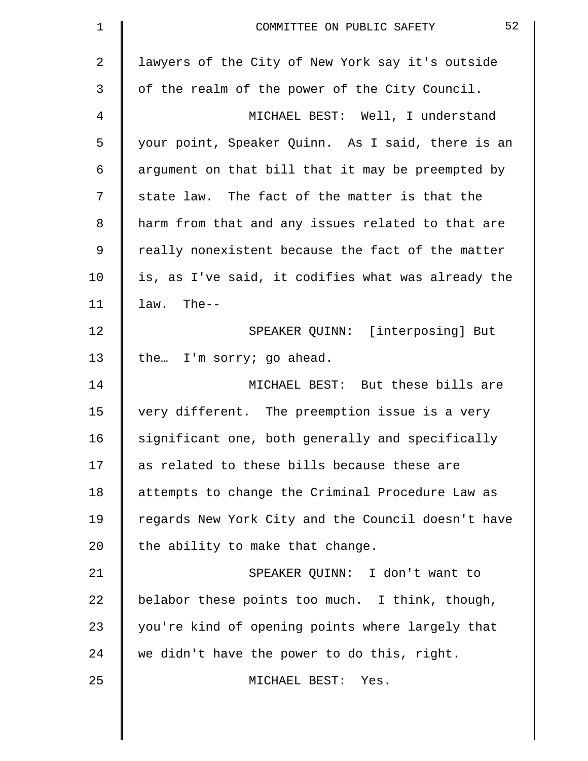| $\mathbf 1$    | 52<br>COMMITTEE ON PUBLIC SAFETY                   |
|----------------|----------------------------------------------------|
| $\overline{2}$ | lawyers of the City of New York say it's outside   |
| 3              | of the realm of the power of the City Council.     |
| 4              | MICHAEL BEST: Well, I understand                   |
| 5              | your point, Speaker Quinn. As I said, there is an  |
| 6              | argument on that bill that it may be preempted by  |
| 7              | state law. The fact of the matter is that the      |
| 8              | harm from that and any issues related to that are  |
| 9              | really nonexistent because the fact of the matter  |
| 10             | is, as I've said, it codifies what was already the |
| 11             | law. The--                                         |
| 12             | SPEAKER QUINN: [interposing] But                   |
| 13             | the I'm sorry; go ahead.                           |
| 14             | MICHAEL BEST: But these bills are                  |
| 15             | very different. The preemption issue is a very     |
| 16             | significant one, both generally and specifically   |
| 17             | as related to these bills because these are        |
| 18             | attempts to change the Criminal Procedure Law as   |
| 19             | regards New York City and the Council doesn't have |
| 20             | the ability to make that change.                   |
| 21             | SPEAKER QUINN: I don't want to                     |
| 22             | belabor these points too much. I think, though,    |
| 23             | you're kind of opening points where largely that   |
| 24             | we didn't have the power to do this, right.        |
| 25             | MICHAEL BEST: Yes.                                 |
|                |                                                    |

 $\parallel$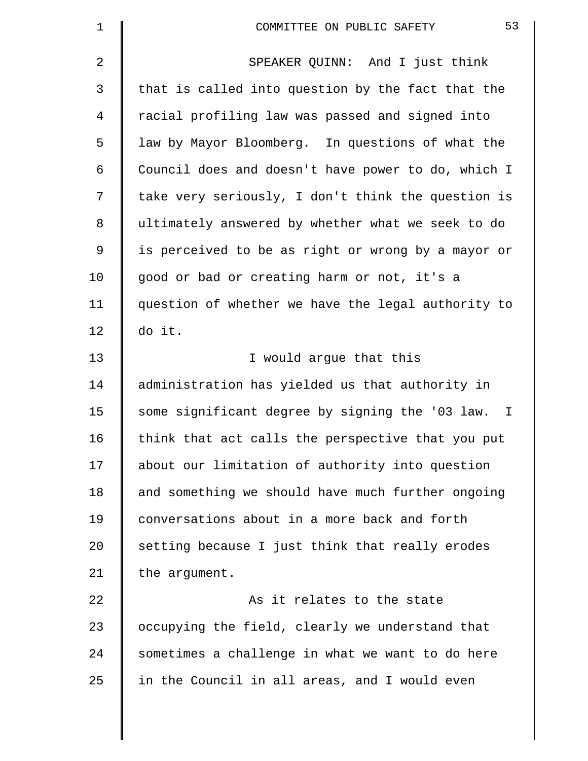| 1            | 53<br>COMMITTEE ON PUBLIC SAFETY                   |
|--------------|----------------------------------------------------|
| 2            | SPEAKER QUINN: And I just think                    |
| $\mathsf{3}$ | that is called into question by the fact that the  |
| 4            | racial profiling law was passed and signed into    |
| 5            | law by Mayor Bloomberg. In questions of what the   |
| 6            | Council does and doesn't have power to do, which I |
| 7            | take very seriously, I don't think the question is |
| 8            | ultimately answered by whether what we seek to do  |
| 9            | is perceived to be as right or wrong by a mayor or |
| 10           | good or bad or creating harm or not, it's a        |
| 11           | question of whether we have the legal authority to |
| 12           | do it.                                             |
| 13           | I would argue that this                            |
| 14           | administration has yielded us that authority in    |
| 15           | some significant degree by signing the '03 law. I  |
| 16           | think that act calls the perspective that you put  |
| 17           | about our limitation of authority into question    |
| 18           | and something we should have much further ongoing  |
| 19           | conversations about in a more back and forth       |
| 20           | setting because I just think that really erodes    |
| 21           | the argument.                                      |
| 22           | As it relates to the state                         |
| 23           | occupying the field, clearly we understand that    |
| 24           | sometimes a challenge in what we want to do here   |
| 25           | in the Council in all areas, and I would even      |
|              |                                                    |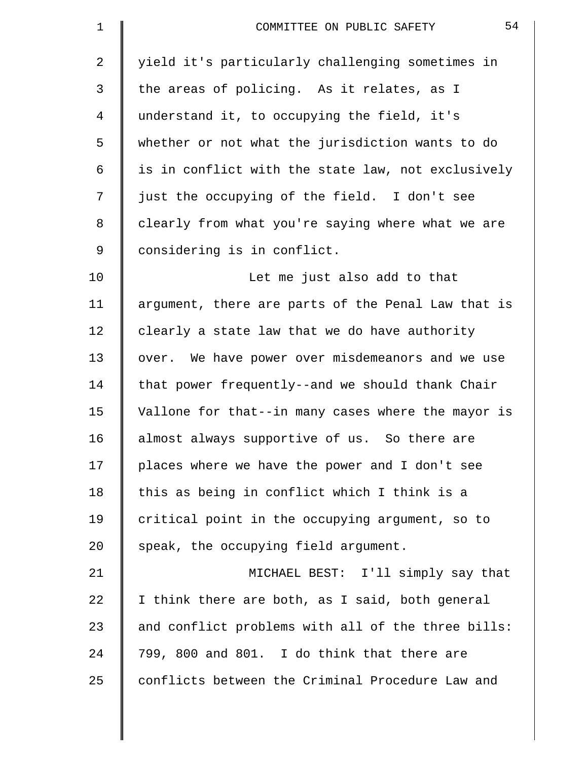| $\mathbf 1$    | 54<br>COMMITTEE ON PUBLIC SAFETY                   |
|----------------|----------------------------------------------------|
| $\overline{a}$ | yield it's particularly challenging sometimes in   |
| 3              | the areas of policing. As it relates, as I         |
| 4              | understand it, to occupying the field, it's        |
| 5              | whether or not what the jurisdiction wants to do   |
| 6              | is in conflict with the state law, not exclusively |
| 7              | just the occupying of the field. I don't see       |
| 8              | clearly from what you're saying where what we are  |
| 9              | considering is in conflict.                        |
| 10             | Let me just also add to that                       |
| 11             | argument, there are parts of the Penal Law that is |
| 12             | clearly a state law that we do have authority      |
| 13             | over. We have power over misdemeanors and we use   |
| 14             | that power frequently--and we should thank Chair   |
| 15             | Vallone for that--in many cases where the mayor is |
| 16             | almost always supportive of us. So there are       |
| 17             | places where we have the power and I don't see     |
| 18             | this as being in conflict which I think is a       |
| 19             | critical point in the occupying argument, so to    |
| 20             | speak, the occupying field argument.               |
| 21             | MICHAEL BEST: I'll simply say that                 |
| 22             | I think there are both, as I said, both general    |
| 23             | and conflict problems with all of the three bills: |
| 24             | 799, 800 and 801. I do think that there are        |
| 25             | conflicts between the Criminal Procedure Law and   |
|                |                                                    |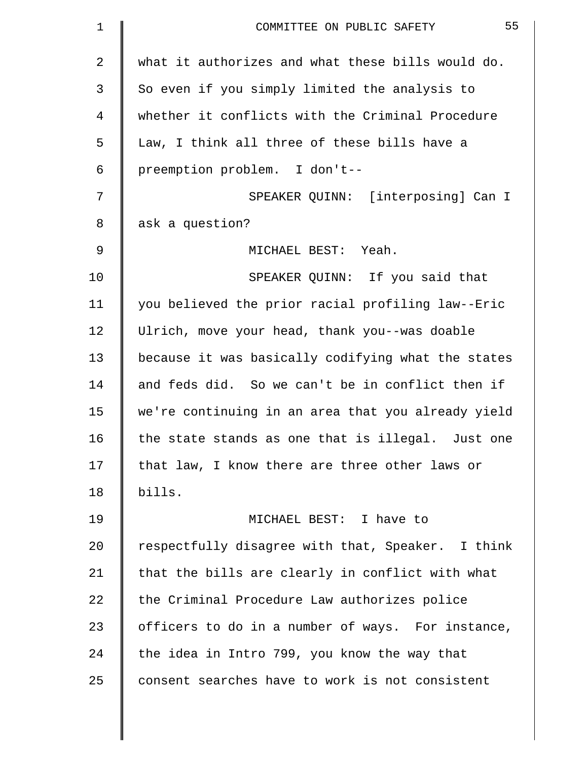| $\mathbf 1$ | 55<br>COMMITTEE ON PUBLIC SAFETY                   |
|-------------|----------------------------------------------------|
| 2           | what it authorizes and what these bills would do.  |
| 3           | So even if you simply limited the analysis to      |
| 4           | whether it conflicts with the Criminal Procedure   |
| 5           | Law, I think all three of these bills have a       |
| 6           | preemption problem. I don't--                      |
| 7           | SPEAKER QUINN: [interposing] Can I                 |
| 8           | ask a question?                                    |
| 9           | MICHAEL BEST: Yeah.                                |
| 10          | SPEAKER QUINN: If you said that                    |
| 11          | you believed the prior racial profiling law--Eric  |
| 12          | Ulrich, move your head, thank you--was doable      |
| 13          | because it was basically codifying what the states |
| 14          | and feds did. So we can't be in conflict then if   |
| 15          | we're continuing in an area that you already yield |
| 16          | the state stands as one that is illegal. Just one  |
| 17          | that law, I know there are three other laws or     |
| 18          | bills.                                             |
| 19          | MICHAEL BEST: I have to                            |
| 20          | respectfully disagree with that, Speaker. I think  |
| 21          | that the bills are clearly in conflict with what   |
| 22          | the Criminal Procedure Law authorizes police       |
| 23          | officers to do in a number of ways. For instance,  |
| 24          | the idea in Intro 799, you know the way that       |
| 25          | consent searches have to work is not consistent    |
|             |                                                    |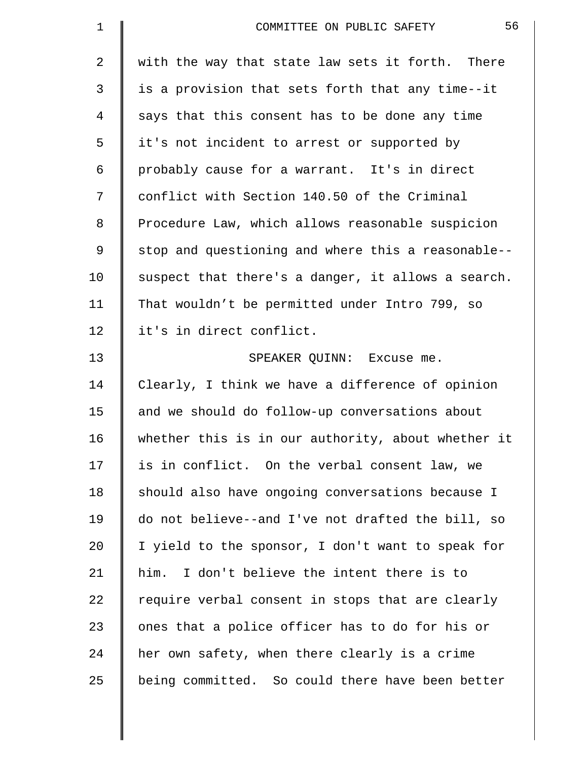| $\mathbf 1$    | 56<br>COMMITTEE ON PUBLIC SAFETY                   |
|----------------|----------------------------------------------------|
| $\overline{2}$ | with the way that state law sets it forth. There   |
| $\mathsf{3}$   | is a provision that sets forth that any time--it   |
| $\overline{4}$ | says that this consent has to be done any time     |
| 5              | it's not incident to arrest or supported by        |
| 6              | probably cause for a warrant. It's in direct       |
| 7              | conflict with Section 140.50 of the Criminal       |
| 8              | Procedure Law, which allows reasonable suspicion   |
| 9              | stop and questioning and where this a reasonable-- |
| 10             | suspect that there's a danger, it allows a search. |
| 11             | That wouldn't be permitted under Intro 799, so     |
| 12             | it's in direct conflict.                           |
| 13             | SPEAKER QUINN: Excuse me.                          |
| 14             | Clearly, I think we have a difference of opinion   |
| 15             | and we should do follow-up conversations about     |
| 16             | whether this is in our authority, about whether it |
| 17             | is in conflict. On the verbal consent law, we      |
| 18             | should also have ongoing conversations because I   |
| 19             | do not believe--and I've not drafted the bill, so  |
| 20             | I yield to the sponsor, I don't want to speak for  |
| 21             | I don't believe the intent there is to<br>him.     |
| 22             | require verbal consent in stops that are clearly   |
| 23             | ones that a police officer has to do for his or    |
| 24             | her own safety, when there clearly is a crime      |
| 25             | being committed. So could there have been better   |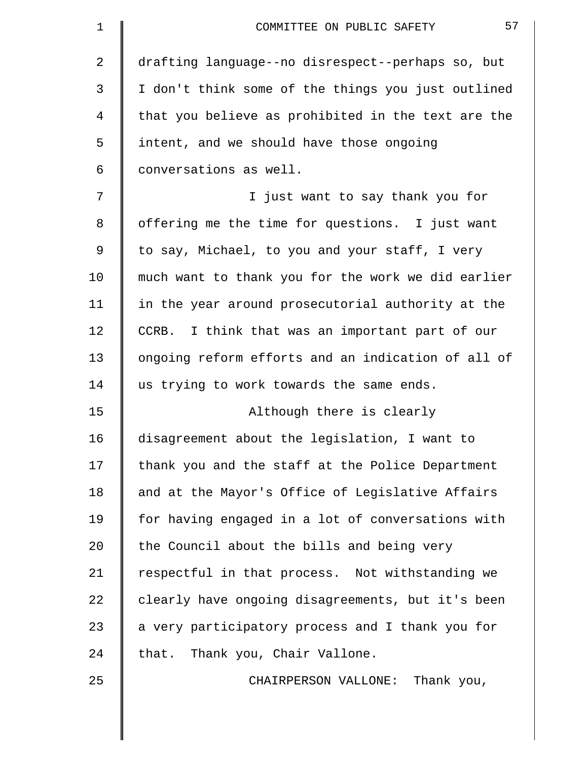| $\mathbf 1$    | 57<br>COMMITTEE ON PUBLIC SAFETY                   |
|----------------|----------------------------------------------------|
| 2              | drafting language--no disrespect--perhaps so, but  |
| 3              | I don't think some of the things you just outlined |
| $\overline{4}$ | that you believe as prohibited in the text are the |
| 5              | intent, and we should have those ongoing           |
| 6              | conversations as well.                             |
| 7              | I just want to say thank you for                   |
| 8              | offering me the time for questions. I just want    |
| 9              | to say, Michael, to you and your staff, I very     |
| 10             | much want to thank you for the work we did earlier |
| 11             | in the year around prosecutorial authority at the  |
| 12             | I think that was an important part of our<br>CCRB. |
| 13             | ongoing reform efforts and an indication of all of |
| 14             | us trying to work towards the same ends.           |
| 15             | Although there is clearly                          |
| 16             | disagreement about the legislation, I want to      |
| 17             | thank you and the staff at the Police Department   |
| 18             | and at the Mayor's Office of Legislative Affairs   |
| 19             | for having engaged in a lot of conversations with  |
| 20             | the Council about the bills and being very         |
| 21             | respectful in that process. Not withstanding we    |
| 22             | clearly have ongoing disagreements, but it's been  |
| 23             | a very participatory process and I thank you for   |
| 24             | that. Thank you, Chair Vallone.                    |
| 25             | CHAIRPERSON VALLONE: Thank you,                    |
|                |                                                    |
|                |                                                    |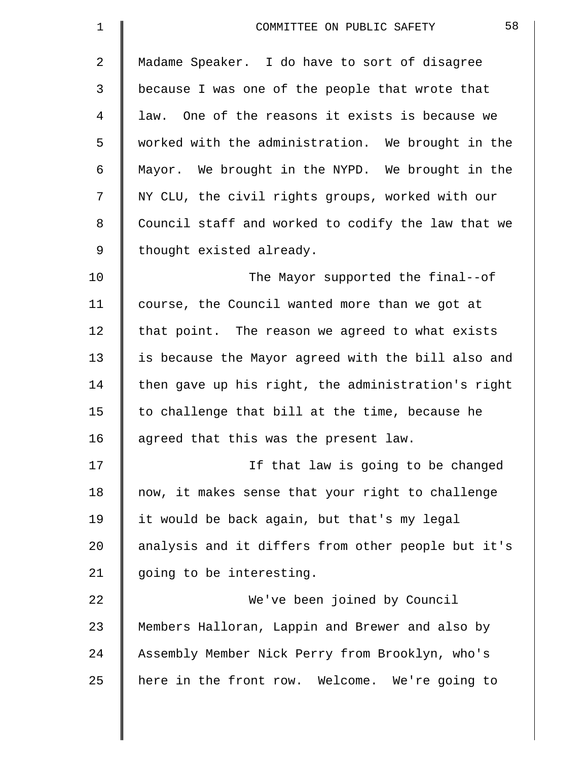| $\mathbf 1$    | 58<br>COMMITTEE ON PUBLIC SAFETY                   |
|----------------|----------------------------------------------------|
| $\overline{2}$ | Madame Speaker. I do have to sort of disagree      |
| 3              | because I was one of the people that wrote that    |
| 4              | law. One of the reasons it exists is because we    |
| 5              | worked with the administration. We brought in the  |
| 6              | Mayor. We brought in the NYPD. We brought in the   |
| 7              | NY CLU, the civil rights groups, worked with our   |
| 8              | Council staff and worked to codify the law that we |
| $\mathsf 9$    | thought existed already.                           |
| 10             | The Mayor supported the final--of                  |
| 11             | course, the Council wanted more than we got at     |
| 12             | that point. The reason we agreed to what exists    |
| 13             | is because the Mayor agreed with the bill also and |
| 14             | then gave up his right, the administration's right |
| 15             | to challenge that bill at the time, because he     |
| 16             | agreed that this was the present law.              |
| 17             | If that law is going to be changed                 |
| 18             | now, it makes sense that your right to challenge   |
| 19             | it would be back again, but that's my legal        |
| 20             | analysis and it differs from other people but it's |
| 21             | going to be interesting.                           |
| 22             | We've been joined by Council                       |
| 23             | Members Halloran, Lappin and Brewer and also by    |
| 24             | Assembly Member Nick Perry from Brooklyn, who's    |
| 25             | here in the front row. Welcome. We're going to     |
|                |                                                    |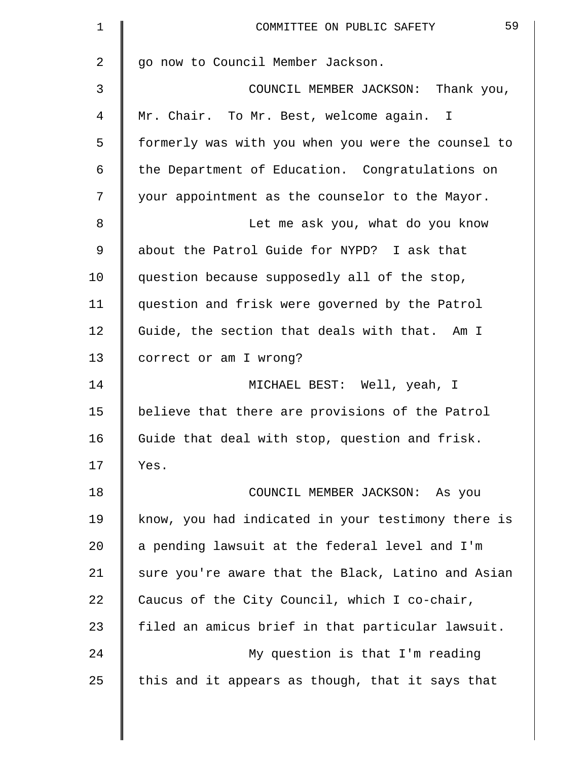| $\mathbf 1$ | 59<br>COMMITTEE ON PUBLIC SAFETY                   |
|-------------|----------------------------------------------------|
| 2           | go now to Council Member Jackson.                  |
| 3           | COUNCIL MEMBER JACKSON: Thank you,                 |
| 4           | Mr. Chair. To Mr. Best, welcome again. I           |
| 5           | formerly was with you when you were the counsel to |
| 6           | the Department of Education. Congratulations on    |
| 7           | your appointment as the counselor to the Mayor.    |
| 8           | Let me ask you, what do you know                   |
| 9           | about the Patrol Guide for NYPD? I ask that        |
| 10          | question because supposedly all of the stop,       |
| 11          | question and frisk were governed by the Patrol     |
| 12          | Guide, the section that deals with that. Am I      |
| 13          | correct or am I wrong?                             |
| 14          | MICHAEL BEST: Well, yeah, I                        |
| 15          | believe that there are provisions of the Patrol    |
| 16          | Guide that deal with stop, question and frisk.     |
| 17          | Yes.                                               |
| 18          | COUNCIL MEMBER JACKSON: As you                     |
| 19          | know, you had indicated in your testimony there is |
| 20          | a pending lawsuit at the federal level and I'm     |
| 21          | sure you're aware that the Black, Latino and Asian |
| 22          | Caucus of the City Council, which I co-chair,      |
| 23          | filed an amicus brief in that particular lawsuit.  |
| 24          | My question is that I'm reading                    |
| 25          | this and it appears as though, that it says that   |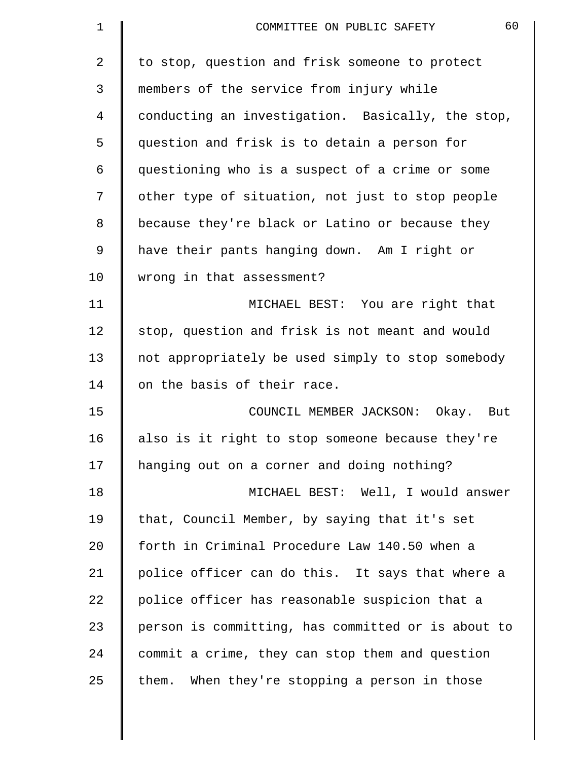| 1  | 60<br>COMMITTEE ON PUBLIC SAFETY                   |
|----|----------------------------------------------------|
| 2  | to stop, question and frisk someone to protect     |
| 3  | members of the service from injury while           |
| 4  | conducting an investigation. Basically, the stop,  |
| 5  | question and frisk is to detain a person for       |
| 6  | questioning who is a suspect of a crime or some    |
| 7  | other type of situation, not just to stop people   |
| 8  | because they're black or Latino or because they    |
| 9  | have their pants hanging down. Am I right or       |
| 10 | wrong in that assessment?                          |
| 11 | MICHAEL BEST: You are right that                   |
| 12 | stop, question and frisk is not meant and would    |
| 13 | not appropriately be used simply to stop somebody  |
| 14 | on the basis of their race.                        |
| 15 | COUNCIL MEMBER JACKSON: Okay. But                  |
| 16 | also is it right to stop someone because they're   |
| 17 | hanging out on a corner and doing nothing?         |
| 18 | MICHAEL BEST: Well, I would answer                 |
| 19 | that, Council Member, by saying that it's set      |
| 20 | forth in Criminal Procedure Law 140.50 when a      |
| 21 | police officer can do this. It says that where a   |
| 22 | police officer has reasonable suspicion that a     |
| 23 | person is committing, has committed or is about to |
| 24 | commit a crime, they can stop them and question    |
| 25 | them. When they're stopping a person in those      |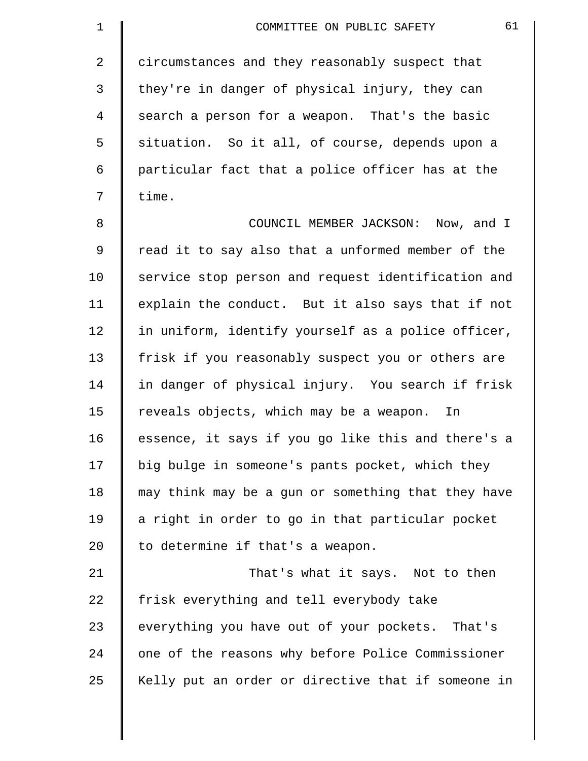| $\mathbf 1$    | 61<br>COMMITTEE ON PUBLIC SAFETY                   |
|----------------|----------------------------------------------------|
| $\overline{2}$ | circumstances and they reasonably suspect that     |
| 3              | they're in danger of physical injury, they can     |
| 4              | search a person for a weapon. That's the basic     |
| 5              | situation. So it all, of course, depends upon a    |
| 6              | particular fact that a police officer has at the   |
| 7              | time.                                              |
| 8              | COUNCIL MEMBER JACKSON: Now, and I                 |
| 9              | read it to say also that a unformed member of the  |
| 10             | service stop person and request identification and |
| 11             | explain the conduct. But it also says that if not  |
| 12             | in uniform, identify yourself as a police officer, |
| 13             | frisk if you reasonably suspect you or others are  |
| 14             | in danger of physical injury. You search if frisk  |
| 15             | reveals objects, which may be a weapon.<br>In      |
| 16             | essence, it says if you go like this and there's a |
| 17             | big bulge in someone's pants pocket, which they    |
| 18             | may think may be a gun or something that they have |
| 19             | a right in order to go in that particular pocket   |
| 20             | to determine if that's a weapon.                   |
| 21             | That's what it says. Not to then                   |
| 22             | frisk everything and tell everybody take           |
| 23             | everything you have out of your pockets. That's    |
| 24             | one of the reasons why before Police Commissioner  |
| 25             | Kelly put an order or directive that if someone in |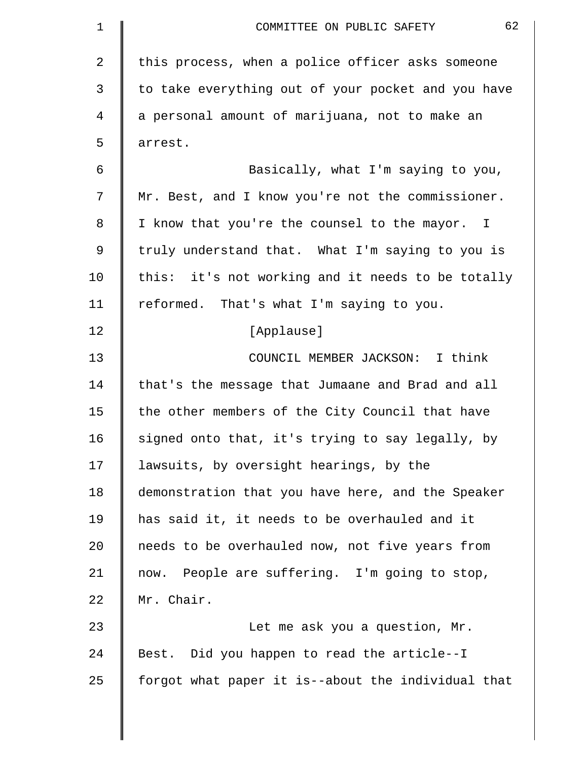| $\mathbf 1$ | 62<br>COMMITTEE ON PUBLIC SAFETY                   |
|-------------|----------------------------------------------------|
| 2           | this process, when a police officer asks someone   |
| 3           | to take everything out of your pocket and you have |
| 4           | a personal amount of marijuana, not to make an     |
| 5           | arrest.                                            |
| 6           | Basically, what I'm saying to you,                 |
| 7           | Mr. Best, and I know you're not the commissioner.  |
| 8           | I know that you're the counsel to the mayor. I     |
| 9           | truly understand that. What I'm saying to you is   |
| 10          | this: it's not working and it needs to be totally  |
| 11          | reformed. That's what I'm saying to you.           |
| 12          | [Applause]                                         |
| 13          | COUNCIL MEMBER JACKSON: I think                    |
| 14          | that's the message that Jumaane and Brad and all   |
| 15          | the other members of the City Council that have    |
| 16          | signed onto that, it's trying to say legally, by   |
| 17          | lawsuits, by oversight hearings, by the            |
| 18          | demonstration that you have here, and the Speaker  |
| 19          | has said it, it needs to be overhauled and it      |
| 20          | needs to be overhauled now, not five years from    |
| 21          | now. People are suffering. I'm going to stop,      |
| 22          | Mr. Chair.                                         |
| 23          | Let me ask you a question, Mr.                     |
| 24          | Best. Did you happen to read the article--I        |
| 25          | forgot what paper it is--about the individual that |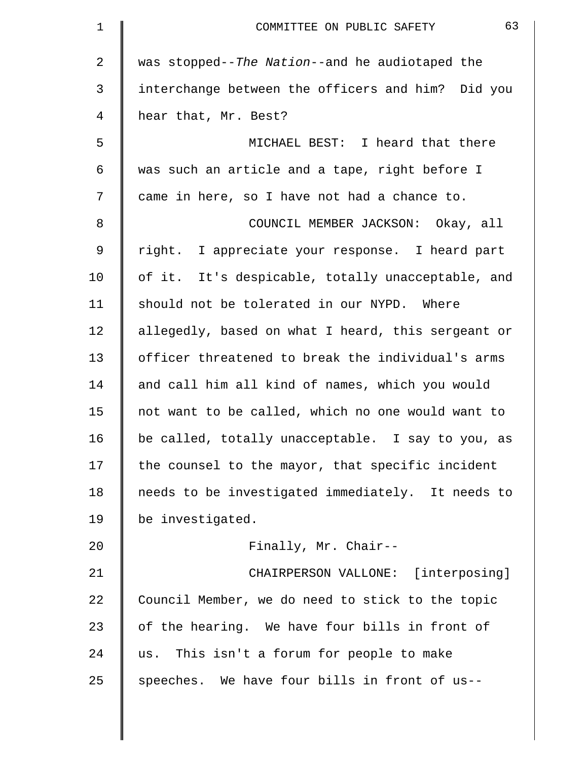| $\mathbf 1$ | 63<br>COMMITTEE ON PUBLIC SAFETY                   |
|-------------|----------------------------------------------------|
| 2           | was stopped--The Nation--and he audiotaped the     |
| 3           | interchange between the officers and him? Did you  |
| 4           | hear that, Mr. Best?                               |
| 5           | MICHAEL BEST: I heard that there                   |
| 6           | was such an article and a tape, right before I     |
| 7           | came in here, so I have not had a chance to.       |
| 8           | COUNCIL MEMBER JACKSON: Okay, all                  |
| $\mathsf 9$ | right. I appreciate your response. I heard part    |
| 10          | of it. It's despicable, totally unacceptable, and  |
| 11          | should not be tolerated in our NYPD. Where         |
| 12          | allegedly, based on what I heard, this sergeant or |
| 13          | officer threatened to break the individual's arms  |
| 14          | and call him all kind of names, which you would    |
| 15          | not want to be called, which no one would want to  |
| 16          | be called, totally unacceptable. I say to you, as  |
| 17          | the counsel to the mayor, that specific incident   |
| 18          | needs to be investigated immediately. It needs to  |
| 19          | be investigated.                                   |
| 20          | Finally, Mr. Chair--                               |
| 21          | CHAIRPERSON VALLONE: [interposing]                 |
| 22          | Council Member, we do need to stick to the topic   |
| 23          | of the hearing. We have four bills in front of     |
| 24          | us. This isn't a forum for people to make          |
| 25          | speeches. We have four bills in front of us--      |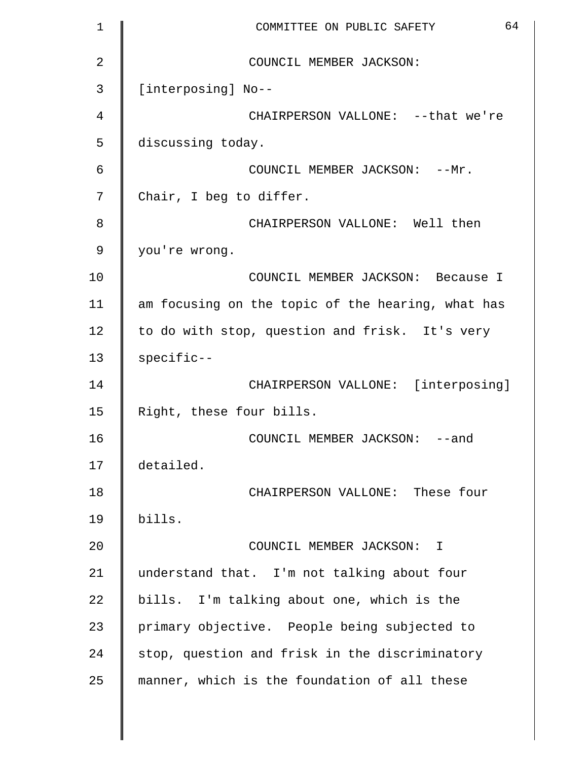| $\mathbf 1$    | 64<br>COMMITTEE ON PUBLIC SAFETY                  |
|----------------|---------------------------------------------------|
| $\overline{2}$ | COUNCIL MEMBER JACKSON:                           |
| 3              | [interposing] No--                                |
| 4              | CHAIRPERSON VALLONE: -- that we're                |
| 5              | discussing today.                                 |
| 6              | COUNCIL MEMBER JACKSON: -- Mr.                    |
| 7              | Chair, I beg to differ.                           |
| 8              | CHAIRPERSON VALLONE: Well then                    |
| 9              | you're wrong.                                     |
| 10             | COUNCIL MEMBER JACKSON: Because I                 |
| 11             | am focusing on the topic of the hearing, what has |
| 12             | to do with stop, question and frisk. It's very    |
| 13             | specific--                                        |
| 14             | CHAIRPERSON VALLONE: [interposing]                |
| 15             | Right, these four bills.                          |
| 16             | COUNCIL MEMBER JACKSON: -- and                    |
| 17             | detailed.                                         |
| 18             | CHAIRPERSON VALLONE: These four                   |
| 19             | bills.                                            |
| 20             | COUNCIL MEMBER JACKSON: I                         |
| 21             | understand that. I'm not talking about four       |
| 22             | bills. I'm talking about one, which is the        |
| 23             | primary objective. People being subjected to      |
| 24             | stop, question and frisk in the discriminatory    |
| 25             | manner, which is the foundation of all these      |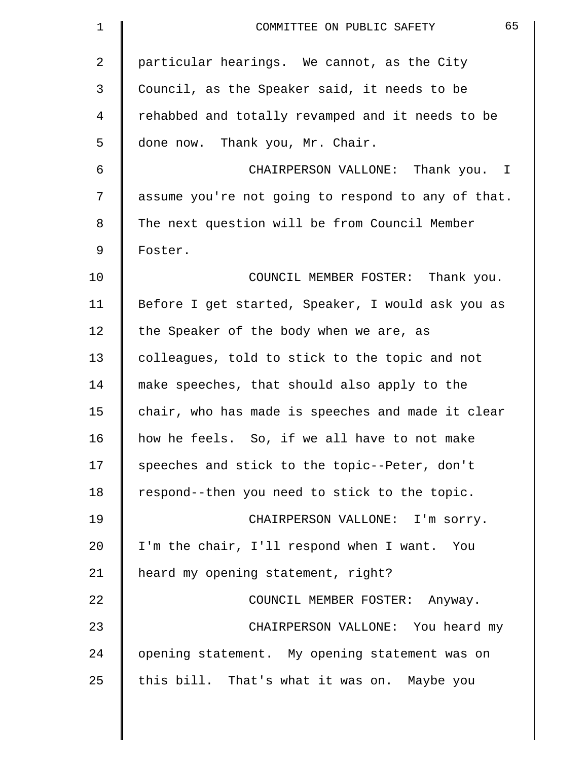| $\mathbf{1}$ | 65<br>COMMITTEE ON PUBLIC SAFETY                   |
|--------------|----------------------------------------------------|
| 2            | particular hearings. We cannot, as the City        |
| 3            | Council, as the Speaker said, it needs to be       |
| 4            | rehabbed and totally revamped and it needs to be   |
| 5            | done now. Thank you, Mr. Chair.                    |
| 6            | CHAIRPERSON VALLONE: Thank you. I                  |
| 7            | assume you're not going to respond to any of that. |
| 8            | The next question will be from Council Member      |
| 9            | Foster.                                            |
| 10           | COUNCIL MEMBER FOSTER: Thank you.                  |
| 11           | Before I get started, Speaker, I would ask you as  |
| 12           | the Speaker of the body when we are, as            |
| 13           | colleagues, told to stick to the topic and not     |
| 14           | make speeches, that should also apply to the       |
| 15           | chair, who has made is speeches and made it clear  |
| 16           | how he feels. So, if we all have to not make       |
| 17           | speeches and stick to the topic--Peter, don't      |
| 18           | respond--then you need to stick to the topic.      |
| 19           | CHAIRPERSON VALLONE: I'm sorry.                    |
| 20           | I'm the chair, I'll respond when I want. You       |
| 21           | heard my opening statement, right?                 |
| 22           | COUNCIL MEMBER FOSTER: Anyway.                     |
| 23           | CHAIRPERSON VALLONE: You heard my                  |
| 24           | opening statement. My opening statement was on     |
| 25           | this bill. That's what it was on. Maybe you        |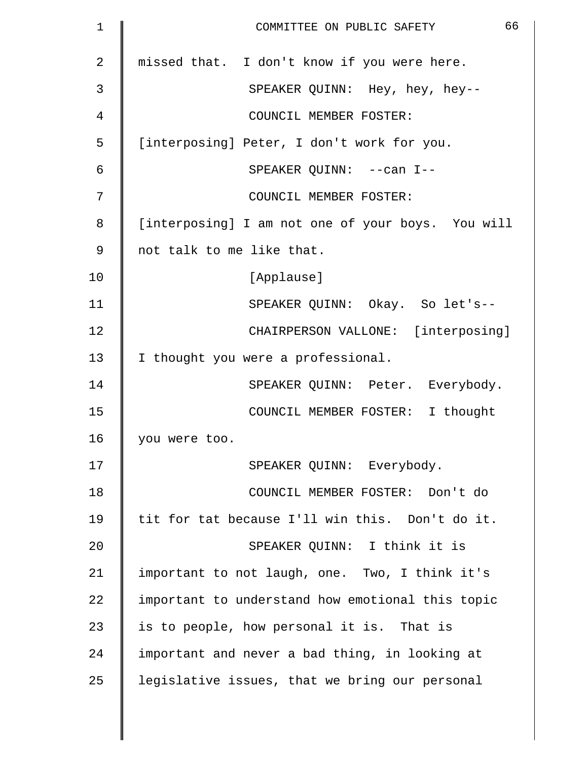| 1              | 66<br>COMMITTEE ON PUBLIC SAFETY                  |
|----------------|---------------------------------------------------|
| $\overline{2}$ | missed that. I don't know if you were here.       |
| 3              | SPEAKER QUINN: Hey, hey, hey--                    |
| 4              | COUNCIL MEMBER FOSTER:                            |
| 5              | [interposing] Peter, I don't work for you.        |
| 6              | SPEAKER QUINN: -- can I--                         |
| 7              | COUNCIL MEMBER FOSTER:                            |
| 8              | [interposing] I am not one of your boys. You will |
| 9              | not talk to me like that.                         |
| 10             | [Applause]                                        |
| 11             | SPEAKER QUINN: Okay. So let's--                   |
| 12             | CHAIRPERSON VALLONE: [interposing]                |
| 13             | I thought you were a professional.                |
| 14             | SPEAKER QUINN: Peter. Everybody.                  |
| 15             | COUNCIL MEMBER FOSTER: I thought                  |
| 16             | you were too.                                     |
| 17             | SPEAKER QUINN: Everybody.                         |
| 18             | COUNCIL MEMBER FOSTER: Don't do                   |
| 19             | tit for tat because I'll win this. Don't do it.   |
| 20             | SPEAKER OUINN: I think it is                      |
| 21             | important to not laugh, one. Two, I think it's    |
| 22             | important to understand how emotional this topic  |
| 23             | is to people, how personal it is. That is         |
| 24             | important and never a bad thing, in looking at    |
| 25             | legislative issues, that we bring our personal    |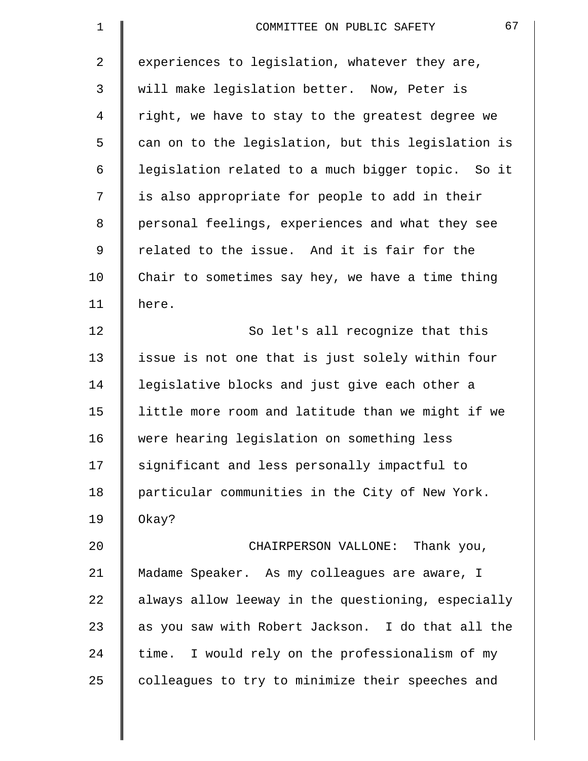| $\mathbf 1$    | 67<br>COMMITTEE ON PUBLIC SAFETY                   |
|----------------|----------------------------------------------------|
| $\overline{2}$ | experiences to legislation, whatever they are,     |
| 3              | will make legislation better. Now, Peter is        |
| 4              | right, we have to stay to the greatest degree we   |
| 5              | can on to the legislation, but this legislation is |
| 6              | legislation related to a much bigger topic. So it  |
| 7              | is also appropriate for people to add in their     |
| 8              | personal feelings, experiences and what they see   |
| $\mathsf 9$    | related to the issue. And it is fair for the       |
| 10             | Chair to sometimes say hey, we have a time thing   |
| 11             | here.                                              |
| 12             | So let's all recognize that this                   |
| 13             | issue is not one that is just solely within four   |
| 14             | legislative blocks and just give each other a      |
| 15             | little more room and latitude than we might if we  |
| 16             | were hearing legislation on something less         |
| 17             | significant and less personally impactful to       |
| 18             | particular communities in the City of New York.    |
| 19             | Okay?                                              |
| 20             | CHAIRPERSON VALLONE: Thank you,                    |
| 21             | Madame Speaker. As my colleagues are aware, I      |
| 22             | always allow leeway in the questioning, especially |
| 23             | as you saw with Robert Jackson. I do that all the  |
| 24             | time. I would rely on the professionalism of my    |
| 25             | colleagues to try to minimize their speeches and   |
|                |                                                    |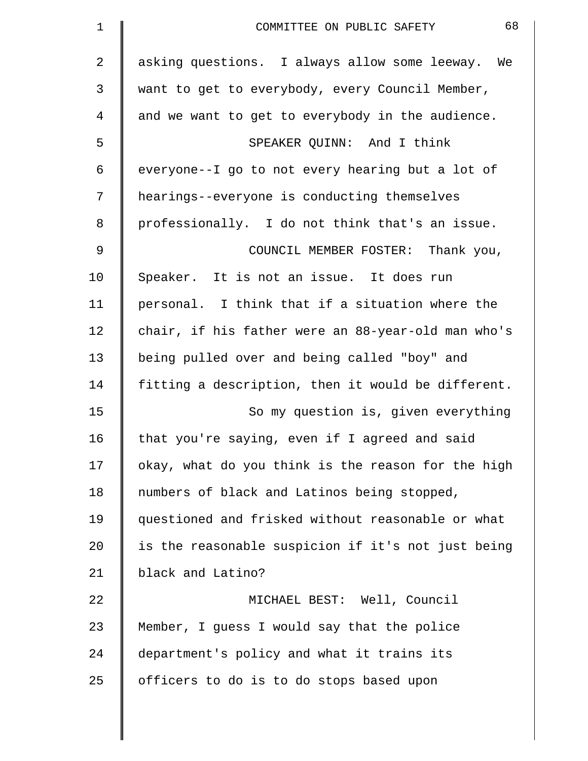| 1  | 68<br>COMMITTEE ON PUBLIC SAFETY                   |
|----|----------------------------------------------------|
| 2  | asking questions. I always allow some leeway. We   |
| 3  | want to get to everybody, every Council Member,    |
| 4  | and we want to get to everybody in the audience.   |
| 5  | SPEAKER OUINN: And I think                         |
| 6  | everyone--I go to not every hearing but a lot of   |
| 7  | hearings--everyone is conducting themselves        |
| 8  | professionally. I do not think that's an issue.    |
| 9  | COUNCIL MEMBER FOSTER: Thank you,                  |
| 10 | Speaker. It is not an issue. It does run           |
| 11 | personal. I think that if a situation where the    |
| 12 | chair, if his father were an 88-year-old man who's |
| 13 | being pulled over and being called "boy" and       |
| 14 | fitting a description, then it would be different. |
| 15 | So my question is, given everything                |
| 16 | that you're saying, even if I agreed and said      |
| 17 | okay, what do you think is the reason for the high |
| 18 | numbers of black and Latinos being stopped,        |
| 19 | questioned and frisked without reasonable or what  |
| 20 | is the reasonable suspicion if it's not just being |
| 21 | black and Latino?                                  |
| 22 | MICHAEL BEST: Well, Council                        |
| 23 | Member, I guess I would say that the police        |
| 24 | department's policy and what it trains its         |
| 25 | officers to do is to do stops based upon           |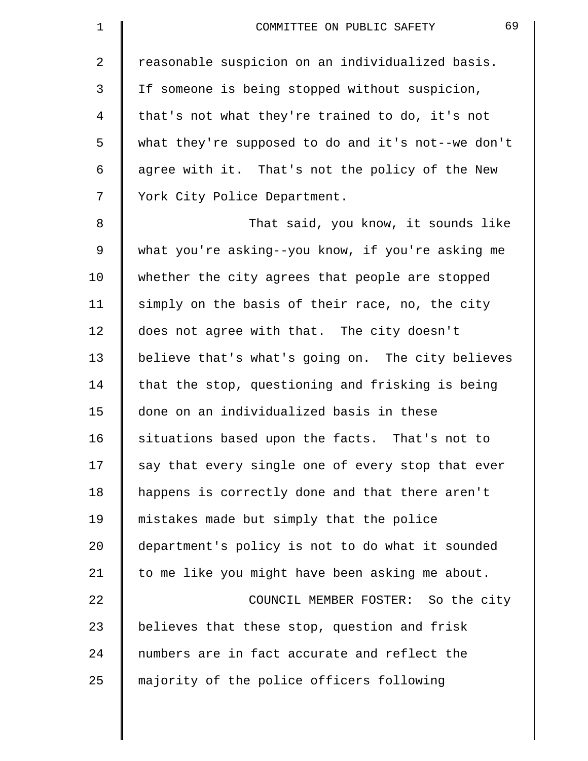| $\mathbf 1$     | 69<br>COMMITTEE ON PUBLIC SAFETY                   |
|-----------------|----------------------------------------------------|
| $\overline{2}$  | reasonable suspicion on an individualized basis.   |
| 3               | If someone is being stopped without suspicion,     |
| 4               | that's not what they're trained to do, it's not    |
| 5               | what they're supposed to do and it's not--we don't |
| 6               | agree with it. That's not the policy of the New    |
| 7               | York City Police Department.                       |
| 8               | That said, you know, it sounds like                |
| $\mathsf 9$     | what you're asking--you know, if you're asking me  |
| 10              | whether the city agrees that people are stopped    |
| 11              | simply on the basis of their race, no, the city    |
| 12              | does not agree with that. The city doesn't         |
| 13              | believe that's what's going on. The city believes  |
| 14              | that the stop, questioning and frisking is being   |
| 15              | done on an individualized basis in these           |
| 16              | situations based upon the facts. That's not to     |
| 17              | say that every single one of every stop that ever  |
| 18              | happens is correctly done and that there aren't    |
| 19              | mistakes made but simply that the police           |
| 20 <sub>o</sub> | department's policy is not to do what it sounded   |
| 21              | to me like you might have been asking me about.    |
| 22              | COUNCIL MEMBER FOSTER: So the city                 |
| 23              | believes that these stop, question and frisk       |
| 24              | numbers are in fact accurate and reflect the       |
| 25              | majority of the police officers following          |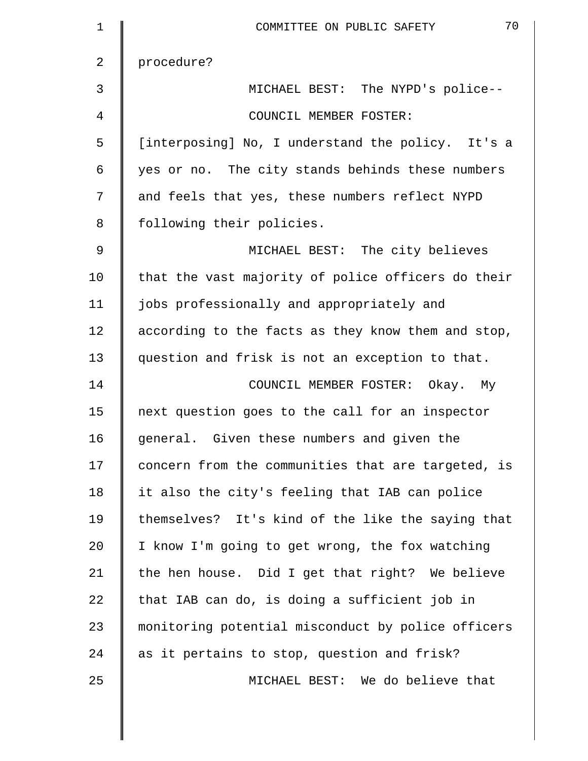| $\mathbf 1$ | 70<br>COMMITTEE ON PUBLIC SAFETY                   |
|-------------|----------------------------------------------------|
| 2           | procedure?                                         |
| 3           | MICHAEL BEST: The NYPD's police--                  |
| 4           | COUNCIL MEMBER FOSTER:                             |
| 5           | [interposing] No, I understand the policy. It's a  |
| 6           | yes or no. The city stands behinds these numbers   |
| 7           | and feels that yes, these numbers reflect NYPD     |
| 8           | following their policies.                          |
| 9           | MICHAEL BEST: The city believes                    |
| 10          | that the vast majority of police officers do their |
| 11          | jobs professionally and appropriately and          |
| 12          | according to the facts as they know them and stop, |
| 13          | question and frisk is not an exception to that.    |
| 14          | COUNCIL MEMBER FOSTER: Okay. My                    |
| 15          | next question goes to the call for an inspector    |
| 16          | general. Given these numbers and given the         |
| 17          | concern from the communities that are targeted, is |
| 18          | it also the city's feeling that IAB can police     |
| 19          | themselves? It's kind of the like the saying that  |
| 20          | I know I'm going to get wrong, the fox watching    |
| 21          | the hen house. Did I get that right? We believe    |
| 22          | that IAB can do, is doing a sufficient job in      |
| 23          | monitoring potential misconduct by police officers |
| 24          | as it pertains to stop, question and frisk?        |
| 25          | MICHAEL BEST: We do believe that                   |
|             |                                                    |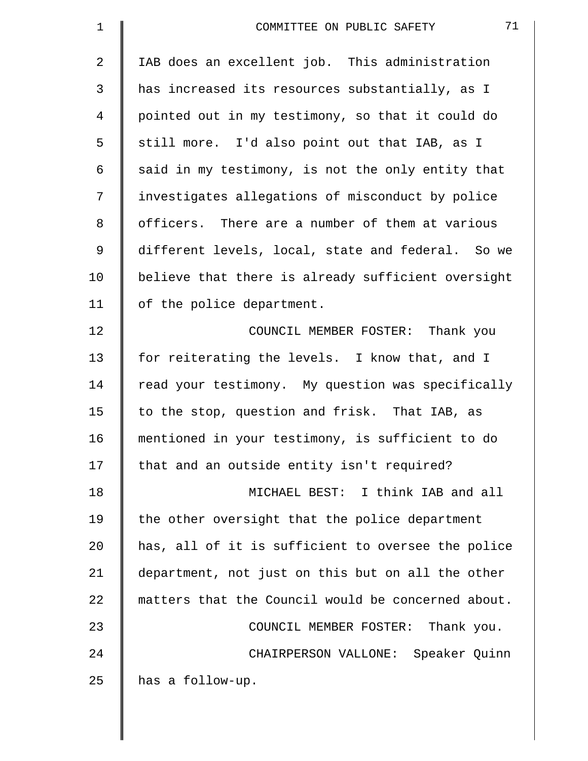| $\mathbf 1$ | 71<br>COMMITTEE ON PUBLIC SAFETY                   |
|-------------|----------------------------------------------------|
| 2           | IAB does an excellent job. This administration     |
| 3           | has increased its resources substantially, as I    |
| 4           | pointed out in my testimony, so that it could do   |
| 5           | still more. I'd also point out that IAB, as I      |
| 6           | said in my testimony, is not the only entity that  |
| 7           | investigates allegations of misconduct by police   |
| 8           | officers. There are a number of them at various    |
| 9           | different levels, local, state and federal. So we  |
| 10          | believe that there is already sufficient oversight |
| 11          | of the police department.                          |
| 12          | COUNCIL MEMBER FOSTER: Thank you                   |
| 13          | for reiterating the levels. I know that, and I     |
| 14          | read your testimony. My question was specifically  |
| 15          | to the stop, question and frisk. That IAB, as      |
| 16          | mentioned in your testimony, is sufficient to do   |
| 17          | that and an outside entity isn't required?         |
| 18          | MICHAEL BEST: I think IAB and all                  |
| 19          | the other oversight that the police department     |
| 20          | has, all of it is sufficient to oversee the police |
| 21          | department, not just on this but on all the other  |
| 22          | matters that the Council would be concerned about. |
| 23          | COUNCIL MEMBER FOSTER: Thank you.                  |
| 24          | CHAIRPERSON VALLONE: Speaker Quinn                 |
| 25          | has a follow-up.                                   |
|             |                                                    |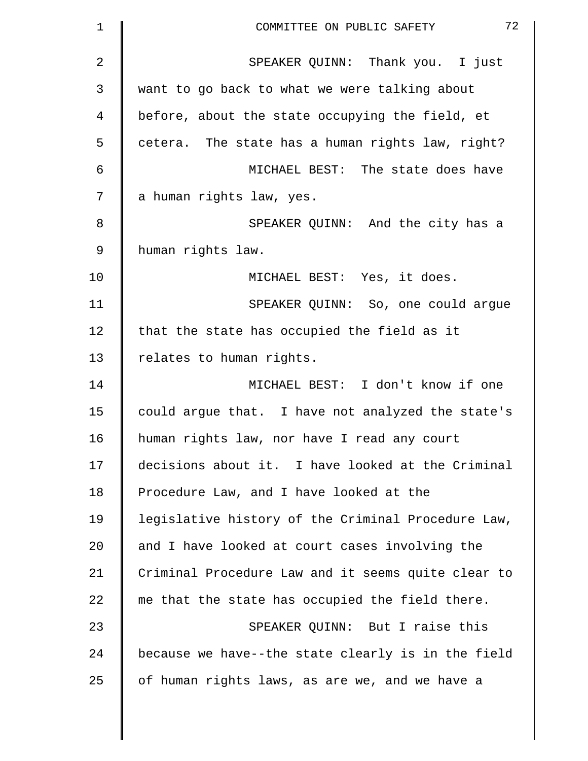| $\mathbf 1$    | 72<br>COMMITTEE ON PUBLIC SAFETY                   |
|----------------|----------------------------------------------------|
| $\overline{a}$ | SPEAKER QUINN: Thank you. I just                   |
| 3              | want to go back to what we were talking about      |
| 4              | before, about the state occupying the field, et    |
| 5              | cetera. The state has a human rights law, right?   |
| 6              | MICHAEL BEST: The state does have                  |
| 7              | a human rights law, yes.                           |
| 8              | SPEAKER QUINN: And the city has a                  |
| 9              | human rights law.                                  |
| 10             | MICHAEL BEST: Yes, it does.                        |
| 11             | SPEAKER QUINN: So, one could argue                 |
| 12             | that the state has occupied the field as it        |
| 13             | relates to human rights.                           |
| 14             | MICHAEL BEST: I don't know if one                  |
| 15             | could argue that. I have not analyzed the state's  |
| 16             | human rights law, nor have I read any court        |
| 17             | decisions about it. I have looked at the Criminal  |
| 18             | Procedure Law, and I have looked at the            |
| 19             | legislative history of the Criminal Procedure Law, |
| 20             | and I have looked at court cases involving the     |
| 21             | Criminal Procedure Law and it seems quite clear to |
| 22             | me that the state has occupied the field there.    |
| 23             | SPEAKER QUINN: But I raise this                    |
| 24             | because we have--the state clearly is in the field |
| 25             | of human rights laws, as are we, and we have a     |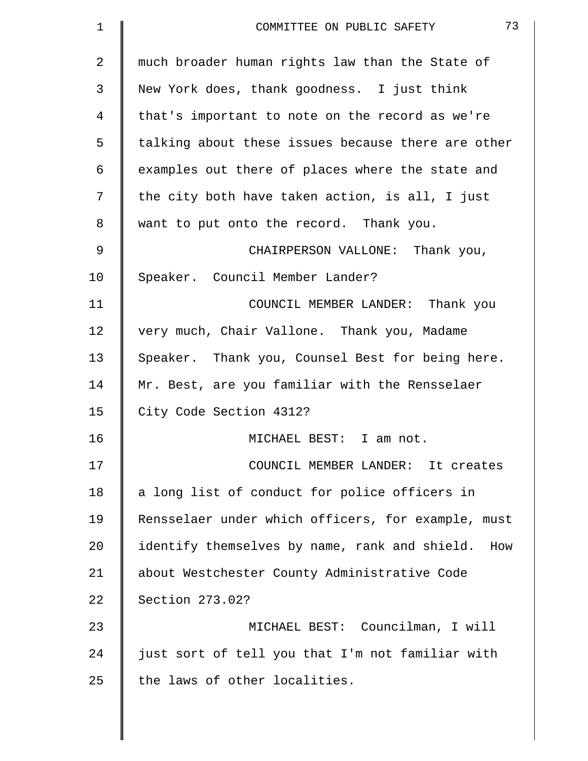| $\mathbf 1$    | 73<br>COMMITTEE ON PUBLIC SAFETY                   |
|----------------|----------------------------------------------------|
| $\overline{a}$ | much broader human rights law than the State of    |
| 3              | New York does, thank goodness. I just think        |
| 4              | that's important to note on the record as we're    |
| 5              | talking about these issues because there are other |
| 6              | examples out there of places where the state and   |
| 7              | the city both have taken action, is all, I just    |
| 8              | want to put onto the record. Thank you.            |
| 9              | CHAIRPERSON VALLONE: Thank you,                    |
| 10             | Speaker. Council Member Lander?                    |
| 11             | COUNCIL MEMBER LANDER: Thank you                   |
| 12             | very much, Chair Vallone. Thank you, Madame        |
| 13             | Speaker. Thank you, Counsel Best for being here.   |
| 14             | Mr. Best, are you familiar with the Rensselaer     |
| 15             | City Code Section 4312?                            |
| 16             | MICHAEL BEST: I am not.                            |
| 17             | COUNCIL MEMBER LANDER: It creates                  |
| 18             | a long list of conduct for police officers in      |
| 19             | Rensselaer under which officers, for example, must |
| 20             | identify themselves by name, rank and shield. How  |
| 21             | about Westchester County Administrative Code       |
| 22             | Section 273.02?                                    |
| 23             | MICHAEL BEST: Councilman, I will                   |
| 24             | just sort of tell you that I'm not familiar with   |
| 25             | the laws of other localities.                      |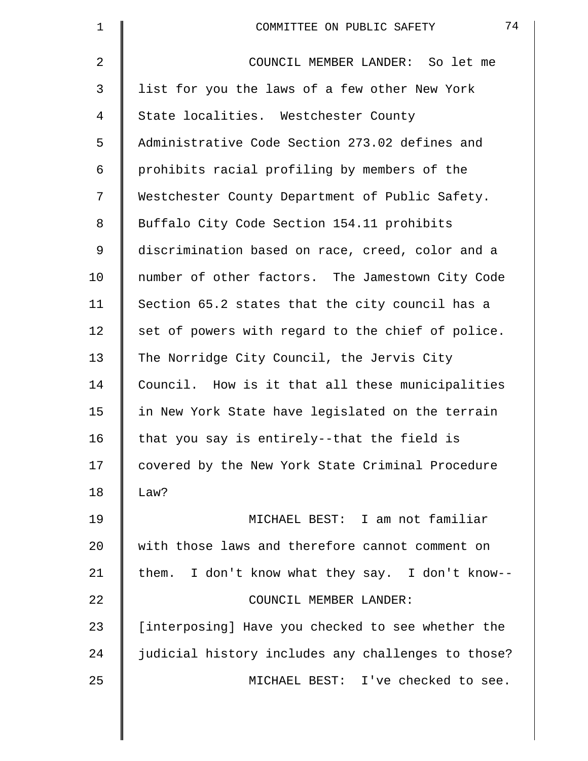| $\mathbf 1$    | 74<br>COMMITTEE ON PUBLIC SAFETY                   |
|----------------|----------------------------------------------------|
| $\overline{2}$ | COUNCIL MEMBER LANDER: So let me                   |
| 3              | list for you the laws of a few other New York      |
| 4              | State localities. Westchester County               |
| 5              | Administrative Code Section 273.02 defines and     |
| 6              | prohibits racial profiling by members of the       |
| 7              | Westchester County Department of Public Safety.    |
| 8              | Buffalo City Code Section 154.11 prohibits         |
| 9              | discrimination based on race, creed, color and a   |
| 10             | number of other factors. The Jamestown City Code   |
| 11             | Section 65.2 states that the city council has a    |
| 12             | set of powers with regard to the chief of police.  |
| 13             | The Norridge City Council, the Jervis City         |
| 14             | Council. How is it that all these municipalities   |
| 15             | in New York State have legislated on the terrain   |
| 16             | that you say is entirely--that the field is        |
| 17             | covered by the New York State Criminal Procedure   |
| 18             | Law?                                               |
| 19             | MICHAEL BEST: I am not familiar                    |
| 20             | with those laws and therefore cannot comment on    |
| 21             | them. I don't know what they say. I don't know--   |
| 22             | COUNCIL MEMBER LANDER:                             |
| 23             | [interposing] Have you checked to see whether the  |
| 24             | judicial history includes any challenges to those? |
| 25             | MICHAEL BEST: I've checked to see.                 |
|                |                                                    |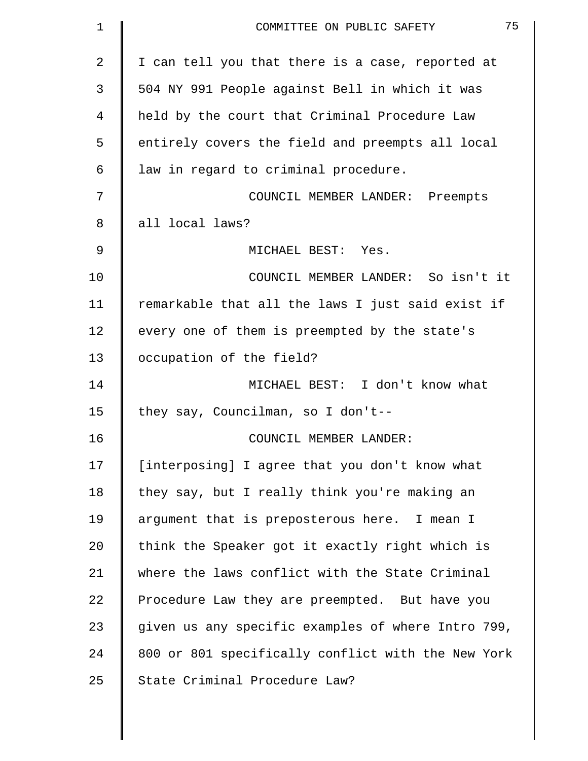| 1  | 75<br>COMMITTEE ON PUBLIC SAFETY                   |
|----|----------------------------------------------------|
| 2  | I can tell you that there is a case, reported at   |
| 3  | 504 NY 991 People against Bell in which it was     |
| 4  | held by the court that Criminal Procedure Law      |
| 5  | entirely covers the field and preempts all local   |
| 6  | law in regard to criminal procedure.               |
| 7  | COUNCIL MEMBER LANDER: Preempts                    |
| 8  | all local laws?                                    |
| 9  | MICHAEL BEST: Yes.                                 |
| 10 | COUNCIL MEMBER LANDER: So isn't it                 |
| 11 | remarkable that all the laws I just said exist if  |
| 12 | every one of them is preempted by the state's      |
| 13 | occupation of the field?                           |
| 14 | MICHAEL BEST: I don't know what                    |
| 15 | they say, Councilman, so I don't--                 |
| 16 | COUNCIL MEMBER LANDER:                             |
| 17 | [interposing] I agree that you don't know what     |
| 18 | they say, but I really think you're making an      |
| 19 | argument that is preposterous here. I mean I       |
| 20 | think the Speaker got it exactly right which is    |
| 21 | where the laws conflict with the State Criminal    |
| 22 | Procedure Law they are preempted. But have you     |
| 23 | given us any specific examples of where Intro 799, |
| 24 | 800 or 801 specifically conflict with the New York |
| 25 | State Criminal Procedure Law?                      |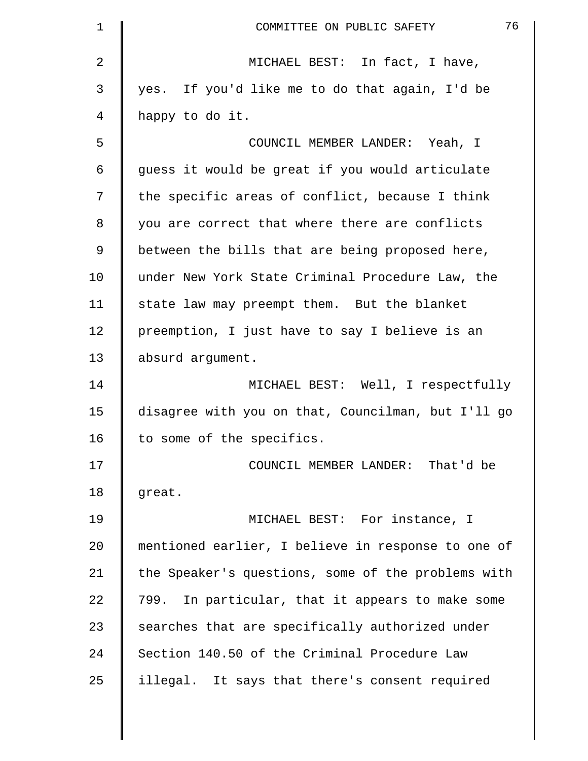| $\mathbf 1$ | 76<br>COMMITTEE ON PUBLIC SAFETY                   |
|-------------|----------------------------------------------------|
| 2           | MICHAEL BEST: In fact, I have,                     |
| 3           | yes. If you'd like me to do that again, I'd be     |
| 4           | happy to do it.                                    |
| 5           | COUNCIL MEMBER LANDER: Yeah, I                     |
| 6           | guess it would be great if you would articulate    |
| 7           | the specific areas of conflict, because I think    |
| 8           | you are correct that where there are conflicts     |
| 9           | between the bills that are being proposed here,    |
| 10          | under New York State Criminal Procedure Law, the   |
| 11          | state law may preempt them. But the blanket        |
| 12          | preemption, I just have to say I believe is an     |
| 13          | absurd argument.                                   |
| 14          | MICHAEL BEST: Well, I respectfully                 |
| 15          | disagree with you on that, Councilman, but I'll go |
| 16          | to some of the specifics.                          |
| 17          | COUNCIL MEMBER LANDER: That'd be                   |
| 18          | great.                                             |
| 19          | MICHAEL BEST: For instance, I                      |
| 20          | mentioned earlier, I believe in response to one of |
| 21          | the Speaker's questions, some of the problems with |
| 22          | 799. In particular, that it appears to make some   |
| 23          | searches that are specifically authorized under    |
| 24          | Section 140.50 of the Criminal Procedure Law       |
| 25          | illegal. It says that there's consent required     |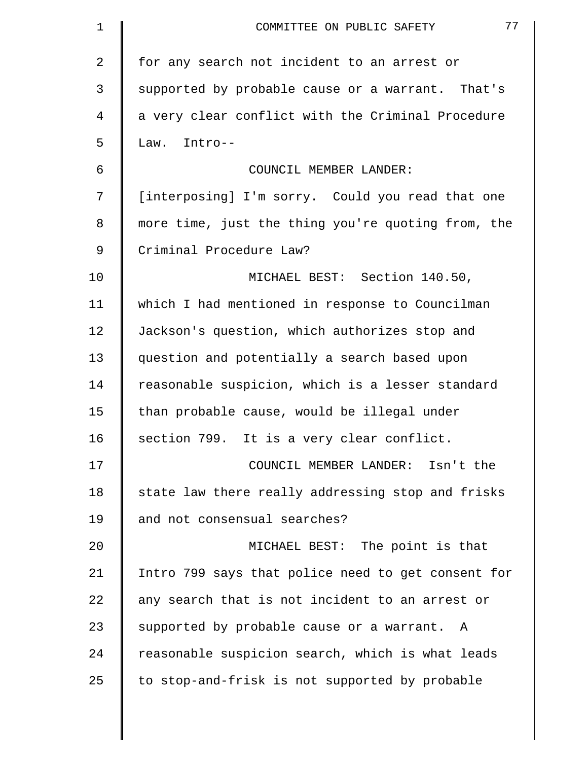| 1              | 77<br>COMMITTEE ON PUBLIC SAFETY                   |
|----------------|----------------------------------------------------|
| $\overline{a}$ | for any search not incident to an arrest or        |
| 3              | supported by probable cause or a warrant. That's   |
| 4              | a very clear conflict with the Criminal Procedure  |
| 5              | Law. Intro--                                       |
| 6              | COUNCIL MEMBER LANDER:                             |
| 7              | [interposing] I'm sorry. Could you read that one   |
| 8              | more time, just the thing you're quoting from, the |
| 9              | Criminal Procedure Law?                            |
| 10             | MICHAEL BEST: Section 140.50,                      |
| 11             | which I had mentioned in response to Councilman    |
| 12             | Jackson's question, which authorizes stop and      |
| 13             | question and potentially a search based upon       |
| 14             | reasonable suspicion, which is a lesser standard   |
| 15             | than probable cause, would be illegal under        |
| 16             | section 799. It is a very clear conflict.          |
| 17             | COUNCIL MEMBER LANDER: Isn't the                   |
| 18             | state law there really addressing stop and frisks  |
| 19             | and not consensual searches?                       |
| 20             | MICHAEL BEST: The point is that                    |
| 21             | Intro 799 says that police need to get consent for |
| 22             | any search that is not incident to an arrest or    |
| 23             | supported by probable cause or a warrant. A        |
| 24             | reasonable suspicion search, which is what leads   |
| 25             | to stop-and-frisk is not supported by probable     |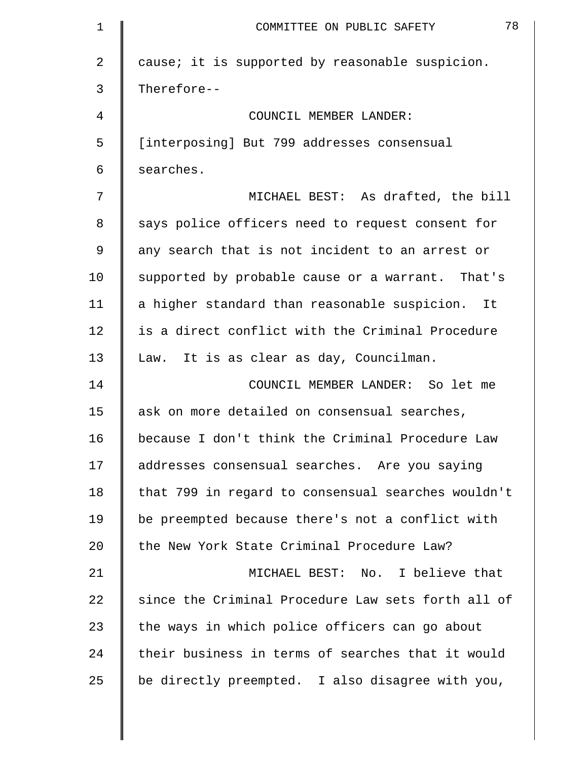| 1              | 78<br>COMMITTEE ON PUBLIC SAFETY                   |
|----------------|----------------------------------------------------|
| $\overline{2}$ | cause; it is supported by reasonable suspicion.    |
| 3              | Therefore--                                        |
| 4              | COUNCIL MEMBER LANDER:                             |
| 5              | [interposing] But 799 addresses consensual         |
| 6              | searches.                                          |
| 7              | MICHAEL BEST: As drafted, the bill                 |
| 8              | says police officers need to request consent for   |
| 9              | any search that is not incident to an arrest or    |
| 10             | supported by probable cause or a warrant. That's   |
| 11             | a higher standard than reasonable suspicion. It    |
| 12             | is a direct conflict with the Criminal Procedure   |
| 13             | Law. It is as clear as day, Councilman.            |
| 14             | COUNCIL MEMBER LANDER: So let me                   |
| 15             | ask on more detailed on consensual searches,       |
| 16             | because I don't think the Criminal Procedure Law   |
| 17             | addresses consensual searches. Are you saying      |
| 18             | that 799 in regard to consensual searches wouldn't |
| 19             | be preempted because there's not a conflict with   |
| 20             | the New York State Criminal Procedure Law?         |
| 21             | MICHAEL BEST: No. I believe that                   |
| 22             | since the Criminal Procedure Law sets forth all of |
| 23             | the ways in which police officers can go about     |
| 24             | their business in terms of searches that it would  |
| 25             | be directly preempted. I also disagree with you,   |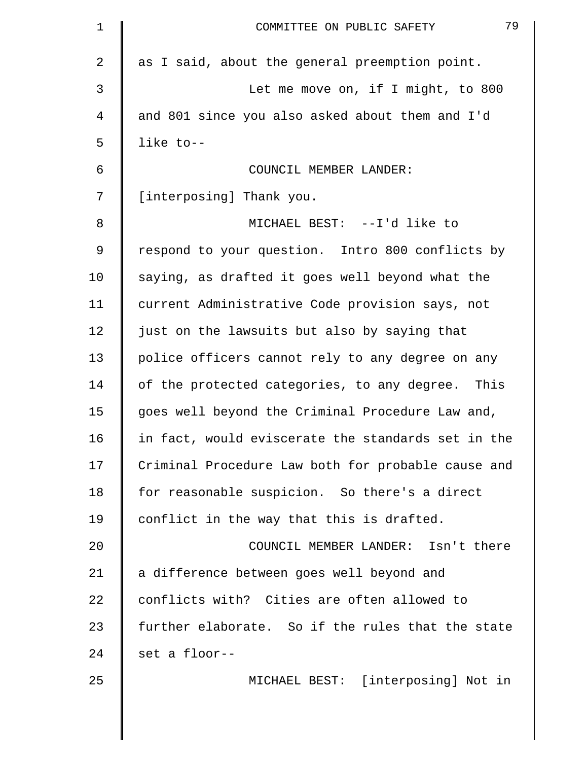| 1           | 79<br>COMMITTEE ON PUBLIC SAFETY                   |
|-------------|----------------------------------------------------|
| 2           | as I said, about the general preemption point.     |
| 3           | Let me move on, if I might, to 800                 |
| 4           | and 801 since you also asked about them and I'd    |
| 5           | like to--                                          |
| 6           | COUNCIL MEMBER LANDER:                             |
| 7           | [interposing] Thank you.                           |
| 8           | MICHAEL BEST: --I'd like to                        |
| $\mathsf 9$ | respond to your question. Intro 800 conflicts by   |
| 10          | saying, as drafted it goes well beyond what the    |
| 11          | current Administrative Code provision says, not    |
| 12          | just on the lawsuits but also by saying that       |
| 13          | police officers cannot rely to any degree on any   |
| 14          | of the protected categories, to any degree. This   |
| 15          | goes well beyond the Criminal Procedure Law and,   |
| 16          | in fact, would eviscerate the standards set in the |
| 17          | Criminal Procedure Law both for probable cause and |
| 18          | for reasonable suspicion. So there's a direct      |
| 19          | conflict in the way that this is drafted.          |
| 20          | COUNCIL MEMBER LANDER: Isn't there                 |
| 21          | a difference between goes well beyond and          |
| 22          | conflicts with? Cities are often allowed to        |
| 23          | further elaborate. So if the rules that the state  |
| 24          | set a floor--                                      |
| 25          | MICHAEL BEST: [interposing] Not in                 |
|             |                                                    |
|             |                                                    |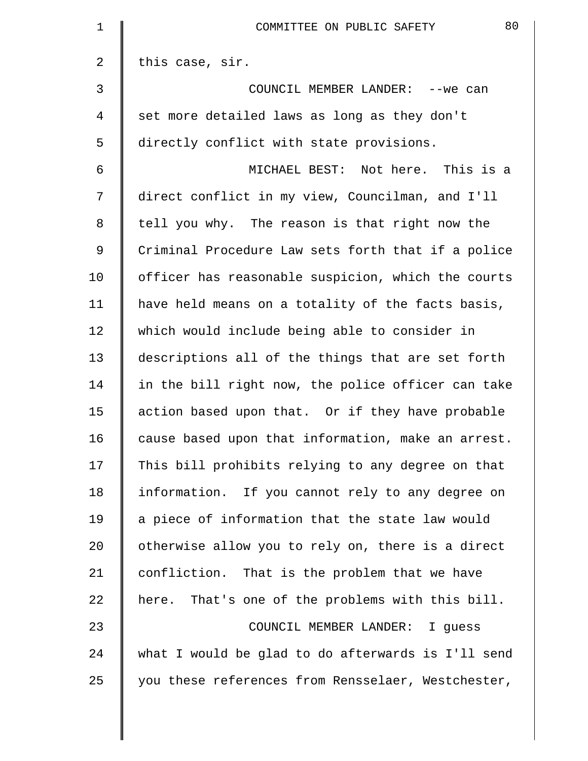| $\mathbf 1$    | 80<br>COMMITTEE ON PUBLIC SAFETY                   |
|----------------|----------------------------------------------------|
| 2              | this case, sir.                                    |
| 3              | COUNCIL MEMBER LANDER: -- we can                   |
| 4              | set more detailed laws as long as they don't       |
| 5              | directly conflict with state provisions.           |
| 6              | MICHAEL BEST: Not here. This is a                  |
| 7              | direct conflict in my view, Councilman, and I'll   |
| 8              | tell you why. The reason is that right now the     |
| $\overline{9}$ | Criminal Procedure Law sets forth that if a police |
| 10             | officer has reasonable suspicion, which the courts |
| 11             | have held means on a totality of the facts basis,  |
| 12             | which would include being able to consider in      |
| 13             | descriptions all of the things that are set forth  |
| 14             | in the bill right now, the police officer can take |
| 15             | action based upon that. Or if they have probable   |
| 16             | cause based upon that information, make an arrest. |
| 17             | This bill prohibits relying to any degree on that  |
| 18             | information. If you cannot rely to any degree on   |
| 19             | a piece of information that the state law would    |
| 20             | otherwise allow you to rely on, there is a direct  |
| 21             | confliction. That is the problem that we have      |
| 22             | here. That's one of the problems with this bill.   |
| 23             | COUNCIL MEMBER LANDER: I guess                     |
| 24             | what I would be glad to do afterwards is I'll send |
| 25             | you these references from Rensselaer, Westchester, |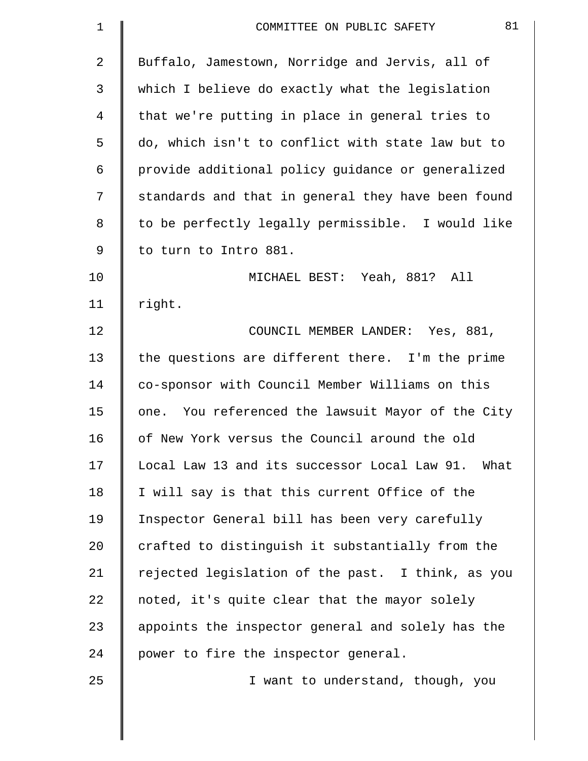| $\mathbf 1$ | 81<br>COMMITTEE ON PUBLIC SAFETY                   |
|-------------|----------------------------------------------------|
| 2           | Buffalo, Jamestown, Norridge and Jervis, all of    |
| 3           | which I believe do exactly what the legislation    |
| 4           | that we're putting in place in general tries to    |
| 5           | do, which isn't to conflict with state law but to  |
| 6           | provide additional policy guidance or generalized  |
| 7           | standards and that in general they have been found |
| 8           | to be perfectly legally permissible. I would like  |
| 9           | to turn to Intro 881.                              |
| 10          | MICHAEL BEST: Yeah, 881? All                       |
| 11          | right.                                             |
| 12          | COUNCIL MEMBER LANDER: Yes, 881,                   |
| 13          | the questions are different there. I'm the prime   |
| 14          | co-sponsor with Council Member Williams on this    |
| 15          | one. You referenced the lawsuit Mayor of the City  |
| 16          | of New York versus the Council around the old      |
| 17          | Local Law 13 and its successor Local Law 91. What  |
| 18          | I will say is that this current Office of the      |
| 19          | Inspector General bill has been very carefully     |
| 20          | crafted to distinguish it substantially from the   |
| 21          | rejected legislation of the past. I think, as you  |
| 22          | noted, it's quite clear that the mayor solely      |
| 23          | appoints the inspector general and solely has the  |
| 24          | power to fire the inspector general.               |
| 25          | I want to understand, though, you                  |
|             |                                                    |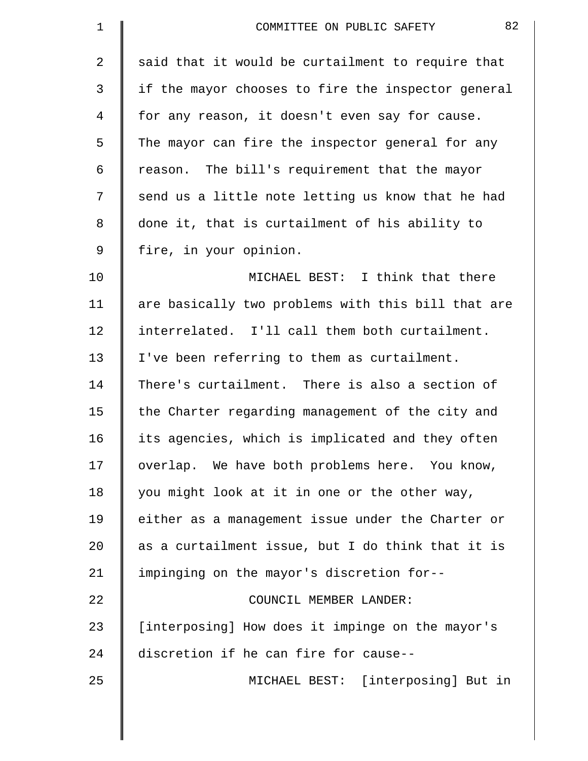| $\mathbf 1$    | 82<br>COMMITTEE ON PUBLIC SAFETY                   |
|----------------|----------------------------------------------------|
| 2              | said that it would be curtailment to require that  |
| $\mathfrak{Z}$ | if the mayor chooses to fire the inspector general |
| 4              | for any reason, it doesn't even say for cause.     |
| 5              | The mayor can fire the inspector general for any   |
| 6              | reason. The bill's requirement that the mayor      |
| 7              | send us a little note letting us know that he had  |
| 8              | done it, that is curtailment of his ability to     |
| $\mathsf 9$    | fire, in your opinion.                             |
| 10             | MICHAEL BEST: I think that there                   |
| 11             | are basically two problems with this bill that are |
| 12             | interrelated. I'll call them both curtailment.     |
| 13             | I've been referring to them as curtailment.        |
| 14             | There's curtailment. There is also a section of    |
| 15             | the Charter regarding management of the city and   |
| 16             | its agencies, which is implicated and they often   |
| 17             | overlap. We have both problems here. You know,     |
| 18             | you might look at it in one or the other way,      |
| 19             | either as a management issue under the Charter or  |
| 20             | as a curtailment issue, but I do think that it is  |
| 21             | impinging on the mayor's discretion for--          |
| 22             | COUNCIL MEMBER LANDER:                             |
| 23             | [interposing] How does it impinge on the mayor's   |
| 24             | discretion if he can fire for cause--              |
| 25             | MICHAEL BEST: [interposing] But in                 |
|                |                                                    |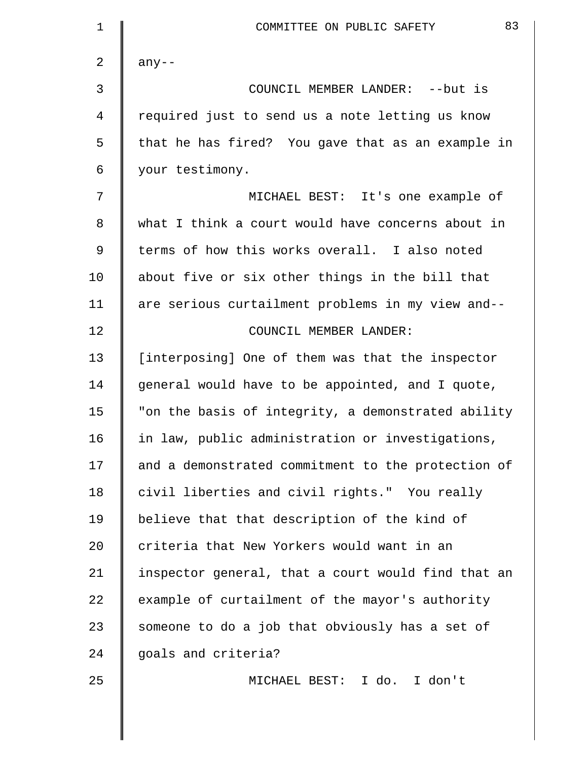| $\mathbf 1$ | 83<br>COMMITTEE ON PUBLIC SAFETY                   |
|-------------|----------------------------------------------------|
| 2           | $any--$                                            |
| 3           | COUNCIL MEMBER LANDER: -- but is                   |
| 4           | required just to send us a note letting us know    |
| 5           | that he has fired? You gave that as an example in  |
| 6           | your testimony.                                    |
| 7           | MICHAEL BEST: It's one example of                  |
| 8           | what I think a court would have concerns about in  |
| 9           | terms of how this works overall. I also noted      |
| 10          | about five or six other things in the bill that    |
| 11          | are serious curtailment problems in my view and--  |
| 12          | COUNCIL MEMBER LANDER:                             |
| 13          | [interposing] One of them was that the inspector   |
| 14          | general would have to be appointed, and I quote,   |
| 15          | "on the basis of integrity, a demonstrated ability |
| 16          | in law, public administration or investigations,   |
| 17          | and a demonstrated commitment to the protection of |
| 18          | civil liberties and civil rights." You really      |
| 19          | believe that that description of the kind of       |
| 20          | criteria that New Yorkers would want in an         |
| 21          | inspector general, that a court would find that an |
| 22          | example of curtailment of the mayor's authority    |
| 23          | someone to do a job that obviously has a set of    |
| 24          | goals and criteria?                                |
| 25          | MICHAEL BEST: I do. I don't                        |
|             |                                                    |
|             |                                                    |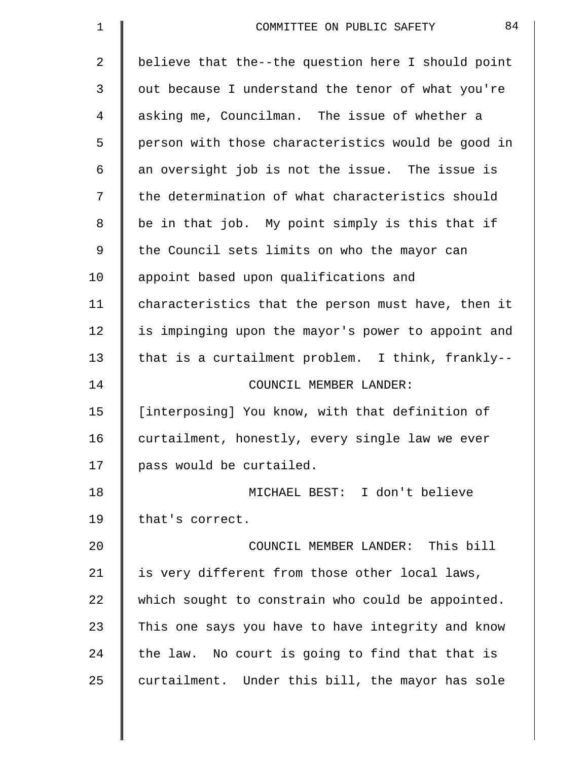| 1           | 84<br>COMMITTEE ON PUBLIC SAFETY                   |
|-------------|----------------------------------------------------|
| 2           | believe that the--the question here I should point |
| 3           | out because I understand the tenor of what you're  |
| 4           | asking me, Councilman. The issue of whether a      |
| 5           | person with those characteristics would be good in |
| 6           | an oversight job is not the issue. The issue is    |
| 7           | the determination of what characteristics should   |
| 8           | be in that job. My point simply is this that if    |
| $\mathsf 9$ | the Council sets limits on who the mayor can       |
| 10          | appoint based upon qualifications and              |
| 11          | characteristics that the person must have, then it |
| 12          | is impinging upon the mayor's power to appoint and |
| 13          | that is a curtailment problem. I think, frankly--  |
| 14          | COUNCIL MEMBER LANDER:                             |
| 15          | [interposing] You know, with that definition of    |
| 16          | curtailment, honestly, every single law we ever    |
| 17          | pass would be curtailed.                           |
| 18          | MICHAEL BEST: I don't believe                      |
| 19          | that's correct.                                    |
| 20          | COUNCIL MEMBER LANDER: This bill                   |
| 21          | is very different from those other local laws,     |
| 22          | which sought to constrain who could be appointed.  |
| 23          | This one says you have to have integrity and know  |
| 24          | the law. No court is going to find that that is    |
| 25          | curtailment. Under this bill, the mayor has sole   |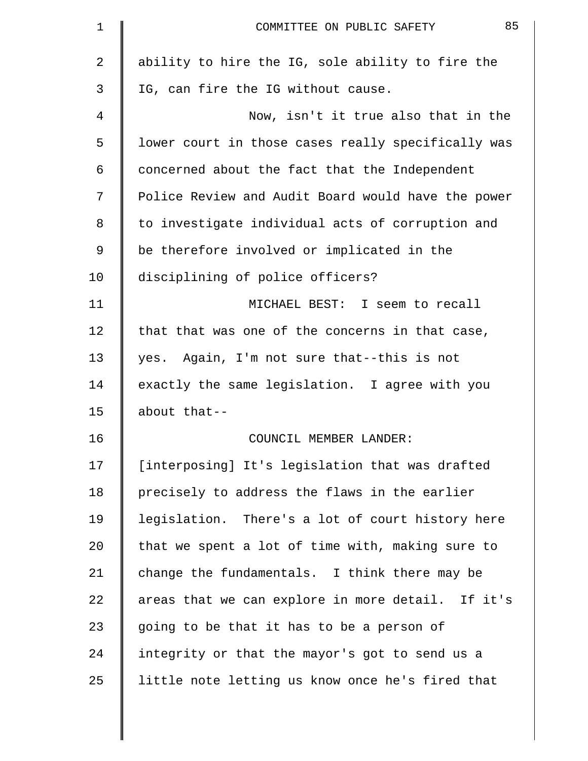| $\mathbf 1$ | 85<br>COMMITTEE ON PUBLIC SAFETY                   |
|-------------|----------------------------------------------------|
| 2           | ability to hire the IG, sole ability to fire the   |
| 3           | IG, can fire the IG without cause.                 |
| 4           | Now, isn't it true also that in the                |
| 5           | lower court in those cases really specifically was |
| 6           | concerned about the fact that the Independent      |
| 7           | Police Review and Audit Board would have the power |
| 8           | to investigate individual acts of corruption and   |
| 9           | be therefore involved or implicated in the         |
| 10          | disciplining of police officers?                   |
| 11          | MICHAEL BEST: I seem to recall                     |
| 12          | that that was one of the concerns in that case,    |
| 13          | yes. Again, I'm not sure that--this is not         |
| 14          | exactly the same legislation. I agree with you     |
| 15          | about that--                                       |
| 16          | COUNCIL MEMBER LANDER:                             |
| 17          | [interposing] It's legislation that was drafted    |
| 18          | precisely to address the flaws in the earlier      |
| 19          | legislation. There's a lot of court history here   |
| 20          | that we spent a lot of time with, making sure to   |
| 21          | change the fundamentals. I think there may be      |
| 22          | areas that we can explore in more detail. If it's  |
| 23          | going to be that it has to be a person of          |
| 24          | integrity or that the mayor's got to send us a     |
| 25          | little note letting us know once he's fired that   |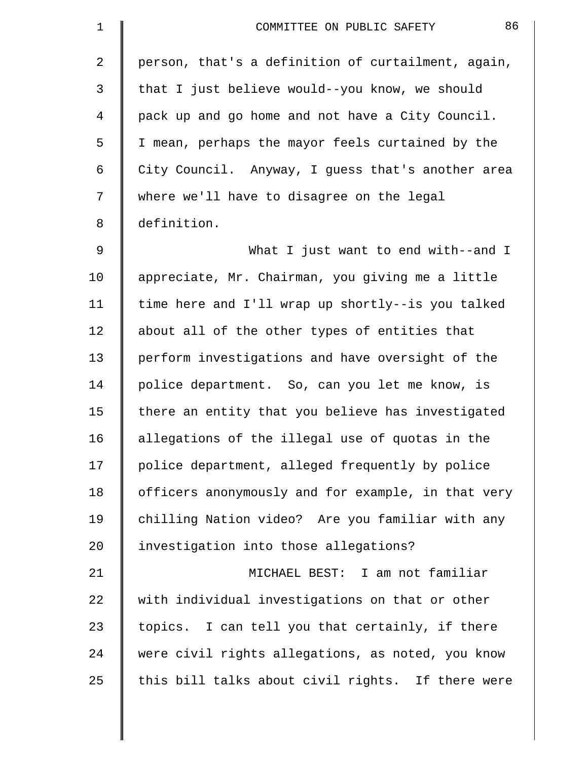| $\mathbf 1$    | 86<br>COMMITTEE ON PUBLIC SAFETY                   |
|----------------|----------------------------------------------------|
| $\overline{2}$ | person, that's a definition of curtailment, again, |
| 3              | that I just believe would--you know, we should     |
| 4              | pack up and go home and not have a City Council.   |
| 5              | I mean, perhaps the mayor feels curtained by the   |
| 6              | City Council. Anyway, I guess that's another area  |
| 7              | where we'll have to disagree on the legal          |
| 8              | definition.                                        |
| 9              | What I just want to end with--and I                |
| 10             | appreciate, Mr. Chairman, you giving me a little   |
| 11             | time here and I'll wrap up shortly--is you talked  |
| 12             | about all of the other types of entities that      |
| 13             | perform investigations and have oversight of the   |
| 14             | police department. So, can you let me know, is     |
| 15             | there an entity that you believe has investigated  |
| 16             | allegations of the illegal use of quotas in the    |
| 17             | police department, alleged frequently by police    |
| 18             | officers anonymously and for example, in that very |
| 19             | chilling Nation video? Are you familiar with any   |
| 20             | investigation into those allegations?              |
| 21             | MICHAEL BEST: I am not familiar                    |
| 22             | with individual investigations on that or other    |
| 23             | topics. I can tell you that certainly, if there    |
| 24             | were civil rights allegations, as noted, you know  |
| 25             | this bill talks about civil rights. If there were  |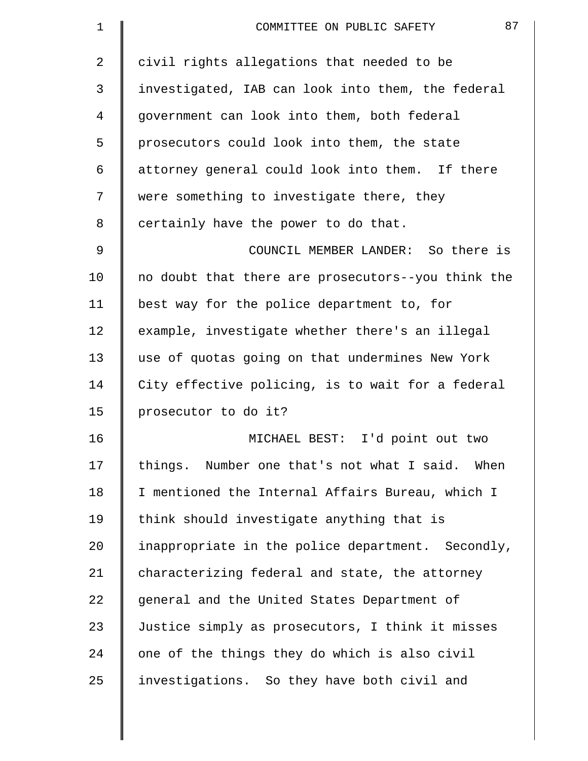| $\mathbf 1$    | 87<br>COMMITTEE ON PUBLIC SAFETY                   |
|----------------|----------------------------------------------------|
| $\overline{2}$ | civil rights allegations that needed to be         |
| 3              | investigated, IAB can look into them, the federal  |
| 4              | government can look into them, both federal        |
| 5              | prosecutors could look into them, the state        |
| 6              | attorney general could look into them. If there    |
| 7              | were something to investigate there, they          |
| 8              | certainly have the power to do that.               |
| 9              | COUNCIL MEMBER LANDER: So there is                 |
| 10             | no doubt that there are prosecutors--you think the |
| 11             | best way for the police department to, for         |
| 12             | example, investigate whether there's an illegal    |
| 13             | use of quotas going on that undermines New York    |
| 14             | City effective policing, is to wait for a federal  |
| 15             | prosecutor to do it?                               |
| 16             | MICHAEL BEST: I'd point out two                    |
| 17             | things. Number one that's not what I said. When    |
| 18             | I mentioned the Internal Affairs Bureau, which I   |
| 19             | think should investigate anything that is          |
| 20             | inappropriate in the police department. Secondly,  |
| 21             | characterizing federal and state, the attorney     |
| 22             | general and the United States Department of        |
| 23             | Justice simply as prosecutors, I think it misses   |
| 24             | one of the things they do which is also civil      |
| 25             | investigations. So they have both civil and        |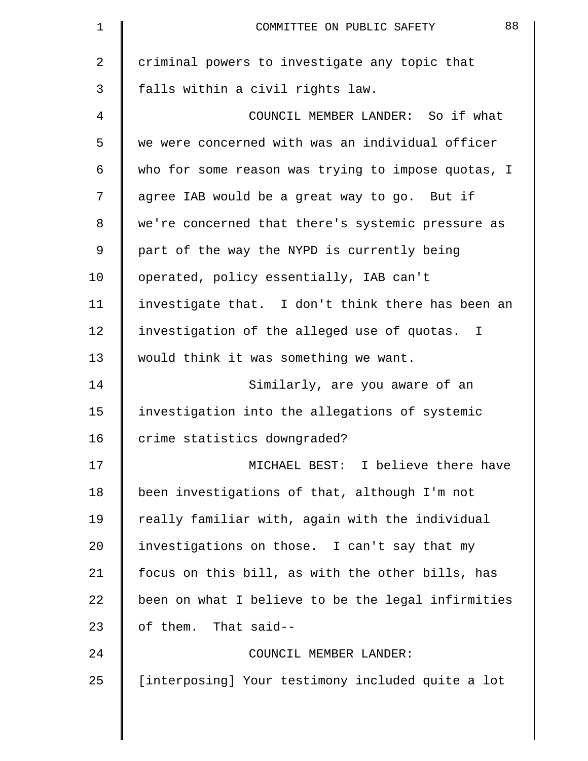| $\mathbf 1$ | 88<br>COMMITTEE ON PUBLIC SAFETY                   |
|-------------|----------------------------------------------------|
| 2           | criminal powers to investigate any topic that      |
| 3           | falls within a civil rights law.                   |
| 4           | COUNCIL MEMBER LANDER: So if what                  |
| 5           | we were concerned with was an individual officer   |
| 6           | who for some reason was trying to impose quotas, I |
| 7           | agree IAB would be a great way to go. But if       |
| 8           | we're concerned that there's systemic pressure as  |
| 9           | part of the way the NYPD is currently being        |
| 10          | operated, policy essentially, IAB can't            |
| 11          | investigate that. I don't think there has been an  |
| 12          | investigation of the alleged use of quotas. I      |
| 13          | would think it was something we want.              |
| 14          | Similarly, are you aware of an                     |
| 15          | investigation into the allegations of systemic     |
| 16          | crime statistics downgraded?                       |
| 17          | MICHAEL BEST: I believe there have                 |
| 18          | been investigations of that, although I'm not      |
| 19          | really familiar with, again with the individual    |
| 20          | investigations on those. I can't say that my       |
| 21          | focus on this bill, as with the other bills, has   |
| 22          | been on what I believe to be the legal infirmities |
| 23          | of them. That said--                               |
| 24          | COUNCIL MEMBER LANDER:                             |
| 25          | [interposing] Your testimony included quite a lot  |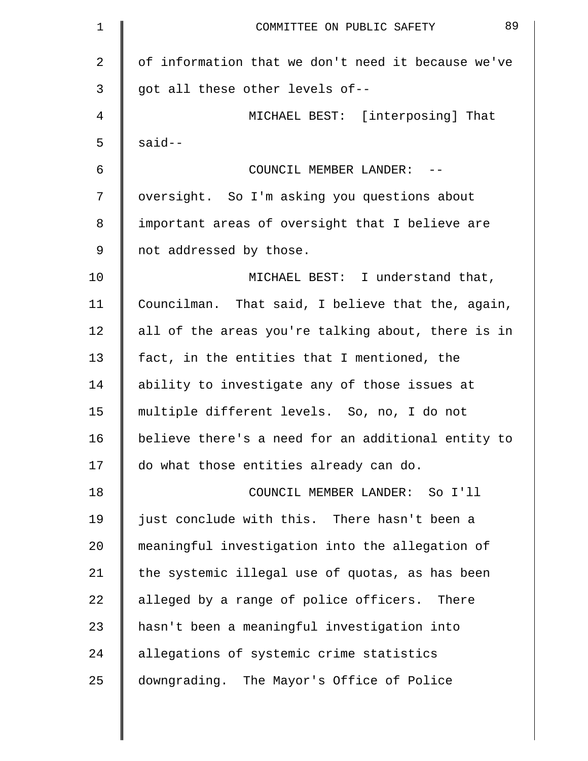| $\mathbf 1$    | 89<br>COMMITTEE ON PUBLIC SAFETY                   |
|----------------|----------------------------------------------------|
| $\overline{2}$ | of information that we don't need it because we've |
| 3              | got all these other levels of--                    |
| 4              | MICHAEL BEST: [interposing] That                   |
| 5              | $said--$                                           |
| 6              | COUNCIL MEMBER LANDER:                             |
| 7              | oversight. So I'm asking you questions about       |
| 8              | important areas of oversight that I believe are    |
| 9              | not addressed by those.                            |
| 10             | MICHAEL BEST: I understand that,                   |
| 11             | Councilman. That said, I believe that the, again,  |
| 12             | all of the areas you're talking about, there is in |
| 13             | fact, in the entities that I mentioned, the        |
| 14             | ability to investigate any of those issues at      |
| 15             | multiple different levels. So, no, I do not        |
| 16             | believe there's a need for an additional entity to |
| 17             | do what those entities already can do.             |
| 18             | COUNCIL MEMBER LANDER: So I'll                     |
| 19             | just conclude with this. There hasn't been a       |
| 20             | meaningful investigation into the allegation of    |
| 21             | the systemic illegal use of quotas, as has been    |
| 22             | alleged by a range of police officers. There       |
| 23             | hasn't been a meaningful investigation into        |
| 24             | allegations of systemic crime statistics           |
| 25             | downgrading. The Mayor's Office of Police          |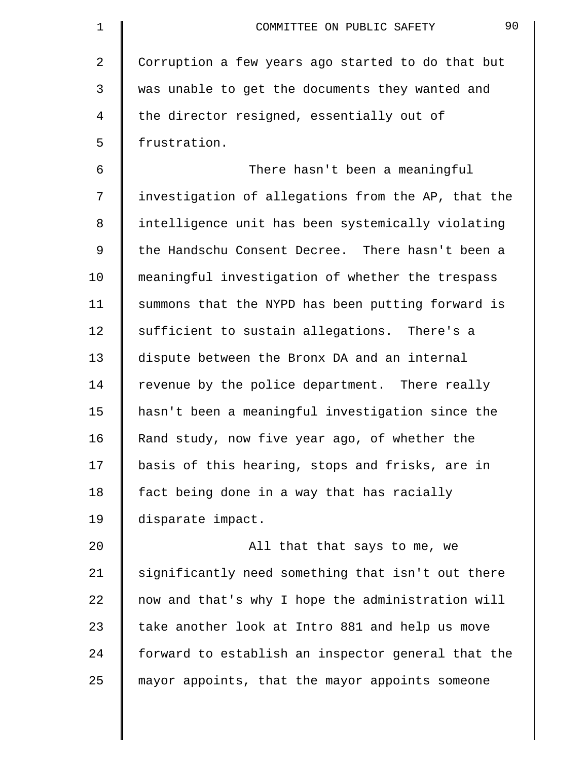| 1  | 90<br>COMMITTEE ON PUBLIC SAFETY                   |
|----|----------------------------------------------------|
| 2  | Corruption a few years ago started to do that but  |
| 3  | was unable to get the documents they wanted and    |
| 4  | the director resigned, essentially out of          |
| 5  | frustration.                                       |
| 6  | There hasn't been a meaningful                     |
| 7  | investigation of allegations from the AP, that the |
| 8  | intelligence unit has been systemically violating  |
| 9  | the Handschu Consent Decree. There hasn't been a   |
| 10 | meaningful investigation of whether the trespass   |
| 11 | summons that the NYPD has been putting forward is  |
| 12 | sufficient to sustain allegations. There's a       |
| 13 | dispute between the Bronx DA and an internal       |
| 14 | revenue by the police department. There really     |
| 15 | hasn't been a meaningful investigation since the   |
| 16 | Rand study, now five year ago, of whether the      |
| 17 | basis of this hearing, stops and frisks, are in    |
| 18 | fact being done in a way that has racially         |
| 19 | disparate impact.                                  |
| 20 | All that that says to me, we                       |
| 21 | significantly need something that isn't out there  |
| 22 | now and that's why I hope the administration will  |
| 23 | take another look at Intro 881 and help us move    |
| 24 | forward to establish an inspector general that the |
| 25 | mayor appoints, that the mayor appoints someone    |
|    |                                                    |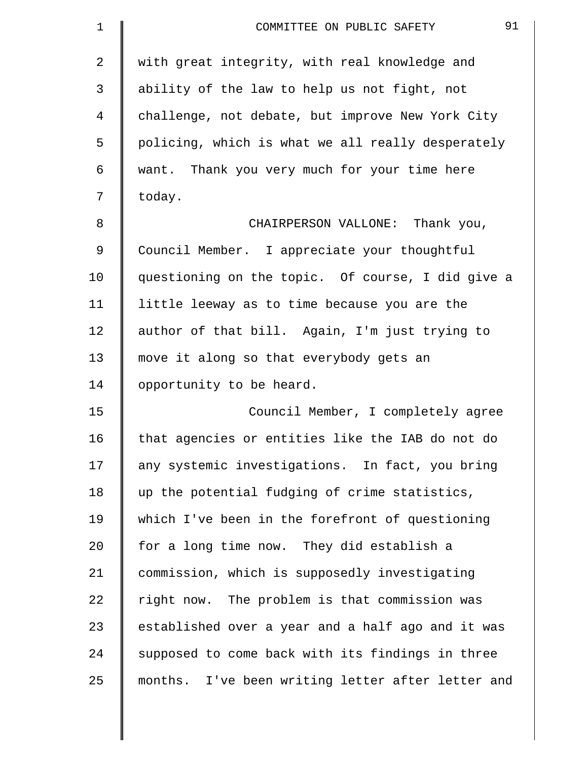| $\mathbf 1$ | 91<br>COMMITTEE ON PUBLIC SAFETY                  |
|-------------|---------------------------------------------------|
| 2           | with great integrity, with real knowledge and     |
| 3           | ability of the law to help us not fight, not      |
| 4           | challenge, not debate, but improve New York City  |
| 5           | policing, which is what we all really desperately |
| 6           | want. Thank you very much for your time here      |
| 7           | today.                                            |
| 8           | CHAIRPERSON VALLONE: Thank you,                   |
| 9           | Council Member. I appreciate your thoughtful      |
| 10          | questioning on the topic. Of course, I did give a |
| 11          | little leeway as to time because you are the      |
| 12          | author of that bill. Again, I'm just trying to    |
| 13          | move it along so that everybody gets an           |
| 14          | opportunity to be heard.                          |
| 15          | Council Member, I completely agree                |
| 16          | that agencies or entities like the IAB do not do  |
| 17          | any systemic investigations. In fact, you bring   |
| 18          | up the potential fudging of crime statistics,     |
| 19          | which I've been in the forefront of questioning   |
| 20          | for a long time now. They did establish a         |
| 21          | commission, which is supposedly investigating     |
| 22          | right now. The problem is that commission was     |
| 23          | established over a year and a half ago and it was |
| 24          | supposed to come back with its findings in three  |
| 25          | months. I've been writing letter after letter and |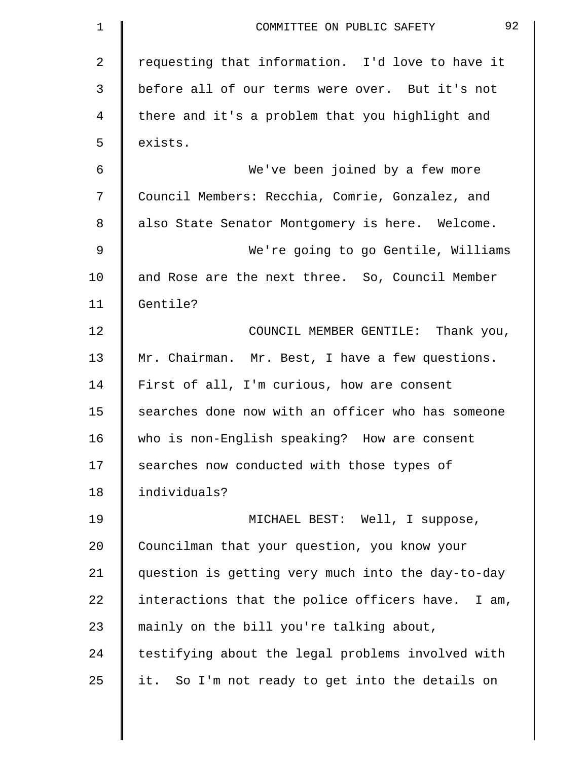| $\mathbf 1$ | 92<br>COMMITTEE ON PUBLIC SAFETY                  |
|-------------|---------------------------------------------------|
| 2           | requesting that information. I'd love to have it  |
| 3           | before all of our terms were over. But it's not   |
| 4           | there and it's a problem that you highlight and   |
| 5           | exists.                                           |
| 6           | We've been joined by a few more                   |
| 7           | Council Members: Recchia, Comrie, Gonzalez, and   |
| 8           | also State Senator Montgomery is here. Welcome.   |
| 9           | We're going to go Gentile, Williams               |
| 10          | and Rose are the next three. So, Council Member   |
| 11          | Gentile?                                          |
| 12          | COUNCIL MEMBER GENTILE: Thank you,                |
| 13          | Mr. Chairman. Mr. Best, I have a few questions.   |
| 14          | First of all, I'm curious, how are consent        |
| 15          | searches done now with an officer who has someone |
| 16          | who is non-English speaking? How are consent      |
| 17          | searches now conducted with those types of        |
| 18          | individuals?                                      |
| 19          | MICHAEL BEST: Well, I suppose,                    |
| 20          | Councilman that your question, you know your      |
| 21          | question is getting very much into the day-to-day |
| 22          | interactions that the police officers have. I am, |
| 23          | mainly on the bill you're talking about,          |
| 24          | testifying about the legal problems involved with |
| 25          | it. So I'm not ready to get into the details on   |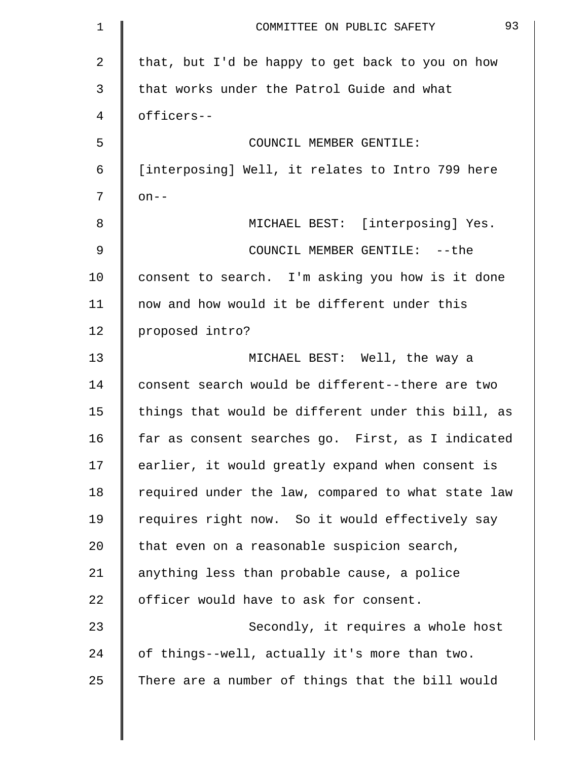| $\mathbf 1$ | 93<br>COMMITTEE ON PUBLIC SAFETY                   |
|-------------|----------------------------------------------------|
| 2           | that, but I'd be happy to get back to you on how   |
| 3           | that works under the Patrol Guide and what         |
| 4           | officers--                                         |
| 5           | COUNCIL MEMBER GENTILE:                            |
| 6           | [interposing] Well, it relates to Intro 799 here   |
| 7           | $on--$                                             |
| 8           | MICHAEL BEST: [interposing] Yes.                   |
| 9           | COUNCIL MEMBER GENTILE: -- the                     |
| 10          | consent to search. I'm asking you how is it done   |
| 11          | now and how would it be different under this       |
| 12          | proposed intro?                                    |
| 13          | MICHAEL BEST: Well, the way a                      |
| 14          | consent search would be different--there are two   |
| 15          | things that would be different under this bill, as |
| 16          | far as consent searches go. First, as I indicated  |
| 17          | earlier, it would greatly expand when consent is   |
| 18          | required under the law, compared to what state law |
| 19          | requires right now. So it would effectively say    |
| 20          | that even on a reasonable suspicion search,        |
| 21          | anything less than probable cause, a police        |
| 22          | officer would have to ask for consent.             |
| 23          | Secondly, it requires a whole host                 |
| 24          | of things--well, actually it's more than two.      |
| 25          | There are a number of things that the bill would   |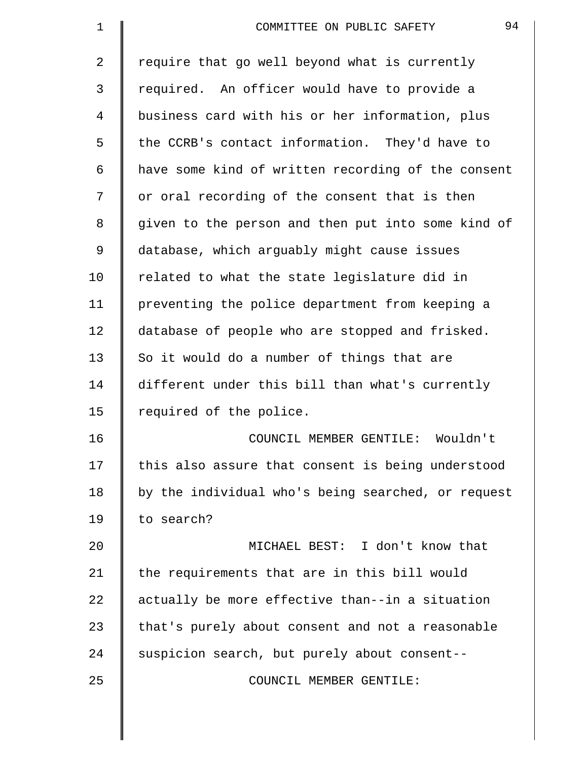| 1  | 94<br>COMMITTEE ON PUBLIC SAFETY                   |
|----|----------------------------------------------------|
| 2  | require that go well beyond what is currently      |
| 3  | required. An officer would have to provide a       |
| 4  | business card with his or her information, plus    |
| 5  | the CCRB's contact information. They'd have to     |
| 6  | have some kind of written recording of the consent |
| 7  | or oral recording of the consent that is then      |
| 8  | given to the person and then put into some kind of |
| 9  | database, which arguably might cause issues        |
| 10 | related to what the state legislature did in       |
| 11 | preventing the police department from keeping a    |
| 12 | database of people who are stopped and frisked.    |
| 13 | So it would do a number of things that are         |
| 14 | different under this bill than what's currently    |
| 15 | required of the police.                            |
| 16 | COUNCIL MEMBER GENTILE:<br>Wouldn't                |
| 17 | this also assure that consent is being understood  |
| 18 | by the individual who's being searched, or request |
| 19 | to search?                                         |
| 20 | MICHAEL BEST: I don't know that                    |
| 21 | the requirements that are in this bill would       |
| 22 | actually be more effective than--in a situation    |
| 23 | that's purely about consent and not a reasonable   |
| 24 | suspicion search, but purely about consent--       |
| 25 | COUNCIL MEMBER GENTILE:                            |
|    |                                                    |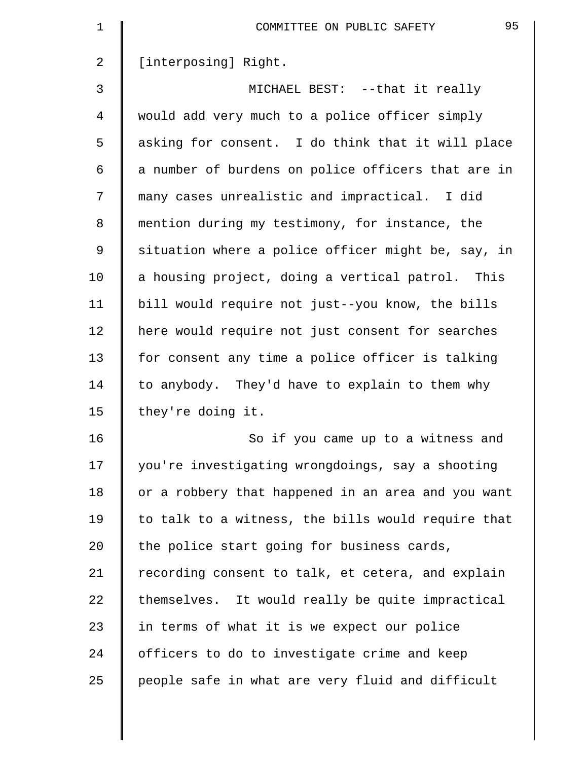| $\mathbf 1$    | 95<br>COMMITTEE ON PUBLIC SAFETY                   |
|----------------|----------------------------------------------------|
| $\overline{2}$ | [interposing] Right.                               |
| 3              | MICHAEL BEST: --that it really                     |
| 4              | would add very much to a police officer simply     |
| 5              | asking for consent. I do think that it will place  |
| 6              | a number of burdens on police officers that are in |
| 7              | many cases unrealistic and impractical. I did      |
| 8              | mention during my testimony, for instance, the     |
| 9              | situation where a police officer might be, say, in |
| 10             | a housing project, doing a vertical patrol. This   |
| 11             | bill would require not just--you know, the bills   |
| 12             | here would require not just consent for searches   |
| 13             | for consent any time a police officer is talking   |
| 14             | to anybody. They'd have to explain to them why     |
| 15             | they're doing it.                                  |
| 16             | So if you came up to a witness and                 |
| 17             | you're investigating wrongdoings, say a shooting   |
| 18             | or a robbery that happened in an area and you want |
| 19             | to talk to a witness, the bills would require that |
| 20             | the police start going for business cards,         |
| 21             | recording consent to talk, et cetera, and explain  |
| 22             | themselves. It would really be quite impractical   |
| 23             | in terms of what it is we expect our police        |
| 24             | officers to do to investigate crime and keep       |
| 25             | people safe in what are very fluid and difficult   |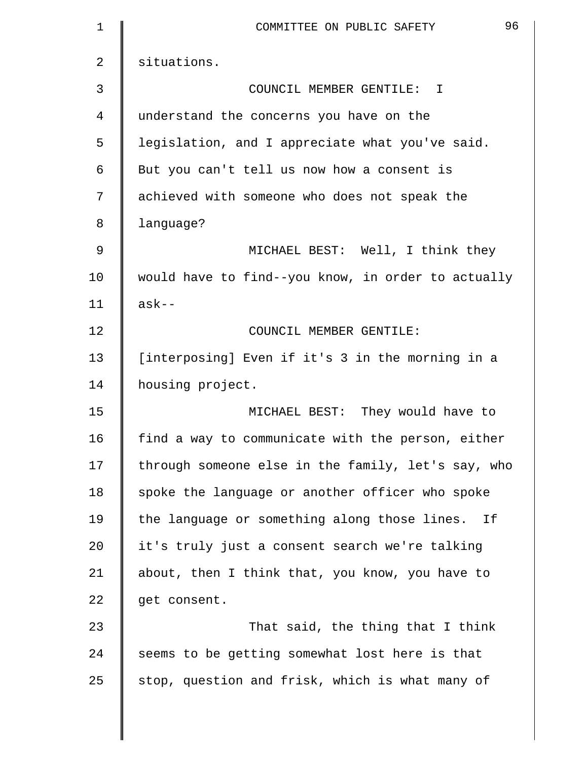| 1              | 96<br>COMMITTEE ON PUBLIC SAFETY                   |
|----------------|----------------------------------------------------|
| $\overline{a}$ | situations.                                        |
| 3              | COUNCIL MEMBER GENTILE: I                          |
| 4              | understand the concerns you have on the            |
| 5              | legislation, and I appreciate what you've said.    |
| 6              | But you can't tell us now how a consent is         |
| 7              | achieved with someone who does not speak the       |
| 8              | language?                                          |
| 9              | MICHAEL BEST: Well, I think they                   |
| 10             | would have to find--you know, in order to actually |
| 11             | $ask--$                                            |
| 12             | COUNCIL MEMBER GENTILE:                            |
| 13             | [interposing] Even if it's 3 in the morning in a   |
| 14             | housing project.                                   |
| 15             | MICHAEL BEST: They would have to                   |
| 16             | find a way to communicate with the person, either  |
| 17             | through someone else in the family, let's say, who |
| 18             | spoke the language or another officer who spoke    |
| 19             | the language or something along those lines. If    |
| 20             | it's truly just a consent search we're talking     |
| 21             | about, then I think that, you know, you have to    |
| 22             | get consent.                                       |
| 23             | That said, the thing that I think                  |
| 24             | seems to be getting somewhat lost here is that     |
| 25             | stop, question and frisk, which is what many of    |
|                |                                                    |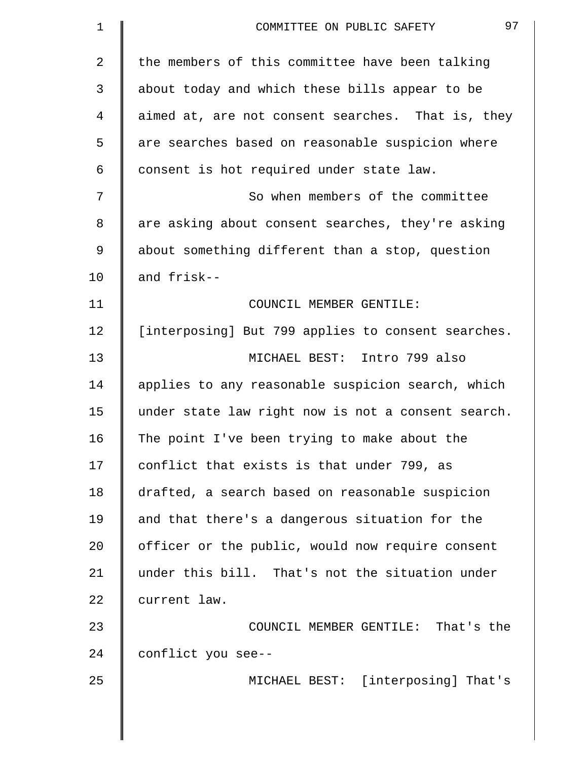| 1              | 97<br>COMMITTEE ON PUBLIC SAFETY                   |
|----------------|----------------------------------------------------|
| $\overline{a}$ | the members of this committee have been talking    |
| 3              | about today and which these bills appear to be     |
| 4              | aimed at, are not consent searches. That is, they  |
| 5              | are searches based on reasonable suspicion where   |
| 6              | consent is hot required under state law.           |
| 7              | So when members of the committee                   |
| 8              | are asking about consent searches, they're asking  |
| 9              | about something different than a stop, question    |
| 10             | and frisk--                                        |
| 11             | COUNCIL MEMBER GENTILE:                            |
| 12             | [interposing] But 799 applies to consent searches. |
| 13             | MICHAEL BEST: Intro 799 also                       |
| 14             | applies to any reasonable suspicion search, which  |
| 15             | under state law right now is not a consent search. |
| 16             | The point I've been trying to make about the       |
| 17             | conflict that exists is that under 799, as         |
| 18             | drafted, a search based on reasonable suspicion    |
| 19             | and that there's a dangerous situation for the     |
| 20             | officer or the public, would now require consent   |
| 21             | under this bill. That's not the situation under    |
| 22             | current law.                                       |
| 23             | COUNCIL MEMBER GENTILE: That's the                 |
| 24             | conflict you see--                                 |
| 25             | MICHAEL BEST: [interposing] That's                 |
|                |                                                    |
|                |                                                    |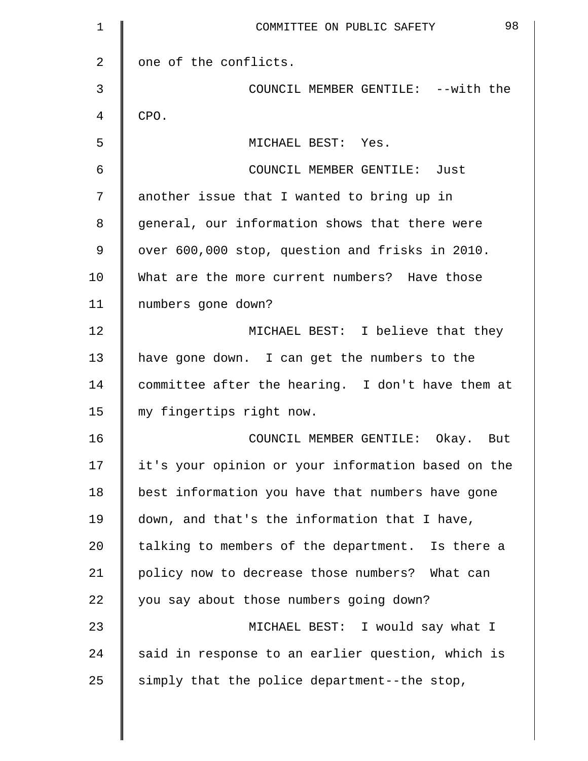| $\mathbf 1$    | 98<br>COMMITTEE ON PUBLIC SAFETY                   |
|----------------|----------------------------------------------------|
| $\overline{2}$ | one of the conflicts.                              |
| 3              | COUNCIL MEMBER GENTILE: --with the                 |
| 4              | CPO.                                               |
| 5              | MICHAEL BEST: Yes.                                 |
| 6              | COUNCIL MEMBER GENTILE: Just                       |
| 7              | another issue that I wanted to bring up in         |
| 8              | general, our information shows that there were     |
| 9              | over 600,000 stop, question and frisks in 2010.    |
| 10             | What are the more current numbers? Have those      |
| 11             | numbers gone down?                                 |
| 12             | MICHAEL BEST: I believe that they                  |
| 13             | have gone down. I can get the numbers to the       |
| 14             | committee after the hearing. I don't have them at  |
| 15             | my fingertips right now.                           |
| 16             | COUNCIL MEMBER GENTILE:<br>Okay. But               |
| 17             | it's your opinion or your information based on the |
| 18             | best information you have that numbers have gone   |
| 19             | down, and that's the information that I have,      |
| 20             | talking to members of the department. Is there a   |
| 21             | policy now to decrease those numbers? What can     |
| 22             | you say about those numbers going down?            |
| 23             | MICHAEL BEST: I would say what I                   |
| 24             | said in response to an earlier question, which is  |
| 25             | simply that the police department--the stop,       |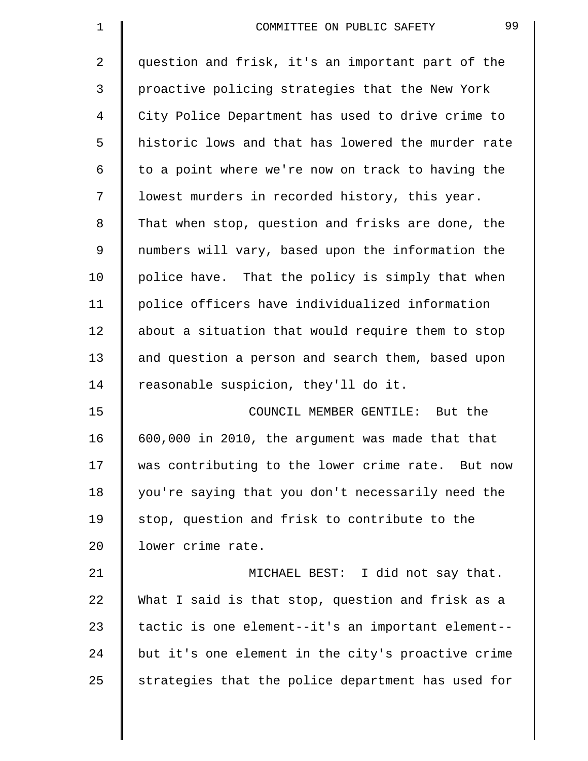| $\mathbf 1$ | 99<br>COMMITTEE ON PUBLIC SAFETY                   |
|-------------|----------------------------------------------------|
| 2           | question and frisk, it's an important part of the  |
| 3           | proactive policing strategies that the New York    |
| 4           | City Police Department has used to drive crime to  |
| 5           | historic lows and that has lowered the murder rate |
| 6           | to a point where we're now on track to having the  |
| 7           | lowest murders in recorded history, this year.     |
| 8           | That when stop, question and frisks are done, the  |
| 9           | numbers will vary, based upon the information the  |
| 10          | police have. That the policy is simply that when   |
| 11          | police officers have individualized information    |
| 12          | about a situation that would require them to stop  |
| 13          | and question a person and search them, based upon  |
| 14          | reasonable suspicion, they'll do it.               |
| 15          | COUNCIL MEMBER GENTILE: But the                    |
| 16          | 600,000 in 2010, the argument was made that that   |
| 17          | was contributing to the lower crime rate. But now  |
| 18          | you're saying that you don't necessarily need the  |
| 19          | stop, question and frisk to contribute to the      |
| 20          | lower crime rate.                                  |
| 21          | MICHAEL BEST: I did not say that.                  |
| 22          | What I said is that stop, question and frisk as a  |
| 23          | tactic is one element--it's an important element-- |
| 24          | but it's one element in the city's proactive crime |
| 25          | strategies that the police department has used for |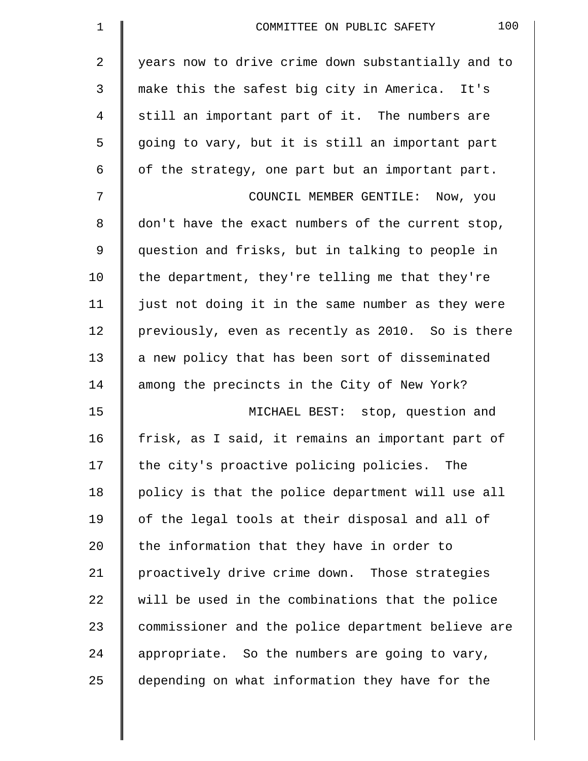| $\mathbf 1$    | 100<br>COMMITTEE ON PUBLIC SAFETY                  |
|----------------|----------------------------------------------------|
| $\overline{a}$ | years now to drive crime down substantially and to |
| 3              | make this the safest big city in America. It's     |
| 4              | still an important part of it. The numbers are     |
| 5              | going to vary, but it is still an important part   |
| 6              | of the strategy, one part but an important part.   |
| 7              | COUNCIL MEMBER GENTILE: Now, you                   |
| 8              | don't have the exact numbers of the current stop,  |
| 9              | question and frisks, but in talking to people in   |
| 10             | the department, they're telling me that they're    |
| 11             | just not doing it in the same number as they were  |
| 12             | previously, even as recently as 2010. So is there  |
| 13             | a new policy that has been sort of disseminated    |
| 14             | among the precincts in the City of New York?       |
| 15             | MICHAEL BEST: stop, question and                   |
| 16             | frisk, as I said, it remains an important part of  |
| 17             | the city's proactive policing policies. The        |
| 18             | policy is that the police department will use all  |
| 19             | of the legal tools at their disposal and all of    |
| 20             | the information that they have in order to         |
| 21             | proactively drive crime down. Those strategies     |
| 22             | will be used in the combinations that the police   |
| 23             | commissioner and the police department believe are |
| 24             | appropriate. So the numbers are going to vary,     |
| 25             | depending on what information they have for the    |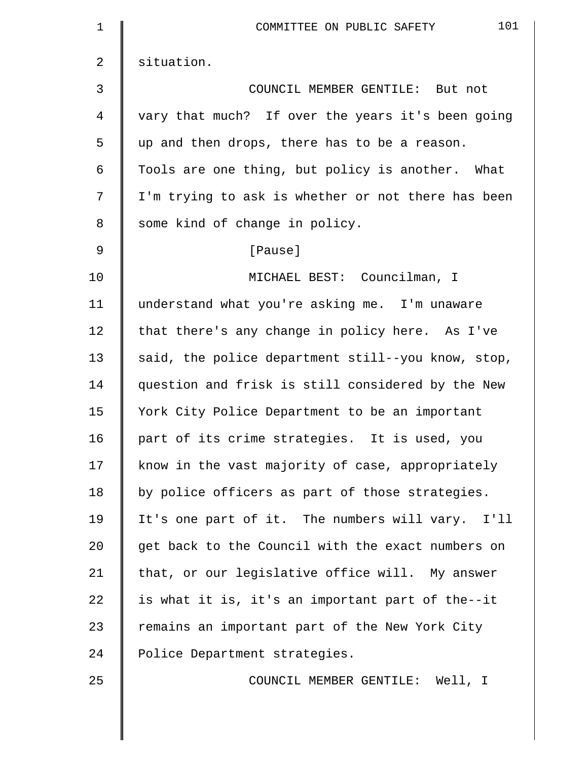| 1  | 101<br>COMMITTEE ON PUBLIC SAFETY                  |
|----|----------------------------------------------------|
| 2  | situation.                                         |
| 3  | COUNCIL MEMBER GENTILE: But not                    |
| 4  | vary that much? If over the years it's been going  |
| 5  | up and then drops, there has to be a reason.       |
| 6  | Tools are one thing, but policy is another. What   |
| 7  | I'm trying to ask is whether or not there has been |
| 8  | some kind of change in policy.                     |
| 9  | [Pause]                                            |
| 10 | MICHAEL BEST: Councilman, I                        |
| 11 | understand what you're asking me. I'm unaware      |
| 12 | that there's any change in policy here. As I've    |
| 13 | said, the police department still--you know, stop, |
| 14 | question and frisk is still considered by the New  |
| 15 | York City Police Department to be an important     |
| 16 | part of its crime strategies. It is used, you      |
| 17 | know in the vast majority of case, appropriately   |
| 18 | by police officers as part of those strategies.    |
| 19 | It's one part of it. The numbers will vary. I'll   |
| 20 | get back to the Council with the exact numbers on  |
| 21 | that, or our legislative office will. My answer    |
| 22 | is what it is, it's an important part of the--it   |
| 23 | remains an important part of the New York City     |
| 24 | Police Department strategies.                      |
| 25 | COUNCIL MEMBER GENTILE: Well, I                    |
|    |                                                    |
|    |                                                    |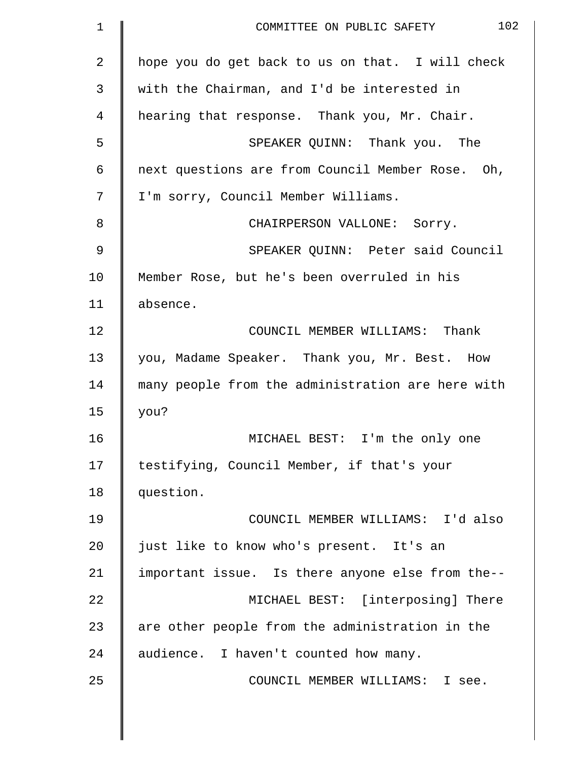| $\mathbf 1$    | 102<br>COMMITTEE ON PUBLIC SAFETY                 |
|----------------|---------------------------------------------------|
| $\overline{a}$ | hope you do get back to us on that. I will check  |
| 3              | with the Chairman, and I'd be interested in       |
| 4              | hearing that response. Thank you, Mr. Chair.      |
| 5              | SPEAKER QUINN: Thank you. The                     |
| 6              | next questions are from Council Member Rose. Oh,  |
| 7              | I'm sorry, Council Member Williams.               |
| 8              | CHAIRPERSON VALLONE: Sorry.                       |
| 9              | SPEAKER QUINN: Peter said Council                 |
| 10             | Member Rose, but he's been overruled in his       |
| 11             | absence.                                          |
| 12             | COUNCIL MEMBER WILLIAMS: Thank                    |
| 13             | you, Madame Speaker. Thank you, Mr. Best. How     |
| 14             | many people from the administration are here with |
| 15             | you?                                              |
| 16             | MICHAEL BEST: I'm the only one                    |
| 17             | testifying, Council Member, if that's your        |
| 18             | question.                                         |
| 19             | COUNCIL MEMBER WILLIAMS: I'd also                 |
| 20             | just like to know who's present. It's an          |
| 21             | important issue. Is there anyone else from the--  |
| 22             | MICHAEL BEST: [interposing] There                 |
| 23             | are other people from the administration in the   |
| 24             | audience. I haven't counted how many.             |
| 25             | COUNCIL MEMBER WILLIAMS: I see.                   |
|                |                                                   |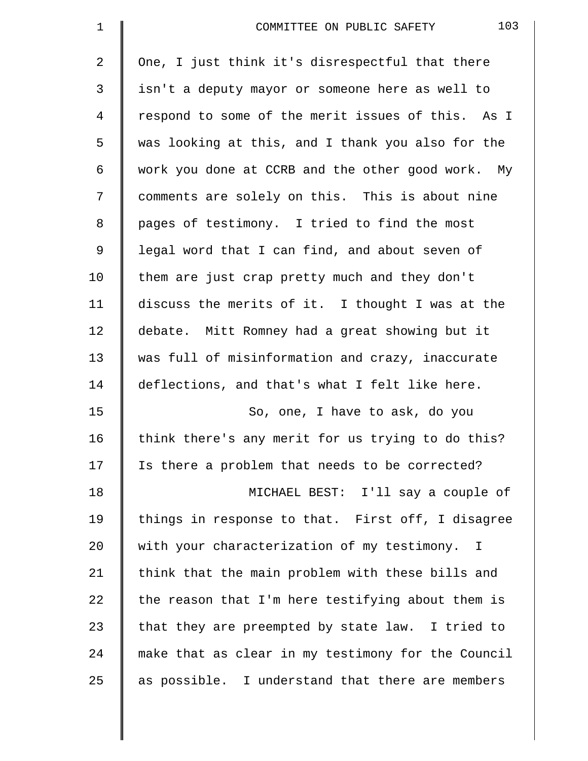| $\mathbf 1$    | 103<br>COMMITTEE ON PUBLIC SAFETY                  |
|----------------|----------------------------------------------------|
| $\overline{2}$ | One, I just think it's disrespectful that there    |
| 3              | isn't a deputy mayor or someone here as well to    |
| $\overline{4}$ | respond to some of the merit issues of this. As I  |
| 5              | was looking at this, and I thank you also for the  |
| 6              | work you done at CCRB and the other good work. My  |
| 7              | comments are solely on this. This is about nine    |
| 8              | pages of testimony. I tried to find the most       |
| $\mathsf 9$    | legal word that I can find, and about seven of     |
| 10             | them are just crap pretty much and they don't      |
| 11             | discuss the merits of it. I thought I was at the   |
| 12             | debate. Mitt Romney had a great showing but it     |
| 13             | was full of misinformation and crazy, inaccurate   |
| 14             | deflections, and that's what I felt like here.     |
| 15             | So, one, I have to ask, do you                     |
| 16             | think there's any merit for us trying to do this?  |
| 17             | Is there a problem that needs to be corrected?     |
| 18             | MICHAEL BEST: I'll say a couple of                 |
| 19             | things in response to that. First off, I disagree  |
| 20             | with your characterization of my testimony. I      |
| 21             | think that the main problem with these bills and   |
| 22             | the reason that I'm here testifying about them is  |
| 23             | that they are preempted by state law. I tried to   |
| 24             | make that as clear in my testimony for the Council |
| 25             | as possible. I understand that there are members   |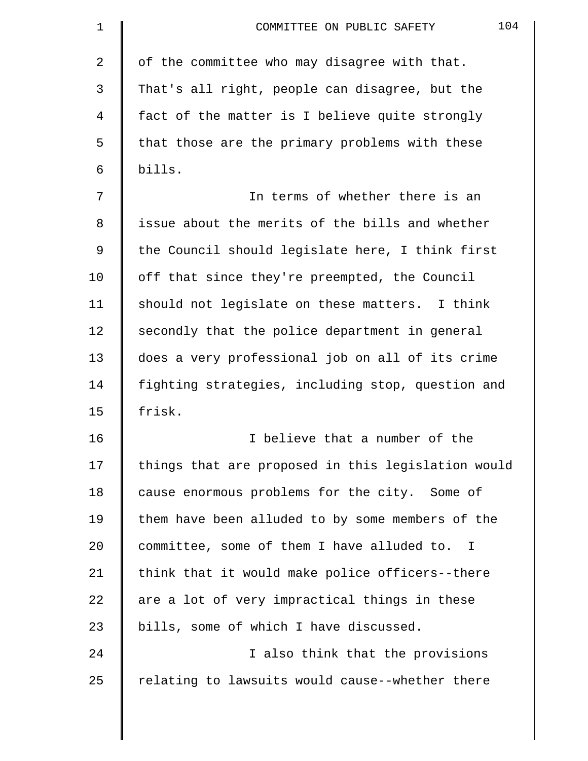| 1              | 104<br>COMMITTEE ON PUBLIC SAFETY                  |
|----------------|----------------------------------------------------|
| $\overline{a}$ | of the committee who may disagree with that.       |
| 3              | That's all right, people can disagree, but the     |
| 4              | fact of the matter is I believe quite strongly     |
| 5              | that those are the primary problems with these     |
| 6              | bills.                                             |
| 7              | In terms of whether there is an                    |
| 8              | issue about the merits of the bills and whether    |
| 9              | the Council should legislate here, I think first   |
| 10             | off that since they're preempted, the Council      |
| 11             | should not legislate on these matters. I think     |
| 12             | secondly that the police department in general     |
| 13             | does a very professional job on all of its crime   |
| 14             | fighting strategies, including stop, question and  |
| 15             | frisk.                                             |
| 16             | I believe that a number of the                     |
| 17             | things that are proposed in this legislation would |
| 18             | cause enormous problems for the city. Some of      |
| 19             | them have been alluded to by some members of the   |
| 20             | committee, some of them I have alluded to. I       |
| 21             | think that it would make police officers--there    |
| 22             | are a lot of very impractical things in these      |
| 23             | bills, some of which I have discussed.             |
| 24             | I also think that the provisions                   |
| 25             | relating to lawsuits would cause--whether there    |
|                |                                                    |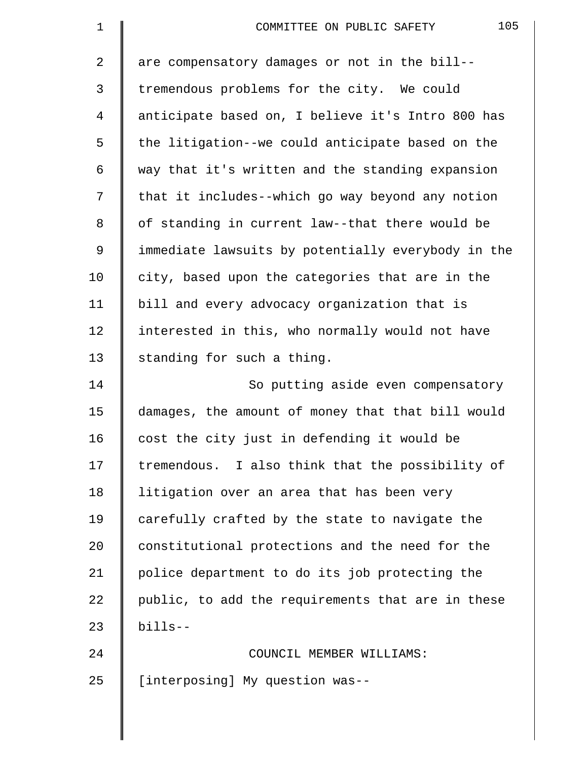| $\mathbf 1$ | 105<br>COMMITTEE ON PUBLIC SAFETY                  |
|-------------|----------------------------------------------------|
| 2           | are compensatory damages or not in the bill--      |
| 3           | tremendous problems for the city. We could         |
| 4           | anticipate based on, I believe it's Intro 800 has  |
| 5           | the litigation--we could anticipate based on the   |
| 6           | way that it's written and the standing expansion   |
| 7           | that it includes--which go way beyond any notion   |
| 8           | of standing in current law--that there would be    |
| 9           | immediate lawsuits by potentially everybody in the |
| 10          | city, based upon the categories that are in the    |
| 11          | bill and every advocacy organization that is       |
| 12          | interested in this, who normally would not have    |
| 13          | standing for such a thing.                         |
| 14          | So putting aside even compensatory                 |
| 15          | damages, the amount of money that that bill would  |
| 16          | cost the city just in defending it would be        |
| 17          | tremendous. I also think that the possibility of   |
| 18          | litigation over an area that has been very         |
| 19          | carefully crafted by the state to navigate the     |
| 20          | constitutional protections and the need for the    |
| 21          | police department to do its job protecting the     |
| 22          | public, to add the requirements that are in these  |
| 23          | $b$ ills--                                         |
| 24          | COUNCIL MEMBER WILLIAMS:                           |
| 25          | [interposing] My question was--                    |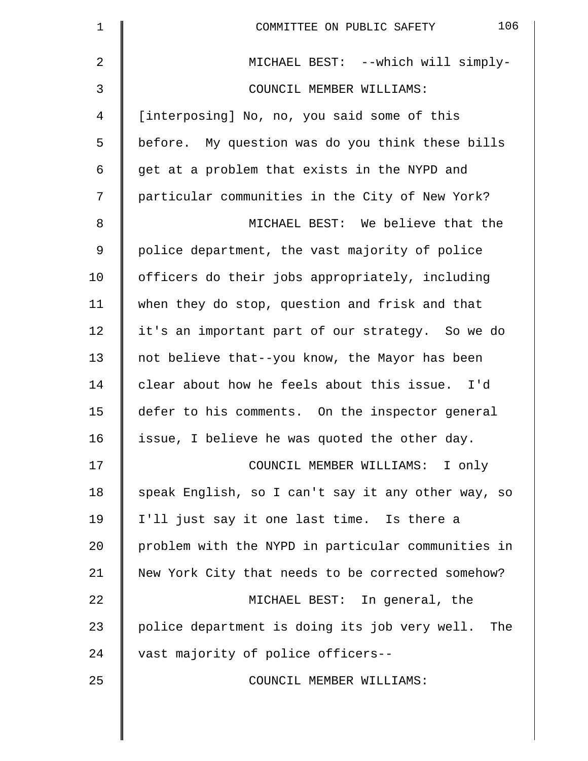| $\mathbf 1$ | 106<br>COMMITTEE ON PUBLIC SAFETY                    |
|-------------|------------------------------------------------------|
| 2           | MICHAEL BEST: --which will simply-                   |
| 3           | COUNCIL MEMBER WILLIAMS:                             |
| 4           | [interposing] No, no, you said some of this          |
| 5           | before. My question was do you think these bills     |
| 6           | get at a problem that exists in the NYPD and         |
| 7           | particular communities in the City of New York?      |
| $\,8\,$     | MICHAEL BEST: We believe that the                    |
| 9           | police department, the vast majority of police       |
| 10          | officers do their jobs appropriately, including      |
| 11          | when they do stop, question and frisk and that       |
| 12          | it's an important part of our strategy. So we do     |
| 13          | not believe that--you know, the Mayor has been       |
| 14          | clear about how he feels about this issue. I'd       |
| 15          | defer to his comments. On the inspector general      |
| 16          | issue, I believe he was quoted the other day.        |
| 17          | COUNCIL MEMBER WILLIAMS: I only                      |
| 18          | speak English, so I can't say it any other way, so   |
| 19          | I'll just say it one last time. Is there a           |
| 20          | problem with the NYPD in particular communities in   |
| 21          | New York City that needs to be corrected somehow?    |
| 22          | MICHAEL BEST: In general, the                        |
| 23          | police department is doing its job very well.<br>The |
| 24          | vast majority of police officers--                   |
| 25          | COUNCIL MEMBER WILLIAMS:                             |
|             |                                                      |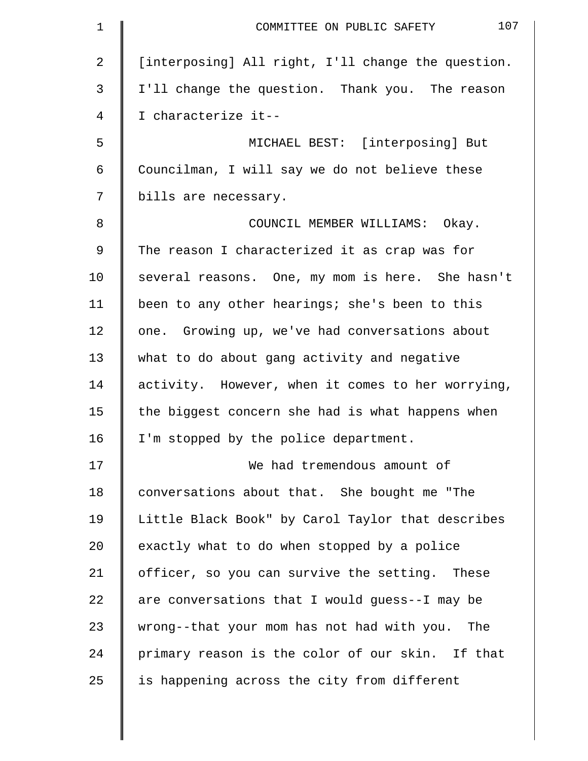| $\mathbf 1$    | 107<br>COMMITTEE ON PUBLIC SAFETY                  |
|----------------|----------------------------------------------------|
| $\overline{2}$ | [interposing] All right, I'll change the question. |
| 3              | I'll change the question. Thank you. The reason    |
| 4              | I characterize it--                                |
| 5              | MICHAEL BEST: [interposing] But                    |
| 6              | Councilman, I will say we do not believe these     |
| 7              | bills are necessary.                               |
| 8              | COUNCIL MEMBER WILLIAMS: Okay.                     |
| 9              | The reason I characterized it as crap was for      |
| 10             | several reasons. One, my mom is here. She hasn't   |
| 11             | been to any other hearings; she's been to this     |
| 12             | one. Growing up, we've had conversations about     |
| 13             | what to do about gang activity and negative        |
| 14             | activity. However, when it comes to her worrying,  |
| 15             | the biggest concern she had is what happens when   |
| 16             | I'm stopped by the police department.              |
| 17             | We had tremendous amount of                        |
| 18             | conversations about that. She bought me "The       |
| 19             | Little Black Book" by Carol Taylor that describes  |
| 20             | exactly what to do when stopped by a police        |
| 21             | officer, so you can survive the setting. These     |
| 22             | are conversations that I would guess--I may be     |
| 23             | wrong--that your mom has not had with you. The     |
| 24             | primary reason is the color of our skin. If that   |
| 25             | is happening across the city from different        |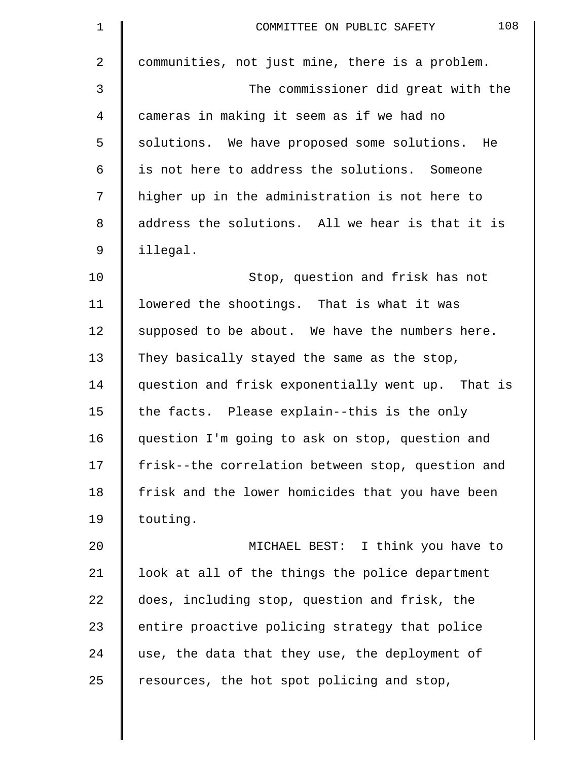| $\mathbf 1$    | 108<br>COMMITTEE ON PUBLIC SAFETY                 |
|----------------|---------------------------------------------------|
| $\overline{a}$ | communities, not just mine, there is a problem.   |
| 3              | The commissioner did great with the               |
| 4              | cameras in making it seem as if we had no         |
| 5              | solutions. We have proposed some solutions. He    |
| 6              | is not here to address the solutions. Someone     |
| 7              | higher up in the administration is not here to    |
| 8              | address the solutions. All we hear is that it is  |
| 9              | illegal.                                          |
| 10             | Stop, question and frisk has not                  |
| 11             | lowered the shootings. That is what it was        |
| 12             | supposed to be about. We have the numbers here.   |
| 13             | They basically stayed the same as the stop,       |
| 14             | question and frisk exponentially went up. That is |
| 15             | the facts. Please explain--this is the only       |
| 16             | question I'm going to ask on stop, question and   |
| 17             | frisk--the correlation between stop, question and |
| 18             | frisk and the lower homicides that you have been  |
| 19             | touting.                                          |
| 20             | MICHAEL BEST: I think you have to                 |
| 21             | look at all of the things the police department   |
| 22             | does, including stop, question and frisk, the     |
| 23             | entire proactive policing strategy that police    |
| 24             | use, the data that they use, the deployment of    |
| 25             | resources, the hot spot policing and stop,        |
|                |                                                   |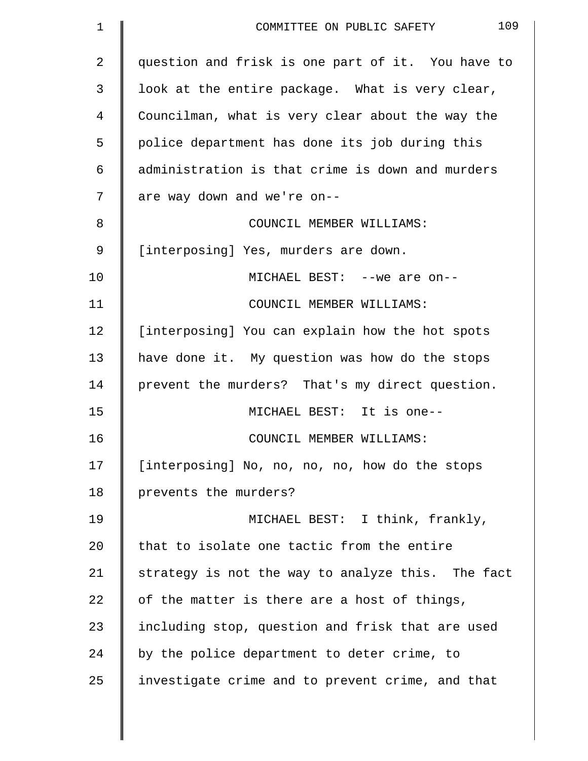| $\mathbf 1$    | 109<br>COMMITTEE ON PUBLIC SAFETY                 |
|----------------|---------------------------------------------------|
| $\overline{a}$ | question and frisk is one part of it. You have to |
| 3              | look at the entire package. What is very clear,   |
| 4              | Councilman, what is very clear about the way the  |
| 5              | police department has done its job during this    |
| 6              | administration is that crime is down and murders  |
| 7              | are way down and we're on--                       |
| 8              | COUNCIL MEMBER WILLIAMS:                          |
| 9              | [interposing] Yes, murders are down.              |
| 10             | MICHAEL BEST: -- we are on--                      |
| 11             | COUNCIL MEMBER WILLIAMS:                          |
| 12             | [interposing] You can explain how the hot spots   |
| 13             | have done it. My question was how do the stops    |
| 14             | prevent the murders? That's my direct question.   |
| 15             | MICHAEL BEST: It is one--                         |
| 16             | COUNCIL MEMBER WILLIAMS:                          |
| 17             | [interposing] No, no, no, no, how do the stops    |
| 18             | prevents the murders?                             |
| 19             | MICHAEL BEST: I think, frankly,                   |
| 20             | that to isolate one tactic from the entire        |
| 21             | strategy is not the way to analyze this. The fact |
| 22             | of the matter is there are a host of things,      |
| 23             | including stop, question and frisk that are used  |
| 24             | by the police department to deter crime, to       |
| 25             | investigate crime and to prevent crime, and that  |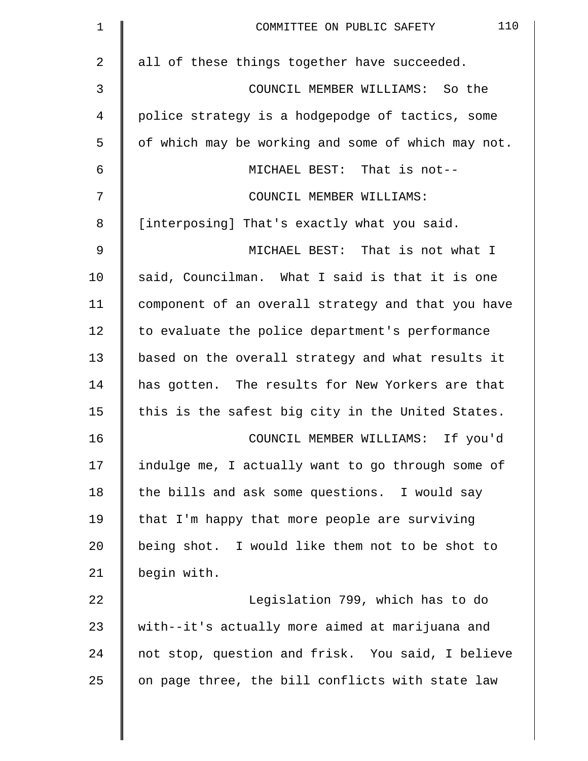| $\mathbf 1$ | 110<br>COMMITTEE ON PUBLIC SAFETY                  |
|-------------|----------------------------------------------------|
| 2           | all of these things together have succeeded.       |
| 3           | COUNCIL MEMBER WILLIAMS: So the                    |
| 4           | police strategy is a hodgepodge of tactics, some   |
| 5           | of which may be working and some of which may not. |
| 6           | MICHAEL BEST: That is not--                        |
| 7           | COUNCIL MEMBER WILLIAMS:                           |
| 8           | [interposing] That's exactly what you said.        |
| 9           | MICHAEL BEST: That is not what I                   |
| 10          | said, Councilman. What I said is that it is one    |
| 11          | component of an overall strategy and that you have |
| 12          | to evaluate the police department's performance    |
| 13          | based on the overall strategy and what results it  |
| 14          | has gotten. The results for New Yorkers are that   |
| 15          | this is the safest big city in the United States.  |
| 16          | COUNCIL MEMBER WILLIAMS: If you'd                  |
| 17          | indulge me, I actually want to go through some of  |
| 18          | the bills and ask some questions. I would say      |
| 19          | that I'm happy that more people are surviving      |
| 20          | being shot. I would like them not to be shot to    |
| 21          | begin with.                                        |
| 22          | Legislation 799, which has to do                   |
| 23          | with--it's actually more aimed at marijuana and    |
| 24          | not stop, question and frisk. You said, I believe  |
| 25          | on page three, the bill conflicts with state law   |
|             |                                                    |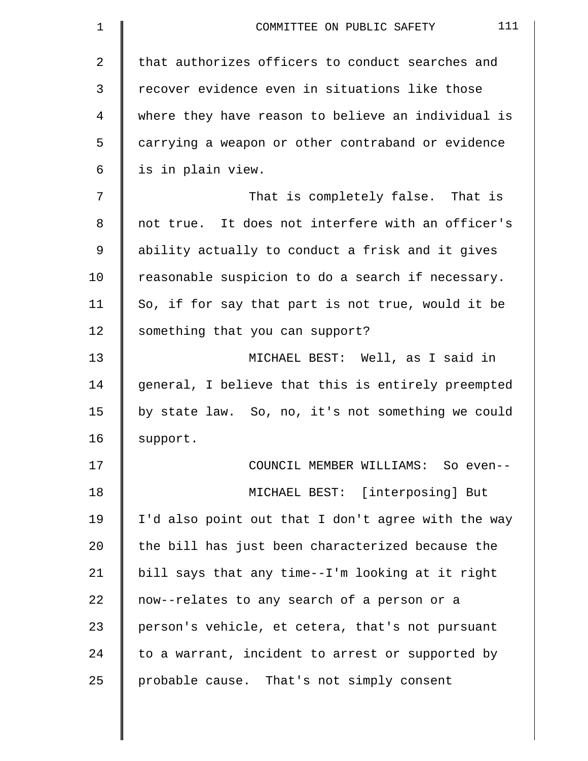| $\mathbf 1$ | 111<br>COMMITTEE ON PUBLIC SAFETY                  |
|-------------|----------------------------------------------------|
| 2           | that authorizes officers to conduct searches and   |
| 3           | recover evidence even in situations like those     |
| 4           | where they have reason to believe an individual is |
| 5           | carrying a weapon or other contraband or evidence  |
| 6           | is in plain view.                                  |
| 7           | That is completely false. That is                  |
| 8           | not true. It does not interfere with an officer's  |
| 9           | ability actually to conduct a frisk and it gives   |
| 10          | reasonable suspicion to do a search if necessary.  |
| 11          | So, if for say that part is not true, would it be  |
| 12          | something that you can support?                    |
| 13          | MICHAEL BEST: Well, as I said in                   |
| 14          | general, I believe that this is entirely preempted |
| 15          | by state law. So, no, it's not something we could  |
| 16          | support.                                           |
| 17          | COUNCIL MEMBER WILLIAMS: So even--                 |
| 18          | MICHAEL BEST: [interposing] But                    |
| 19          | I'd also point out that I don't agree with the way |
| 20          | the bill has just been characterized because the   |
| 21          | bill says that any time--I'm looking at it right   |
| 22          | now--relates to any search of a person or a        |
| 23          | person's vehicle, et cetera, that's not pursuant   |
| 24          | to a warrant, incident to arrest or supported by   |
| 25          | probable cause. That's not simply consent          |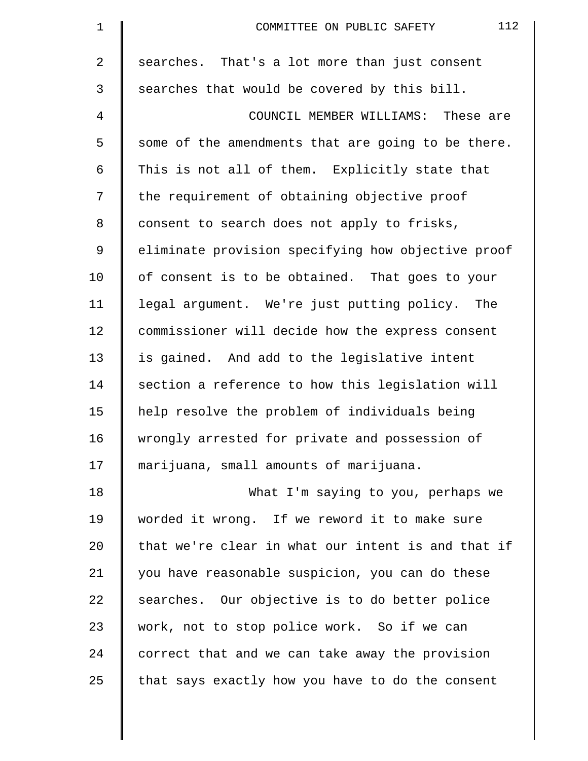| 1              | 112<br>COMMITTEE ON PUBLIC SAFETY                  |
|----------------|----------------------------------------------------|
| $\overline{2}$ | searches. That's a lot more than just consent      |
| 3              | searches that would be covered by this bill.       |
| 4              | COUNCIL MEMBER WILLIAMS: These are                 |
| 5              | some of the amendments that are going to be there. |
| 6              | This is not all of them. Explicitly state that     |
| 7              | the requirement of obtaining objective proof       |
| 8              | consent to search does not apply to frisks,        |
| $\mathsf 9$    | eliminate provision specifying how objective proof |
| 10             | of consent is to be obtained. That goes to your    |
| 11             | legal argument. We're just putting policy. The     |
| 12             | commissioner will decide how the express consent   |
| 13             | is gained. And add to the legislative intent       |
| 14             | section a reference to how this legislation will   |
| 15             | help resolve the problem of individuals being      |
| 16             | wrongly arrested for private and possession of     |
| 17             | marijuana, small amounts of marijuana.             |
| 18             | What I'm saying to you, perhaps we                 |
| 19             | worded it wrong. If we reword it to make sure      |
| 20             | that we're clear in what our intent is and that if |
| 21             | you have reasonable suspicion, you can do these    |
| 22             | searches. Our objective is to do better police     |
| 23             | work, not to stop police work. So if we can        |
| 24             | correct that and we can take away the provision    |
| 25             | that says exactly how you have to do the consent   |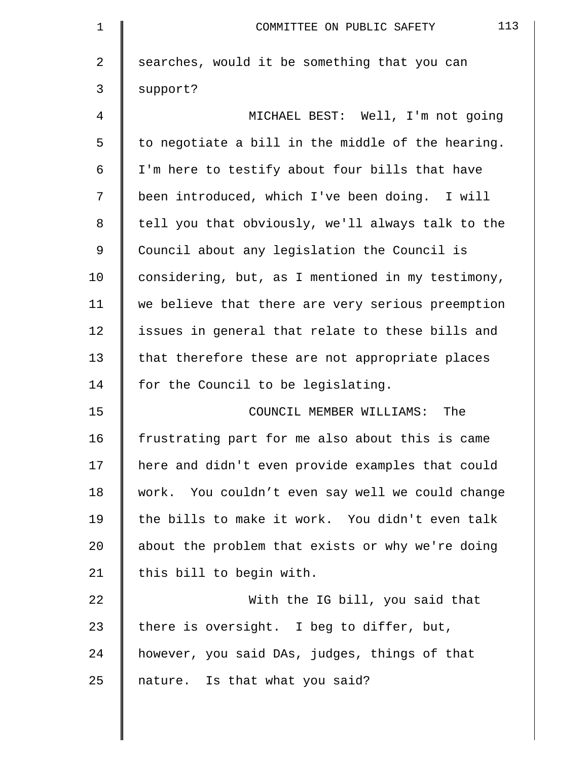| $\mathbf{1}$   | 113<br>COMMITTEE ON PUBLIC SAFETY                 |
|----------------|---------------------------------------------------|
| $\overline{a}$ | searches, would it be something that you can      |
| 3              | support?                                          |
| 4              | MICHAEL BEST: Well, I'm not going                 |
| 5              | to negotiate a bill in the middle of the hearing. |
| 6              | I'm here to testify about four bills that have    |
| 7              | been introduced, which I've been doing. I will    |
| 8              | tell you that obviously, we'll always talk to the |
| 9              | Council about any legislation the Council is      |
| 10             | considering, but, as I mentioned in my testimony, |
| 11             | we believe that there are very serious preemption |
| 12             | issues in general that relate to these bills and  |
| 13             | that therefore these are not appropriate places   |
| 14             | for the Council to be legislating.                |
| 15             | COUNCIL MEMBER WILLIAMS: The                      |
| 16             | frustrating part for me also about this is came   |
| 17             | here and didn't even provide examples that could  |
| 18             | work. You couldn't even say well we could change  |
| 19             | the bills to make it work. You didn't even talk   |
| 20             | about the problem that exists or why we're doing  |
| 21             | this bill to begin with.                          |
| 22             | With the IG bill, you said that                   |
| 23             | there is oversight. I beg to differ, but,         |
| 24             | however, you said DAs, judges, things of that     |
| 25             | nature. Is that what you said?                    |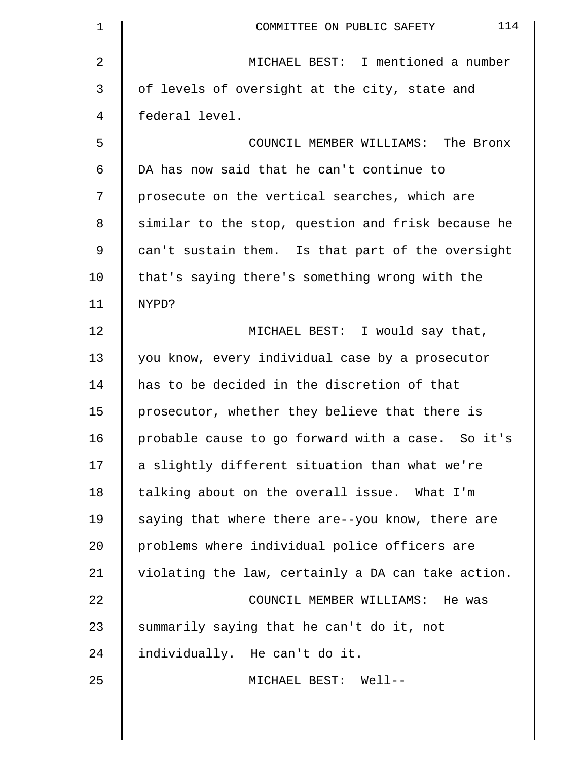| $\mathbf 1$ | 114<br>COMMITTEE ON PUBLIC SAFETY                  |
|-------------|----------------------------------------------------|
| 2           | MICHAEL BEST: I mentioned a number                 |
| 3           | of levels of oversight at the city, state and      |
| 4           | federal level.                                     |
| 5           | COUNCIL MEMBER WILLIAMS: The Bronx                 |
| 6           | DA has now said that he can't continue to          |
| 7           | prosecute on the vertical searches, which are      |
| 8           | similar to the stop, question and frisk because he |
| 9           | can't sustain them. Is that part of the oversight  |
| 10          | that's saying there's something wrong with the     |
| 11          | NYPD?                                              |
| 12          | MICHAEL BEST: I would say that,                    |
| 13          | you know, every individual case by a prosecutor    |
| 14          | has to be decided in the discretion of that        |
| 15          | prosecutor, whether they believe that there is     |
| 16          | probable cause to go forward with a case. So it's  |
| 17          | a slightly different situation than what we're     |
| 18          | talking about on the overall issue. What I'm       |
| 19          | saying that where there are--you know, there are   |
| 20          | problems where individual police officers are      |
| 21          | violating the law, certainly a DA can take action. |
| 22          | COUNCIL MEMBER WILLIAMS: He was                    |
| 23          | summarily saying that he can't do it, not          |
| 24          | individually. He can't do it.                      |
| 25          | MICHAEL BEST: Well--                               |
|             |                                                    |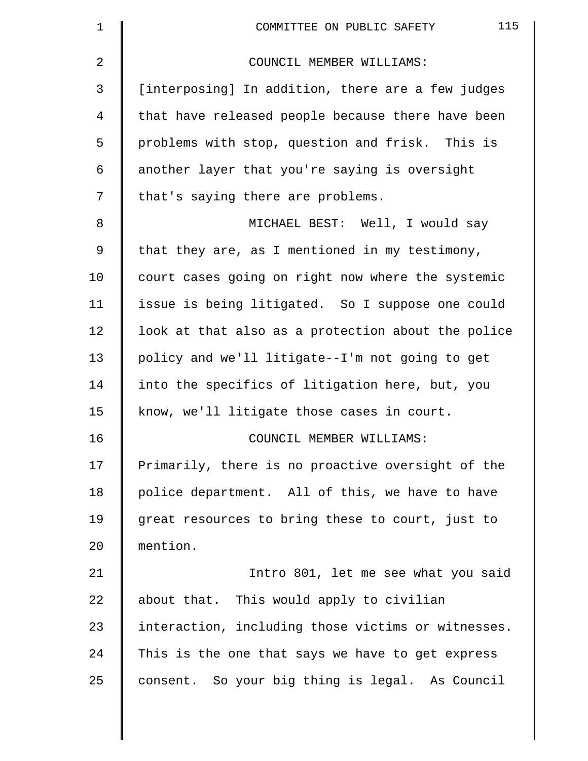| 1  | 115<br>COMMITTEE ON PUBLIC SAFETY                  |
|----|----------------------------------------------------|
| 2  | COUNCIL MEMBER WILLIAMS:                           |
| 3  | [interposing] In addition, there are a few judges  |
| 4  | that have released people because there have been  |
| 5  | problems with stop, question and frisk. This is    |
| 6  | another layer that you're saying is oversight      |
| 7  | that's saying there are problems.                  |
| 8  | MICHAEL BEST: Well, I would say                    |
| 9  | that they are, as I mentioned in my testimony,     |
| 10 | court cases going on right now where the systemic  |
| 11 | issue is being litigated. So I suppose one could   |
| 12 | look at that also as a protection about the police |
| 13 | policy and we'll litigate--I'm not going to get    |
| 14 | into the specifics of litigation here, but, you    |
| 15 | know, we'll litigate those cases in court.         |
| 16 | COUNCIL MEMBER WILLIAMS:                           |
| 17 | Primarily, there is no proactive oversight of the  |
| 18 | police department. All of this, we have to have    |
| 19 | great resources to bring these to court, just to   |
| 20 | mention.                                           |
| 21 | Intro 801, let me see what you said                |
| 22 | about that. This would apply to civilian           |
| 23 | interaction, including those victims or witnesses. |
| 24 | This is the one that says we have to get express   |
| 25 | consent. So your big thing is legal. As Council    |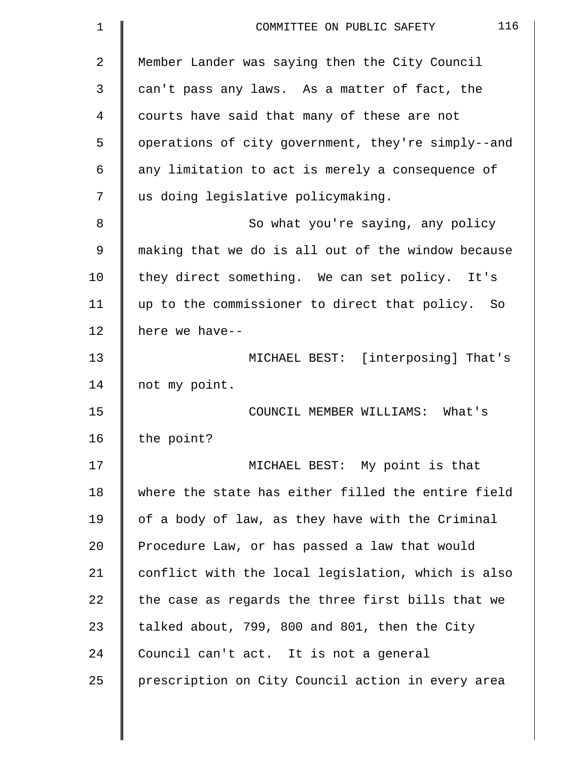| 1  | 116<br>COMMITTEE ON PUBLIC SAFETY                  |
|----|----------------------------------------------------|
| 2  | Member Lander was saying then the City Council     |
| 3  | can't pass any laws. As a matter of fact, the      |
| 4  | courts have said that many of these are not        |
| 5  | operations of city government, they're simply--and |
| 6  | any limitation to act is merely a consequence of   |
| 7  | us doing legislative policymaking.                 |
| 8  | So what you're saying, any policy                  |
| 9  | making that we do is all out of the window because |
| 10 | they direct something. We can set policy. It's     |
| 11 | up to the commissioner to direct that policy. So   |
| 12 | here we have--                                     |
| 13 | MICHAEL BEST: [interposing] That's                 |
| 14 | not my point.                                      |
| 15 | COUNCIL MEMBER WILLIAMS: What's                    |
| 16 | the point?                                         |
| 17 | MICHAEL BEST: My point is that                     |
| 18 | where the state has either filled the entire field |
| 19 | of a body of law, as they have with the Criminal   |
| 20 | Procedure Law, or has passed a law that would      |
| 21 | conflict with the local legislation, which is also |
| 22 | the case as regards the three first bills that we  |
| 23 | talked about, 799, 800 and 801, then the City      |
| 24 | Council can't act. It is not a general             |
| 25 | prescription on City Council action in every area  |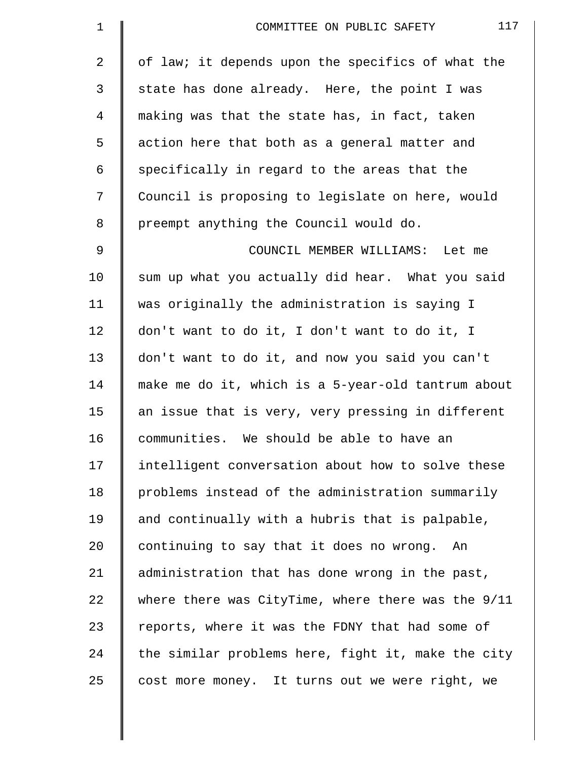| $\mathbf 1$ | 117<br>COMMITTEE ON PUBLIC SAFETY                  |
|-------------|----------------------------------------------------|
| 2           | of law; it depends upon the specifics of what the  |
| 3           | state has done already. Here, the point I was      |
| 4           | making was that the state has, in fact, taken      |
| 5           | action here that both as a general matter and      |
| 6           | specifically in regard to the areas that the       |
| 7           | Council is proposing to legislate on here, would   |
| 8           | preempt anything the Council would do.             |
| 9           | COUNCIL MEMBER WILLIAMS: Let me                    |
| 10          | sum up what you actually did hear. What you said   |
| 11          | was originally the administration is saying I      |
| 12          | don't want to do it, I don't want to do it, I      |
| 13          | don't want to do it, and now you said you can't    |
| 14          | make me do it, which is a 5-year-old tantrum about |
| 15          | an issue that is very, very pressing in different  |
| 16          | communities. We should be able to have an          |
| 17          | intelligent conversation about how to solve these  |
| 18          | problems instead of the administration summarily   |
| 19          | and continually with a hubris that is palpable,    |
| 20          | continuing to say that it does no wrong. An        |
| 21          | administration that has done wrong in the past,    |
| 22          | where there was CityTime, where there was the 9/11 |
| 23          | reports, where it was the FDNY that had some of    |
| 24          | the similar problems here, fight it, make the city |
| 25          | cost more money. It turns out we were right, we    |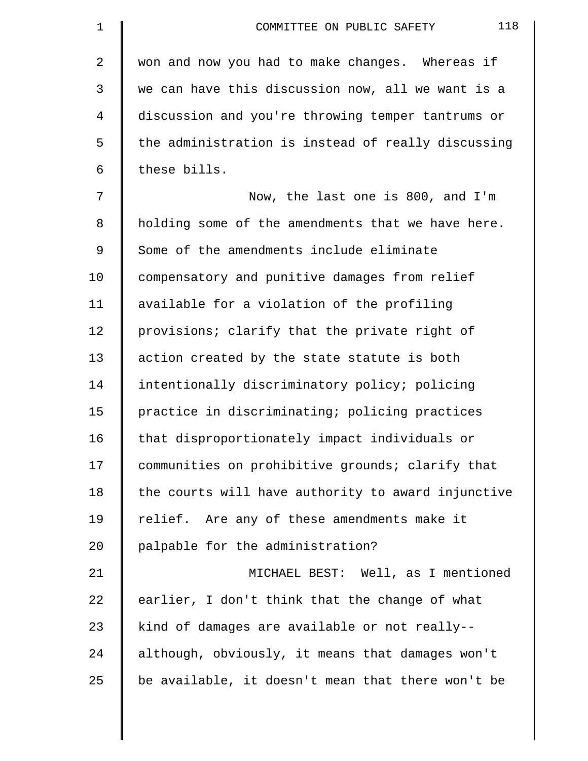| $\mathbf 1$    | 118<br>COMMITTEE ON PUBLIC SAFETY                  |
|----------------|----------------------------------------------------|
| $\overline{a}$ | won and now you had to make changes. Whereas if    |
| 3              | we can have this discussion now, all we want is a  |
| 4              | discussion and you're throwing temper tantrums or  |
| 5              | the administration is instead of really discussing |
| 6              | these bills.                                       |
| 7              | Now, the last one is 800, and I'm                  |
| 8              | holding some of the amendments that we have here.  |
| 9              | Some of the amendments include eliminate           |
| 10             | compensatory and punitive damages from relief      |
| 11             | available for a violation of the profiling         |
| 12             | provisions; clarify that the private right of      |
| 13             | action created by the state statute is both        |
| 14             | intentionally discriminatory policy; policing      |
| 15             | practice in discriminating; policing practices     |
| 16             | that disproportionately impact individuals or      |
| 17             | communities on prohibitive grounds; clarify that   |
| 18             | the courts will have authority to award injunctive |
| 19             | relief. Are any of these amendments make it        |
| 20             | palpable for the administration?                   |
| 21             | MICHAEL BEST: Well, as I mentioned                 |
| 22             | earlier, I don't think that the change of what     |
| 23             | kind of damages are available or not really--      |
| 24             | although, obviously, it means that damages won't   |
| 25             | be available, it doesn't mean that there won't be  |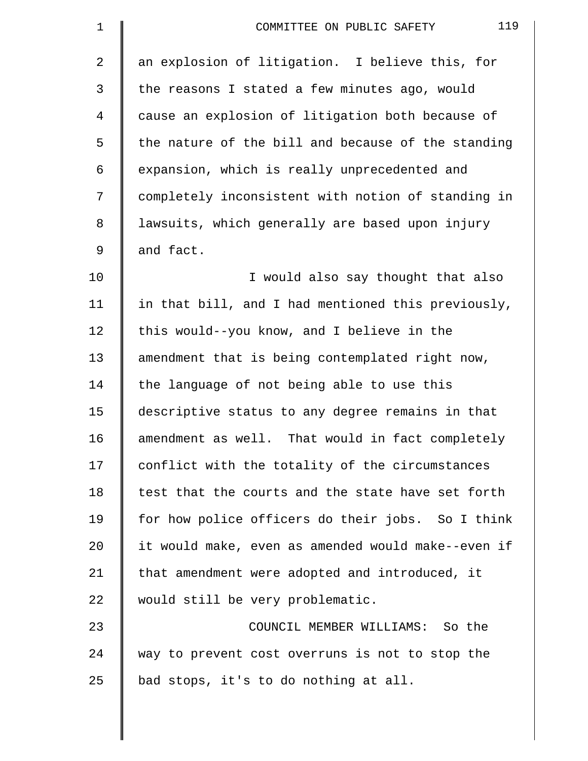| 1              | 119<br>COMMITTEE ON PUBLIC SAFETY                  |
|----------------|----------------------------------------------------|
| $\overline{2}$ | an explosion of litigation. I believe this, for    |
| 3              | the reasons I stated a few minutes ago, would      |
| $\overline{4}$ | cause an explosion of litigation both because of   |
| 5              | the nature of the bill and because of the standing |
| 6              | expansion, which is really unprecedented and       |
| 7              | completely inconsistent with notion of standing in |
| 8              | lawsuits, which generally are based upon injury    |
| 9              | and fact.                                          |
| 10             | I would also say thought that also                 |
| 11             | in that bill, and I had mentioned this previously, |
| 12             | this would--you know, and I believe in the         |
| 13             | amendment that is being contemplated right now,    |
| 14             | the language of not being able to use this         |
| 15             | descriptive status to any degree remains in that   |
| 16             | amendment as well. That would in fact completely   |
| 17             | conflict with the totality of the circumstances    |
| 18             | test that the courts and the state have set forth  |
| 19             | for how police officers do their jobs. So I think  |
| 20             | it would make, even as amended would make--even if |
| 21             | that amendment were adopted and introduced, it     |
| 22             | would still be very problematic.                   |
| 23             | COUNCIL MEMBER WILLIAMS: So the                    |
| 24             | way to prevent cost overruns is not to stop the    |
| 25             | bad stops, it's to do nothing at all.              |
|                |                                                    |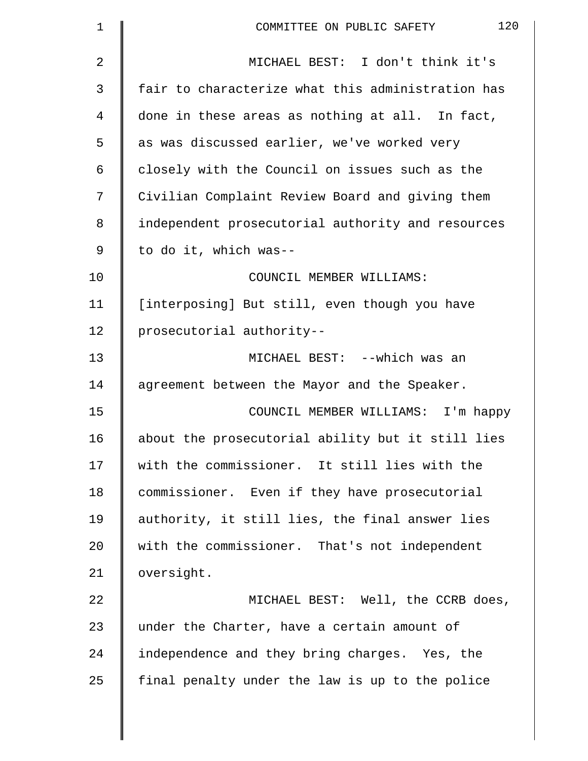| $\mathbf 1$ | 120<br>COMMITTEE ON PUBLIC SAFETY                 |
|-------------|---------------------------------------------------|
| 2           | MICHAEL BEST: I don't think it's                  |
| 3           | fair to characterize what this administration has |
| 4           | done in these areas as nothing at all. In fact,   |
| 5           | as was discussed earlier, we've worked very       |
| 6           | closely with the Council on issues such as the    |
| 7           | Civilian Complaint Review Board and giving them   |
| 8           | independent prosecutorial authority and resources |
| 9           | to do it, which was--                             |
| 10          | COUNCIL MEMBER WILLIAMS:                          |
| 11          | [interposing] But still, even though you have     |
| 12          | prosecutorial authority--                         |
| 13          | MICHAEL BEST: --which was an                      |
| 14          | agreement between the Mayor and the Speaker.      |
| 15          | COUNCIL MEMBER WILLIAMS: I'm happy                |
| 16          | about the prosecutorial ability but it still lies |
| 17          | with the commissioner. It still lies with the     |
| 18          | commissioner. Even if they have prosecutorial     |
| 19          | authority, it still lies, the final answer lies   |
| 20          | with the commissioner. That's not independent     |
| 21          | oversight.                                        |
| 22          | MICHAEL BEST: Well, the CCRB does,                |
| 23          | under the Charter, have a certain amount of       |
| 24          | independence and they bring charges. Yes, the     |
| 25          | final penalty under the law is up to the police   |
|             |                                                   |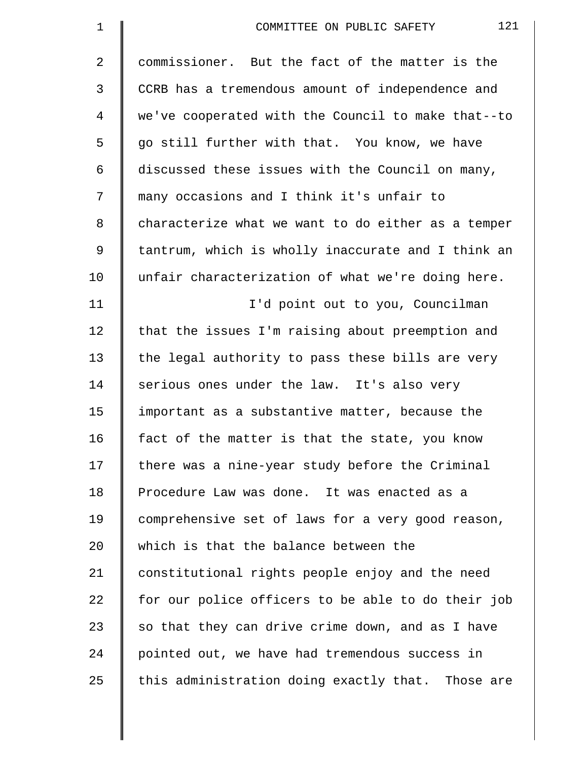| $\mathbf 1$    | 121<br>COMMITTEE ON PUBLIC SAFETY                  |
|----------------|----------------------------------------------------|
| $\overline{a}$ | commissioner. But the fact of the matter is the    |
| 3              | CCRB has a tremendous amount of independence and   |
| 4              | we've cooperated with the Council to make that--to |
| 5              | go still further with that. You know, we have      |
| 6              | discussed these issues with the Council on many,   |
| 7              | many occasions and I think it's unfair to          |
| 8              | characterize what we want to do either as a temper |
| 9              | tantrum, which is wholly inaccurate and I think an |
| 10             | unfair characterization of what we're doing here.  |
| 11             | I'd point out to you, Councilman                   |
| 12             | that the issues I'm raising about preemption and   |
| 13             | the legal authority to pass these bills are very   |
| 14             | serious ones under the law. It's also very         |
| 15             | important as a substantive matter, because the     |
| 16             | fact of the matter is that the state, you know     |
| 17             | there was a nine-year study before the Criminal    |
| 18             | Procedure Law was done. It was enacted as a        |
| 19             | comprehensive set of laws for a very good reason,  |
| 20             | which is that the balance between the              |
| 21             | constitutional rights people enjoy and the need    |
| 22             | for our police officers to be able to do their job |
| 23             | so that they can drive crime down, and as I have   |
| 24             | pointed out, we have had tremendous success in     |
| 25             | this administration doing exactly that. Those are  |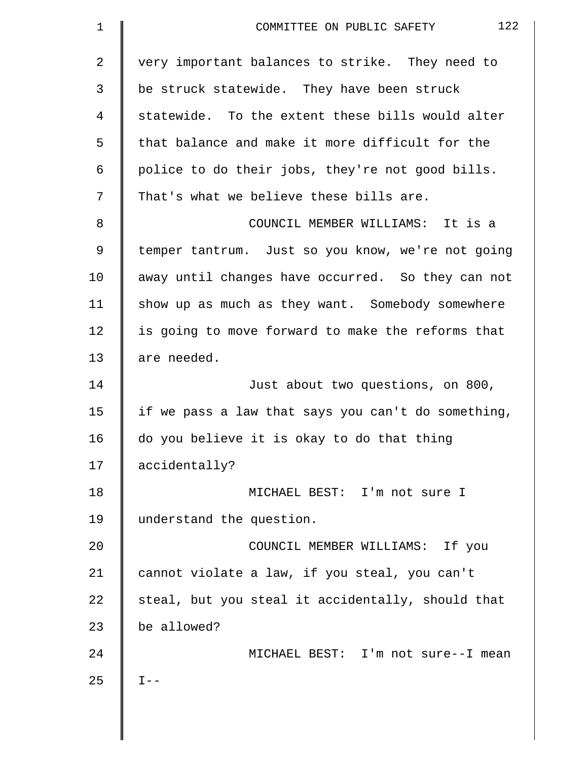| $\mathbf 1$    | 122<br>COMMITTEE ON PUBLIC SAFETY                  |
|----------------|----------------------------------------------------|
| $\overline{2}$ | very important balances to strike. They need to    |
| 3              | be struck statewide. They have been struck         |
| 4              | statewide. To the extent these bills would alter   |
| 5              | that balance and make it more difficult for the    |
| 6              | police to do their jobs, they're not good bills.   |
| 7              | That's what we believe these bills are.            |
| 8              | COUNCIL MEMBER WILLIAMS: It is a                   |
| 9              | temper tantrum. Just so you know, we're not going  |
| 10             | away until changes have occurred. So they can not  |
| 11             | show up as much as they want. Somebody somewhere   |
| 12             | is going to move forward to make the reforms that  |
| 13             | are needed.                                        |
| 14             | Just about two questions, on 800,                  |
| 15             | if we pass a law that says you can't do something, |
| 16             | do you believe it is okay to do that thing         |
| 17             | accidentally?                                      |
| 18             | MICHAEL BEST: I'm not sure I                       |
| 19             | understand the question.                           |
| 20             | COUNCIL MEMBER WILLIAMS: If you                    |
| 21             | cannot violate a law, if you steal, you can't      |
| 22             | steal, but you steal it accidentally, should that  |
| 23             | be allowed?                                        |
| 24             | MICHAEL BEST: I'm not sure--I mean                 |
| 25             | $I --$                                             |
|                |                                                    |

 $\parallel$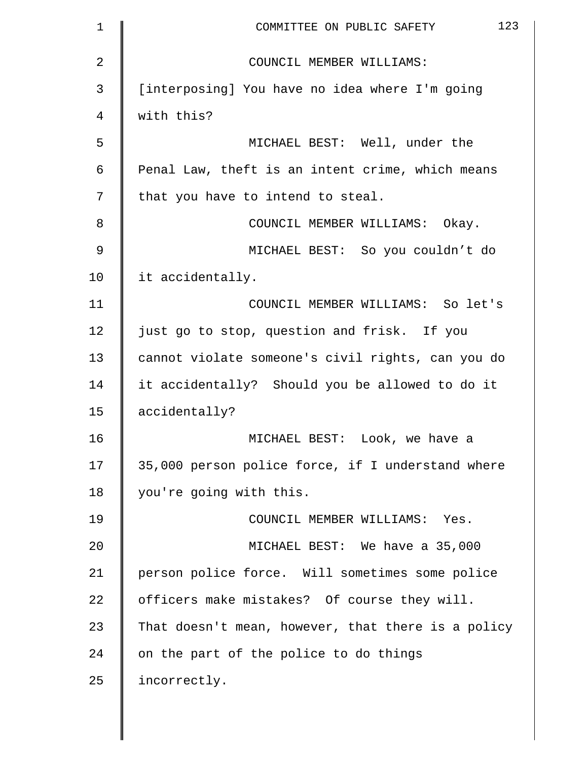| 1              | 123<br>COMMITTEE ON PUBLIC SAFETY                  |
|----------------|----------------------------------------------------|
| $\overline{a}$ | COUNCIL MEMBER WILLIAMS:                           |
| 3              | [interposing] You have no idea where I'm going     |
| 4              | with this?                                         |
| 5              | MICHAEL BEST: Well, under the                      |
| 6              | Penal Law, theft is an intent crime, which means   |
| 7              | that you have to intend to steal.                  |
| 8              | COUNCIL MEMBER WILLIAMS: Okay.                     |
| $\mathsf 9$    | MICHAEL BEST: So you couldn't do                   |
| 10             | it accidentally.                                   |
| 11             | COUNCIL MEMBER WILLIAMS: So let's                  |
| 12             | just go to stop, question and frisk. If you        |
| 13             | cannot violate someone's civil rights, can you do  |
| 14             | it accidentally? Should you be allowed to do it    |
| 15             | accidentally?                                      |
| 16             | MICHAEL BEST: Look, we have a                      |
| 17             | 35,000 person police force, if I understand where  |
| 18             | you're going with this.                            |
| 19             | COUNCIL MEMBER WILLIAMS: Yes.                      |
| 20             | MICHAEL BEST: We have a 35,000                     |
| 21             | person police force. Will sometimes some police    |
| 22             | officers make mistakes? Of course they will.       |
| 23             | That doesn't mean, however, that there is a policy |
| 24             | on the part of the police to do things             |
| 25             | incorrectly.                                       |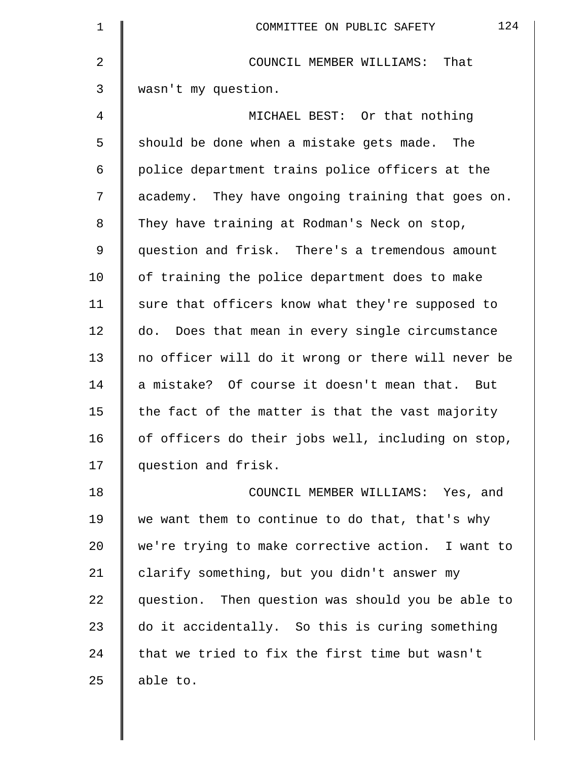| $\mathbf 1$    | 124<br>COMMITTEE ON PUBLIC SAFETY                  |
|----------------|----------------------------------------------------|
| $\overline{2}$ | That<br>COUNCIL MEMBER WILLIAMS:                   |
| 3              | wasn't my question.                                |
| 4              | MICHAEL BEST: Or that nothing                      |
| 5              | should be done when a mistake gets made.<br>The    |
| 6              | police department trains police officers at the    |
| 7              | academy. They have ongoing training that goes on.  |
| 8              | They have training at Rodman's Neck on stop,       |
| 9              | question and frisk. There's a tremendous amount    |
| 10             | of training the police department does to make     |
| 11             | sure that officers know what they're supposed to   |
| 12             | do. Does that mean in every single circumstance    |
| 13             | no officer will do it wrong or there will never be |
| 14             | a mistake? Of course it doesn't mean that. But     |
| 15             | the fact of the matter is that the vast majority   |
| 16             | of officers do their jobs well, including on stop, |
| 17             | question and frisk.                                |
| 18             | COUNCIL MEMBER WILLIAMS: Yes, and                  |
| 19             | we want them to continue to do that, that's why    |
| 20             | we're trying to make corrective action. I want to  |
| 21             | clarify something, but you didn't answer my        |
| 22             | question. Then question was should you be able to  |
| 23             | do it accidentally. So this is curing something    |
| 24             | that we tried to fix the first time but wasn't     |
| 25             | able to.                                           |
|                |                                                    |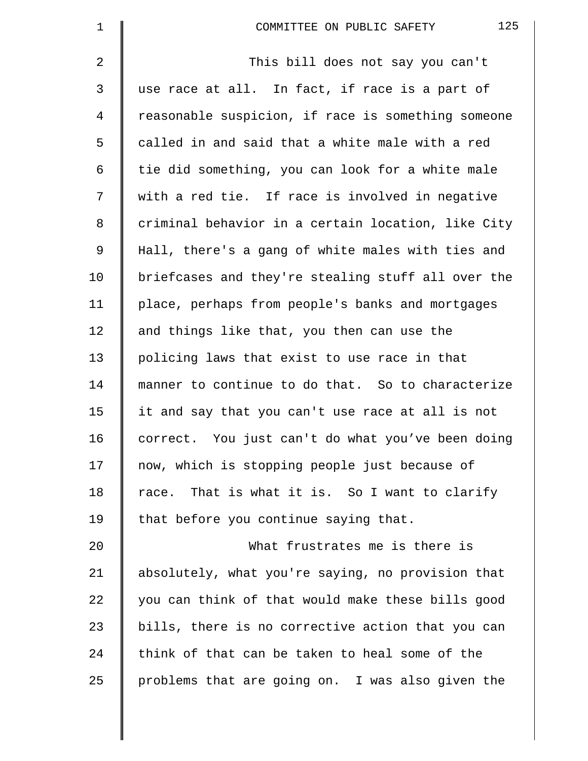| $\mathbf 1$ | 125<br>COMMITTEE ON PUBLIC SAFETY                  |
|-------------|----------------------------------------------------|
| 2           | This bill does not say you can't                   |
| 3           | use race at all. In fact, if race is a part of     |
| 4           | reasonable suspicion, if race is something someone |
| 5           | called in and said that a white male with a red    |
| 6           | tie did something, you can look for a white male   |
| 7           | with a red tie. If race is involved in negative    |
| 8           | criminal behavior in a certain location, like City |
| 9           | Hall, there's a gang of white males with ties and  |
| 10          | briefcases and they're stealing stuff all over the |
| 11          | place, perhaps from people's banks and mortgages   |
| 12          | and things like that, you then can use the         |
| 13          | policing laws that exist to use race in that       |
| 14          | manner to continue to do that. So to characterize  |
| 15          | it and say that you can't use race at all is not   |
| 16          | correct. You just can't do what you've been doing  |
| 17          | now, which is stopping people just because of      |
| 18          | race. That is what it is. So I want to clarify     |
| 19          | that before you continue saying that.              |
| 20          | What frustrates me is there is                     |
| 21          | absolutely, what you're saying, no provision that  |
| 22          | you can think of that would make these bills good  |
| 23          | bills, there is no corrective action that you can  |
| 24          | think of that can be taken to heal some of the     |
| 25          | problems that are going on. I was also given the   |
|             |                                                    |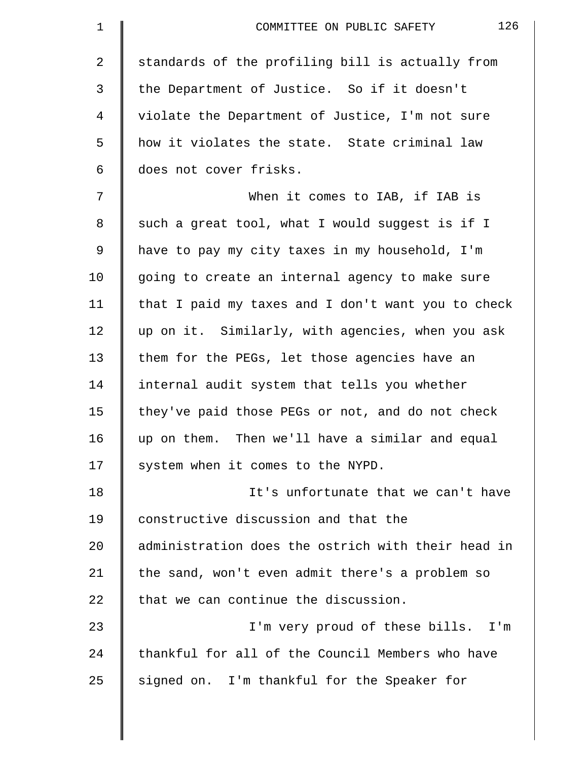| 1              | 126<br>COMMITTEE ON PUBLIC SAFETY                  |
|----------------|----------------------------------------------------|
| $\overline{2}$ | standards of the profiling bill is actually from   |
| 3              | the Department of Justice. So if it doesn't        |
| 4              | violate the Department of Justice, I'm not sure    |
| 5              | how it violates the state. State criminal law      |
| 6              | does not cover frisks.                             |
| 7              | When it comes to IAB, if IAB is                    |
| 8              | such a great tool, what I would suggest is if I    |
| 9              | have to pay my city taxes in my household, I'm     |
| 10             | going to create an internal agency to make sure    |
| 11             | that I paid my taxes and I don't want you to check |
| 12             | up on it. Similarly, with agencies, when you ask   |
| 13             | them for the PEGs, let those agencies have an      |
| 14             | internal audit system that tells you whether       |
| 15             | they've paid those PEGs or not, and do not check   |
| 16             | up on them. Then we'll have a similar and equal    |
| 17             | system when it comes to the NYPD.                  |
| 18             | It's unfortunate that we can't have                |
| 19             | constructive discussion and that the               |
| 20             | administration does the ostrich with their head in |
| 21             | the sand, won't even admit there's a problem so    |
| 22             | that we can continue the discussion.               |
| 23             | I'm very proud of these bills. I'm                 |
| 24             | thankful for all of the Council Members who have   |
| 25             | signed on. I'm thankful for the Speaker for        |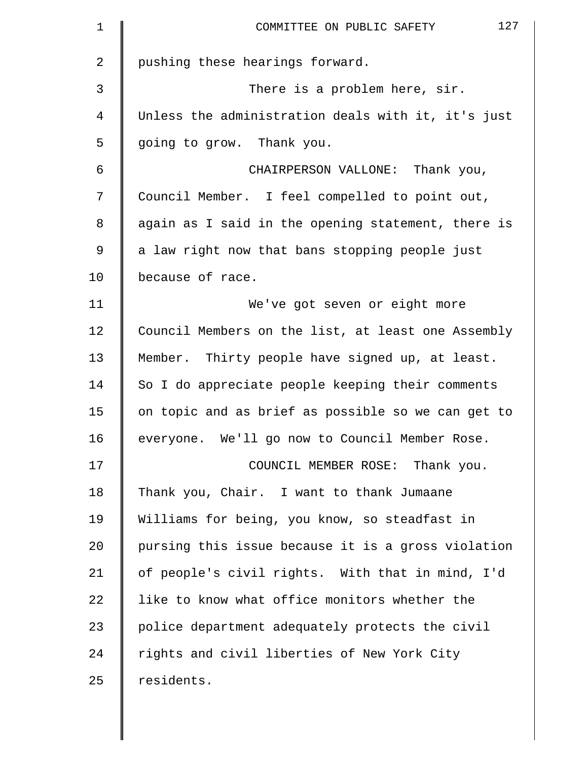| $\mathbf 1$    | 127<br>COMMITTEE ON PUBLIC SAFETY                  |
|----------------|----------------------------------------------------|
| $\overline{a}$ | pushing these hearings forward.                    |
| 3              | There is a problem here, sir.                      |
| 4              | Unless the administration deals with it, it's just |
| 5              | going to grow. Thank you.                          |
| 6              | CHAIRPERSON VALLONE: Thank you,                    |
| 7              | Council Member. I feel compelled to point out,     |
| 8              | again as I said in the opening statement, there is |
| 9              | a law right now that bans stopping people just     |
| 10             | because of race.                                   |
| 11             | We've got seven or eight more                      |
| 12             | Council Members on the list, at least one Assembly |
| 13             | Member. Thirty people have signed up, at least.    |
| 14             | So I do appreciate people keeping their comments   |
| 15             | on topic and as brief as possible so we can get to |
| 16             | everyone. We'll go now to Council Member Rose.     |
| 17             | COUNCIL MEMBER ROSE: Thank you.                    |
| 18             | Thank you, Chair. I want to thank Jumaane          |
| 19             | Williams for being, you know, so steadfast in      |
| 20             | pursing this issue because it is a gross violation |
| 21             | of people's civil rights. With that in mind, I'd   |
| 22             | like to know what office monitors whether the      |
| 23             | police department adequately protects the civil    |
| 24             | rights and civil liberties of New York City        |
| 25             | residents.                                         |
|                |                                                    |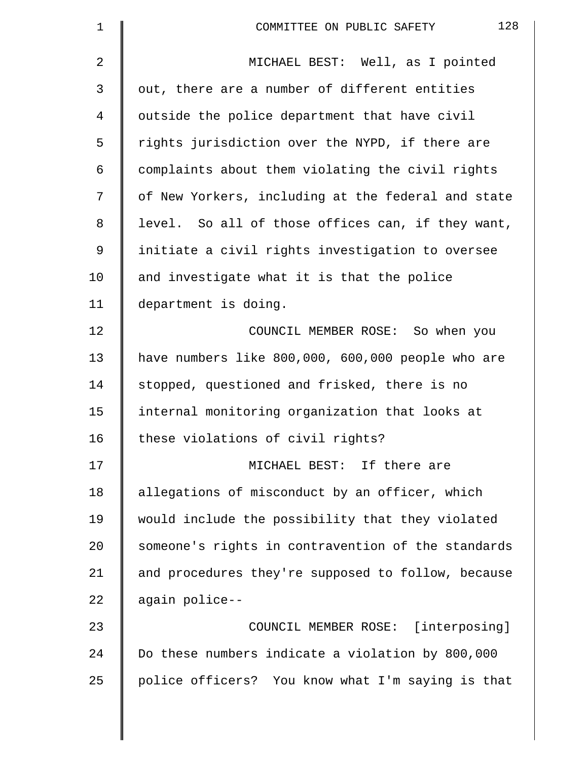| $\mathbf 1$ | 128<br>COMMITTEE ON PUBLIC SAFETY                  |
|-------------|----------------------------------------------------|
| 2           | MICHAEL BEST: Well, as I pointed                   |
| 3           | out, there are a number of different entities      |
| 4           | outside the police department that have civil      |
| 5           | rights jurisdiction over the NYPD, if there are    |
| 6           | complaints about them violating the civil rights   |
| 7           | of New Yorkers, including at the federal and state |
| 8           | level. So all of those offices can, if they want,  |
| 9           | initiate a civil rights investigation to oversee   |
| 10          | and investigate what it is that the police         |
| 11          | department is doing.                               |
| 12          | COUNCIL MEMBER ROSE: So when you                   |
| 13          | have numbers like 800,000, 600,000 people who are  |
| 14          | stopped, questioned and frisked, there is no       |
| 15          | internal monitoring organization that looks at     |
| 16          | these violations of civil rights?                  |
| 17          | MICHAEL BEST: If there are                         |
| 18          | allegations of misconduct by an officer, which     |
| 19          | would include the possibility that they violated   |
| 20          | someone's rights in contravention of the standards |
| 21          | and procedures they're supposed to follow, because |
| 22          | again police--                                     |
| 23          | COUNCIL MEMBER ROSE: [interposing]                 |
| 24          | Do these numbers indicate a violation by 800,000   |
| 25          | police officers? You know what I'm saying is that  |
|             |                                                    |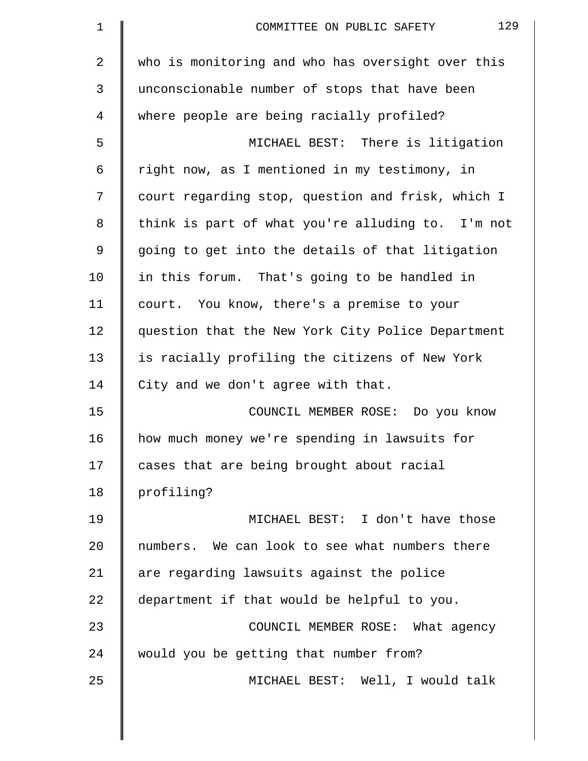| $\mathbf 1$    | 129<br>COMMITTEE ON PUBLIC SAFETY                 |
|----------------|---------------------------------------------------|
| $\overline{2}$ | who is monitoring and who has oversight over this |
| 3              | unconscionable number of stops that have been     |
| 4              | where people are being racially profiled?         |
| 5              | MICHAEL BEST: There is litigation                 |
| 6              | right now, as I mentioned in my testimony, in     |
| 7              | court regarding stop, question and frisk, which I |
| 8              | think is part of what you're alluding to. I'm not |
| $\mathsf 9$    | going to get into the details of that litigation  |
| 10             | in this forum. That's going to be handled in      |
| 11             | court. You know, there's a premise to your        |
| 12             | question that the New York City Police Department |
| 13             | is racially profiling the citizens of New York    |
| 14             | City and we don't agree with that.                |
| 15             | COUNCIL MEMBER ROSE: Do you know                  |
| 16             | how much money we're spending in lawsuits for     |
| 17             | cases that are being brought about racial         |
| 18             | profiling?                                        |
| 19             | MICHAEL BEST: I don't have those                  |
| 20             | numbers. We can look to see what numbers there    |
| 21             | are regarding lawsuits against the police         |
| 22             | department if that would be helpful to you.       |
| 23             | COUNCIL MEMBER ROSE: What agency                  |
| 24             | would you be getting that number from?            |
| 25             | MICHAEL BEST: Well, I would talk                  |
|                |                                                   |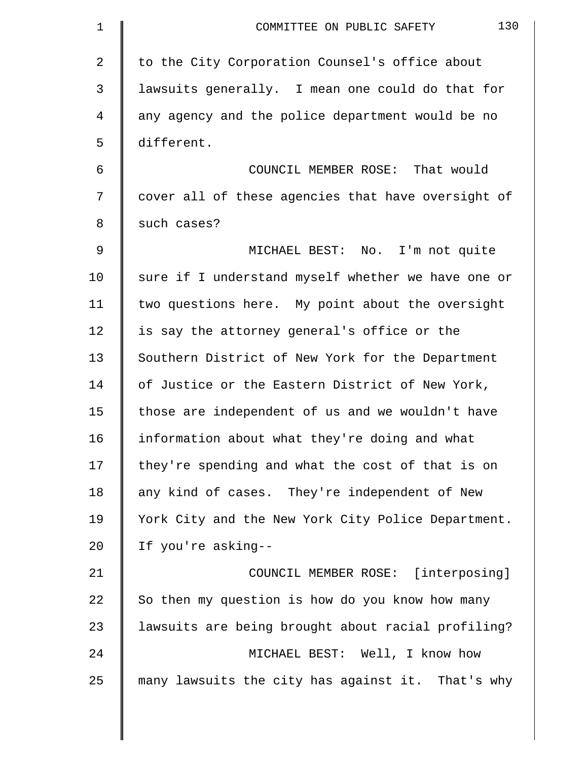| $\mathbf 1$    | 130<br>COMMITTEE ON PUBLIC SAFETY                  |
|----------------|----------------------------------------------------|
| $\overline{2}$ | to the City Corporation Counsel's office about     |
| 3              | lawsuits generally. I mean one could do that for   |
| 4              | any agency and the police department would be no   |
| 5              | different.                                         |
| 6              | COUNCIL MEMBER ROSE: That would                    |
| 7              | cover all of these agencies that have oversight of |
| 8              | such cases?                                        |
| 9              | MICHAEL BEST: No. I'm not quite                    |
| 10             | sure if I understand myself whether we have one or |
| 11             | two questions here. My point about the oversight   |
| 12             | is say the attorney general's office or the        |
| 13             | Southern District of New York for the Department   |
| 14             | of Justice or the Eastern District of New York,    |
| 15             | those are independent of us and we wouldn't have   |
| 16             | information about what they're doing and what      |
| 17             | they're spending and what the cost of that is on   |
| 18             | any kind of cases. They're independent of New      |
| 19             | York City and the New York City Police Department. |
| 20             | If you're asking--                                 |
| 21             | COUNCIL MEMBER ROSE: [interposing]                 |
| 22             | So then my question is how do you know how many    |
| 23             | lawsuits are being brought about racial profiling? |
| 24             | MICHAEL BEST: Well, I know how                     |
| 25             | many lawsuits the city has against it. That's why  |
|                |                                                    |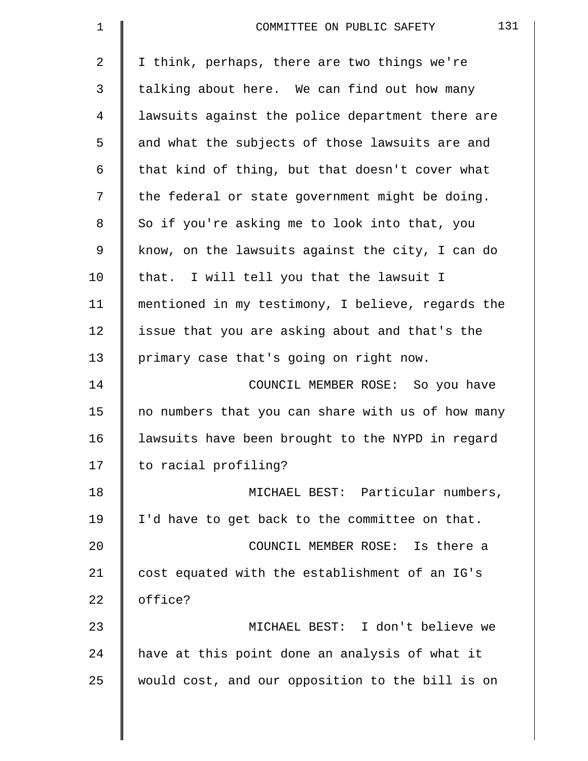| 1              | 131<br>COMMITTEE ON PUBLIC SAFETY                 |
|----------------|---------------------------------------------------|
| $\overline{2}$ | I think, perhaps, there are two things we're      |
| 3              | talking about here. We can find out how many      |
| 4              | lawsuits against the police department there are  |
| 5              | and what the subjects of those lawsuits are and   |
| 6              | that kind of thing, but that doesn't cover what   |
| 7              | the federal or state government might be doing.   |
| 8              | So if you're asking me to look into that, you     |
| 9              | know, on the lawsuits against the city, I can do  |
| 10             | that. I will tell you that the lawsuit I          |
| 11             | mentioned in my testimony, I believe, regards the |
| 12             | issue that you are asking about and that's the    |
| 13             | primary case that's going on right now.           |
| 14             | COUNCIL MEMBER ROSE: So you have                  |
| 15             | no numbers that you can share with us of how many |
| 16             | lawsuits have been brought to the NYPD in regard  |
| 17             | to racial profiling?                              |
| 18             | MICHAEL BEST: Particular numbers,                 |
| 19             | I'd have to get back to the committee on that.    |
| 20             | COUNCIL MEMBER ROSE: Is there a                   |
| 21             | cost equated with the establishment of an IG's    |
| 22             | office?                                           |
| 23             | MICHAEL BEST: I don't believe we                  |
| 24             | have at this point done an analysis of what it    |
| 25             | would cost, and our opposition to the bill is on  |
|                |                                                   |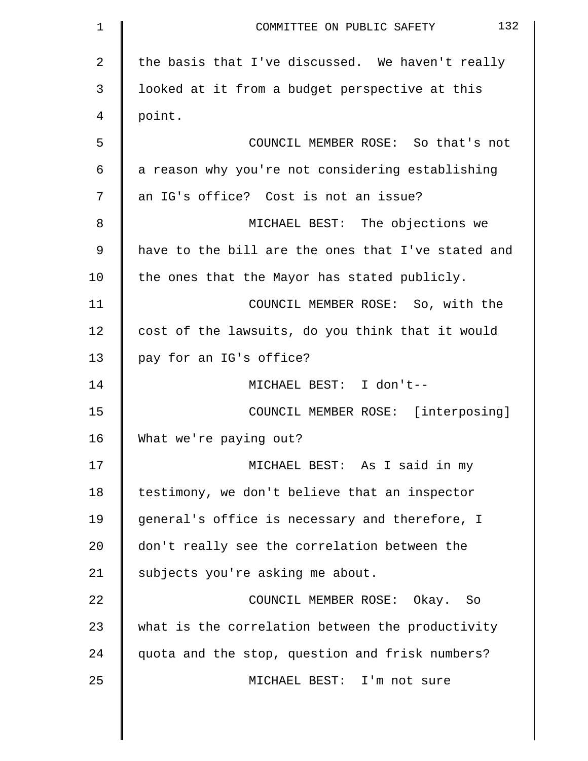| $\mathbf 1$    | 132<br>COMMITTEE ON PUBLIC SAFETY                  |
|----------------|----------------------------------------------------|
| $\overline{2}$ | the basis that I've discussed. We haven't really   |
| 3              | looked at it from a budget perspective at this     |
| 4              | point.                                             |
| 5              | COUNCIL MEMBER ROSE: So that's not                 |
| 6              | a reason why you're not considering establishing   |
| 7              | an IG's office? Cost is not an issue?              |
| 8              | MICHAEL BEST: The objections we                    |
| 9              | have to the bill are the ones that I've stated and |
| 10             | the ones that the Mayor has stated publicly.       |
| 11             | COUNCIL MEMBER ROSE: So, with the                  |
| 12             | cost of the lawsuits, do you think that it would   |
| 13             | pay for an IG's office?                            |
| 14             | MICHAEL BEST: I don't--                            |
| 15             | COUNCIL MEMBER ROSE: [interposing]                 |
| 16             | What we're paying out?                             |
| 17             | MICHAEL BEST: As I said in my                      |
| 18             | testimony, we don't believe that an inspector      |
| 19             | general's office is necessary and therefore, I     |
| 20             | don't really see the correlation between the       |
| 21             | subjects you're asking me about.                   |
| 22             | COUNCIL MEMBER ROSE: Okay. So                      |
| 23             | what is the correlation between the productivity   |
| 24             | quota and the stop, question and frisk numbers?    |
| 25             | MICHAEL BEST: I'm not sure                         |

║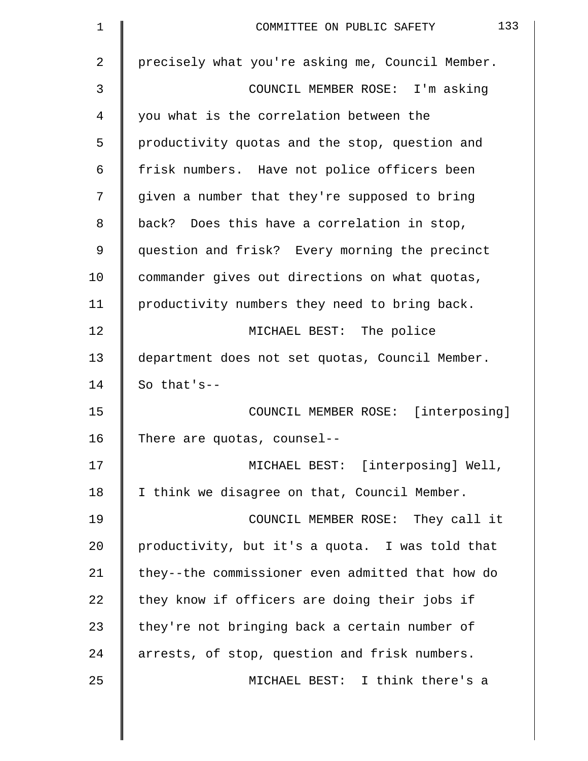| 1  | 133<br>COMMITTEE ON PUBLIC SAFETY                |
|----|--------------------------------------------------|
| 2  | precisely what you're asking me, Council Member. |
| 3  | COUNCIL MEMBER ROSE: I'm asking                  |
| 4  | you what is the correlation between the          |
| 5  | productivity quotas and the stop, question and   |
| 6  | frisk numbers. Have not police officers been     |
| 7  | given a number that they're supposed to bring    |
| 8  | back? Does this have a correlation in stop,      |
| 9  | question and frisk? Every morning the precinct   |
| 10 | commander gives out directions on what quotas,   |
| 11 | productivity numbers they need to bring back.    |
| 12 | MICHAEL BEST: The police                         |
| 13 | department does not set quotas, Council Member.  |
| 14 | So that's--                                      |
| 15 | COUNCIL MEMBER ROSE: [interposing]               |
| 16 | There are quotas, counsel--                      |
| 17 | MICHAEL BEST: [interposing] Well,                |
| 18 | I think we disagree on that, Council Member.     |
| 19 | COUNCIL MEMBER ROSE: They call it                |
| 20 | productivity, but it's a quota. I was told that  |
| 21 | they--the commissioner even admitted that how do |
| 22 | they know if officers are doing their jobs if    |
| 23 | they're not bringing back a certain number of    |
| 24 | arrests, of stop, question and frisk numbers.    |
| 25 | MICHAEL BEST: I think there's a                  |
|    |                                                  |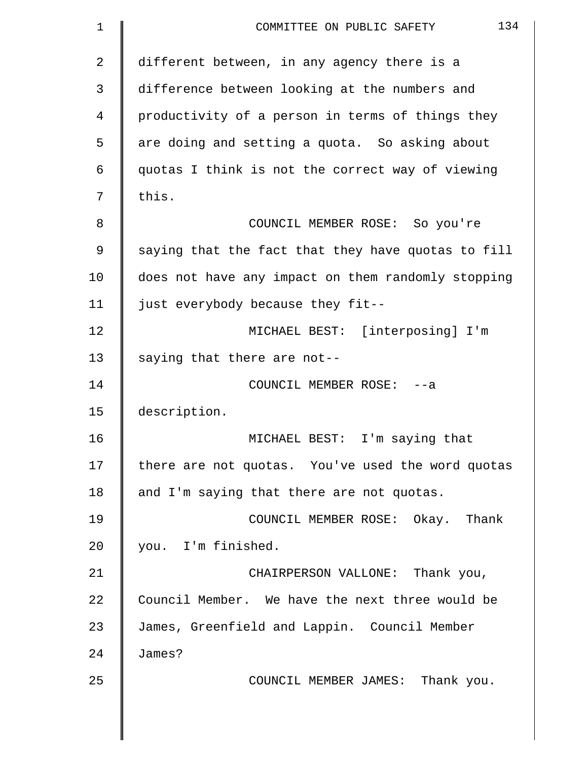| 1  | 134<br>COMMITTEE ON PUBLIC SAFETY                  |
|----|----------------------------------------------------|
| 2  | different between, in any agency there is a        |
| 3  | difference between looking at the numbers and      |
| 4  | productivity of a person in terms of things they   |
| 5  | are doing and setting a quota. So asking about     |
| 6  | quotas I think is not the correct way of viewing   |
| 7  | this.                                              |
| 8  | COUNCIL MEMBER ROSE: So you're                     |
| 9  | saying that the fact that they have quotas to fill |
| 10 | does not have any impact on them randomly stopping |
| 11 | just everybody because they fit--                  |
| 12 | MICHAEL BEST: [interposing] I'm                    |
| 13 | saying that there are not--                        |
| 14 | COUNCIL MEMBER ROSE: -- a                          |
| 15 | description.                                       |
| 16 | MICHAEL BEST: I'm saying that                      |
| 17 | there are not quotas. You've used the word quotas  |
| 18 | and I'm saying that there are not quotas.          |
| 19 | COUNCIL MEMBER ROSE: Okay. Thank                   |
| 20 | you. I'm finished.                                 |
| 21 | CHAIRPERSON VALLONE: Thank you,                    |
| 22 | Council Member. We have the next three would be    |
| 23 | James, Greenfield and Lappin. Council Member       |
| 24 | James?                                             |
| 25 | COUNCIL MEMBER JAMES: Thank you.                   |
|    |                                                    |
|    |                                                    |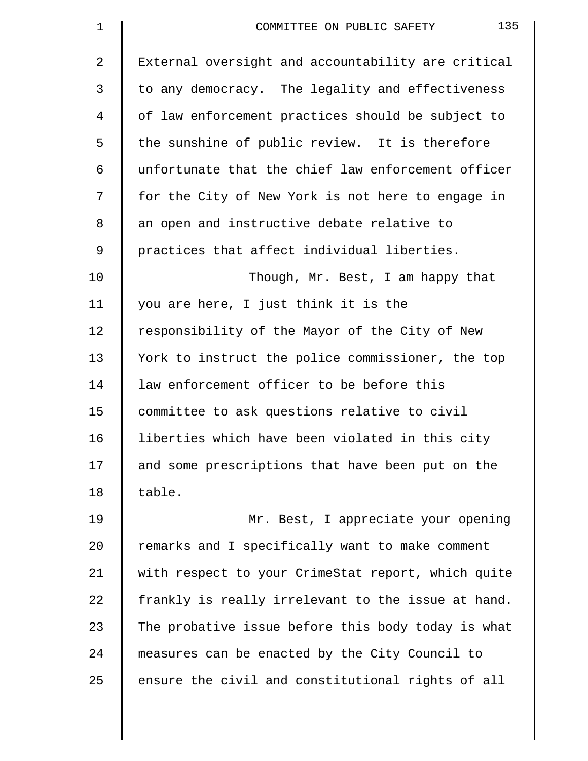| $\mathbf 1$ | 135<br>COMMITTEE ON PUBLIC SAFETY                  |
|-------------|----------------------------------------------------|
| 2           | External oversight and accountability are critical |
| 3           | to any democracy. The legality and effectiveness   |
| 4           | of law enforcement practices should be subject to  |
| 5           | the sunshine of public review. It is therefore     |
| 6           | unfortunate that the chief law enforcement officer |
| 7           | for the City of New York is not here to engage in  |
| 8           | an open and instructive debate relative to         |
| 9           | practices that affect individual liberties.        |
| 10          | Though, Mr. Best, I am happy that                  |
| 11          | you are here, I just think it is the               |
| 12          | responsibility of the Mayor of the City of New     |
| 13          | York to instruct the police commissioner, the top  |
| 14          | law enforcement officer to be before this          |
| 15          | committee to ask questions relative to civil       |
| 16          | liberties which have been violated in this city    |
| 17          | and some prescriptions that have been put on the   |
| 18          | table.                                             |
| 19          | Mr. Best, I appreciate your opening                |
| 20          | remarks and I specifically want to make comment    |
| 21          | with respect to your CrimeStat report, which quite |
| 22          | frankly is really irrelevant to the issue at hand. |
| 23          | The probative issue before this body today is what |
| 24          | measures can be enacted by the City Council to     |
| 25          | ensure the civil and constitutional rights of all  |
|             |                                                    |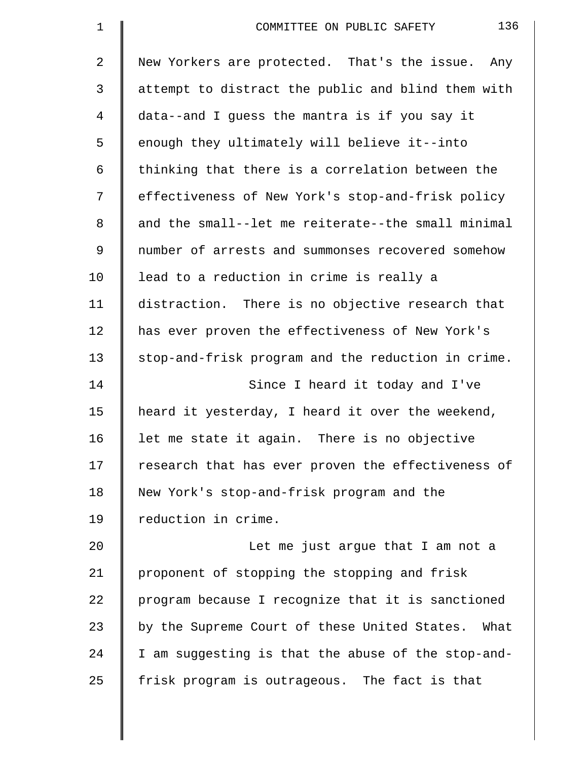| $\mathbf 1$ | 136<br>COMMITTEE ON PUBLIC SAFETY                  |
|-------------|----------------------------------------------------|
| 2           | New Yorkers are protected. That's the issue. Any   |
| 3           | attempt to distract the public and blind them with |
| 4           | data--and I guess the mantra is if you say it      |
| 5           | enough they ultimately will believe it--into       |
| 6           | thinking that there is a correlation between the   |
| 7           | effectiveness of New York's stop-and-frisk policy  |
| 8           | and the small--let me reiterate--the small minimal |
| 9           | number of arrests and summonses recovered somehow  |
| 10          | lead to a reduction in crime is really a           |
| 11          | distraction. There is no objective research that   |
| 12          | has ever proven the effectiveness of New York's    |
| 13          | stop-and-frisk program and the reduction in crime. |
| 14          | Since I heard it today and I've                    |
| 15          | heard it yesterday, I heard it over the weekend,   |
| 16          | let me state it again. There is no objective       |
| 17          | research that has ever proven the effectiveness of |
| 18          | New York's stop-and-frisk program and the          |
| 19          | reduction in crime.                                |
| 20          | Let me just argue that I am not a                  |
| 21          | proponent of stopping the stopping and frisk       |
| 22          | program because I recognize that it is sanctioned  |
| 23          | by the Supreme Court of these United States. What  |
| 24          | I am suggesting is that the abuse of the stop-and- |
| 25          | frisk program is outrageous. The fact is that      |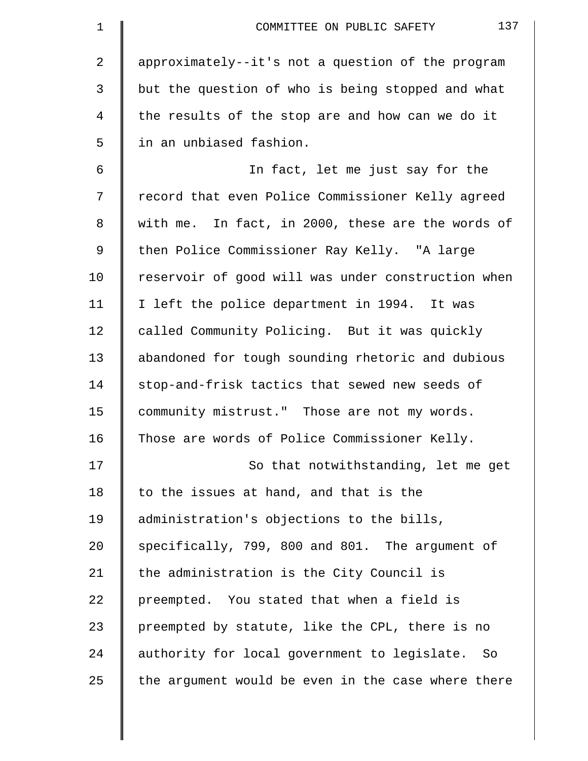| $\mathbf 1$ | 137<br>COMMITTEE ON PUBLIC SAFETY                  |
|-------------|----------------------------------------------------|
| 2           | approximately--it's not a question of the program  |
| 3           | but the question of who is being stopped and what  |
| 4           | the results of the stop are and how can we do it   |
| 5           | in an unbiased fashion.                            |
| 6           | In fact, let me just say for the                   |
| 7           | record that even Police Commissioner Kelly agreed  |
| 8           | with me. In fact, in 2000, these are the words of  |
| 9           | then Police Commissioner Ray Kelly. "A large       |
| 10          | reservoir of good will was under construction when |
| 11          | I left the police department in 1994. It was       |
| 12          | called Community Policing. But it was quickly      |
| 13          | abandoned for tough sounding rhetoric and dubious  |
| 14          | stop-and-frisk tactics that sewed new seeds of     |
| 15          | community mistrust." Those are not my words.       |
| 16          | Those are words of Police Commissioner Kelly.      |
| 17          | So that notwithstanding, let me get                |
| 18          | to the issues at hand, and that is the             |
| 19          | administration's objections to the bills,          |
| 20          | specifically, 799, 800 and 801. The argument of    |
| 21          | the administration is the City Council is          |
| 22          | preempted. You stated that when a field is         |
| 23          | preempted by statute, like the CPL, there is no    |
| 24          | authority for local government to legislate. So    |
| 25          | the argument would be even in the case where there |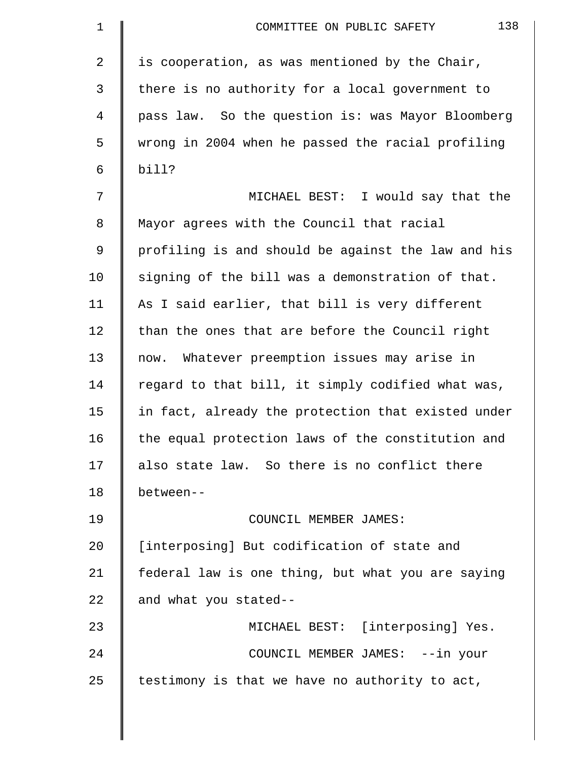| $\mathbf 1$ | 138<br>COMMITTEE ON PUBLIC SAFETY                  |
|-------------|----------------------------------------------------|
| 2           | is cooperation, as was mentioned by the Chair,     |
| 3           | there is no authority for a local government to    |
| 4           | pass law. So the question is: was Mayor Bloomberg  |
| 5           | wrong in 2004 when he passed the racial profiling  |
| 6           | bill?                                              |
| 7           | MICHAEL BEST: I would say that the                 |
| 8           | Mayor agrees with the Council that racial          |
| 9           | profiling is and should be against the law and his |
| 10          | signing of the bill was a demonstration of that.   |
| 11          | As I said earlier, that bill is very different     |
| 12          | than the ones that are before the Council right    |
| 13          | now. Whatever preemption issues may arise in       |
| 14          | regard to that bill, it simply codified what was,  |
| 15          | in fact, already the protection that existed under |
| 16          | the equal protection laws of the constitution and  |
| 17          | also state law. So there is no conflict there      |
| 18          | between--                                          |
| 19          | COUNCIL MEMBER JAMES:                              |
| 20          | [interposing] But codification of state and        |
| 21          | federal law is one thing, but what you are saying  |
| 22          | and what you stated--                              |
| 23          | MICHAEL BEST: [interposing] Yes.                   |
| 24          | COUNCIL MEMBER JAMES: --in your                    |
| 25          | testimony is that we have no authority to act,     |
|             |                                                    |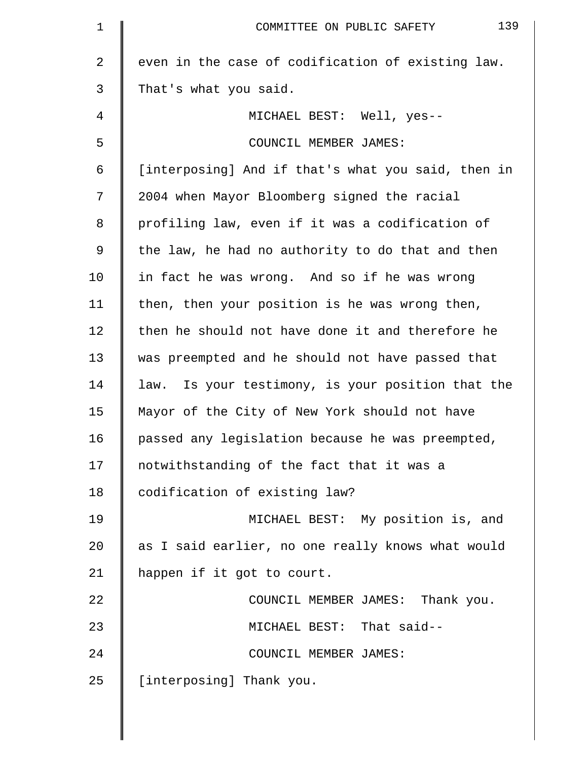| 139<br>COMMITTEE ON PUBLIC SAFETY                  |
|----------------------------------------------------|
| even in the case of codification of existing law.  |
| That's what you said.                              |
| MICHAEL BEST: Well, yes--                          |
| COUNCIL MEMBER JAMES:                              |
| [interposing] And if that's what you said, then in |
| 2004 when Mayor Bloomberg signed the racial        |
| profiling law, even if it was a codification of    |
| the law, he had no authority to do that and then   |
| in fact he was wrong. And so if he was wrong       |
| then, then your position is he was wrong then,     |
| then he should not have done it and therefore he   |
| was preempted and he should not have passed that   |
| law. Is your testimony, is your position that the  |
| Mayor of the City of New York should not have      |
| passed any legislation because he was preempted,   |
| notwithstanding of the fact that it was a          |
| codification of existing law?                      |
| MICHAEL BEST: My position is, and                  |
| as I said earlier, no one really knows what would  |
| happen if it got to court.                         |
| COUNCIL MEMBER JAMES: Thank you.                   |
| MICHAEL BEST: That said--                          |
| COUNCIL MEMBER JAMES:                              |
| [interposing] Thank you.                           |
|                                                    |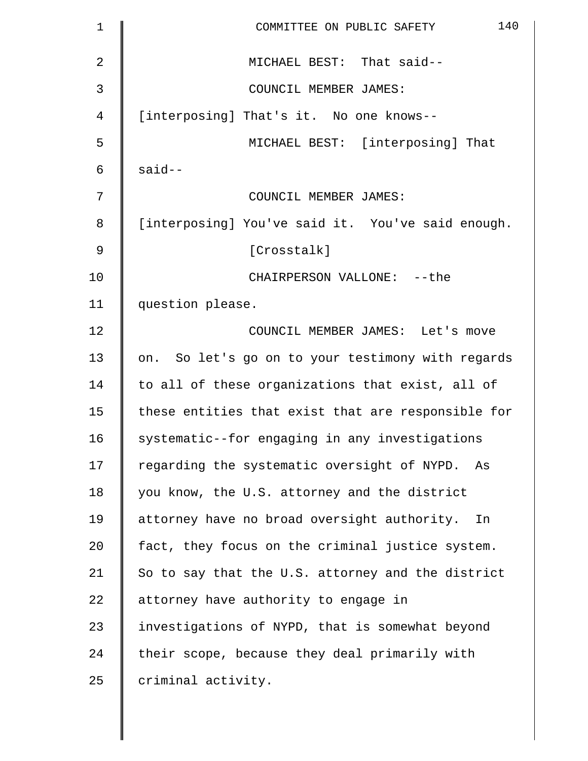| $\mathbf 1$    | 140<br>COMMITTEE ON PUBLIC SAFETY                  |
|----------------|----------------------------------------------------|
| $\overline{2}$ | MICHAEL BEST: That said--                          |
| 3              | COUNCIL MEMBER JAMES:                              |
| 4              | [interposing] That's it. No one knows--            |
| 5              | MICHAEL BEST: [interposing] That                   |
| 6              | $said--$                                           |
| 7              | COUNCIL MEMBER JAMES:                              |
| 8              | [interposing] You've said it. You've said enough.  |
| 9              | [Crosstalk]                                        |
| 10             | CHAIRPERSON VALLONE: -- the                        |
| 11             | question please.                                   |
| 12             | COUNCIL MEMBER JAMES: Let's move                   |
| 13             | on. So let's go on to your testimony with regards  |
| 14             | to all of these organizations that exist, all of   |
| 15             | these entities that exist that are responsible for |
| 16             | systematic--for engaging in any investigations     |
| 17             | regarding the systematic oversight of NYPD.<br>As  |
| 18             | you know, the U.S. attorney and the district       |
| 19             | attorney have no broad oversight authority.<br>In  |
| 20             | fact, they focus on the criminal justice system.   |
| 21             | So to say that the U.S. attorney and the district  |
| 22             | attorney have authority to engage in               |
| 23             | investigations of NYPD, that is somewhat beyond    |
| 24             | their scope, because they deal primarily with      |
| 25             | criminal activity.                                 |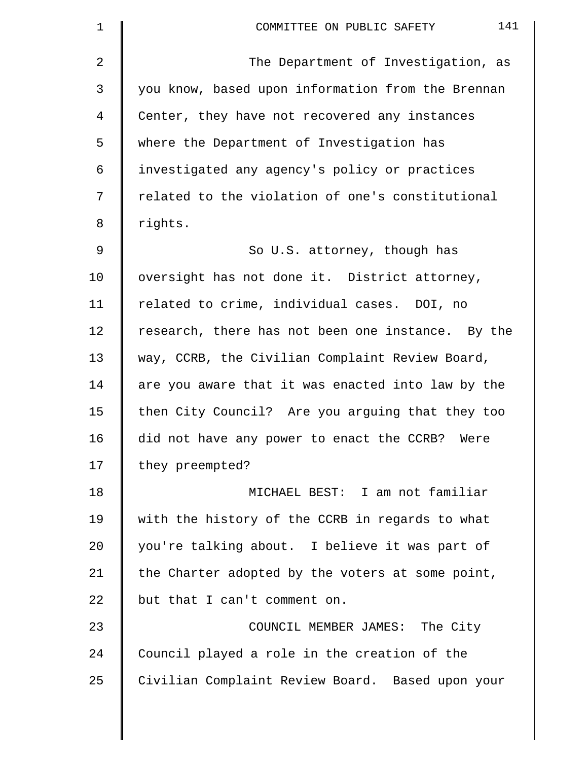| $\mathbf 1$ | 141<br>COMMITTEE ON PUBLIC SAFETY                 |
|-------------|---------------------------------------------------|
| 2           | The Department of Investigation, as               |
| 3           | you know, based upon information from the Brennan |
| 4           | Center, they have not recovered any instances     |
| 5           | where the Department of Investigation has         |
| 6           | investigated any agency's policy or practices     |
| 7           | related to the violation of one's constitutional  |
| 8           | rights.                                           |
| 9           | So U.S. attorney, though has                      |
| 10          | oversight has not done it. District attorney,     |
| 11          | related to crime, individual cases. DOI, no       |
| 12          | research, there has not been one instance. By the |
| 13          | way, CCRB, the Civilian Complaint Review Board,   |
| 14          | are you aware that it was enacted into law by the |
| 15          | then City Council? Are you arguing that they too  |
| 16          | did not have any power to enact the CCRB?<br>Were |
| 17          | they preempted?                                   |
| 18          | MICHAEL BEST: I am not familiar                   |
| 19          | with the history of the CCRB in regards to what   |
| 20          | you're talking about. I believe it was part of    |
| 21          | the Charter adopted by the voters at some point,  |
| 22          | but that I can't comment on.                      |
| 23          | COUNCIL MEMBER JAMES: The City                    |
| 24          | Council played a role in the creation of the      |
| 25          | Civilian Complaint Review Board. Based upon your  |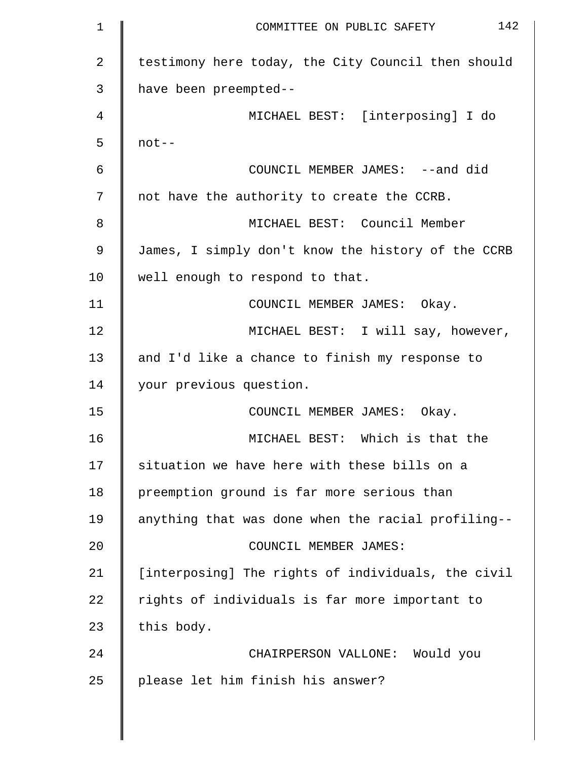| 1  | 142<br>COMMITTEE ON PUBLIC SAFETY                  |
|----|----------------------------------------------------|
| 2  | testimony here today, the City Council then should |
| 3  | have been preempted--                              |
| 4  | MICHAEL BEST: [interposing] I do                   |
| 5  | $not--$                                            |
| 6  | COUNCIL MEMBER JAMES: --and did                    |
| 7  | not have the authority to create the CCRB.         |
| 8  | MICHAEL BEST: Council Member                       |
| 9  | James, I simply don't know the history of the CCRB |
| 10 | well enough to respond to that.                    |
| 11 | COUNCIL MEMBER JAMES: Okay.                        |
| 12 | MICHAEL BEST: I will say, however,                 |
| 13 | and I'd like a chance to finish my response to     |
| 14 | your previous question.                            |
| 15 | COUNCIL MEMBER JAMES: Okay.                        |
| 16 | MICHAEL BEST: Which is that the                    |
| 17 | situation we have here with these bills on a       |
| 18 | preemption ground is far more serious than         |
| 19 | anything that was done when the racial profiling-- |
| 20 | COUNCIL MEMBER JAMES:                              |
| 21 | [interposing] The rights of individuals, the civil |
| 22 | rights of individuals is far more important to     |
| 23 | this body.                                         |
| 24 | CHAIRPERSON VALLONE: Would you                     |
| 25 | please let him finish his answer?                  |
|    |                                                    |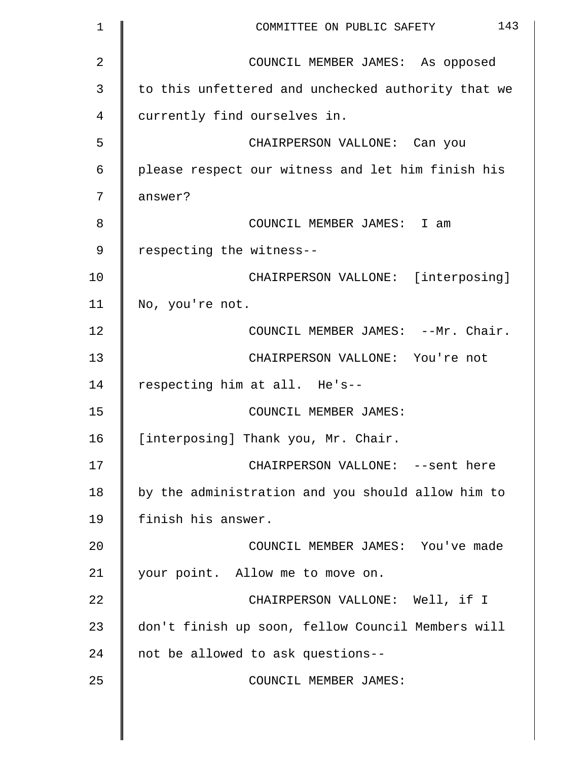| 1  | 143<br>COMMITTEE ON PUBLIC SAFETY                  |
|----|----------------------------------------------------|
| 2  | COUNCIL MEMBER JAMES: As opposed                   |
| 3  | to this unfettered and unchecked authority that we |
| 4  | currently find ourselves in.                       |
| 5  | CHAIRPERSON VALLONE: Can you                       |
| 6  | please respect our witness and let him finish his  |
| 7  | answer?                                            |
| 8  | COUNCIL MEMBER JAMES: I am                         |
| 9  | respecting the witness--                           |
| 10 | CHAIRPERSON VALLONE: [interposing]                 |
| 11 | No, you're not.                                    |
| 12 | COUNCIL MEMBER JAMES: --Mr. Chair.                 |
| 13 | CHAIRPERSON VALLONE: You're not                    |
| 14 | respecting him at all. He's--                      |
| 15 | COUNCIL MEMBER JAMES:                              |
| 16 | [interposing] Thank you, Mr. Chair.                |
| 17 | CHAIRPERSON VALLONE: --sent here                   |
| 18 | by the administration and you should allow him to  |
| 19 | finish his answer.                                 |
| 20 | COUNCIL MEMBER JAMES: You've made                  |
| 21 | your point. Allow me to move on.                   |
| 22 | CHAIRPERSON VALLONE: Well, if I                    |
| 23 | don't finish up soon, fellow Council Members will  |
| 24 | not be allowed to ask questions--                  |
| 25 | COUNCIL MEMBER JAMES:                              |
|    |                                                    |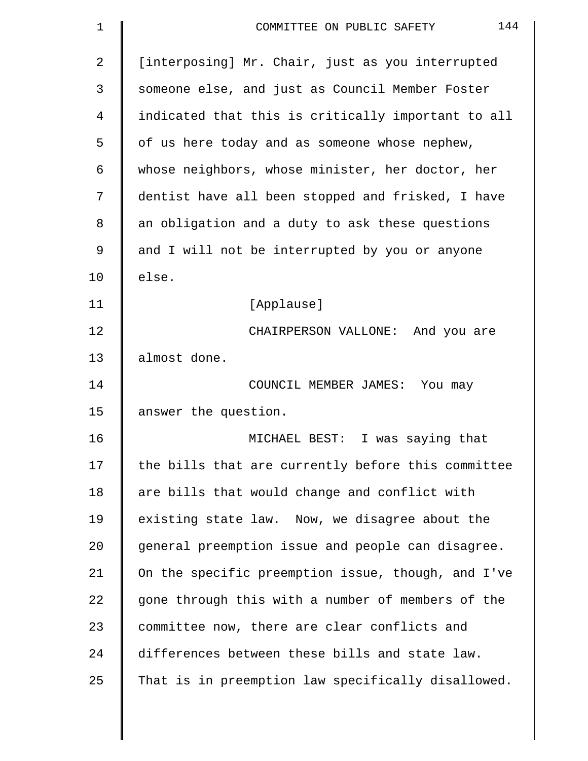| 1  | 144<br>COMMITTEE ON PUBLIC SAFETY                  |
|----|----------------------------------------------------|
| 2  | [interposing] Mr. Chair, just as you interrupted   |
| 3  | someone else, and just as Council Member Foster    |
| 4  | indicated that this is critically important to all |
| 5  | of us here today and as someone whose nephew,      |
| 6  | whose neighbors, whose minister, her doctor, her   |
| 7  | dentist have all been stopped and frisked, I have  |
| 8  | an obligation and a duty to ask these questions    |
| 9  | and I will not be interrupted by you or anyone     |
| 10 | else.                                              |
| 11 | [Applause]                                         |
| 12 | CHAIRPERSON VALLONE: And you are                   |
| 13 | almost done.                                       |
| 14 | COUNCIL MEMBER JAMES: You may                      |
| 15 | answer the question.                               |
| 16 | MICHAEL BEST: I was saying that                    |
| 17 | the bills that are currently before this committee |
| 18 | are bills that would change and conflict with      |
| 19 | existing state law. Now, we disagree about the     |
| 20 | general preemption issue and people can disagree.  |
| 21 | On the specific preemption issue, though, and I've |
| 22 | gone through this with a number of members of the  |
| 23 | committee now, there are clear conflicts and       |
| 24 | differences between these bills and state law.     |
| 25 | That is in preemption law specifically disallowed. |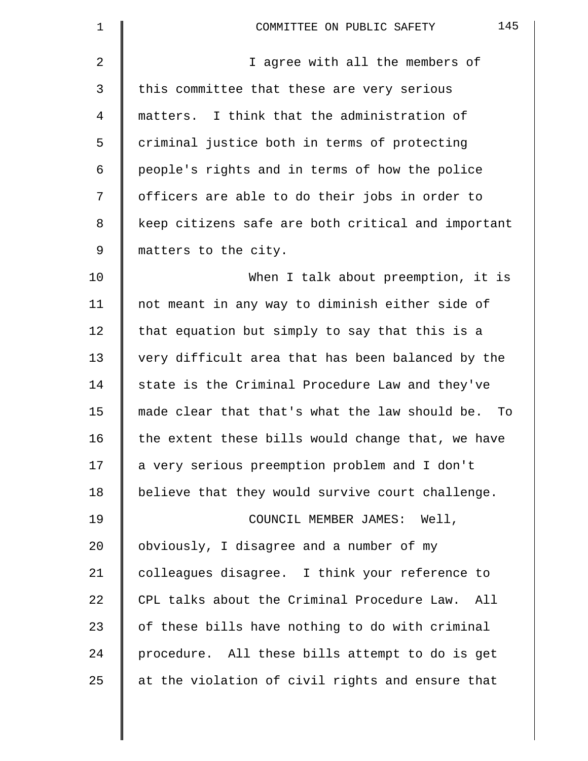| 1  | 145<br>COMMITTEE ON PUBLIC SAFETY                  |
|----|----------------------------------------------------|
| 2  | I agree with all the members of                    |
| 3  | this committee that these are very serious         |
| 4  | matters. I think that the administration of        |
| 5  | criminal justice both in terms of protecting       |
| 6  | people's rights and in terms of how the police     |
| 7  | officers are able to do their jobs in order to     |
| 8  | keep citizens safe are both critical and important |
| 9  | matters to the city.                               |
| 10 | When I talk about preemption, it is                |
| 11 | not meant in any way to diminish either side of    |
| 12 | that equation but simply to say that this is a     |
| 13 | very difficult area that has been balanced by the  |
| 14 | state is the Criminal Procedure Law and they've    |
| 15 | made clear that that's what the law should be. To  |
| 16 | the extent these bills would change that, we have  |
| 17 | a very serious preemption problem and I don't      |
| 18 | believe that they would survive court challenge.   |
| 19 | COUNCIL MEMBER JAMES: Well,                        |
| 20 | obviously, I disagree and a number of my           |
| 21 | colleagues disagree. I think your reference to     |
| 22 | CPL talks about the Criminal Procedure Law. All    |
| 23 | of these bills have nothing to do with criminal    |
| 24 | procedure. All these bills attempt to do is get    |
| 25 | at the violation of civil rights and ensure that   |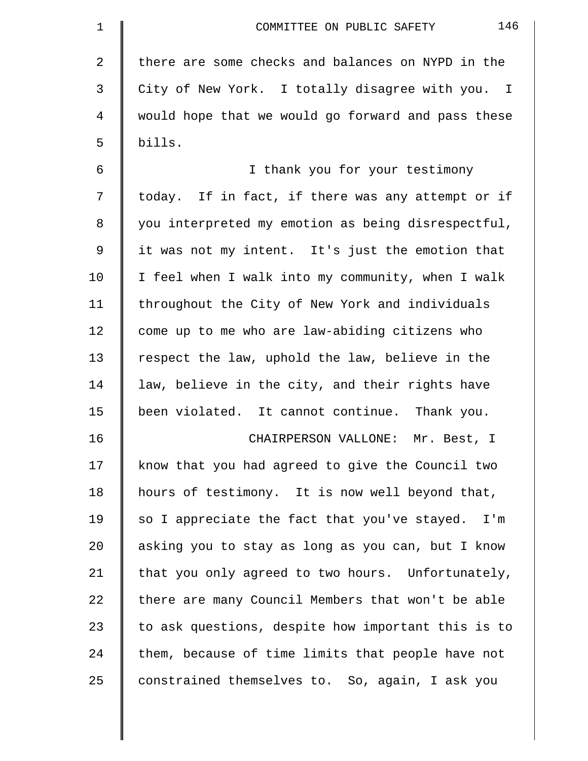| $\mathbf 1$ | 146<br>COMMITTEE ON PUBLIC SAFETY                  |
|-------------|----------------------------------------------------|
| 2           | there are some checks and balances on NYPD in the  |
| 3           | City of New York. I totally disagree with you. I   |
| 4           | would hope that we would go forward and pass these |
| 5           | bills.                                             |
| 6           | I thank you for your testimony                     |
| 7           | today. If in fact, if there was any attempt or if  |
| 8           | you interpreted my emotion as being disrespectful, |
| 9           | it was not my intent. It's just the emotion that   |
| 10          | I feel when I walk into my community, when I walk  |
| 11          | throughout the City of New York and individuals    |
| 12          | come up to me who are law-abiding citizens who     |
| 13          | respect the law, uphold the law, believe in the    |
| 14          | law, believe in the city, and their rights have    |
| 15          | been violated. It cannot continue. Thank you.      |
| 16          | Mr. Best, I<br>CHAIRPERSON VALLONE:                |
| 17          | know that you had agreed to give the Council two   |
| 18          | hours of testimony. It is now well beyond that,    |
| 19          | so I appreciate the fact that you've stayed. I'm   |
| 20          | asking you to stay as long as you can, but I know  |
| 21          | that you only agreed to two hours. Unfortunately,  |
| 22          | there are many Council Members that won't be able  |
| 23          | to ask questions, despite how important this is to |
| 24          | them, because of time limits that people have not  |
| 25          | constrained themselves to. So, again, I ask you    |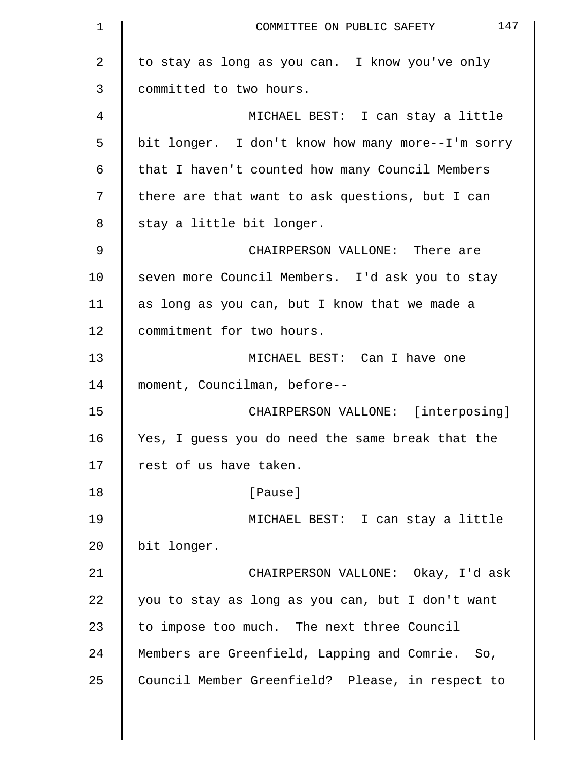| $\mathbf 1$    | 147<br>COMMITTEE ON PUBLIC SAFETY                 |
|----------------|---------------------------------------------------|
| $\overline{a}$ | to stay as long as you can. I know you've only    |
| 3              | committed to two hours.                           |
| 4              | MICHAEL BEST: I can stay a little                 |
| 5              | bit longer. I don't know how many more--I'm sorry |
| 6              | that I haven't counted how many Council Members   |
| 7              | there are that want to ask questions, but I can   |
| 8              | stay a little bit longer.                         |
| 9              | CHAIRPERSON VALLONE: There are                    |
| 10             | seven more Council Members. I'd ask you to stay   |
| 11             | as long as you can, but I know that we made a     |
| 12             | commitment for two hours.                         |
| 13             | MICHAEL BEST: Can I have one                      |
| 14             | moment, Councilman, before--                      |
| 15             | CHAIRPERSON VALLONE: [interposing]                |
| 16             | Yes, I guess you do need the same break that the  |
| 17             | rest of us have taken.                            |
| 18             | [Pause]                                           |
| 19             | MICHAEL BEST: I can stay a little                 |
| 20             | bit longer.                                       |
| 21             | CHAIRPERSON VALLONE: Okay, I'd ask                |
| 22             | you to stay as long as you can, but I don't want  |
| 23             | to impose too much. The next three Council        |
| 24             | Members are Greenfield, Lapping and Comrie. So,   |
| 25             | Council Member Greenfield? Please, in respect to  |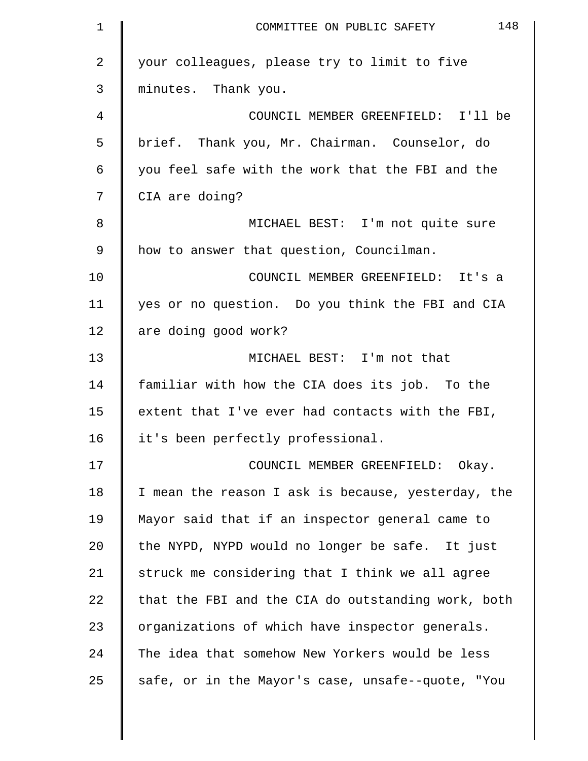| 1  | 148<br>COMMITTEE ON PUBLIC SAFETY                  |
|----|----------------------------------------------------|
| 2  | your colleagues, please try to limit to five       |
| 3  | minutes. Thank you.                                |
| 4  | COUNCIL MEMBER GREENFIELD: I'll be                 |
| 5  | brief. Thank you, Mr. Chairman. Counselor, do      |
| 6  | you feel safe with the work that the FBI and the   |
| 7  | CIA are doing?                                     |
| 8  | MICHAEL BEST: I'm not quite sure                   |
| 9  | how to answer that question, Councilman.           |
| 10 | COUNCIL MEMBER GREENFIELD: It's a                  |
| 11 | yes or no question. Do you think the FBI and CIA   |
| 12 | are doing good work?                               |
| 13 | MICHAEL BEST: I'm not that                         |
| 14 | familiar with how the CIA does its job. To the     |
| 15 | extent that I've ever had contacts with the FBI,   |
| 16 | it's been perfectly professional.                  |
| 17 | COUNCIL MEMBER GREENFIELD: Okay.                   |
| 18 | I mean the reason I ask is because, yesterday, the |
| 19 | Mayor said that if an inspector general came to    |
| 20 | the NYPD, NYPD would no longer be safe. It just    |
| 21 | struck me considering that I think we all agree    |
| 22 | that the FBI and the CIA do outstanding work, both |
| 23 | organizations of which have inspector generals.    |
| 24 | The idea that somehow New Yorkers would be less    |
| 25 | safe, or in the Mayor's case, unsafe--quote, "You  |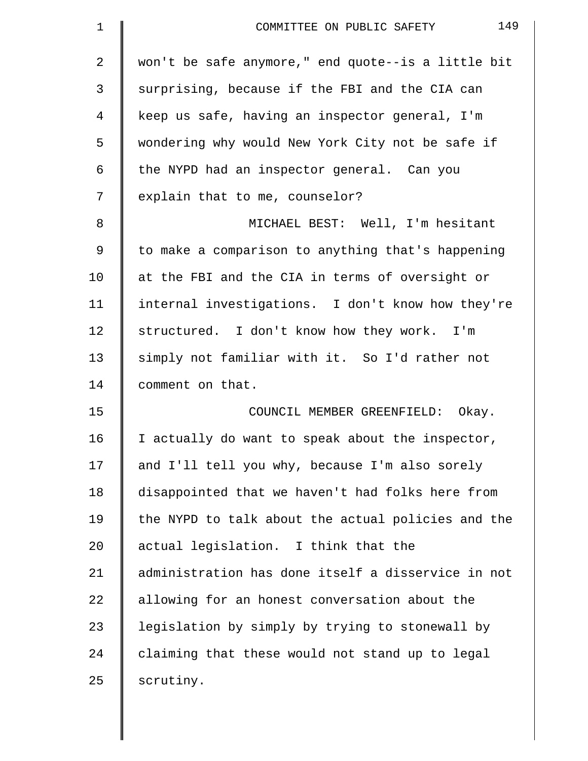| $\mathbf 1$    | 149<br>COMMITTEE ON PUBLIC SAFETY                  |
|----------------|----------------------------------------------------|
| $\overline{2}$ | won't be safe anymore," end quote--is a little bit |
| 3              | surprising, because if the FBI and the CIA can     |
| 4              | keep us safe, having an inspector general, I'm     |
| 5              | wondering why would New York City not be safe if   |
| 6              | the NYPD had an inspector general. Can you         |
| 7              | explain that to me, counselor?                     |
| 8              | MICHAEL BEST: Well, I'm hesitant                   |
| 9              | to make a comparison to anything that's happening  |
| 10             | at the FBI and the CIA in terms of oversight or    |
| 11             | internal investigations. I don't know how they're  |
| 12             | structured. I don't know how they work. I'm        |
| 13             | simply not familiar with it. So I'd rather not     |
| 14             | comment on that.                                   |
| 15             | COUNCIL MEMBER GREENFIELD: Okay.                   |
| 16             | I actually do want to speak about the inspector,   |
| 17             | and I'll tell you why, because I'm also sorely     |
| 18             | disappointed that we haven't had folks here from   |
| 19             | the NYPD to talk about the actual policies and the |
| 20             | actual legislation. I think that the               |
| 21             | administration has done itself a disservice in not |
| 22             | allowing for an honest conversation about the      |
| 23             | legislation by simply by trying to stonewall by    |
| 24             | claiming that these would not stand up to legal    |
| 25             | scrutiny.                                          |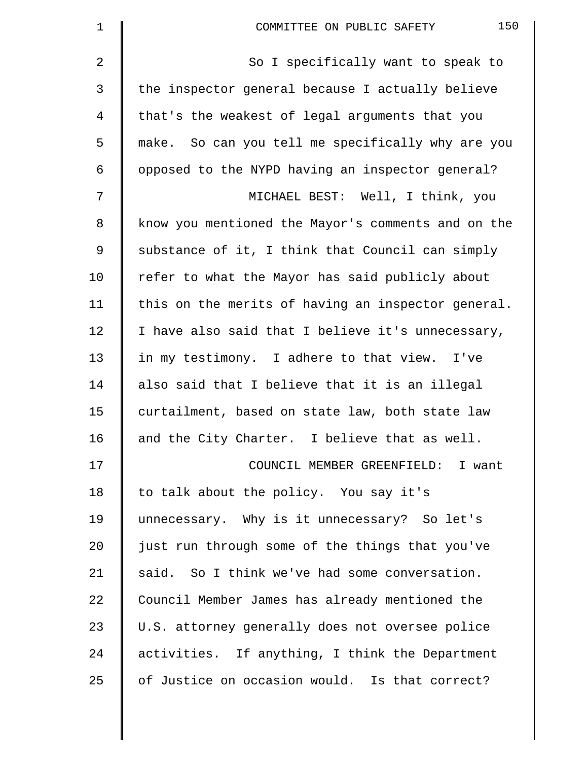| $\mathbf 1$ | 150<br>COMMITTEE ON PUBLIC SAFETY                  |
|-------------|----------------------------------------------------|
| 2           | So I specifically want to speak to                 |
| 3           | the inspector general because I actually believe   |
| 4           | that's the weakest of legal arguments that you     |
| 5           | make. So can you tell me specifically why are you  |
| 6           | opposed to the NYPD having an inspector general?   |
| 7           | MICHAEL BEST: Well, I think, you                   |
| 8           | know you mentioned the Mayor's comments and on the |
| 9           | substance of it, I think that Council can simply   |
| 10          | refer to what the Mayor has said publicly about    |
| 11          | this on the merits of having an inspector general. |
| 12          | I have also said that I believe it's unnecessary,  |
| 13          | in my testimony. I adhere to that view. I've       |
| 14          | also said that I believe that it is an illegal     |
| 15          | curtailment, based on state law, both state law    |
| 16          | and the City Charter. I believe that as well.      |
| 17          | COUNCIL MEMBER GREENFIELD: I want                  |
| 18          | to talk about the policy. You say it's             |
| 19          | unnecessary. Why is it unnecessary? So let's       |
| 20          | just run through some of the things that you've    |
| 21          | said. So I think we've had some conversation.      |
| 22          | Council Member James has already mentioned the     |
| 23          | U.S. attorney generally does not oversee police    |
| 24          | activities. If anything, I think the Department    |
| 25          | of Justice on occasion would. Is that correct?     |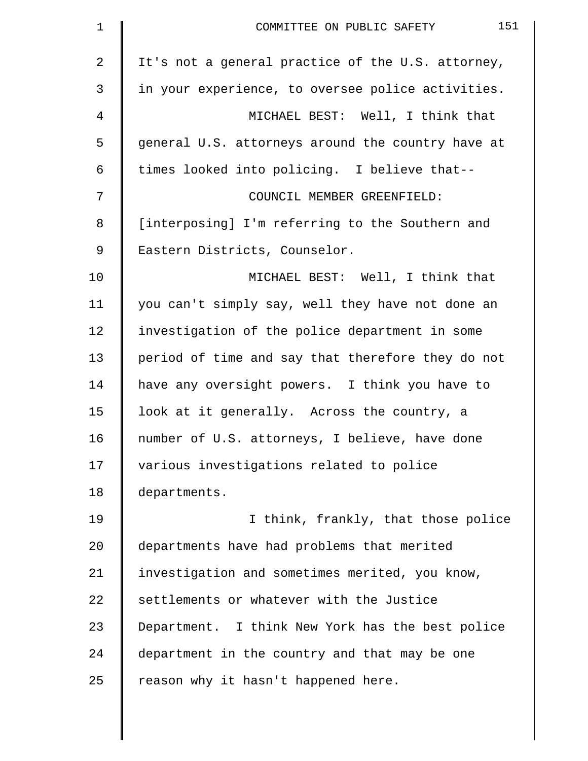| $\mathbf 1$    | 151<br>COMMITTEE ON PUBLIC SAFETY                 |
|----------------|---------------------------------------------------|
| $\overline{a}$ | It's not a general practice of the U.S. attorney, |
| 3              | in your experience, to oversee police activities. |
| 4              | MICHAEL BEST: Well, I think that                  |
| 5              | general U.S. attorneys around the country have at |
| 6              | times looked into policing. I believe that--      |
| 7              | COUNCIL MEMBER GREENFIELD:                        |
| 8              | [interposing] I'm referring to the Southern and   |
| 9              | Eastern Districts, Counselor.                     |
| 10             | MICHAEL BEST: Well, I think that                  |
| 11             | you can't simply say, well they have not done an  |
| 12             | investigation of the police department in some    |
| 13             | period of time and say that therefore they do not |
| 14             | have any oversight powers. I think you have to    |
| 15             | look at it generally. Across the country, a       |
| 16             | number of U.S. attorneys, I believe, have done    |
| 17             | various investigations related to police          |
| 18             | departments.                                      |
| 19             | I think, frankly, that those police               |
| 20             | departments have had problems that merited        |
| 21             | investigation and sometimes merited, you know,    |
| 22             | settlements or whatever with the Justice          |
| 23             | Department. I think New York has the best police  |
| 24             | department in the country and that may be one     |
| 25             | reason why it hasn't happened here.               |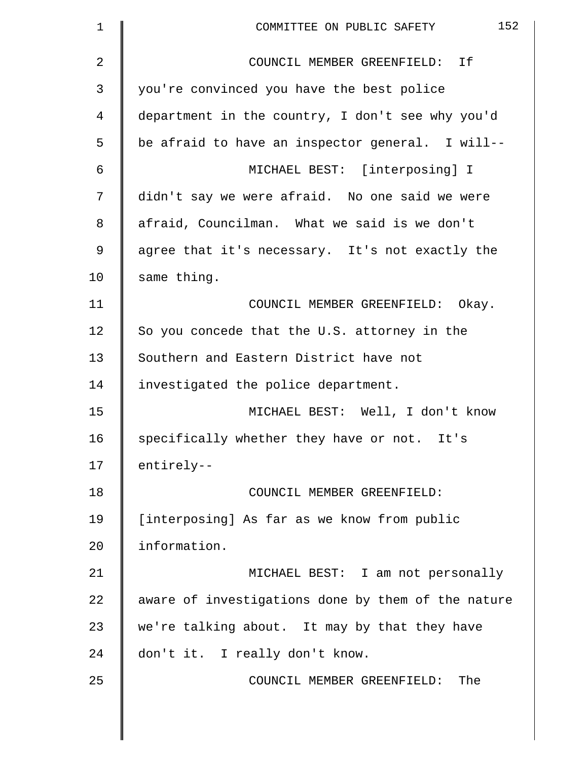| $\mathbf 1$ | 152<br>COMMITTEE ON PUBLIC SAFETY                  |
|-------------|----------------------------------------------------|
| 2           | COUNCIL MEMBER GREENFIELD: If                      |
| 3           | you're convinced you have the best police          |
| 4           | department in the country, I don't see why you'd   |
| 5           | be afraid to have an inspector general. I will--   |
| 6           | MICHAEL BEST: [interposing] I                      |
| 7           | didn't say we were afraid. No one said we were     |
| 8           | afraid, Councilman. What we said is we don't       |
| $\mathsf 9$ | agree that it's necessary. It's not exactly the    |
| 10          | same thing.                                        |
| 11          | COUNCIL MEMBER GREENFIELD: Okay.                   |
| 12          | So you concede that the U.S. attorney in the       |
| 13          | Southern and Eastern District have not             |
| 14          | investigated the police department.                |
| 15          | MICHAEL BEST: Well, I don't know                   |
| 16          | specifically whether they have or not. It's        |
| 17          | entirely--                                         |
| 18          | COUNCIL MEMBER GREENFIELD:                         |
| 19          | [interposing] As far as we know from public        |
| 20          | information.                                       |
| 21          | MICHAEL BEST: I am not personally                  |
| 22          | aware of investigations done by them of the nature |
| 23          | we're talking about. It may by that they have      |
| 24          | don't it. I really don't know.                     |
| 25          | COUNCIL MEMBER GREENFIELD:<br>The                  |
|             |                                                    |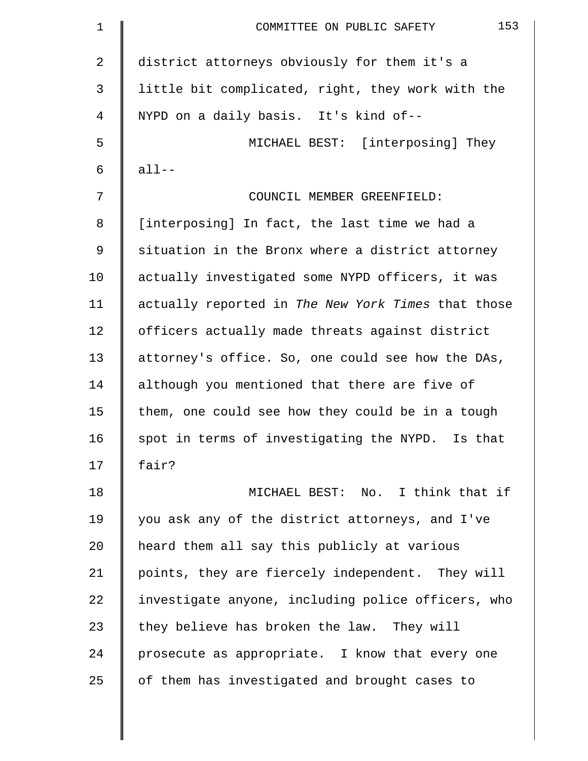| $\mathbf 1$ | 153<br>COMMITTEE ON PUBLIC SAFETY                  |
|-------------|----------------------------------------------------|
| 2           | district attorneys obviously for them it's a       |
| 3           | little bit complicated, right, they work with the  |
| 4           | NYPD on a daily basis. It's kind of--              |
| 5           | MICHAEL BEST: [interposing] They                   |
| 6           | $all--$                                            |
| 7           | COUNCIL MEMBER GREENFIELD:                         |
| 8           | [interposing] In fact, the last time we had a      |
| 9           | situation in the Bronx where a district attorney   |
| 10          | actually investigated some NYPD officers, it was   |
| 11          | actually reported in The New York Times that those |
| 12          | officers actually made threats against district    |
| 13          | attorney's office. So, one could see how the DAs,  |
| 14          | although you mentioned that there are five of      |
| 15          | them, one could see how they could be in a tough   |
| 16          | spot in terms of investigating the NYPD. Is that   |
| 17          | fair?                                              |
| 18          | MICHAEL BEST: No. I think that if                  |
| 19          | you ask any of the district attorneys, and I've    |
| 20          | heard them all say this publicly at various        |
| 21          | points, they are fiercely independent. They will   |
| 22          | investigate anyone, including police officers, who |
| 23          | they believe has broken the law. They will         |
| 24          | prosecute as appropriate. I know that every one    |
| 25          | of them has investigated and brought cases to      |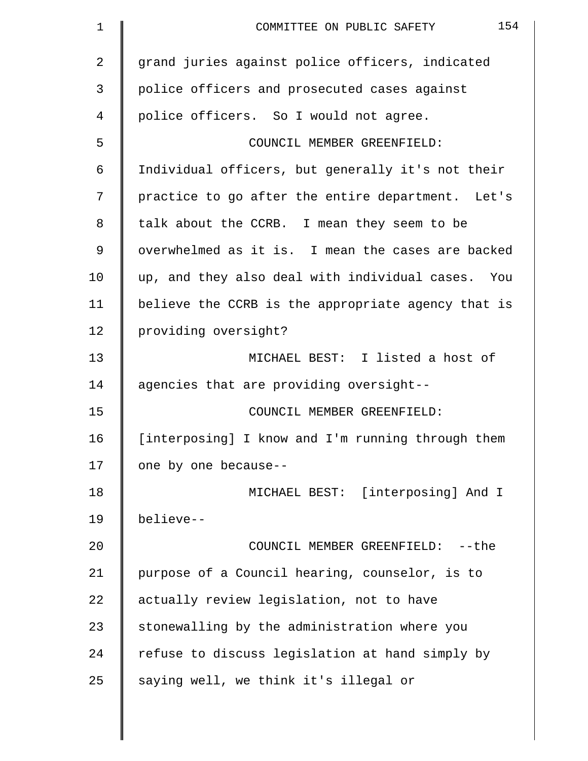| $\mathbf 1$    | 154<br>COMMITTEE ON PUBLIC SAFETY                  |
|----------------|----------------------------------------------------|
| $\overline{2}$ | grand juries against police officers, indicated    |
| 3              | police officers and prosecuted cases against       |
| 4              | police officers. So I would not agree.             |
| 5              | COUNCIL MEMBER GREENFIELD:                         |
| 6              | Individual officers, but generally it's not their  |
| 7              | practice to go after the entire department. Let's  |
| 8              | talk about the CCRB. I mean they seem to be        |
| 9              | overwhelmed as it is. I mean the cases are backed  |
| 10             | up, and they also deal with individual cases. You  |
| 11             | believe the CCRB is the appropriate agency that is |
| 12             | providing oversight?                               |
| 13             | MICHAEL BEST: I listed a host of                   |
| 14             | agencies that are providing oversight--            |
| 15             | COUNCIL MEMBER GREENFIELD:                         |
| 16             | [interposing] I know and I'm running through them  |
| 17             | one by one because--                               |
| 18             | MICHAEL BEST: [interposing] And I                  |
| 19             | believe--                                          |
| 20             | COUNCIL MEMBER GREENFIELD:<br>--the                |
| 21             | purpose of a Council hearing, counselor, is to     |
| 22             | actually review legislation, not to have           |
| 23             | stonewalling by the administration where you       |
| 24             | refuse to discuss legislation at hand simply by    |
| 25             | saying well, we think it's illegal or              |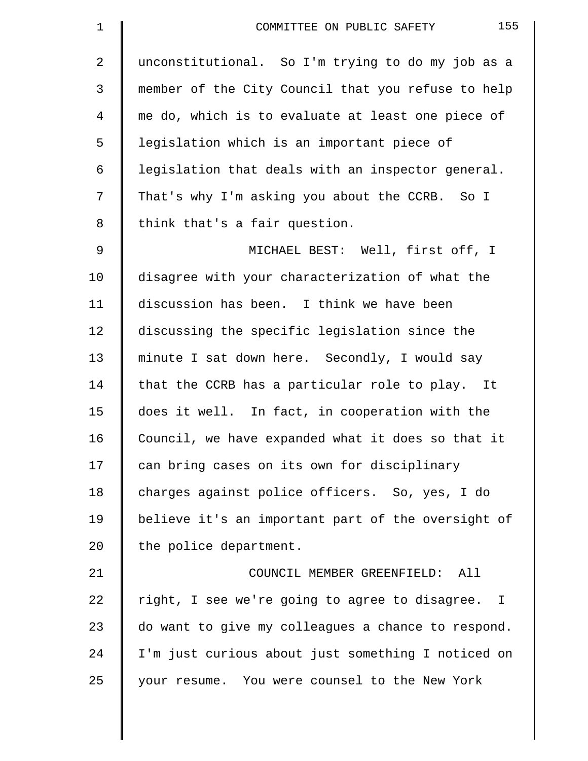| $\mathbf 1$    | 155<br>COMMITTEE ON PUBLIC SAFETY                  |
|----------------|----------------------------------------------------|
| $\overline{2}$ | unconstitutional. So I'm trying to do my job as a  |
| 3              | member of the City Council that you refuse to help |
| 4              | me do, which is to evaluate at least one piece of  |
| 5              | legislation which is an important piece of         |
| 6              | legislation that deals with an inspector general.  |
| 7              | That's why I'm asking you about the CCRB. So I     |
| 8              | think that's a fair question.                      |
| 9              | MICHAEL BEST: Well, first off, I                   |
| 10             | disagree with your characterization of what the    |
| 11             | discussion has been. I think we have been          |
| 12             | discussing the specific legislation since the      |
| 13             | minute I sat down here. Secondly, I would say      |
| 14             | that the CCRB has a particular role to play. It    |
| 15             | does it well. In fact, in cooperation with the     |
| 16             | Council, we have expanded what it does so that it  |
| 17             | can bring cases on its own for disciplinary        |
| 18             | charges against police officers. So, yes, I do     |
| 19             | believe it's an important part of the oversight of |
| 20             | the police department.                             |
| 21             | COUNCIL MEMBER GREENFIELD:<br>All                  |
| 22             | right, I see we're going to agree to disagree. I   |
| 23             | do want to give my colleagues a chance to respond. |
| 24             | I'm just curious about just something I noticed on |
| 25             | your resume. You were counsel to the New York      |
|                |                                                    |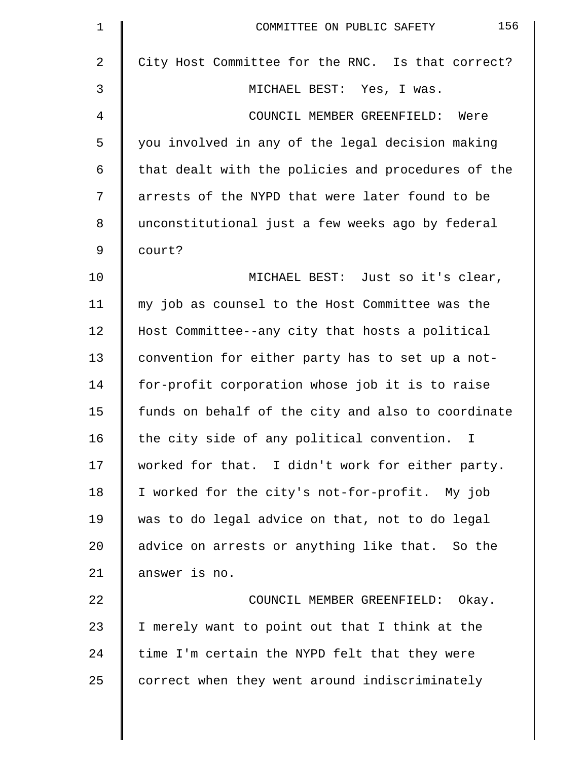| $\mathbf 1$ | 156<br>COMMITTEE ON PUBLIC SAFETY                  |
|-------------|----------------------------------------------------|
| 2           | City Host Committee for the RNC. Is that correct?  |
| 3           | MICHAEL BEST: Yes, I was.                          |
| 4           | COUNCIL MEMBER GREENFIELD: Were                    |
| 5           | you involved in any of the legal decision making   |
| 6           | that dealt with the policies and procedures of the |
| 7           | arrests of the NYPD that were later found to be    |
| 8           | unconstitutional just a few weeks ago by federal   |
| 9           | court?                                             |
| 10          | MICHAEL BEST: Just so it's clear,                  |
| 11          | my job as counsel to the Host Committee was the    |
| 12          | Host Committee--any city that hosts a political    |
| 13          | convention for either party has to set up a not-   |
| 14          | for-profit corporation whose job it is to raise    |
| 15          | funds on behalf of the city and also to coordinate |
| 16          | the city side of any political convention.<br>I.   |
| 17          | worked for that. I didn't work for either party.   |
| 18          | I worked for the city's not-for-profit. My job     |
| 19          | was to do legal advice on that, not to do legal    |
| 20          | advice on arrests or anything like that. So the    |
| 21          | answer is no.                                      |
| 22          | COUNCIL MEMBER GREENFIELD: Okay.                   |
| 23          | I merely want to point out that I think at the     |
| 24          | time I'm certain the NYPD felt that they were      |
| 25          | correct when they went around indiscriminately     |
|             |                                                    |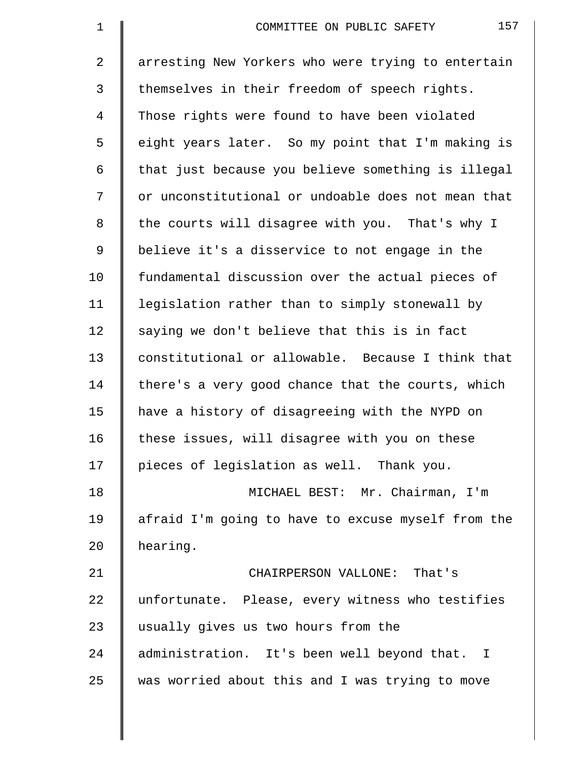| $\mathbf 1$    | 157<br>COMMITTEE ON PUBLIC SAFETY                  |
|----------------|----------------------------------------------------|
| $\overline{2}$ | arresting New Yorkers who were trying to entertain |
| 3              | themselves in their freedom of speech rights.      |
| 4              | Those rights were found to have been violated      |
| 5              | eight years later. So my point that I'm making is  |
| 6              | that just because you believe something is illegal |
| 7              | or unconstitutional or undoable does not mean that |
| 8              | the courts will disagree with you. That's why I    |
| 9              | believe it's a disservice to not engage in the     |
| 10             | fundamental discussion over the actual pieces of   |
| 11             | legislation rather than to simply stonewall by     |
| 12             | saying we don't believe that this is in fact       |
| 13             | constitutional or allowable. Because I think that  |
| 14             | there's a very good chance that the courts, which  |
| 15             | have a history of disagreeing with the NYPD on     |
| 16             | these issues, will disagree with you on these      |
| 17             | pieces of legislation as well. Thank you.          |
| 18             | MICHAEL BEST: Mr. Chairman, I'm                    |
| 19             | afraid I'm going to have to excuse myself from the |
| 20             | hearing.                                           |
| 21             | CHAIRPERSON VALLONE: That's                        |
| 22             | unfortunate. Please, every witness who testifies   |
| 23             | usually gives us two hours from the                |
| 24             | administration. It's been well beyond that. I      |
| 25             | was worried about this and I was trying to move    |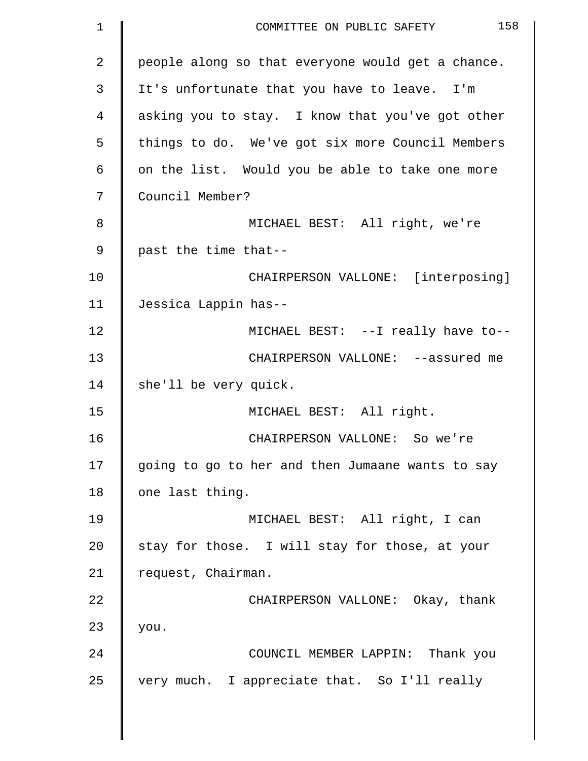| $\mathbf 1$    | 158<br>COMMITTEE ON PUBLIC SAFETY                 |
|----------------|---------------------------------------------------|
| $\overline{a}$ | people along so that everyone would get a chance. |
| 3              | It's unfortunate that you have to leave. I'm      |
| 4              | asking you to stay. I know that you've got other  |
| 5              | things to do. We've got six more Council Members  |
| 6              | on the list. Would you be able to take one more   |
| 7              | Council Member?                                   |
| 8              | MICHAEL BEST: All right, we're                    |
| 9              | past the time that--                              |
| 10             | CHAIRPERSON VALLONE: [interposing]                |
| 11             | Jessica Lappin has--                              |
| 12             | MICHAEL BEST: --I really have to--                |
| 13             | CHAIRPERSON VALLONE: --assured me                 |
| 14             | she'll be very quick.                             |
| 15             | MICHAEL BEST: All right.                          |
| 16             | CHAIRPERSON VALLONE: So we're                     |
| 17             | going to go to her and then Jumaane wants to say  |
| 18             | one last thing.                                   |
| 19             | MICHAEL BEST: All right, I can                    |
| 20             | stay for those. I will stay for those, at your    |
| 21             | request, Chairman.                                |
| 22             | CHAIRPERSON VALLONE: Okay, thank                  |
| 23             | you.                                              |
| 24             | COUNCIL MEMBER LAPPIN: Thank you                  |
| 25             | very much. I appreciate that. So I'll really      |
|                |                                                   |

║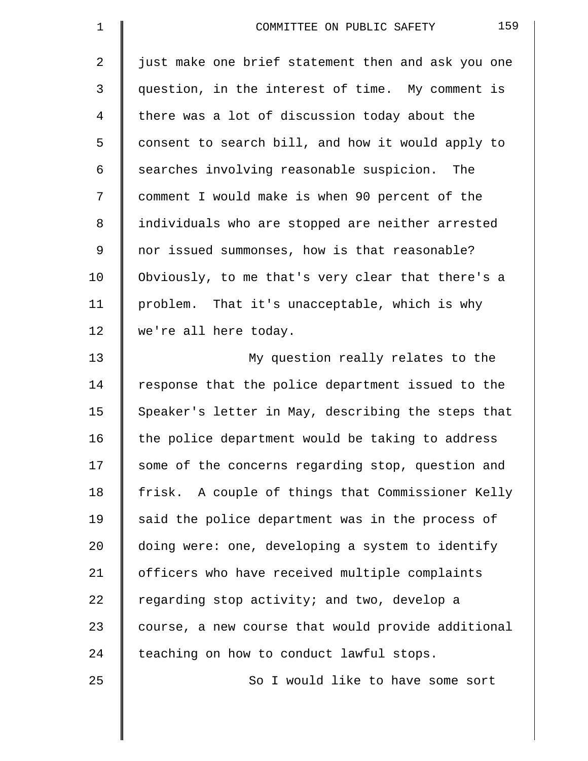| $\mathbf 1$ | 159<br>COMMITTEE ON PUBLIC SAFETY                  |
|-------------|----------------------------------------------------|
| 2           | just make one brief statement then and ask you one |
| 3           | question, in the interest of time. My comment is   |
| 4           | there was a lot of discussion today about the      |
| 5           | consent to search bill, and how it would apply to  |
| 6           | searches involving reasonable suspicion. The       |
| 7           | comment I would make is when 90 percent of the     |
| 8           | individuals who are stopped are neither arrested   |
| $\mathsf 9$ | nor issued summonses, how is that reasonable?      |
| 10          | Obviously, to me that's very clear that there's a  |
| 11          | problem. That it's unacceptable, which is why      |
| 12          | we're all here today.                              |
| 13          | My question really relates to the                  |
| 14          | response that the police department issued to the  |
| 15          | Speaker's letter in May, describing the steps that |
| 16          | the police department would be taking to address   |
| 17          | some of the concerns regarding stop, question and  |
| 18          | frisk. A couple of things that Commissioner Kelly  |
| 19          | said the police department was in the process of   |
| 20          | doing were: one, developing a system to identify   |
| 21          | officers who have received multiple complaints     |
| 22          | regarding stop activity; and two, develop a        |
| 23          | course, a new course that would provide additional |
| 24          | teaching on how to conduct lawful stops.           |
| 25          | So I would like to have some sort                  |
|             |                                                    |

 $\parallel$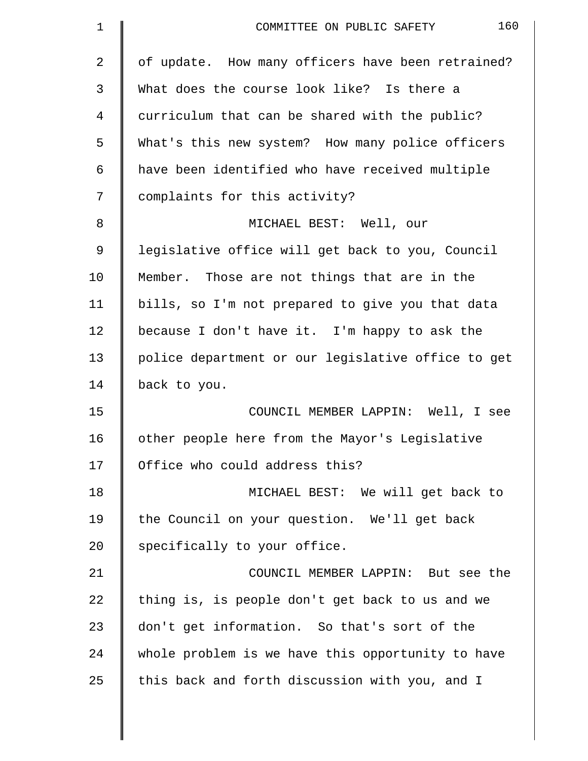| $\mathbf 1$    | 160<br>COMMITTEE ON PUBLIC SAFETY                  |
|----------------|----------------------------------------------------|
| $\overline{2}$ | of update. How many officers have been retrained?  |
| 3              | What does the course look like? Is there a         |
| 4              | curriculum that can be shared with the public?     |
| 5              | What's this new system? How many police officers   |
| 6              | have been identified who have received multiple    |
| 7              | complaints for this activity?                      |
| 8              | MICHAEL BEST: Well, our                            |
| 9              | legislative office will get back to you, Council   |
| 10             | Member. Those are not things that are in the       |
| 11             | bills, so I'm not prepared to give you that data   |
| 12             | because I don't have it. I'm happy to ask the      |
| 13             | police department or our legislative office to get |
| 14             | back to you.                                       |
| 15             | COUNCIL MEMBER LAPPIN: Well, I see                 |
| 16             | other people here from the Mayor's Legislative     |
| 17             | Office who could address this?                     |
| 18             | MICHAEL BEST: We will get back to                  |
| 19             | the Council on your question. We'll get back       |
| 20             | specifically to your office.                       |
| 21             | COUNCIL MEMBER LAPPIN: But see the                 |
| 22             | thing is, is people don't get back to us and we    |
| 23             | don't get information. So that's sort of the       |
| 24             | whole problem is we have this opportunity to have  |
| 25             | this back and forth discussion with you, and I     |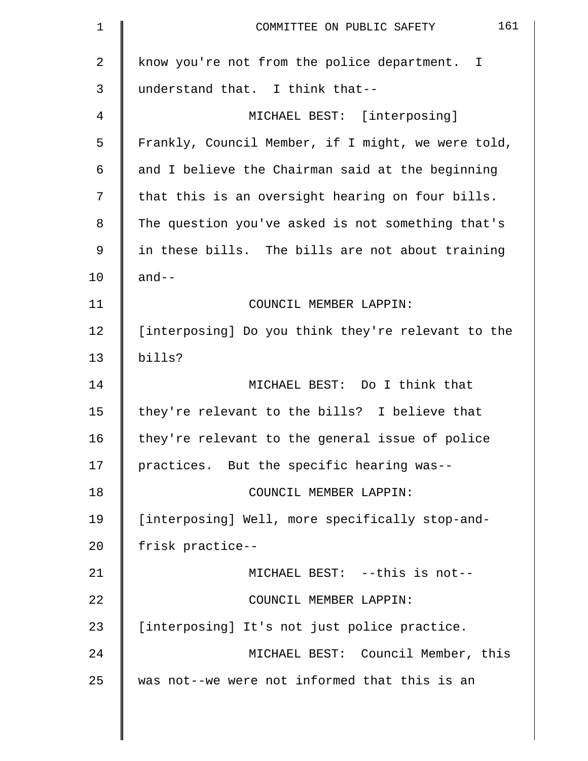| $\mathbf 1$ | 161<br>COMMITTEE ON PUBLIC SAFETY                  |
|-------------|----------------------------------------------------|
| 2           | know you're not from the police department. I      |
| 3           | understand that. I think that--                    |
| 4           | MICHAEL BEST: [interposing]                        |
| 5           | Frankly, Council Member, if I might, we were told, |
| 6           | and I believe the Chairman said at the beginning   |
| 7           | that this is an oversight hearing on four bills.   |
| 8           | The question you've asked is not something that's  |
| 9           | in these bills. The bills are not about training   |
| 10          | $and--$                                            |
| 11          | COUNCIL MEMBER LAPPIN:                             |
| 12          | [interposing] Do you think they're relevant to the |
| 13          | bills?                                             |
| 14          | MICHAEL BEST: Do I think that                      |
| 15          | they're relevant to the bills? I believe that      |
| 16          | they're relevant to the general issue of police    |
| 17          | practices. But the specific hearing was--          |
| 18          | COUNCIL MEMBER LAPPIN:                             |
| 19          | [interposing] Well, more specifically stop-and-    |
| 20          | frisk practice--                                   |
| 21          | MICHAEL BEST: --this is not--                      |
| 22          | COUNCIL MEMBER LAPPIN:                             |
| 23          | [interposing] It's not just police practice.       |
| 24          | MICHAEL BEST: Council Member, this                 |
| 25          | was not--we were not informed that this is an      |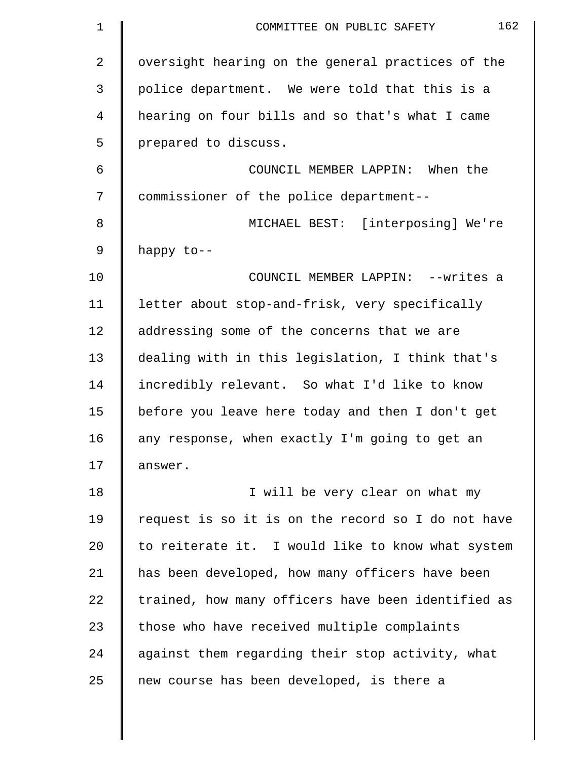| $\mathbf 1$    | 162<br>COMMITTEE ON PUBLIC SAFETY                  |
|----------------|----------------------------------------------------|
| $\overline{2}$ | oversight hearing on the general practices of the  |
| 3              | police department. We were told that this is a     |
| 4              | hearing on four bills and so that's what I came    |
| 5              | prepared to discuss.                               |
| 6              | COUNCIL MEMBER LAPPIN: When the                    |
| 7              | commissioner of the police department--            |
| 8              | MICHAEL BEST: [interposing] We're                  |
| 9              | happy to--                                         |
| 10             | COUNCIL MEMBER LAPPIN: --writes a                  |
| 11             | letter about stop-and-frisk, very specifically     |
| 12             | addressing some of the concerns that we are        |
| 13             | dealing with in this legislation, I think that's   |
| 14             | incredibly relevant. So what I'd like to know      |
| 15             | before you leave here today and then I don't get   |
| 16             | any response, when exactly I'm going to get an     |
| 17             | answer.                                            |
| 18             | I will be very clear on what my                    |
| 19             | request is so it is on the record so I do not have |
| 20             | to reiterate it. I would like to know what system  |
| 21             | has been developed, how many officers have been    |
| 22             | trained, how many officers have been identified as |
| 23             | those who have received multiple complaints        |
| 24             | against them regarding their stop activity, what   |
| 25             | new course has been developed, is there a          |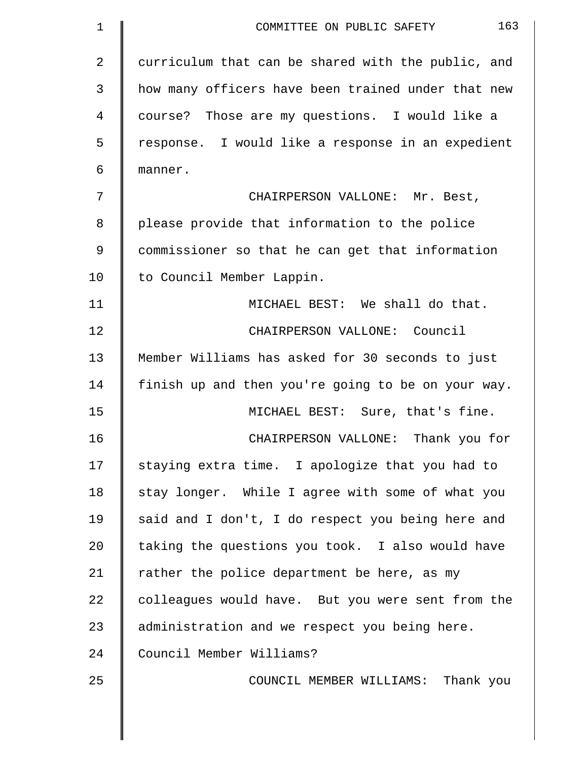| 1  | 163<br>COMMITTEE ON PUBLIC SAFETY                  |
|----|----------------------------------------------------|
| 2  | curriculum that can be shared with the public, and |
| 3  | how many officers have been trained under that new |
| 4  | course? Those are my questions. I would like a     |
| 5  | response. I would like a response in an expedient  |
| 6  | manner.                                            |
| 7  | CHAIRPERSON VALLONE: Mr. Best,                     |
| 8  | please provide that information to the police      |
| 9  | commissioner so that he can get that information   |
| 10 | to Council Member Lappin.                          |
| 11 | MICHAEL BEST: We shall do that.                    |
| 12 | CHAIRPERSON VALLONE: Council                       |
| 13 | Member Williams has asked for 30 seconds to just   |
| 14 | finish up and then you're going to be on your way. |
| 15 | MICHAEL BEST: Sure, that's fine.                   |
| 16 | CHAIRPERSON VALLONE: Thank you for                 |
| 17 | staying extra time. I apologize that you had to    |
| 18 | stay longer. While I agree with some of what you   |
| 19 | said and I don't, I do respect you being here and  |
| 20 | taking the questions you took. I also would have   |
| 21 | rather the police department be here, as my        |
| 22 | colleagues would have. But you were sent from the  |
| 23 | administration and we respect you being here.      |
| 24 | Council Member Williams?                           |
| 25 | COUNCIL MEMBER WILLIAMS: Thank you                 |
|    |                                                    |
|    |                                                    |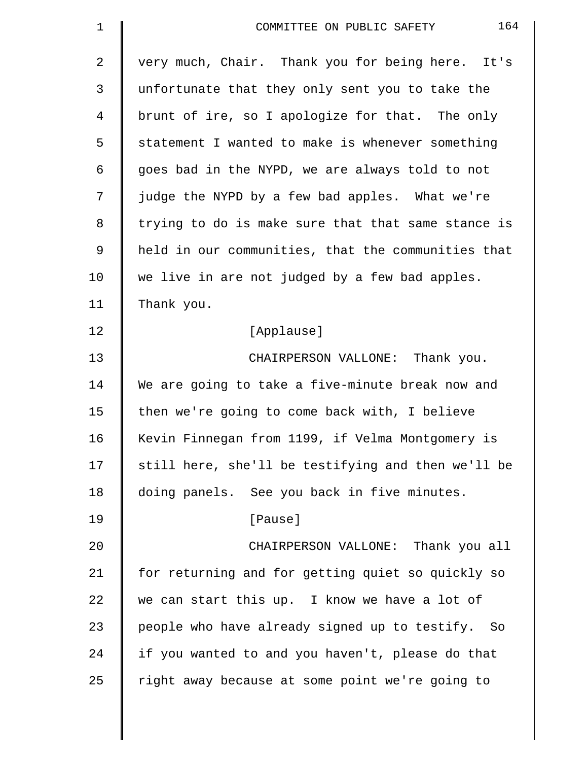| $\mathbf 1$    | 164<br>COMMITTEE ON PUBLIC SAFETY                  |
|----------------|----------------------------------------------------|
| $\overline{2}$ | very much, Chair. Thank you for being here. It's   |
| 3              | unfortunate that they only sent you to take the    |
| 4              | brunt of ire, so I apologize for that. The only    |
| 5              | statement I wanted to make is whenever something   |
| 6              | goes bad in the NYPD, we are always told to not    |
| 7              | judge the NYPD by a few bad apples. What we're     |
| 8              | trying to do is make sure that that same stance is |
| $\mathsf 9$    | held in our communities, that the communities that |
| 10             | we live in are not judged by a few bad apples.     |
| 11             | Thank you.                                         |
| 12             | [Applause]                                         |
| 13             | CHAIRPERSON VALLONE: Thank you.                    |
| 14             | We are going to take a five-minute break now and   |
| 15             | then we're going to come back with, I believe      |
| 16             | Kevin Finnegan from 1199, if Velma Montgomery is   |
| 17             | still here, she'll be testifying and then we'll be |
| 18             | doing panels. See you back in five minutes.        |
| 19             | [Pause]                                            |
| 20             | CHAIRPERSON VALLONE: Thank you all                 |
| 21             | for returning and for getting quiet so quickly so  |
| 22             | we can start this up. I know we have a lot of      |
| 23             | people who have already signed up to testify. So   |
| 24             | if you wanted to and you haven't, please do that   |
| 25             | right away because at some point we're going to    |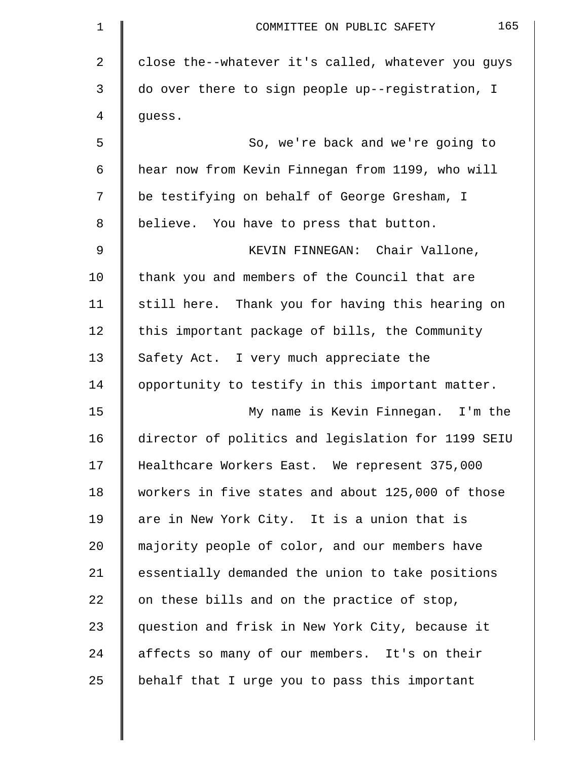| 1  | 165<br>COMMITTEE ON PUBLIC SAFETY                  |
|----|----------------------------------------------------|
| 2  | close the--whatever it's called, whatever you guys |
| 3  | do over there to sign people up--registration, I   |
| 4  | guess.                                             |
| 5  | So, we're back and we're going to                  |
| 6  | hear now from Kevin Finnegan from 1199, who will   |
| 7  | be testifying on behalf of George Gresham, I       |
| 8  | believe. You have to press that button.            |
| 9  | KEVIN FINNEGAN: Chair Vallone,                     |
| 10 | thank you and members of the Council that are      |
| 11 | still here. Thank you for having this hearing on   |
| 12 | this important package of bills, the Community     |
| 13 | Safety Act. I very much appreciate the             |
| 14 | opportunity to testify in this important matter.   |
| 15 | My name is Kevin Finnegan. I'm the                 |
| 16 | director of politics and legislation for 1199 SEIU |
| 17 | Healthcare Workers East. We represent 375,000      |
| 18 | workers in five states and about 125,000 of those  |
| 19 | are in New York City. It is a union that is        |
| 20 | majority people of color, and our members have     |
| 21 | essentially demanded the union to take positions   |
| 22 | on these bills and on the practice of stop,        |
| 23 | question and frisk in New York City, because it    |
| 24 | affects so many of our members. It's on their      |
| 25 | behalf that I urge you to pass this important      |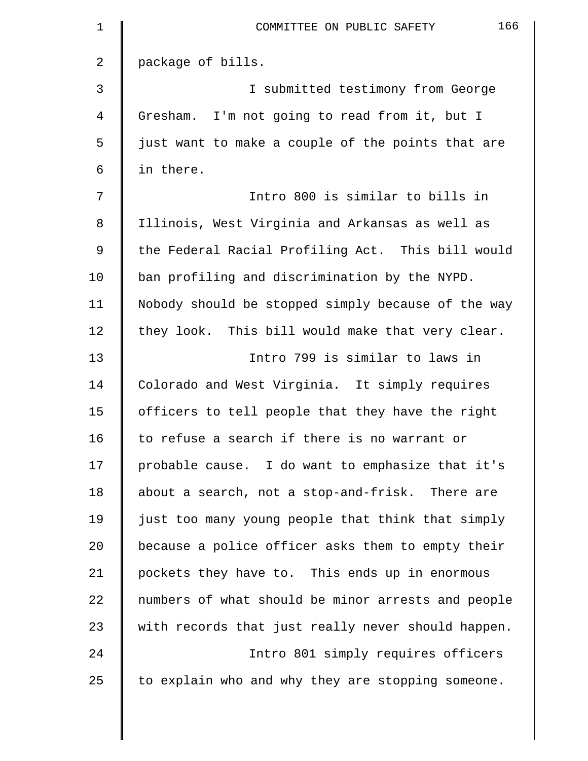| $\mathbf 1$ | 166<br>COMMITTEE ON PUBLIC SAFETY                  |
|-------------|----------------------------------------------------|
| 2           | package of bills.                                  |
| 3           | I submitted testimony from George                  |
| 4           | Gresham. I'm not going to read from it, but I      |
| 5           | just want to make a couple of the points that are  |
| 6           | in there.                                          |
| 7           | Intro 800 is similar to bills in                   |
| 8           | Illinois, West Virginia and Arkansas as well as    |
| 9           | the Federal Racial Profiling Act. This bill would  |
| 10          | ban profiling and discrimination by the NYPD.      |
| 11          | Nobody should be stopped simply because of the way |
| 12          | they look. This bill would make that very clear.   |
| 13          | Intro 799 is similar to laws in                    |
| 14          | Colorado and West Virginia. It simply requires     |
| 15          | officers to tell people that they have the right   |
| 16          | to refuse a search if there is no warrant or       |
| 17          | probable cause. I do want to emphasize that it's   |
| 18          | about a search, not a stop-and-frisk. There are    |
| 19          | just too many young people that think that simply  |
| 20          | because a police officer asks them to empty their  |
| 21          | pockets they have to. This ends up in enormous     |
| 22          | numbers of what should be minor arrests and people |
| 23          | with records that just really never should happen. |
| 24          | Intro 801 simply requires officers                 |
| 25          | to explain who and why they are stopping someone.  |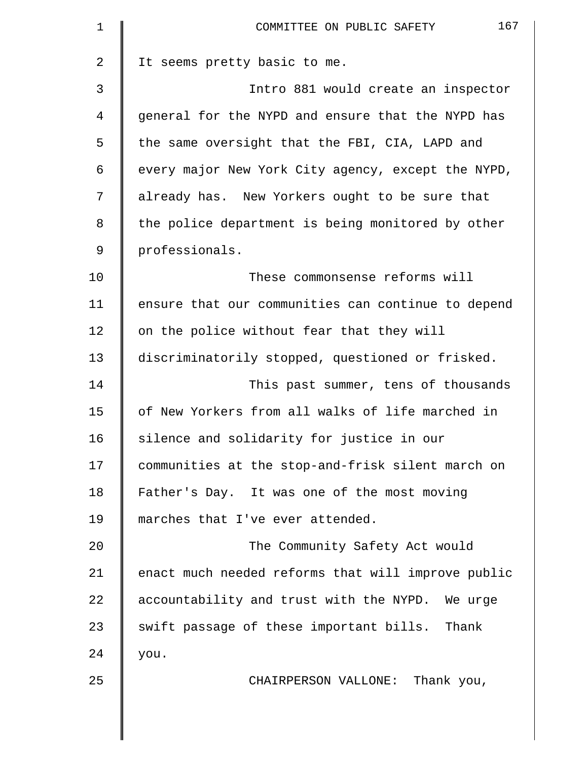| $\mathbf 1$    | 167<br>COMMITTEE ON PUBLIC SAFETY                  |
|----------------|----------------------------------------------------|
| $\overline{a}$ | It seems pretty basic to me.                       |
| 3              | Intro 881 would create an inspector                |
| 4              | general for the NYPD and ensure that the NYPD has  |
| 5              | the same oversight that the FBI, CIA, LAPD and     |
| 6              | every major New York City agency, except the NYPD, |
| 7              | already has. New Yorkers ought to be sure that     |
| 8              | the police department is being monitored by other  |
| 9              | professionals.                                     |
| 10             | These commonsense reforms will                     |
| 11             | ensure that our communities can continue to depend |
| 12             | on the police without fear that they will          |
| 13             | discriminatorily stopped, questioned or frisked.   |
| 14             | This past summer, tens of thousands                |
| 15             | of New Yorkers from all walks of life marched in   |
| 16             | silence and solidarity for justice in our          |
| 17             | communities at the stop-and-frisk silent march on  |
| 18             | Father's Day. It was one of the most moving        |
| 19             | marches that I've ever attended.                   |
| 20             | The Community Safety Act would                     |
| 21             | enact much needed reforms that will improve public |
| 22             | accountability and trust with the NYPD. We urge    |
| 23             | swift passage of these important bills. Thank      |
| 24             | you.                                               |
| 25             | CHAIRPERSON VALLONE: Thank you,                    |
|                |                                                    |
|                |                                                    |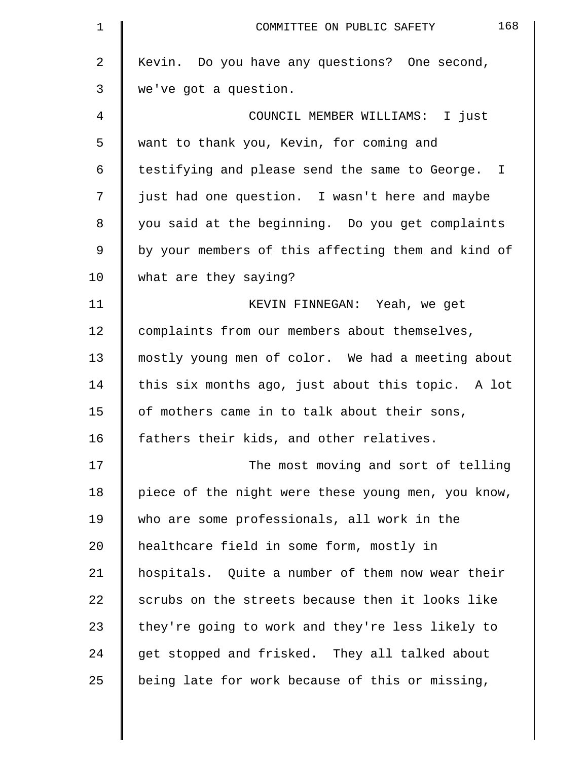| $\mathbf 1$    | 168<br>COMMITTEE ON PUBLIC SAFETY                  |
|----------------|----------------------------------------------------|
| $\overline{2}$ | Kevin. Do you have any questions? One second,      |
| 3              | we've got a question.                              |
| 4              | COUNCIL MEMBER WILLIAMS: I just                    |
| 5              | want to thank you, Kevin, for coming and           |
| 6              | testifying and please send the same to George. I   |
| 7              | just had one question. I wasn't here and maybe     |
| $\,8\,$        | you said at the beginning. Do you get complaints   |
| 9              | by your members of this affecting them and kind of |
| 10             | what are they saying?                              |
| 11             | KEVIN FINNEGAN: Yeah, we get                       |
| 12             | complaints from our members about themselves,      |
| 13             | mostly young men of color. We had a meeting about  |
| 14             | this six months ago, just about this topic. A lot  |
| 15             | of mothers came in to talk about their sons,       |
| 16             | fathers their kids, and other relatives.           |
| 17             | The most moving and sort of telling                |
| 18             | piece of the night were these young men, you know, |
| 19             | who are some professionals, all work in the        |
| 20             | healthcare field in some form, mostly in           |
| 21             | hospitals. Quite a number of them now wear their   |
| 22             | scrubs on the streets because then it looks like   |
| 23             | they're going to work and they're less likely to   |
| 24             | get stopped and frisked. They all talked about     |
| 25             | being late for work because of this or missing,    |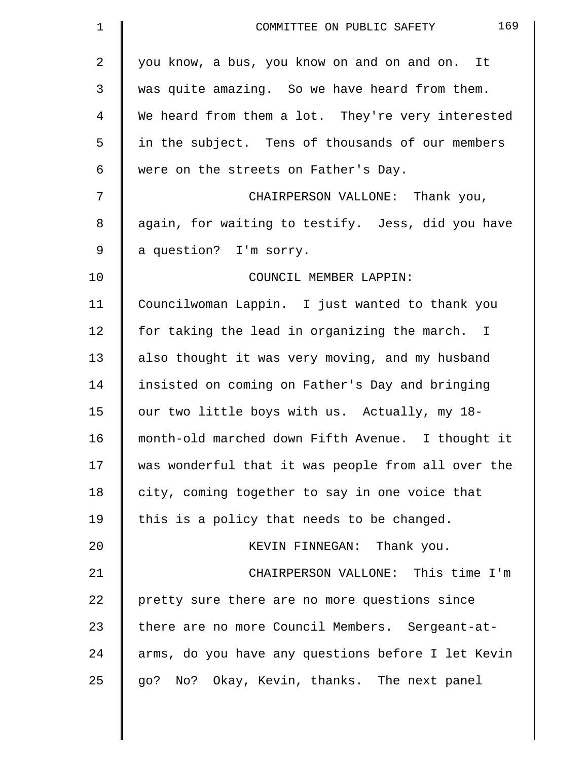| $\mathbf 1$ | 169<br>COMMITTEE ON PUBLIC SAFETY                  |
|-------------|----------------------------------------------------|
| 2           | you know, a bus, you know on and on and on. It     |
| 3           | was quite amazing. So we have heard from them.     |
| 4           | We heard from them a lot. They're very interested  |
| 5           | in the subject. Tens of thousands of our members   |
| 6           | were on the streets on Father's Day.               |
| 7           | CHAIRPERSON VALLONE: Thank you,                    |
| 8           | again, for waiting to testify. Jess, did you have  |
| 9           | a question? I'm sorry.                             |
| 10          | COUNCIL MEMBER LAPPIN:                             |
| 11          | Councilwoman Lappin. I just wanted to thank you    |
| 12          | for taking the lead in organizing the march. I     |
| 13          | also thought it was very moving, and my husband    |
| 14          | insisted on coming on Father's Day and bringing    |
| 15          | our two little boys with us. Actually, my 18-      |
| 16          | month-old marched down Fifth Avenue. I thought it  |
| 17          | was wonderful that it was people from all over the |
| 18          | city, coming together to say in one voice that     |
| 19          | this is a policy that needs to be changed.         |
| 20          | KEVIN FINNEGAN: Thank you.                         |
| 21          | CHAIRPERSON VALLONE: This time I'm                 |
| 22          | pretty sure there are no more questions since      |
| 23          | there are no more Council Members. Sergeant-at-    |
| 24          | arms, do you have any questions before I let Kevin |
| 25          | go? No? Okay, Kevin, thanks. The next panel        |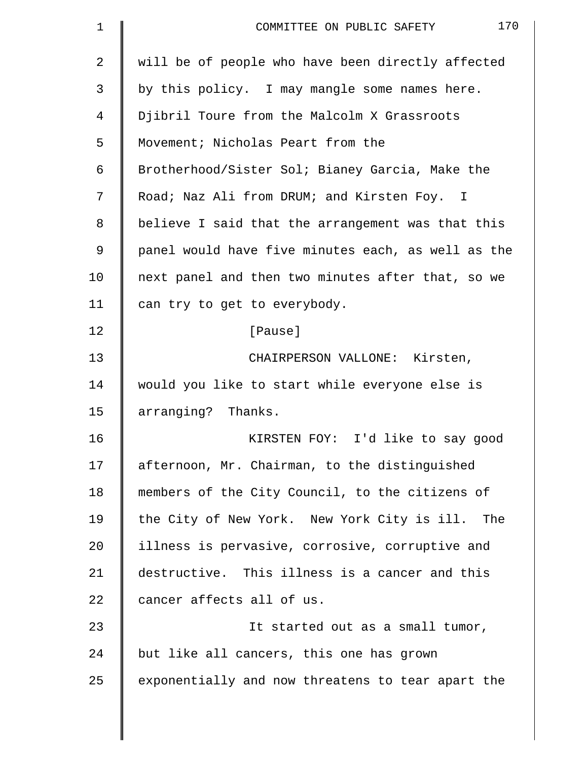| $\mathbf 1$    | 170<br>COMMITTEE ON PUBLIC SAFETY                  |
|----------------|----------------------------------------------------|
| $\overline{a}$ | will be of people who have been directly affected  |
| 3              | by this policy. I may mangle some names here.      |
| 4              | Djibril Toure from the Malcolm X Grassroots        |
| 5              | Movement; Nicholas Peart from the                  |
| 6              | Brotherhood/Sister Sol; Bianey Garcia, Make the    |
| 7              | Road; Naz Ali from DRUM; and Kirsten Foy. I        |
| 8              | believe I said that the arrangement was that this  |
| 9              | panel would have five minutes each, as well as the |
| 10             | next panel and then two minutes after that, so we  |
| 11             | can try to get to everybody.                       |
| 12             | [Pause]                                            |
| 13             | CHAIRPERSON VALLONE: Kirsten,                      |
| 14             | would you like to start while everyone else is     |
| 15             | arranging? Thanks.                                 |
| 16             | KIRSTEN FOY: I'd like to say good                  |
| 17             | afternoon, Mr. Chairman, to the distinguished      |
| 18             | members of the City Council, to the citizens of    |
| 19             | the City of New York. New York City is ill. The    |
| 20             | illness is pervasive, corrosive, corruptive and    |
| 21             | destructive. This illness is a cancer and this     |
| 22             | cancer affects all of us.                          |
| 23             | It started out as a small tumor,                   |
| 24             | but like all cancers, this one has grown           |
| 25             | exponentially and now threatens to tear apart the  |
|                |                                                    |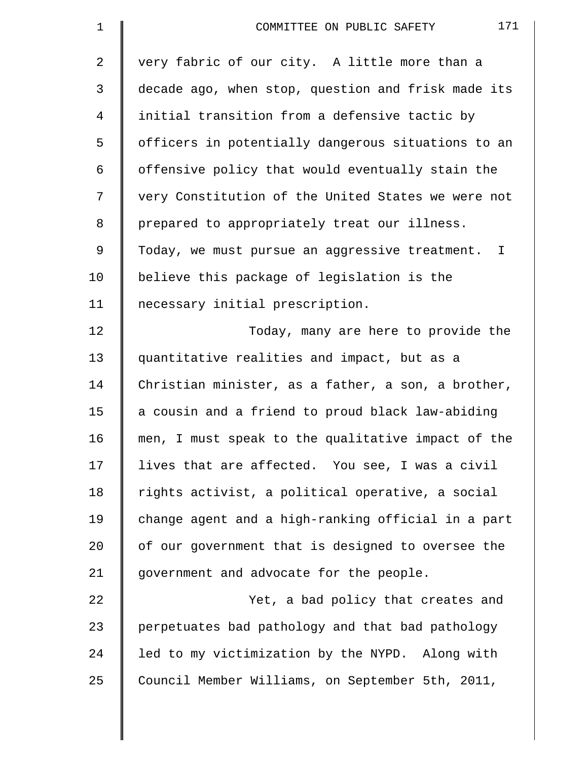| $\mathbf 1$    | 171<br>COMMITTEE ON PUBLIC SAFETY                  |
|----------------|----------------------------------------------------|
| $\overline{2}$ | very fabric of our city. A little more than a      |
| 3              | decade ago, when stop, question and frisk made its |
| 4              | initial transition from a defensive tactic by      |
| 5              | officers in potentially dangerous situations to an |
| 6              | offensive policy that would eventually stain the   |
| 7              | very Constitution of the United States we were not |
| 8              | prepared to appropriately treat our illness.       |
| 9              | Today, we must pursue an aggressive treatment. I   |
| 10             | believe this package of legislation is the         |
| 11             | necessary initial prescription.                    |
| 12             | Today, many are here to provide the                |
| 13             | quantitative realities and impact, but as a        |
| 14             | Christian minister, as a father, a son, a brother, |
| 15             | a cousin and a friend to proud black law-abiding   |
| 16             | men, I must speak to the qualitative impact of the |
| 17             | lives that are affected. You see, I was a civil    |
| 18             | rights activist, a political operative, a social   |
| 19             | change agent and a high-ranking official in a part |
| 20             | of our government that is designed to oversee the  |
| 21             | government and advocate for the people.            |
| 22             | Yet, a bad policy that creates and                 |
| 23             | perpetuates bad pathology and that bad pathology   |
| 24             | led to my victimization by the NYPD. Along with    |
| 25             | Council Member Williams, on September 5th, 2011,   |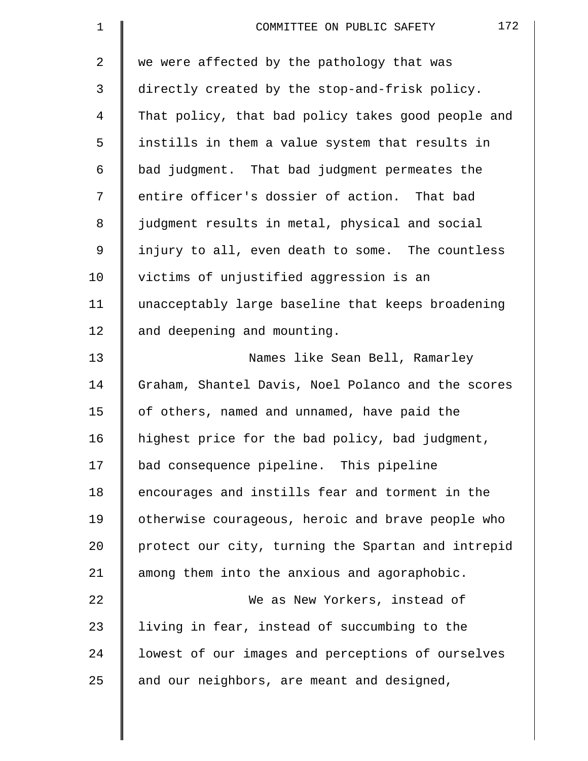| $\mathbf 1$ | 172<br>COMMITTEE ON PUBLIC SAFETY                  |
|-------------|----------------------------------------------------|
| 2           | we were affected by the pathology that was         |
| 3           | directly created by the stop-and-frisk policy.     |
| 4           | That policy, that bad policy takes good people and |
| 5           | instills in them a value system that results in    |
| 6           | bad judgment. That bad judgment permeates the      |
| 7           | entire officer's dossier of action. That bad       |
| 8           | judgment results in metal, physical and social     |
| 9           | injury to all, even death to some. The countless   |
| 10          | victims of unjustified aggression is an            |
| 11          | unacceptably large baseline that keeps broadening  |
| 12          | and deepening and mounting.                        |
| 13          | Names like Sean Bell, Ramarley                     |
| 14          | Graham, Shantel Davis, Noel Polanco and the scores |
| 15          | of others, named and unnamed, have paid the        |
| 16          | highest price for the bad policy, bad judgment,    |
| 17          | bad consequence pipeline. This pipeline            |
| 18          | encourages and instills fear and torment in the    |
| 19          | otherwise courageous, heroic and brave people who  |
| 20          | protect our city, turning the Spartan and intrepid |
| 21          | among them into the anxious and agoraphobic.       |
| 22          | We as New Yorkers, instead of                      |
| 23          | living in fear, instead of succumbing to the       |
| 24          | lowest of our images and perceptions of ourselves  |
| 25          | and our neighbors, are meant and designed,         |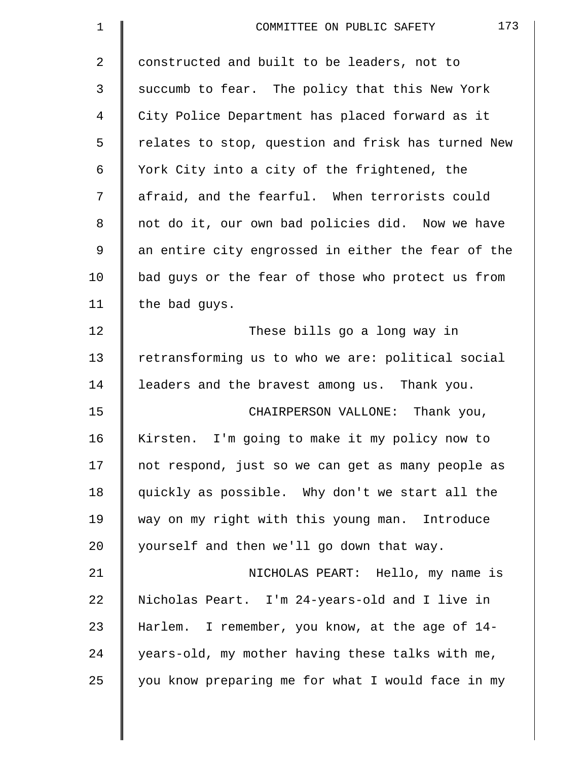| $\mathbf{1}$ | 173<br>COMMITTEE ON PUBLIC SAFETY                  |
|--------------|----------------------------------------------------|
| 2            | constructed and built to be leaders, not to        |
| 3            | succumb to fear. The policy that this New York     |
| 4            | City Police Department has placed forward as it    |
| 5            | relates to stop, question and frisk has turned New |
| 6            | York City into a city of the frightened, the       |
| 7            | afraid, and the fearful. When terrorists could     |
| 8            | not do it, our own bad policies did. Now we have   |
| 9            | an entire city engrossed in either the fear of the |
| 10           | bad guys or the fear of those who protect us from  |
| 11           | the bad guys.                                      |
| 12           | These bills go a long way in                       |
| 13           | retransforming us to who we are: political social  |
| 14           | leaders and the bravest among us. Thank you.       |
| 15           | CHAIRPERSON VALLONE: Thank you,                    |
| 16           | Kirsten. I'm going to make it my policy now to     |
| 17           | not respond, just so we can get as many people as  |
| 18           | quickly as possible. Why don't we start all the    |
| 19           | way on my right with this young man. Introduce     |
| 20           | yourself and then we'll go down that way.          |
| 21           | NICHOLAS PEART: Hello, my name is                  |
| 22           | Nicholas Peart. I'm 24-years-old and I live in     |
| 23           | Harlem. I remember, you know, at the age of 14-    |
| 24           | years-old, my mother having these talks with me,   |
| 25           | you know preparing me for what I would face in my  |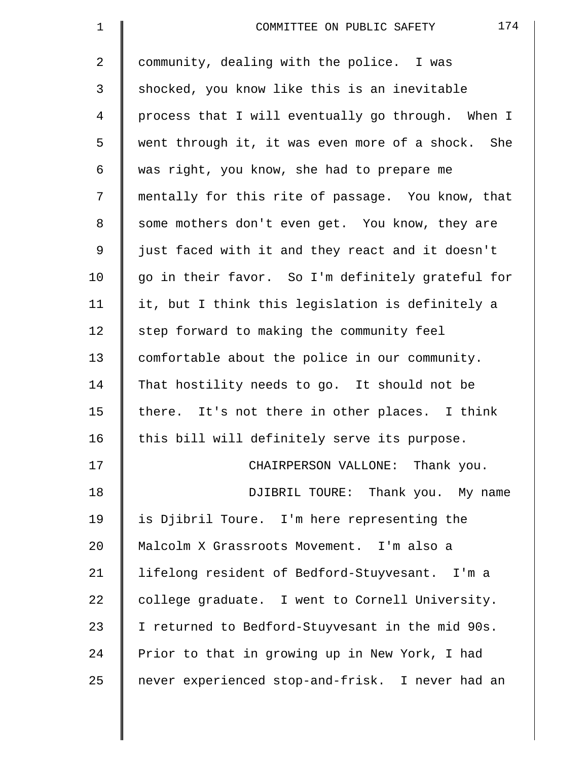| $\mathbf 1$ | 174<br>COMMITTEE ON PUBLIC SAFETY                 |
|-------------|---------------------------------------------------|
| 2           | community, dealing with the police. I was         |
| 3           | shocked, you know like this is an inevitable      |
| 4           | process that I will eventually go through. When I |
| 5           | went through it, it was even more of a shock. She |
| 6           | was right, you know, she had to prepare me        |
| 7           | mentally for this rite of passage. You know, that |
| 8           | some mothers don't even get. You know, they are   |
| 9           | just faced with it and they react and it doesn't  |
| 10          | go in their favor. So I'm definitely grateful for |
| 11          | it, but I think this legislation is definitely a  |
| 12          | step forward to making the community feel         |
| 13          | comfortable about the police in our community.    |
| 14          | That hostility needs to go. It should not be      |
| 15          | there. It's not there in other places. I think    |
| 16          | this bill will definitely serve its purpose.      |
| 17          | CHAIRPERSON VALLONE: Thank you.                   |
| 18          | DJIBRIL TOURE: Thank you. My name                 |
| 19          | is Djibril Toure. I'm here representing the       |
| 20          | Malcolm X Grassroots Movement. I'm also a         |
| 21          | lifelong resident of Bedford-Stuyvesant. I'm a    |
| 22          | college graduate. I went to Cornell University.   |
| 23          | I returned to Bedford-Stuyvesant in the mid 90s.  |
| 24          | Prior to that in growing up in New York, I had    |
| 25          | never experienced stop-and-frisk. I never had an  |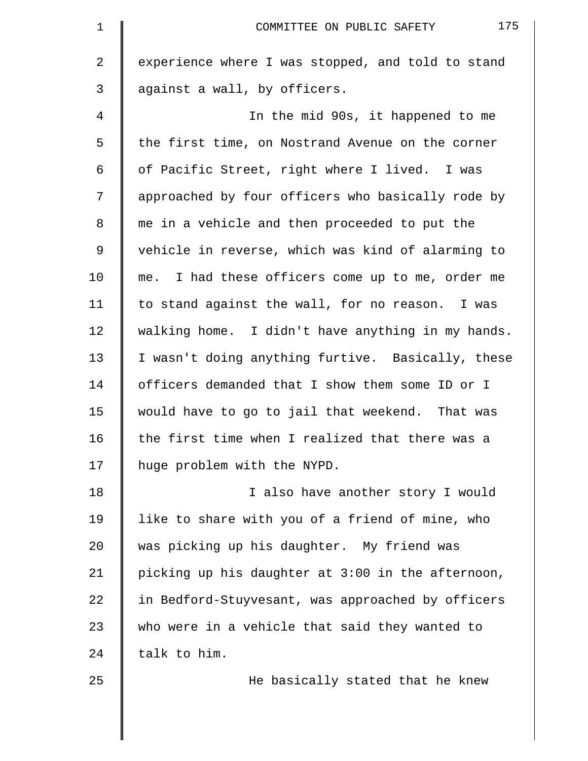| $\mathbf 1$    | 175<br>COMMITTEE ON PUBLIC SAFETY                 |
|----------------|---------------------------------------------------|
| $\overline{2}$ | experience where I was stopped, and told to stand |
| 3              | against a wall, by officers.                      |
| 4              | In the mid 90s, it happened to me                 |
| 5              | the first time, on Nostrand Avenue on the corner  |
| 6              | of Pacific Street, right where I lived. I was     |
| 7              | approached by four officers who basically rode by |
| 8              | me in a vehicle and then proceeded to put the     |
| $\mathsf 9$    | vehicle in reverse, which was kind of alarming to |
| 10             | me. I had these officers come up to me, order me  |
| 11             | to stand against the wall, for no reason. I was   |
| 12             | walking home. I didn't have anything in my hands. |
| 13             | I wasn't doing anything furtive. Basically, these |
| 14             | officers demanded that I show them some ID or I   |
| 15             | would have to go to jail that weekend. That was   |
| 16             | the first time when I realized that there was a   |
| 17             | huge problem with the NYPD.                       |
| 18             | I also have another story I would                 |
| 19             | like to share with you of a friend of mine, who   |
| 20             | was picking up his daughter. My friend was        |
| 21             | picking up his daughter at 3:00 in the afternoon, |
| 22             | in Bedford-Stuyvesant, was approached by officers |
| 23             | who were in a vehicle that said they wanted to    |
| 24             | talk to him.                                      |
| 25             | He basically stated that he knew                  |
|                |                                                   |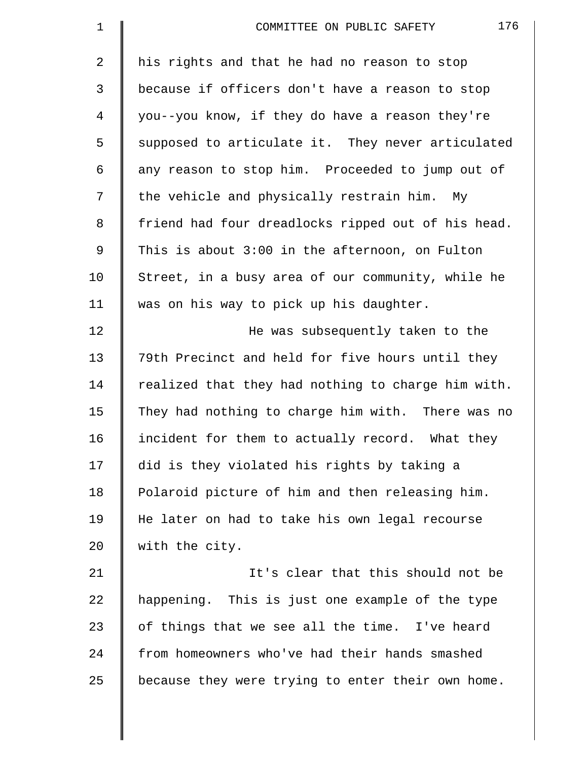| $\mathbf 1$    | 176<br>COMMITTEE ON PUBLIC SAFETY                  |
|----------------|----------------------------------------------------|
| $\overline{2}$ | his rights and that he had no reason to stop       |
| 3              | because if officers don't have a reason to stop    |
| 4              | you--you know, if they do have a reason they're    |
| 5              | supposed to articulate it. They never articulated  |
| 6              | any reason to stop him. Proceeded to jump out of   |
| 7              | the vehicle and physically restrain him. My        |
| 8              | friend had four dreadlocks ripped out of his head. |
| 9              | This is about 3:00 in the afternoon, on Fulton     |
| 10             | Street, in a busy area of our community, while he  |
| 11             | was on his way to pick up his daughter.            |
| 12             | He was subsequently taken to the                   |
| 13             | 79th Precinct and held for five hours until they   |
| 14             | realized that they had nothing to charge him with. |
| 15             | They had nothing to charge him with. There was no  |
| 16             | incident for them to actually record. What they    |
| 17             | did is they violated his rights by taking a        |
| 18             | Polaroid picture of him and then releasing him.    |
| 19             | He later on had to take his own legal recourse     |
| 20             | with the city.                                     |
| 21             | It's clear that this should not be                 |
| 22             | happening. This is just one example of the type    |
| 23             | of things that we see all the time. I've heard     |
| 24             | from homeowners who've had their hands smashed     |
| 25             | because they were trying to enter their own home.  |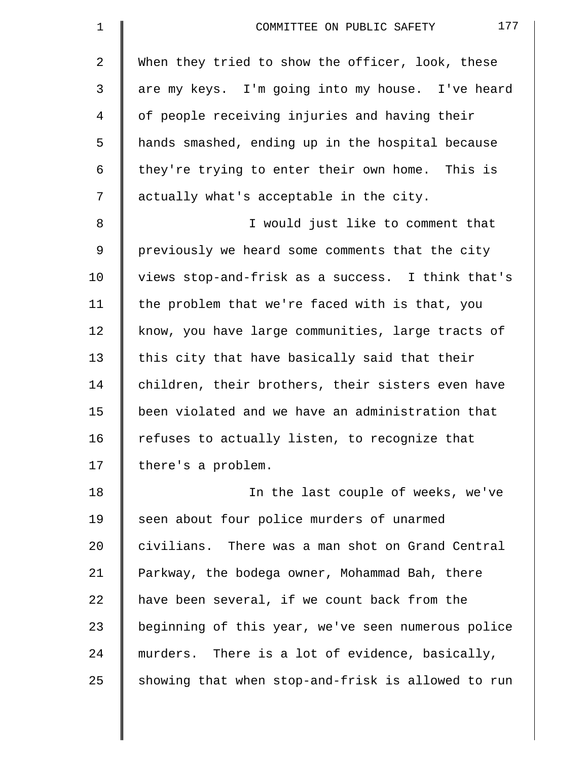| $\mathbf 1$ | 177<br>COMMITTEE ON PUBLIC SAFETY                  |
|-------------|----------------------------------------------------|
| 2           | When they tried to show the officer, look, these   |
| 3           | are my keys. I'm going into my house. I've heard   |
| 4           | of people receiving injuries and having their      |
| 5           | hands smashed, ending up in the hospital because   |
| 6           | they're trying to enter their own home. This is    |
| 7           | actually what's acceptable in the city.            |
| 8           | I would just like to comment that                  |
| $\mathsf 9$ | previously we heard some comments that the city    |
| 10          | views stop-and-frisk as a success. I think that's  |
| 11          | the problem that we're faced with is that, you     |
| 12          | know, you have large communities, large tracts of  |
| 13          | this city that have basically said that their      |
| 14          | children, their brothers, their sisters even have  |
| 15          | been violated and we have an administration that   |
| 16          | refuses to actually listen, to recognize that      |
| 17          | there's a problem.                                 |
| 18          | In the last couple of weeks, we've                 |
| 19          | seen about four police murders of unarmed          |
| 20          | civilians. There was a man shot on Grand Central   |
| 21          | Parkway, the bodega owner, Mohammad Bah, there     |
| 22          | have been several, if we count back from the       |
| 23          | beginning of this year, we've seen numerous police |
| 24          | murders. There is a lot of evidence, basically,    |
| 25          | showing that when stop-and-frisk is allowed to run |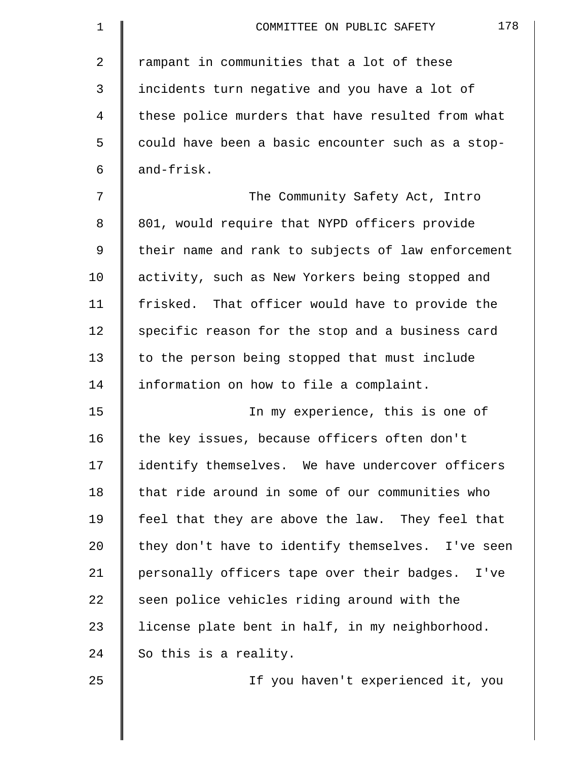| 1  | 178<br>COMMITTEE ON PUBLIC SAFETY                  |
|----|----------------------------------------------------|
| 2  | rampant in communities that a lot of these         |
| 3  | incidents turn negative and you have a lot of      |
| 4  | these police murders that have resulted from what  |
| 5  | could have been a basic encounter such as a stop-  |
| 6  | and-frisk.                                         |
| 7  | The Community Safety Act, Intro                    |
| 8  | 801, would require that NYPD officers provide      |
| 9  | their name and rank to subjects of law enforcement |
| 10 | activity, such as New Yorkers being stopped and    |
| 11 | frisked. That officer would have to provide the    |
| 12 | specific reason for the stop and a business card   |
| 13 | to the person being stopped that must include      |
| 14 | information on how to file a complaint.            |
| 15 | In my experience, this is one of                   |
| 16 | the key issues, because officers often don't       |
| 17 | identify themselves. We have undercover officers   |
| 18 | that ride around in some of our communities who    |
| 19 | feel that they are above the law. They feel that   |
| 20 | they don't have to identify themselves. I've seen  |
| 21 | personally officers tape over their badges. I've   |
| 22 | seen police vehicles riding around with the        |
| 23 | license plate bent in half, in my neighborhood.    |
| 24 | So this is a reality.                              |
| 25 | If you haven't experienced it, you                 |

 $\parallel$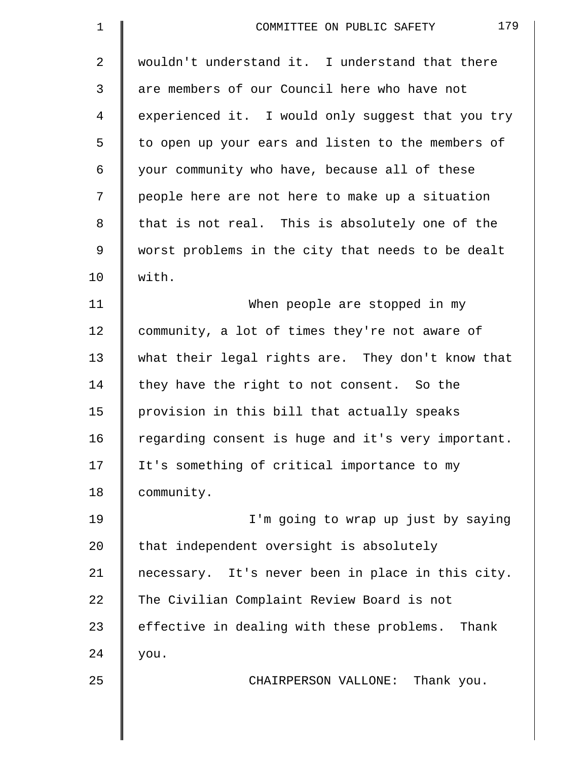| $\mathbf 1$    | 179<br>COMMITTEE ON PUBLIC SAFETY                  |
|----------------|----------------------------------------------------|
| $\overline{2}$ | wouldn't understand it. I understand that there    |
| $\mathfrak{Z}$ | are members of our Council here who have not       |
| 4              | experienced it. I would only suggest that you try  |
| 5              | to open up your ears and listen to the members of  |
| 6              | your community who have, because all of these      |
| 7              | people here are not here to make up a situation    |
| 8              | that is not real. This is absolutely one of the    |
| $\mathsf 9$    | worst problems in the city that needs to be dealt  |
| 10             | with.                                              |
| 11             | When people are stopped in my                      |
| 12             | community, a lot of times they're not aware of     |
| 13             | what their legal rights are. They don't know that  |
| 14             | they have the right to not consent. So the         |
| 15             | provision in this bill that actually speaks        |
| 16             | regarding consent is huge and it's very important. |
| 17             | It's something of critical importance to my        |
| 18             | community.                                         |
| 19             | I'm going to wrap up just by saying                |
| 20             | that independent oversight is absolutely           |
| 21             | necessary. It's never been in place in this city.  |
| 22             | The Civilian Complaint Review Board is not         |
| 23             | effective in dealing with these problems. Thank    |
| 24             | you.                                               |
| 25             | CHAIRPERSON VALLONE: Thank you.                    |
|                |                                                    |
|                |                                                    |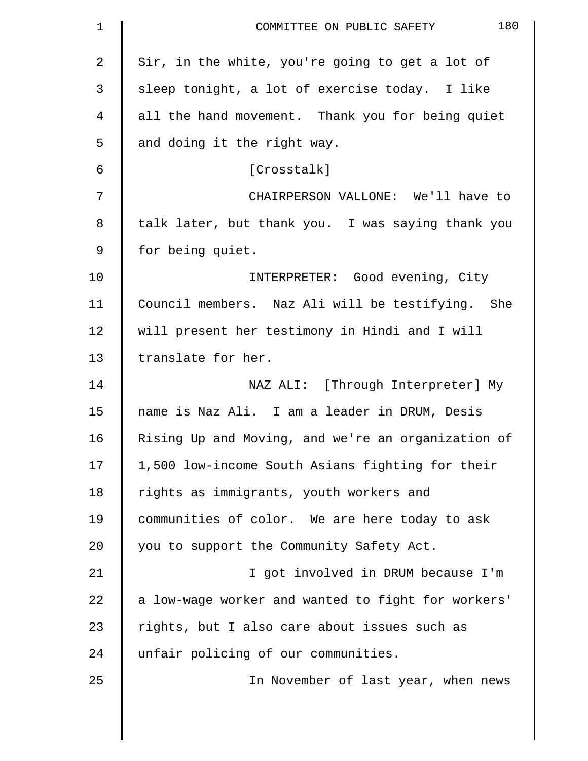| $\mathbf 1$ | 180<br>COMMITTEE ON PUBLIC SAFETY                  |
|-------------|----------------------------------------------------|
| 2           | Sir, in the white, you're going to get a lot of    |
| 3           | sleep tonight, a lot of exercise today. I like     |
| 4           | all the hand movement. Thank you for being quiet   |
| 5           | and doing it the right way.                        |
| 6           | [Crosstalk]                                        |
| 7           | CHAIRPERSON VALLONE: We'll have to                 |
| 8           | talk later, but thank you. I was saying thank you  |
| 9           | for being quiet.                                   |
| 10          | INTERPRETER: Good evening, City                    |
| 11          | Council members. Naz Ali will be testifying. She   |
| 12          | will present her testimony in Hindi and I will     |
| 13          | translate for her.                                 |
| 14          | NAZ ALI: [Through Interpreter] My                  |
| 15          | name is Naz Ali. I am a leader in DRUM, Desis      |
| 16          | Rising Up and Moving, and we're an organization of |
| 17          | 1,500 low-income South Asians fighting for their   |
| 18          | rights as immigrants, youth workers and            |
| 19          | communities of color. We are here today to ask     |
| 20          | you to support the Community Safety Act.           |
| 21          | I got involved in DRUM because I'm                 |
| 22          | a low-wage worker and wanted to fight for workers' |
| 23          | rights, but I also care about issues such as       |
| 24          | unfair policing of our communities.                |
| 25          | In November of last year, when news                |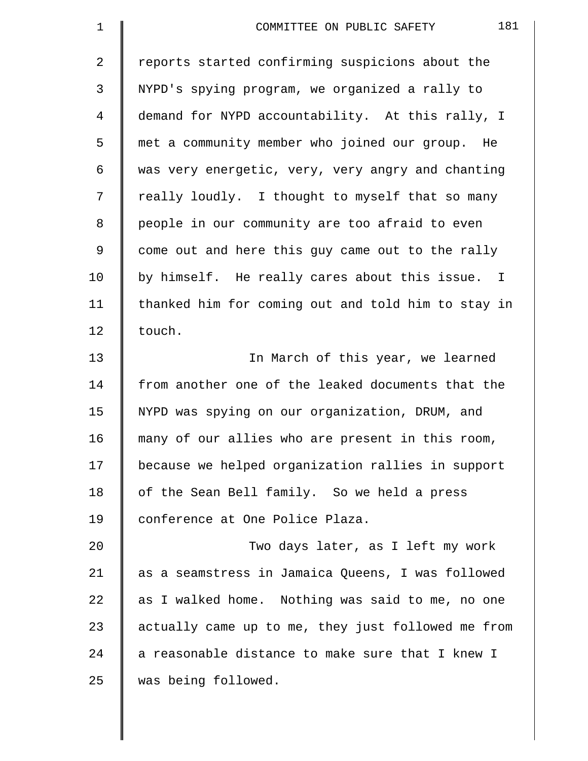| $\mathbf 1$    | 181<br>COMMITTEE ON PUBLIC SAFETY                  |
|----------------|----------------------------------------------------|
| $\overline{2}$ | reports started confirming suspicions about the    |
| 3              | NYPD's spying program, we organized a rally to     |
| 4              | demand for NYPD accountability. At this rally, I   |
| 5              | met a community member who joined our group. He    |
| 6              | was very energetic, very, very angry and chanting  |
| 7              | really loudly. I thought to myself that so many    |
| 8              | people in our community are too afraid to even     |
| 9              | come out and here this guy came out to the rally   |
| 10             | by himself. He really cares about this issue. I    |
| 11             | thanked him for coming out and told him to stay in |
| 12             | touch.                                             |
| 13             | In March of this year, we learned                  |
| 14             | from another one of the leaked documents that the  |
| 15             | NYPD was spying on our organization, DRUM, and     |
| 16             | many of our allies who are present in this room,   |
| 17             | because we helped organization rallies in support  |
| 18             | of the Sean Bell family. So we held a press        |
| 19             | conference at One Police Plaza.                    |
| 20             | Two days later, as I left my work                  |
| 21             | as a seamstress in Jamaica Queens, I was followed  |
| 22             | as I walked home. Nothing was said to me, no one   |
| 23             | actually came up to me, they just followed me from |
| 24             | a reasonable distance to make sure that I knew I   |
| 25             | was being followed.                                |
|                |                                                    |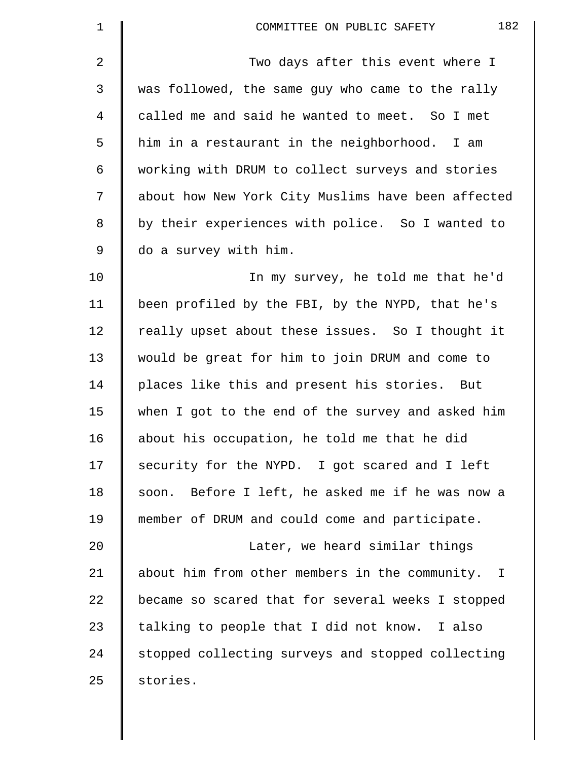| $\mathbf 1$    | 182<br>COMMITTEE ON PUBLIC SAFETY                  |
|----------------|----------------------------------------------------|
| $\overline{2}$ | Two days after this event where I                  |
| $\mathfrak{Z}$ | was followed, the same guy who came to the rally   |
| 4              | called me and said he wanted to meet. So I met     |
| 5              | him in a restaurant in the neighborhood. I am      |
| 6              | working with DRUM to collect surveys and stories   |
| 7              | about how New York City Muslims have been affected |
| 8              | by their experiences with police. So I wanted to   |
| $\mathsf 9$    | do a survey with him.                              |
| 10             | In my survey, he told me that he'd                 |
| 11             | been profiled by the FBI, by the NYPD, that he's   |
| 12             | really upset about these issues. So I thought it   |
| 13             | would be great for him to join DRUM and come to    |
| 14             | places like this and present his stories. But      |
| 15             | when I got to the end of the survey and asked him  |
| 16             | about his occupation, he told me that he did       |
| 17             | security for the NYPD. I got scared and I left     |
| 18             | soon. Before I left, he asked me if he was now a   |
| 19             | member of DRUM and could come and participate.     |
| 20             | Later, we heard similar things                     |
| 21             | about him from other members in the community. I   |
| 22             | became so scared that for several weeks I stopped  |
| 23             | talking to people that I did not know. I also      |
| 24             | stopped collecting surveys and stopped collecting  |
| 25             | stories.                                           |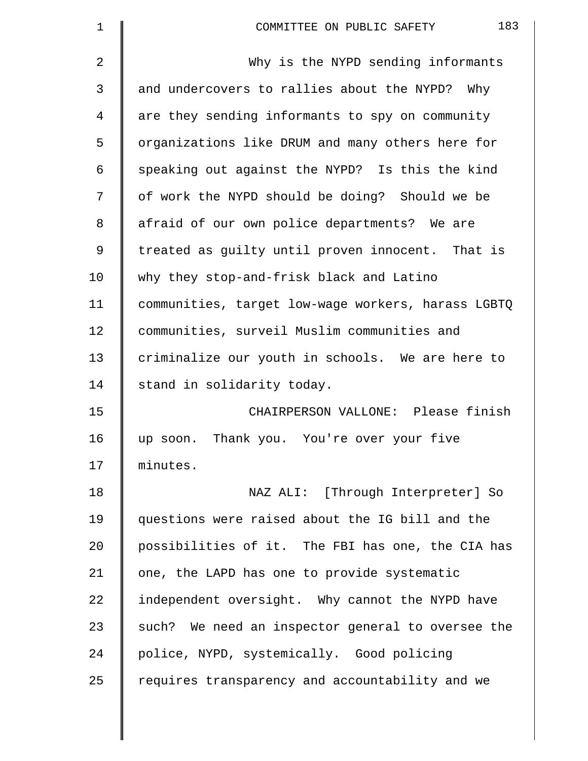| $\mathbf 1$    | 183<br>COMMITTEE ON PUBLIC SAFETY                  |
|----------------|----------------------------------------------------|
| $\overline{2}$ | Why is the NYPD sending informants                 |
| 3              | and undercovers to rallies about the NYPD? Why     |
| 4              | are they sending informants to spy on community    |
| 5              | organizations like DRUM and many others here for   |
| 6              | speaking out against the NYPD? Is this the kind    |
| 7              | of work the NYPD should be doing? Should we be     |
| 8              | afraid of our own police departments? We are       |
| 9              | treated as guilty until proven innocent. That is   |
| 10             | why they stop-and-frisk black and Latino           |
| 11             | communities, target low-wage workers, harass LGBTQ |
| 12             | communities, surveil Muslim communities and        |
| 13             | criminalize our youth in schools. We are here to   |
| 14             | stand in solidarity today.                         |
| 15             | CHAIRPERSON VALLONE: Please finish                 |
| 16             | Thank you. You're over your five<br>up soon.       |
| 17             | minutes.                                           |
| 18             | NAZ ALI: [Through Interpreter] So                  |
| 19             | questions were raised about the IG bill and the    |
| 20             | possibilities of it. The FBI has one, the CIA has  |
| 21             | one, the LAPD has one to provide systematic        |
| 22             | independent oversight. Why cannot the NYPD have    |
| 23             | such? We need an inspector general to oversee the  |
| 24             | police, NYPD, systemically. Good policing          |
| 25             | requires transparency and accountability and we    |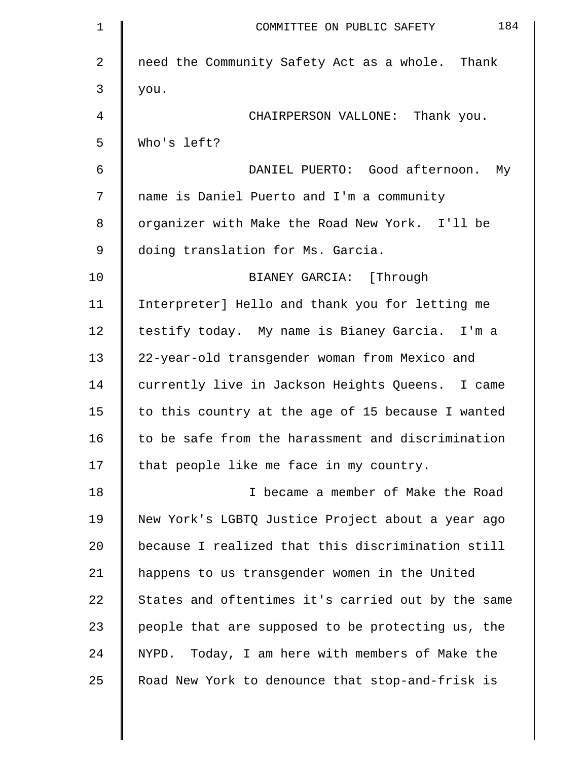| $\mathbf 1$ | 184<br>COMMITTEE ON PUBLIC SAFETY                  |
|-------------|----------------------------------------------------|
| 2           | need the Community Safety Act as a whole. Thank    |
| 3           | you.                                               |
| 4           | CHAIRPERSON VALLONE: Thank you.                    |
| 5           | Who's left?                                        |
| 6           | DANIEL PUERTO: Good afternoon.<br>Мy               |
| 7           | name is Daniel Puerto and I'm a community          |
| 8           | organizer with Make the Road New York. I'll be     |
| 9           | doing translation for Ms. Garcia.                  |
| 10          | BIANEY GARCIA: [Through                            |
| 11          | Interpreter] Hello and thank you for letting me    |
| 12          | testify today. My name is Bianey Garcia. I'm a     |
| 13          | 22-year-old transgender woman from Mexico and      |
| 14          | currently live in Jackson Heights Queens. I came   |
| 15          | to this country at the age of 15 because I wanted  |
| 16          | to be safe from the harassment and discrimination  |
| 17          | that people like me face in my country.            |
| 18          | I became a member of Make the Road                 |
| 19          | New York's LGBTQ Justice Project about a year ago  |
| 20          | because I realized that this discrimination still  |
| 21          | happens to us transgender women in the United      |
| 22          | States and oftentimes it's carried out by the same |
| 23          | people that are supposed to be protecting us, the  |
| 24          | NYPD. Today, I am here with members of Make the    |
| 25          | Road New York to denounce that stop-and-frisk is   |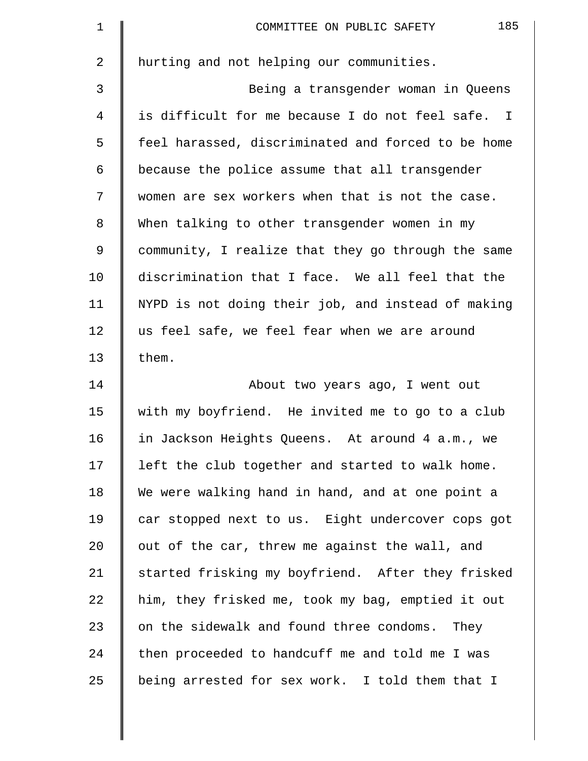| $\mathbf 1$    | 185<br>COMMITTEE ON PUBLIC SAFETY                  |
|----------------|----------------------------------------------------|
| $\overline{2}$ | hurting and not helping our communities.           |
| 3              | Being a transgender woman in Queens                |
| $\overline{4}$ | is difficult for me because I do not feel safe. I  |
| 5              | feel harassed, discriminated and forced to be home |
| 6              | because the police assume that all transgender     |
| 7              | women are sex workers when that is not the case.   |
| 8              | When talking to other transgender women in my      |
| 9              | community, I realize that they go through the same |
| 10             | discrimination that I face. We all feel that the   |
| 11             | NYPD is not doing their job, and instead of making |
| 12             | us feel safe, we feel fear when we are around      |
| 13             | them.                                              |
| 14             | About two years ago, I went out                    |
| 15             | with my boyfriend. He invited me to go to a club   |
| 16             | in Jackson Heights Queens. At around 4 a.m., we    |
| 17             | left the club together and started to walk home.   |
| 18             | We were walking hand in hand, and at one point a   |
| 19             | car stopped next to us. Eight undercover cops got  |
| 20             | out of the car, threw me against the wall, and     |
| 21             | started frisking my boyfriend. After they frisked  |
| 22             | him, they frisked me, took my bag, emptied it out  |
| 23             | on the sidewalk and found three condoms. They      |
| 24             | then proceeded to handcuff me and told me I was    |
| 25             | being arrested for sex work. I told them that I    |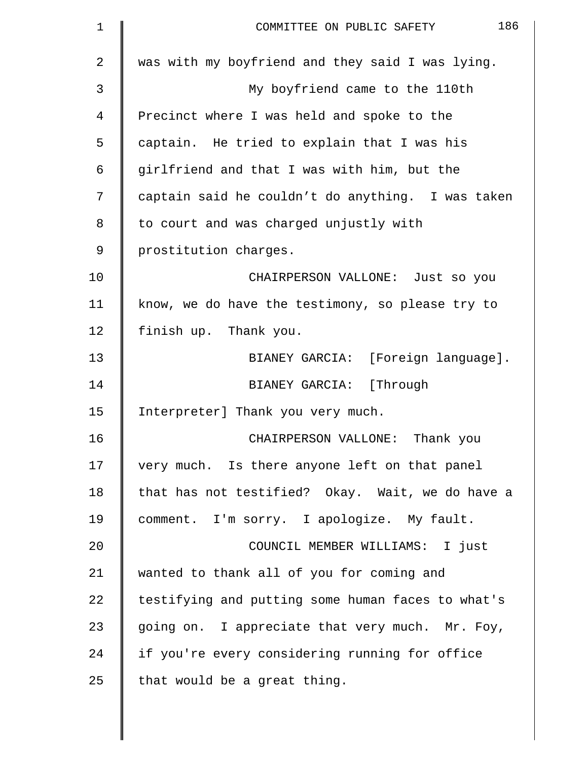| $\mathbf 1$    | 186<br>COMMITTEE ON PUBLIC SAFETY                 |
|----------------|---------------------------------------------------|
| $\overline{a}$ | was with my boyfriend and they said I was lying.  |
| 3              | My boyfriend came to the 110th                    |
| 4              | Precinct where I was held and spoke to the        |
| 5              | captain. He tried to explain that I was his       |
| 6              | girlfriend and that I was with him, but the       |
| 7              | captain said he couldn't do anything. I was taken |
| 8              | to court and was charged unjustly with            |
| 9              | prostitution charges.                             |
| 10             | CHAIRPERSON VALLONE: Just so you                  |
| 11             | know, we do have the testimony, so please try to  |
| 12             | finish up. Thank you.                             |
| 13             | BIANEY GARCIA: [Foreign language].                |
| 14             | BIANEY GARCIA: [Through                           |
| 15             | Interpreter] Thank you very much.                 |
| 16             | CHAIRPERSON VALLONE:<br>Thank you                 |
| 17             | very much. Is there anyone left on that panel     |
| 18             | that has not testified? Okay. Wait, we do have a  |
| 19             | comment. I'm sorry. I apologize. My fault.        |
| 20             | COUNCIL MEMBER WILLIAMS: I just                   |
| 21             | wanted to thank all of you for coming and         |
| 22             | testifying and putting some human faces to what's |
| 23             | going on. I appreciate that very much. Mr. Foy,   |
| 24             | if you're every considering running for office    |
| 25             | that would be a great thing.                      |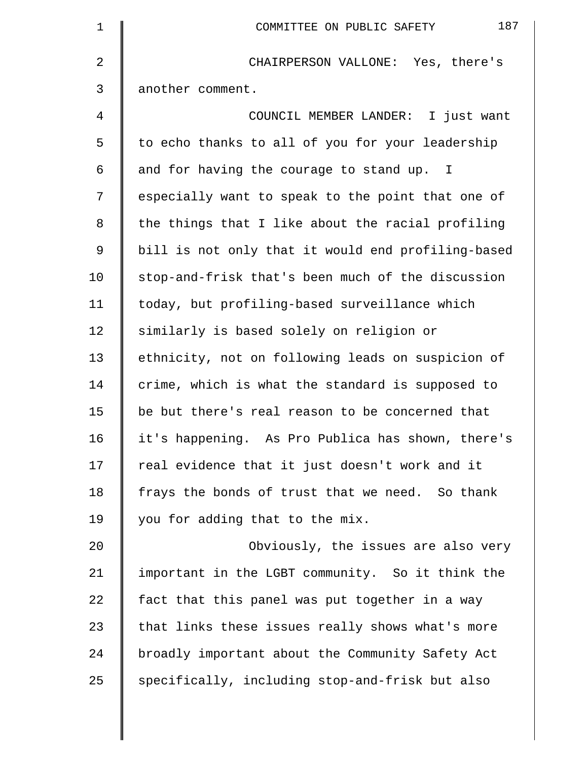| $\mathbf 1$    | 187<br>COMMITTEE ON PUBLIC SAFETY                  |
|----------------|----------------------------------------------------|
| $\overline{a}$ | CHAIRPERSON VALLONE: Yes, there's                  |
| 3              | another comment.                                   |
| 4              | COUNCIL MEMBER LANDER: I just want                 |
| 5              | to echo thanks to all of you for your leadership   |
| 6              | and for having the courage to stand up. I          |
| 7              | especially want to speak to the point that one of  |
| 8              | the things that I like about the racial profiling  |
| 9              | bill is not only that it would end profiling-based |
| 10             | stop-and-frisk that's been much of the discussion  |
| 11             | today, but profiling-based surveillance which      |
| 12             | similarly is based solely on religion or           |
| 13             | ethnicity, not on following leads on suspicion of  |
| 14             | crime, which is what the standard is supposed to   |
| 15             | be but there's real reason to be concerned that    |
| 16             | it's happening. As Pro Publica has shown, there's  |
| 17             | real evidence that it just doesn't work and it     |
| 18             | frays the bonds of trust that we need. So thank    |
| 19             | you for adding that to the mix.                    |
| 20             | Obviously, the issues are also very                |
| 21             | important in the LGBT community. So it think the   |
| 22             | fact that this panel was put together in a way     |
| 23             | that links these issues really shows what's more   |
| 24             | broadly important about the Community Safety Act   |
| 25             | specifically, including stop-and-frisk but also    |
|                |                                                    |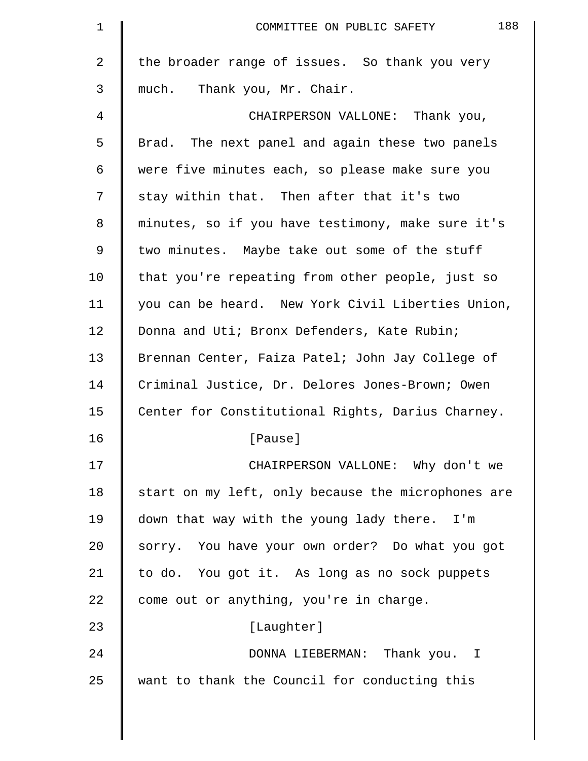| $\mathbf 1$ | 188<br>COMMITTEE ON PUBLIC SAFETY                  |
|-------------|----------------------------------------------------|
| 2           | the broader range of issues. So thank you very     |
| 3           | much. Thank you, Mr. Chair.                        |
| 4           | CHAIRPERSON VALLONE: Thank you,                    |
| 5           | Brad. The next panel and again these two panels    |
| 6           | were five minutes each, so please make sure you    |
| 7           | stay within that. Then after that it's two         |
| 8           | minutes, so if you have testimony, make sure it's  |
| 9           | two minutes. Maybe take out some of the stuff      |
| 10          | that you're repeating from other people, just so   |
| 11          | you can be heard. New York Civil Liberties Union,  |
| 12          | Donna and Uti; Bronx Defenders, Kate Rubin;        |
| 13          | Brennan Center, Faiza Patel; John Jay College of   |
| 14          | Criminal Justice, Dr. Delores Jones-Brown; Owen    |
| 15          | Center for Constitutional Rights, Darius Charney.  |
| 16          | [Pause]                                            |
| 17          | CHAIRPERSON VALLONE: Why don't we                  |
| 18          | start on my left, only because the microphones are |
| 19          | down that way with the young lady there. I'm       |
| 20          | sorry. You have your own order? Do what you got    |
| 21          | to do. You got it. As long as no sock puppets      |
| 22          | come out or anything, you're in charge.            |
| 23          | [Laughter]                                         |
| 24          | DONNA LIEBERMAN: Thank you. I                      |
| 25          | want to thank the Council for conducting this      |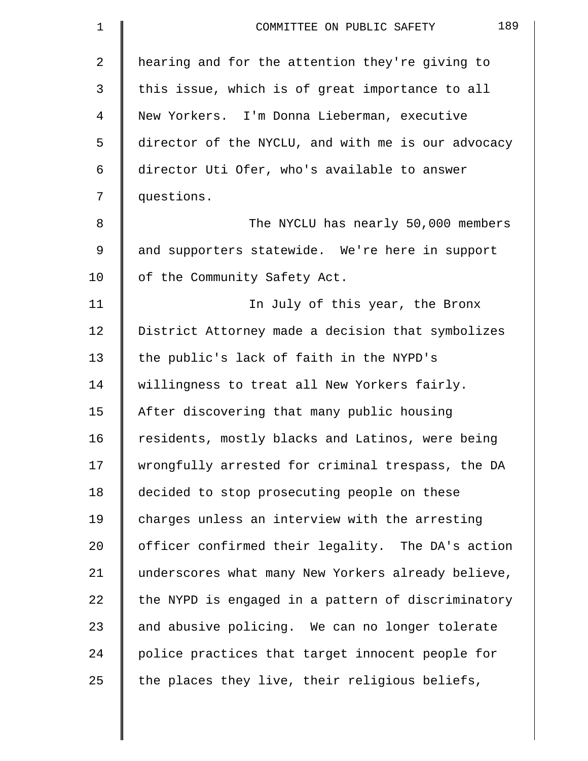| 1  | 189<br>COMMITTEE ON PUBLIC SAFETY                  |
|----|----------------------------------------------------|
| 2  | hearing and for the attention they're giving to    |
| 3  | this issue, which is of great importance to all    |
| 4  | New Yorkers. I'm Donna Lieberman, executive        |
| 5  | director of the NYCLU, and with me is our advocacy |
| 6  | director Uti Ofer, who's available to answer       |
| 7  | questions.                                         |
| 8  | The NYCLU has nearly 50,000 members                |
| 9  | and supporters statewide. We're here in support    |
| 10 | of the Community Safety Act.                       |
| 11 | In July of this year, the Bronx                    |
| 12 | District Attorney made a decision that symbolizes  |
| 13 | the public's lack of faith in the NYPD's           |
| 14 | willingness to treat all New Yorkers fairly.       |
| 15 | After discovering that many public housing         |
| 16 | residents, mostly blacks and Latinos, were being   |
| 17 | wrongfully arrested for criminal trespass, the DA  |
| 18 | decided to stop prosecuting people on these        |
| 19 | charges unless an interview with the arresting     |
| 20 | officer confirmed their legality. The DA's action  |
| 21 | underscores what many New Yorkers already believe, |
| 22 | the NYPD is engaged in a pattern of discriminatory |
| 23 | and abusive policing. We can no longer tolerate    |
| 24 | police practices that target innocent people for   |
| 25 | the places they live, their religious beliefs,     |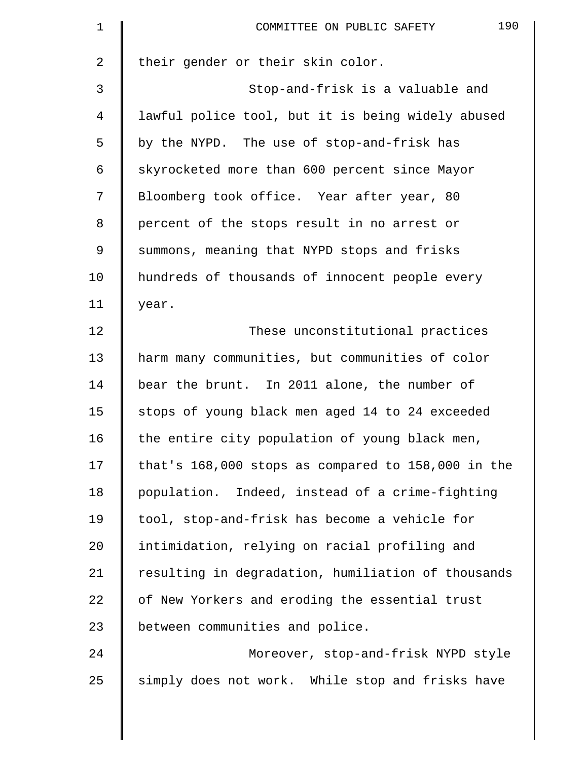| $\mathbf 1$    | 190<br>COMMITTEE ON PUBLIC SAFETY                  |
|----------------|----------------------------------------------------|
| $\overline{a}$ | their gender or their skin color.                  |
| 3              | Stop-and-frisk is a valuable and                   |
| 4              | lawful police tool, but it is being widely abused  |
| 5              | by the NYPD. The use of stop-and-frisk has         |
| 6              | skyrocketed more than 600 percent since Mayor      |
| 7              | Bloomberg took office. Year after year, 80         |
| 8              | percent of the stops result in no arrest or        |
| 9              | summons, meaning that NYPD stops and frisks        |
| 10             | hundreds of thousands of innocent people every     |
| 11             | year.                                              |
| 12             | These unconstitutional practices                   |
| 13             | harm many communities, but communities of color    |
| 14             | bear the brunt. In 2011 alone, the number of       |
| 15             | stops of young black men aged 14 to 24 exceeded    |
| 16             | the entire city population of young black men,     |
| 17             | that's 168,000 stops as compared to 158,000 in the |
| 18             | population. Indeed, instead of a crime-fighting    |
| 19             | tool, stop-and-frisk has become a vehicle for      |
| 20             | intimidation, relying on racial profiling and      |
| 21             | resulting in degradation, humiliation of thousands |
| 22             | of New Yorkers and eroding the essential trust     |
| 23             | between communities and police.                    |
| 24             | Moreover, stop-and-frisk NYPD style                |
| 25             | simply does not work. While stop and frisks have   |
|                |                                                    |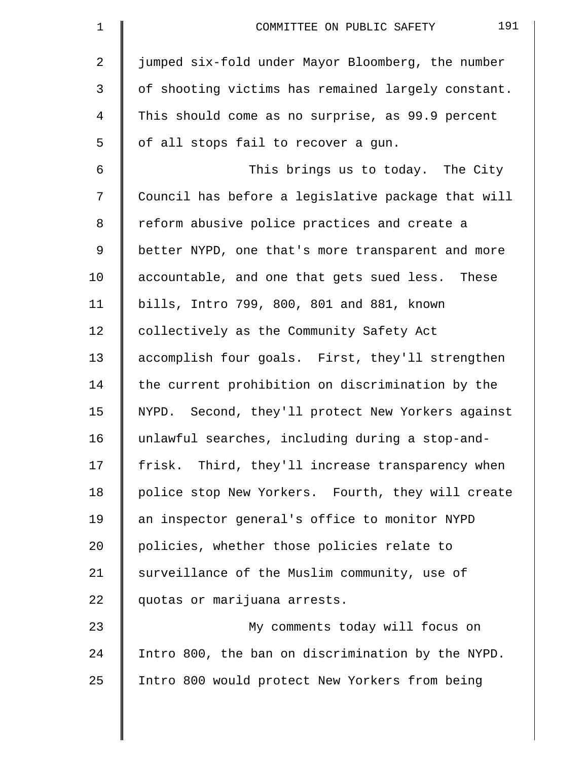| $\mathbf 1$ | 191<br>COMMITTEE ON PUBLIC SAFETY                  |
|-------------|----------------------------------------------------|
| 2           | jumped six-fold under Mayor Bloomberg, the number  |
| 3           | of shooting victims has remained largely constant. |
| 4           | This should come as no surprise, as 99.9 percent   |
| 5           | of all stops fail to recover a gun.                |
| 6           | This brings us to today. The City                  |
| 7           | Council has before a legislative package that will |
| 8           | reform abusive police practices and create a       |
| 9           | better NYPD, one that's more transparent and more  |
| 10          | accountable, and one that gets sued less. These    |
| 11          | bills, Intro 799, 800, 801 and 881, known          |
| 12          | collectively as the Community Safety Act           |
| 13          | accomplish four goals. First, they'll strengthen   |
| 14          | the current prohibition on discrimination by the   |
| 15          | NYPD. Second, they'll protect New Yorkers against  |
| 16          | unlawful searches, including during a stop-and-    |
| 17          | frisk. Third, they'll increase transparency when   |
| 18          | police stop New Yorkers. Fourth, they will create  |
| 19          | an inspector general's office to monitor NYPD      |
| 20          | policies, whether those policies relate to         |
| 21          | surveillance of the Muslim community, use of       |
| 22          | quotas or marijuana arrests.                       |
| 23          | My comments today will focus on                    |
| 24          | Intro 800, the ban on discrimination by the NYPD.  |
| 25          | Intro 800 would protect New Yorkers from being     |
|             |                                                    |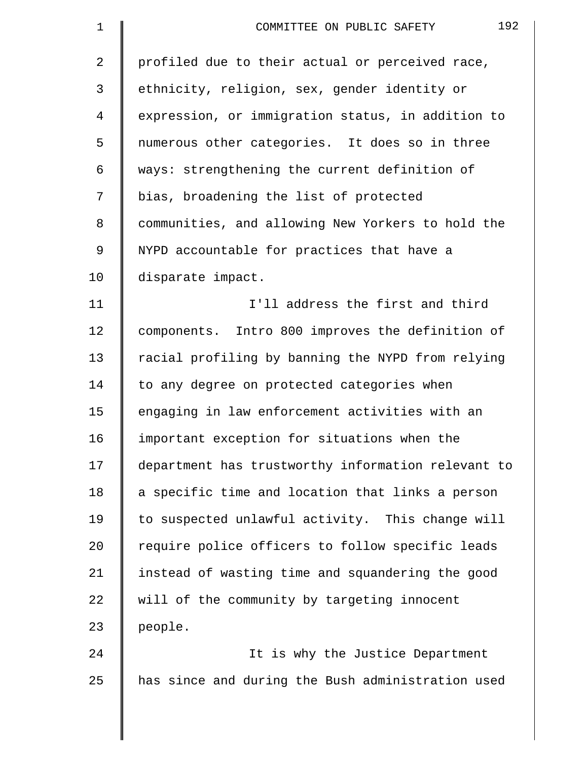| $\mathbf 1$ | 192<br>COMMITTEE ON PUBLIC SAFETY                  |
|-------------|----------------------------------------------------|
| 2           | profiled due to their actual or perceived race,    |
| 3           | ethnicity, religion, sex, gender identity or       |
| 4           | expression, or immigration status, in addition to  |
| 5           | numerous other categories. It does so in three     |
| 6           | ways: strengthening the current definition of      |
| 7           | bias, broadening the list of protected             |
| 8           | communities, and allowing New Yorkers to hold the  |
| 9           | NYPD accountable for practices that have a         |
| 10          | disparate impact.                                  |
| 11          | I'll address the first and third                   |
| 12          | components. Intro 800 improves the definition of   |
| 13          | racial profiling by banning the NYPD from relying  |
| 14          | to any degree on protected categories when         |
| 15          | engaging in law enforcement activities with an     |
| 16          | important exception for situations when the        |
| 17          | department has trustworthy information relevant to |
| 18          | a specific time and location that links a person   |
| 19          | to suspected unlawful activity. This change will   |
| 20          | require police officers to follow specific leads   |
| 21          | instead of wasting time and squandering the good   |
| 22          | will of the community by targeting innocent        |
| 23          | people.                                            |
| 24          | It is why the Justice Department                   |
| 25          | has since and during the Bush administration used  |
|             |                                                    |

 $\parallel$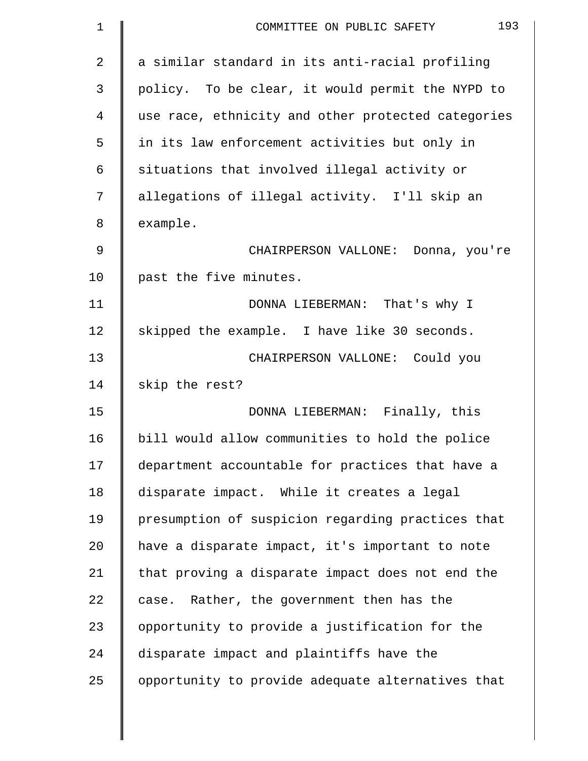| 1              | 193<br>COMMITTEE ON PUBLIC SAFETY                  |
|----------------|----------------------------------------------------|
| $\overline{2}$ | a similar standard in its anti-racial profiling    |
| 3              | policy. To be clear, it would permit the NYPD to   |
| 4              | use race, ethnicity and other protected categories |
| 5              | in its law enforcement activities but only in      |
| 6              | situations that involved illegal activity or       |
| 7              | allegations of illegal activity. I'll skip an      |
| 8              | example.                                           |
| 9              | CHAIRPERSON VALLONE: Donna, you're                 |
| 10             | past the five minutes.                             |
| 11             | DONNA LIEBERMAN: That's why I                      |
| 12             | skipped the example. I have like 30 seconds.       |
| 13             | CHAIRPERSON VALLONE: Could you                     |
| 14             | skip the rest?                                     |
| 15             | DONNA LIEBERMAN: Finally, this                     |
| 16             | bill would allow communities to hold the police    |
| 17             | department accountable for practices that have a   |
| 18             | disparate impact. While it creates a legal         |
| 19             | presumption of suspicion regarding practices that  |
| 20             | have a disparate impact, it's important to note    |
| 21             | that proving a disparate impact does not end the   |
| 22             | case. Rather, the government then has the          |
| 23             | opportunity to provide a justification for the     |
| 24             | disparate impact and plaintiffs have the           |
| 25             | opportunity to provide adequate alternatives that  |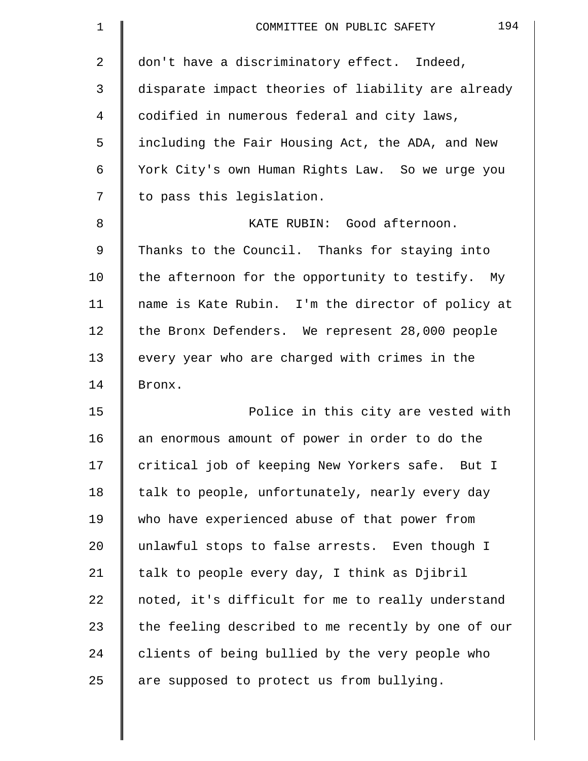| $\mathbf 1$ | 194<br>COMMITTEE ON PUBLIC SAFETY                  |
|-------------|----------------------------------------------------|
| 2           | don't have a discriminatory effect. Indeed,        |
| 3           | disparate impact theories of liability are already |
| 4           | codified in numerous federal and city laws,        |
| 5           | including the Fair Housing Act, the ADA, and New   |
| 6           | York City's own Human Rights Law. So we urge you   |
| 7           | to pass this legislation.                          |
| 8           | KATE RUBIN: Good afternoon.                        |
| 9           | Thanks to the Council. Thanks for staying into     |
| 10          | the afternoon for the opportunity to testify. My   |
| 11          | name is Kate Rubin. I'm the director of policy at  |
| 12          | the Bronx Defenders. We represent 28,000 people    |
| 13          | every year who are charged with crimes in the      |
| 14          | Bronx.                                             |
| 15          | Police in this city are vested with                |
| 16          | an enormous amount of power in order to do the     |
| 17          | critical job of keeping New Yorkers safe. But I    |
| 18          | talk to people, unfortunately, nearly every day    |
| 19          | who have experienced abuse of that power from      |
| 20          | unlawful stops to false arrests. Even though I     |
| 21          | talk to people every day, I think as Djibril       |
| 22          | noted, it's difficult for me to really understand  |
| 23          | the feeling described to me recently by one of our |
| 24          | clients of being bullied by the very people who    |
| 25          | are supposed to protect us from bullying.          |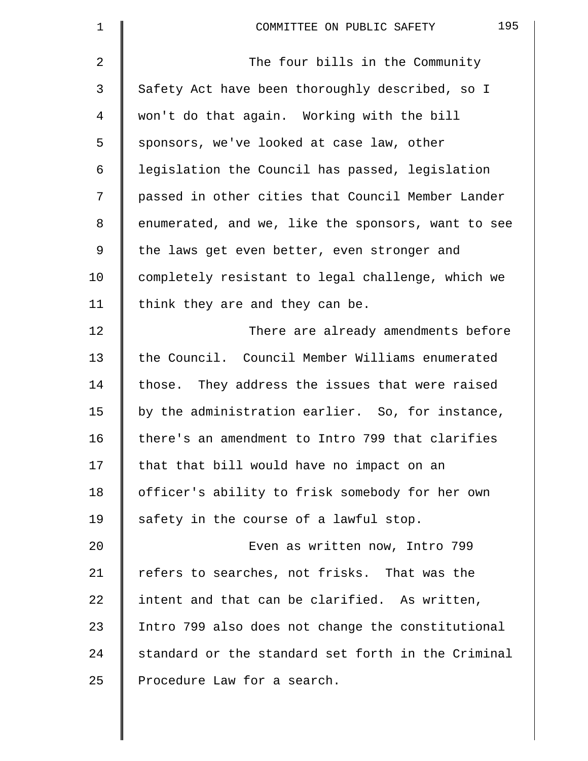| $\mathbf 1$ | 195<br>COMMITTEE ON PUBLIC SAFETY                  |
|-------------|----------------------------------------------------|
| 2           | The four bills in the Community                    |
| 3           | Safety Act have been thoroughly described, so I    |
| 4           | won't do that again. Working with the bill         |
| 5           | sponsors, we've looked at case law, other          |
| 6           | legislation the Council has passed, legislation    |
| 7           | passed in other cities that Council Member Lander  |
| 8           | enumerated, and we, like the sponsors, want to see |
| 9           | the laws get even better, even stronger and        |
| 10          | completely resistant to legal challenge, which we  |
| 11          | think they are and they can be.                    |
| 12          | There are already amendments before                |
| 13          | the Council. Council Member Williams enumerated    |
| 14          | those. They address the issues that were raised    |
| 15          | by the administration earlier. So, for instance,   |
| 16          | there's an amendment to Intro 799 that clarifies   |
| 17          | that that bill would have no impact on an          |
| 18          | officer's ability to frisk somebody for her own    |
| 19          | safety in the course of a lawful stop.             |
| 20          | Even as written now, Intro 799                     |
| 21          | refers to searches, not frisks. That was the       |
| 22          | intent and that can be clarified. As written,      |
| 23          | Intro 799 also does not change the constitutional  |
| 24          | standard or the standard set forth in the Criminal |
| 25          | Procedure Law for a search.                        |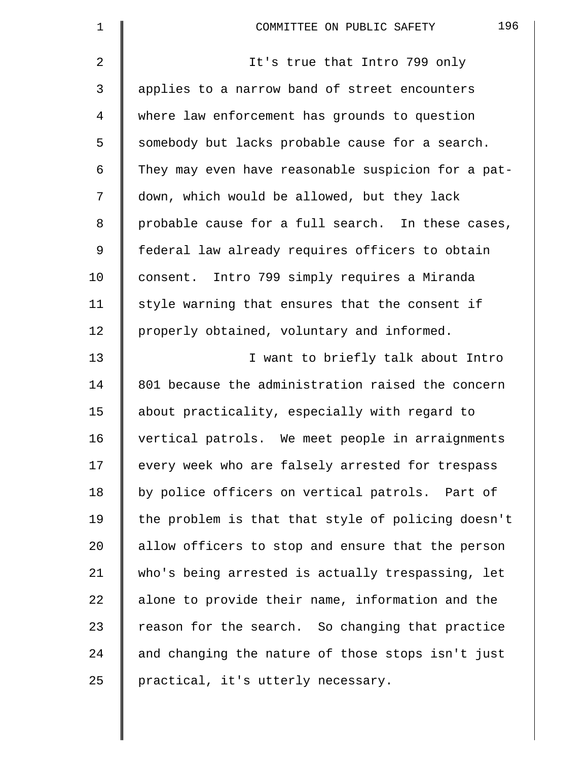| $\mathbf 1$ | 196<br>COMMITTEE ON PUBLIC SAFETY                  |
|-------------|----------------------------------------------------|
| 2           | It's true that Intro 799 only                      |
| 3           | applies to a narrow band of street encounters      |
| 4           | where law enforcement has grounds to question      |
| 5           | somebody but lacks probable cause for a search.    |
| 6           | They may even have reasonable suspicion for a pat- |
| 7           | down, which would be allowed, but they lack        |
| 8           | probable cause for a full search. In these cases,  |
| 9           | federal law already requires officers to obtain    |
| 10          | consent. Intro 799 simply requires a Miranda       |
| 11          | style warning that ensures that the consent if     |
| 12          | properly obtained, voluntary and informed.         |
| 13          | I want to briefly talk about Intro                 |
| 14          | 801 because the administration raised the concern  |
| 15          | about practicality, especially with regard to      |
| 16          | vertical patrols. We meet people in arraignments   |
| 17          | every week who are falsely arrested for trespass   |
| 18          | by police officers on vertical patrols. Part of    |
| 19          | the problem is that that style of policing doesn't |
| 20          | allow officers to stop and ensure that the person  |
| 21          | who's being arrested is actually trespassing, let  |
| 22          | alone to provide their name, information and the   |
| 23          | reason for the search. So changing that practice   |
| 24          | and changing the nature of those stops isn't just  |
| 25          | practical, it's utterly necessary.                 |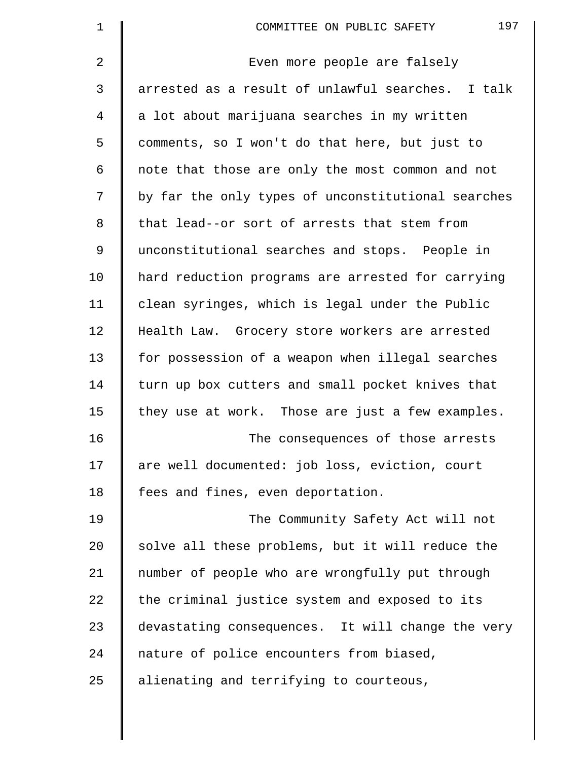| $\mathbf 1$ | 197<br>COMMITTEE ON PUBLIC SAFETY                  |
|-------------|----------------------------------------------------|
| 2           | Even more people are falsely                       |
| 3           | arrested as a result of unlawful searches. I talk  |
| 4           | a lot about marijuana searches in my written       |
| 5           | comments, so I won't do that here, but just to     |
| 6           | note that those are only the most common and not   |
| 7           | by far the only types of unconstitutional searches |
| 8           | that lead--or sort of arrests that stem from       |
| 9           | unconstitutional searches and stops. People in     |
| 10          | hard reduction programs are arrested for carrying  |
| 11          | clean syringes, which is legal under the Public    |
| 12          | Health Law. Grocery store workers are arrested     |
| 13          | for possession of a weapon when illegal searches   |
| 14          | turn up box cutters and small pocket knives that   |
| 15          | they use at work. Those are just a few examples.   |
| 16          | The consequences of those arrests                  |
| 17          | are well documented: job loss, eviction, court     |
| 18          | fees and fines, even deportation.                  |
| 19          | The Community Safety Act will not                  |
| 20          | solve all these problems, but it will reduce the   |
| 21          | number of people who are wrongfully put through    |
| 22          | the criminal justice system and exposed to its     |
| 23          | devastating consequences. It will change the very  |
| 24          | nature of police encounters from biased,           |
| 25          | alienating and terrifying to courteous,            |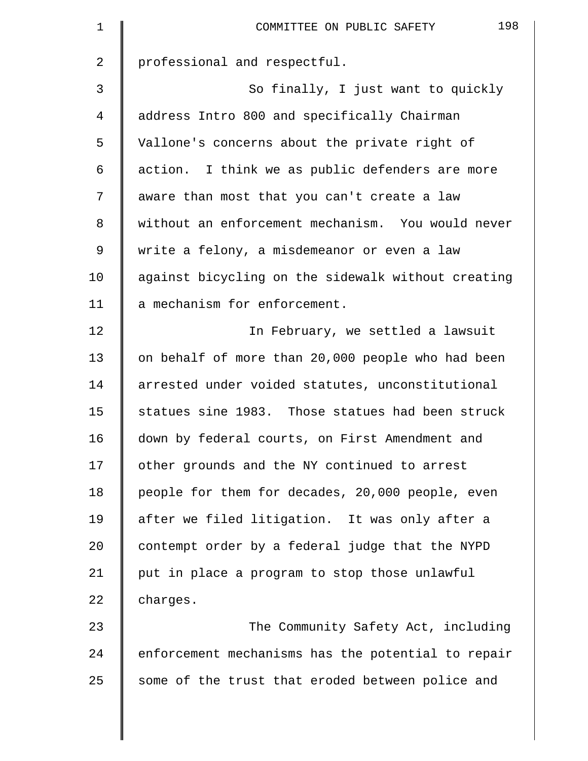| $\mathbf 1$ | 198<br>COMMITTEE ON PUBLIC SAFETY                  |
|-------------|----------------------------------------------------|
| 2           | professional and respectful.                       |
| 3           | So finally, I just want to quickly                 |
| 4           | address Intro 800 and specifically Chairman        |
| 5           | Vallone's concerns about the private right of      |
| 6           | action. I think we as public defenders are more    |
| 7           | aware than most that you can't create a law        |
| 8           | without an enforcement mechanism. You would never  |
| 9           | write a felony, a misdemeanor or even a law        |
| 10          | against bicycling on the sidewalk without creating |
| 11          | a mechanism for enforcement.                       |
| 12          | In February, we settled a lawsuit                  |
| 13          | on behalf of more than 20,000 people who had been  |
| 14          | arrested under voided statutes, unconstitutional   |
| 15          | statues sine 1983. Those statues had been struck   |
| 16          | down by federal courts, on First Amendment and     |
| 17          | other grounds and the NY continued to arrest       |
| 18          | people for them for decades, 20,000 people, even   |
| 19          | after we filed litigation. It was only after a     |
| 20          | contempt order by a federal judge that the NYPD    |
| 21          | put in place a program to stop those unlawful      |
| 22          | charges.                                           |
| 23          | The Community Safety Act, including                |
| 24          | enforcement mechanisms has the potential to repair |
| 25          | some of the trust that eroded between police and   |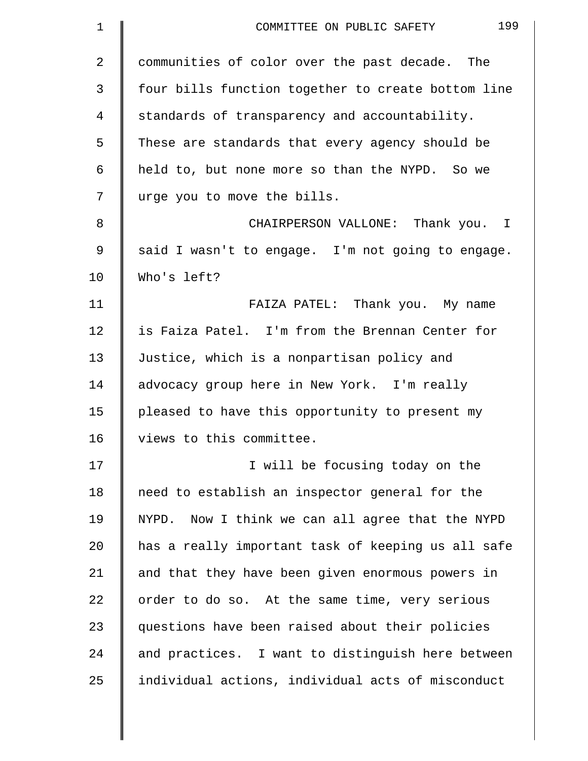| $\mathbf 1$    | 199<br>COMMITTEE ON PUBLIC SAFETY                   |
|----------------|-----------------------------------------------------|
| $\overline{2}$ | communities of color over the past decade. The      |
| 3              | four bills function together to create bottom line  |
| 4              | standards of transparency and accountability.       |
| 5              | These are standards that every agency should be     |
| 6              | held to, but none more so than the NYPD. So we      |
| 7              | urge you to move the bills.                         |
| 8              | CHAIRPERSON VALLONE: Thank you. I                   |
| 9              | said I wasn't to engage. I'm not going to engage.   |
| 10             | Who's left?                                         |
| 11             | FAIZA PATEL: Thank you. My name                     |
| 12             | is Faiza Patel. I'm from the Brennan Center for     |
| 13             | Justice, which is a nonpartisan policy and          |
| 14             | advocacy group here in New York. I'm really         |
| 15             | pleased to have this opportunity to present my      |
| 16             | views to this committee.                            |
| 17             | I will be focusing today on the                     |
| 18             | need to establish an inspector general for the      |
| 19             | Now I think we can all agree that the NYPD<br>NYPD. |
| 20             | has a really important task of keeping us all safe  |
| 21             | and that they have been given enormous powers in    |
| 22             | order to do so. At the same time, very serious      |
| 23             | questions have been raised about their policies     |
| 24             | and practices. I want to distinguish here between   |
| 25             | individual actions, individual acts of misconduct   |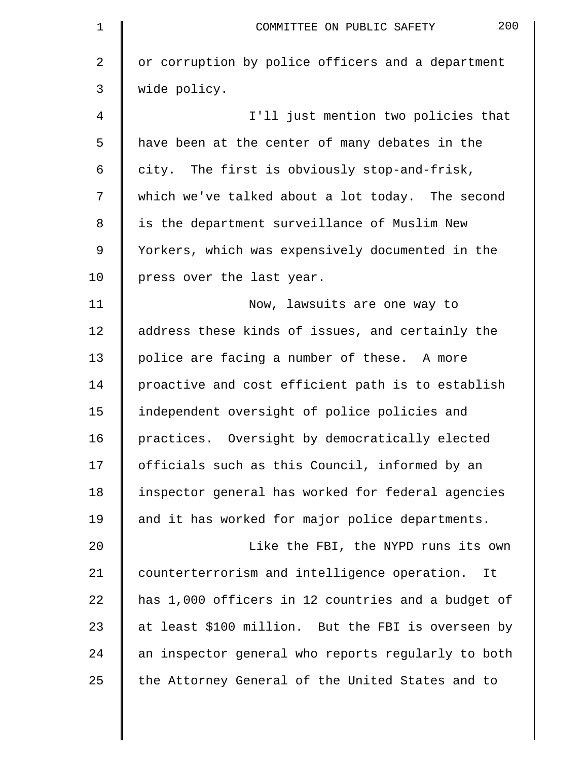| $\mathbf 1$ | 200<br>COMMITTEE ON PUBLIC SAFETY                  |
|-------------|----------------------------------------------------|
| 2           | or corruption by police officers and a department  |
| 3           | wide policy.                                       |
| 4           | I'll just mention two policies that                |
| 5           | have been at the center of many debates in the     |
| 6           | city. The first is obviously stop-and-frisk,       |
| 7           | which we've talked about a lot today. The second   |
| 8           | is the department surveillance of Muslim New       |
| 9           | Yorkers, which was expensively documented in the   |
| 10          | press over the last year.                          |
| 11          | Now, lawsuits are one way to                       |
| 12          | address these kinds of issues, and certainly the   |
| 13          | police are facing a number of these. A more        |
| 14          | proactive and cost efficient path is to establish  |
| 15          | independent oversight of police policies and       |
| 16          | practices. Oversight by democratically elected     |
| 17          | officials such as this Council, informed by an     |
| 18          | inspector general has worked for federal agencies  |
| 19          | and it has worked for major police departments.    |
| 20          | Like the FBI, the NYPD runs its own                |
| 21          | counterterrorism and intelligence operation. It    |
| 22          | has 1,000 officers in 12 countries and a budget of |
| 23          | at least \$100 million. But the FBI is overseen by |
| 24          | an inspector general who reports regularly to both |
| 25          | the Attorney General of the United States and to   |
|             |                                                    |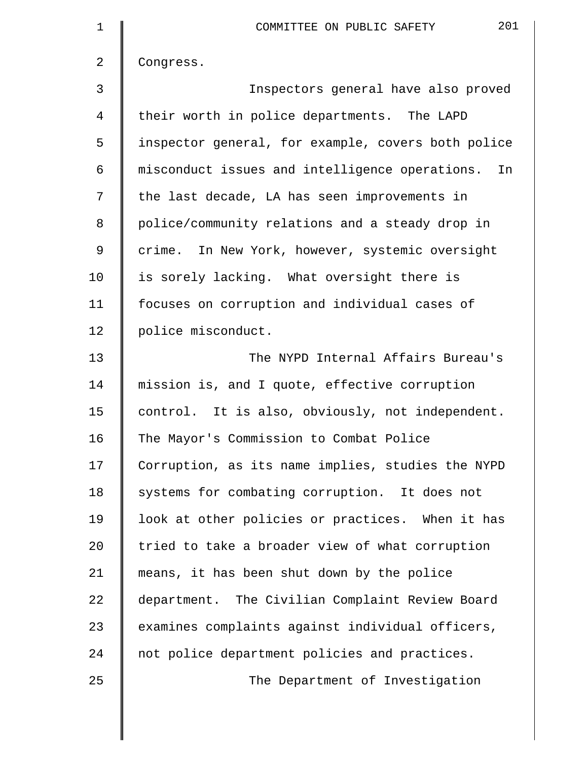| $\mathbf 1$ | 201<br>COMMITTEE ON PUBLIC SAFETY                    |
|-------------|------------------------------------------------------|
| 2           | Congress.                                            |
| 3           | Inspectors general have also proved                  |
| 4           | their worth in police departments. The LAPD          |
| 5           | inspector general, for example, covers both police   |
| 6           | misconduct issues and intelligence operations.<br>In |
| 7           | the last decade, LA has seen improvements in         |
| 8           | police/community relations and a steady drop in      |
| 9           | crime. In New York, however, systemic oversight      |
| 10          | is sorely lacking. What oversight there is           |
| 11          | focuses on corruption and individual cases of        |
| 12          | police misconduct.                                   |
| 13          | The NYPD Internal Affairs Bureau's                   |
| 14          | mission is, and I quote, effective corruption        |
| 15          | control. It is also, obviously, not independent.     |
| 16          | The Mayor's Commission to Combat Police              |
| 17          | Corruption, as its name implies, studies the NYPD    |
| 18          | systems for combating corruption. It does not        |
| 19          | look at other policies or practices. When it has     |
| 20          | tried to take a broader view of what corruption      |
| 21          | means, it has been shut down by the police           |
| 22          | department. The Civilian Complaint Review Board      |
| 23          | examines complaints against individual officers,     |
| 24          | not police department policies and practices.        |
| 25          | The Department of Investigation                      |
|             |                                                      |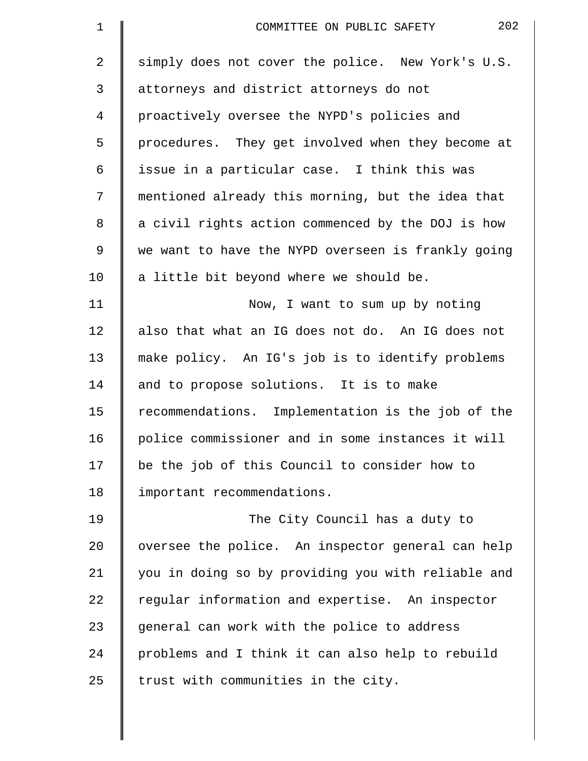| $\mathbf 1$    | 202<br>COMMITTEE ON PUBLIC SAFETY                  |
|----------------|----------------------------------------------------|
| $\overline{2}$ | simply does not cover the police. New York's U.S.  |
| 3              | attorneys and district attorneys do not            |
| 4              | proactively oversee the NYPD's policies and        |
| 5              | procedures. They get involved when they become at  |
| 6              | issue in a particular case. I think this was       |
| 7              | mentioned already this morning, but the idea that  |
| 8              | a civil rights action commenced by the DOJ is how  |
| 9              | we want to have the NYPD overseen is frankly going |
| 10             | a little bit beyond where we should be.            |
| 11             | Now, I want to sum up by noting                    |
| 12             | also that what an IG does not do. An IG does not   |
| 13             | make policy. An IG's job is to identify problems   |
| 14             | and to propose solutions. It is to make            |
| 15             | recommendations. Implementation is the job of the  |
| 16             | police commissioner and in some instances it will  |
| 17             | be the job of this Council to consider how to      |
| 18             | important recommendations.                         |
| 19             | The City Council has a duty to                     |
| 20             | oversee the police. An inspector general can help  |
| 21             | you in doing so by providing you with reliable and |
| 22             | regular information and expertise. An inspector    |
| 23             | general can work with the police to address        |
| 24             | problems and I think it can also help to rebuild   |
| 25             | trust with communities in the city.                |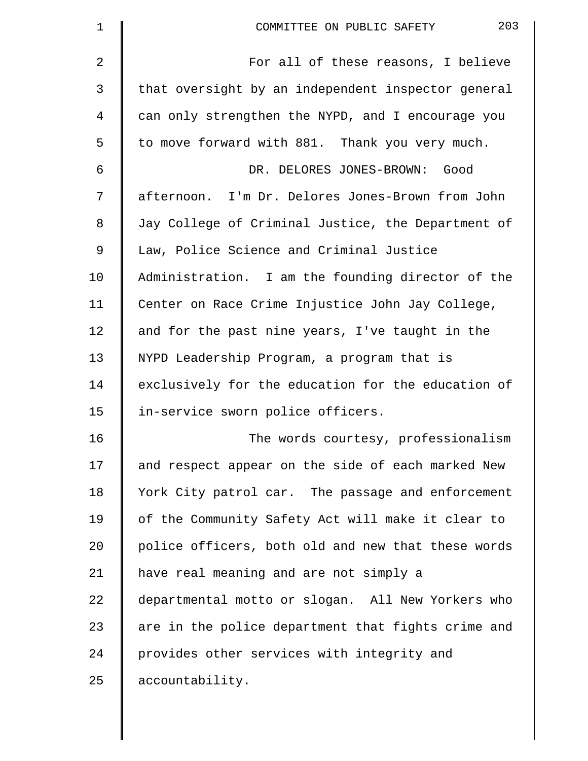| $\mathbf 1$ | 203<br>COMMITTEE ON PUBLIC SAFETY                  |
|-------------|----------------------------------------------------|
| 2           | For all of these reasons, I believe                |
| 3           | that oversight by an independent inspector general |
| 4           | can only strengthen the NYPD, and I encourage you  |
| 5           | to move forward with 881. Thank you very much.     |
| 6           | DR. DELORES JONES-BROWN: Good                      |
| 7           | afternoon. I'm Dr. Delores Jones-Brown from John   |
| 8           | Jay College of Criminal Justice, the Department of |
| 9           | Law, Police Science and Criminal Justice           |
| 10          | Administration. I am the founding director of the  |
| 11          | Center on Race Crime Injustice John Jay College,   |
| 12          | and for the past nine years, I've taught in the    |
| 13          | NYPD Leadership Program, a program that is         |
| 14          | exclusively for the education for the education of |
| 15          | in-service sworn police officers.                  |
| 16          | The words courtesy, professionalism                |
| 17          | and respect appear on the side of each marked New  |
| 18          | York City patrol car. The passage and enforcement  |
| 19          | of the Community Safety Act will make it clear to  |
| 20          | police officers, both old and new that these words |
| 21          | have real meaning and are not simply a             |
| 22          | departmental motto or slogan. All New Yorkers who  |
| 23          | are in the police department that fights crime and |
| 24          | provides other services with integrity and         |
| 25          | accountability.                                    |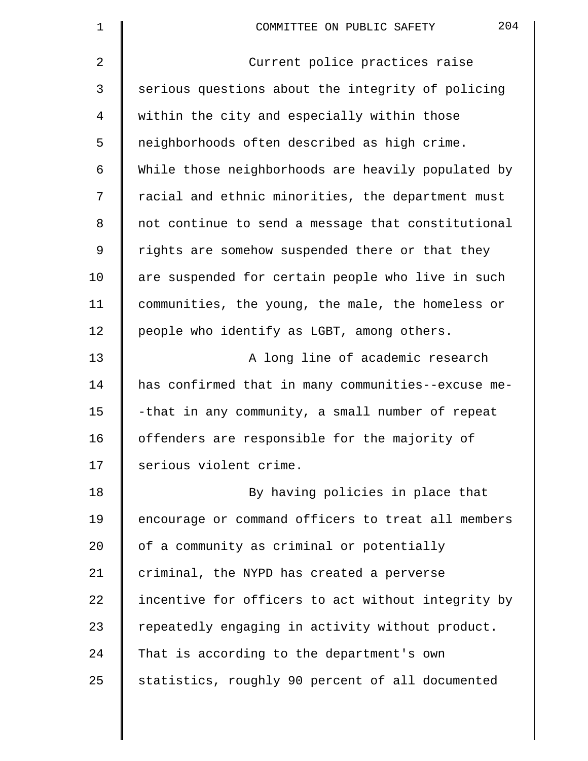| $\mathbf 1$ | 204<br>COMMITTEE ON PUBLIC SAFETY                  |
|-------------|----------------------------------------------------|
| 2           | Current police practices raise                     |
| 3           | serious questions about the integrity of policing  |
| 4           | within the city and especially within those        |
| 5           | neighborhoods often described as high crime.       |
| 6           | While those neighborhoods are heavily populated by |
| 7           | racial and ethnic minorities, the department must  |
| 8           | not continue to send a message that constitutional |
| 9           | rights are somehow suspended there or that they    |
| 10          | are suspended for certain people who live in such  |
| 11          | communities, the young, the male, the homeless or  |
| 12          | people who identify as LGBT, among others.         |
| 13          | A long line of academic research                   |
| 14          | has confirmed that in many communities--excuse me- |
| 15          | -that in any community, a small number of repeat   |
| 16          | offenders are responsible for the majority of      |
| 17          | serious violent crime.                             |
| 18          | By having policies in place that                   |
| 19          | encourage or command officers to treat all members |
| 20          | of a community as criminal or potentially          |
| 21          | criminal, the NYPD has created a perverse          |
| 22          | incentive for officers to act without integrity by |
| 23          | repeatedly engaging in activity without product.   |
| 24          | That is according to the department's own          |
| 25          | statistics, roughly 90 percent of all documented   |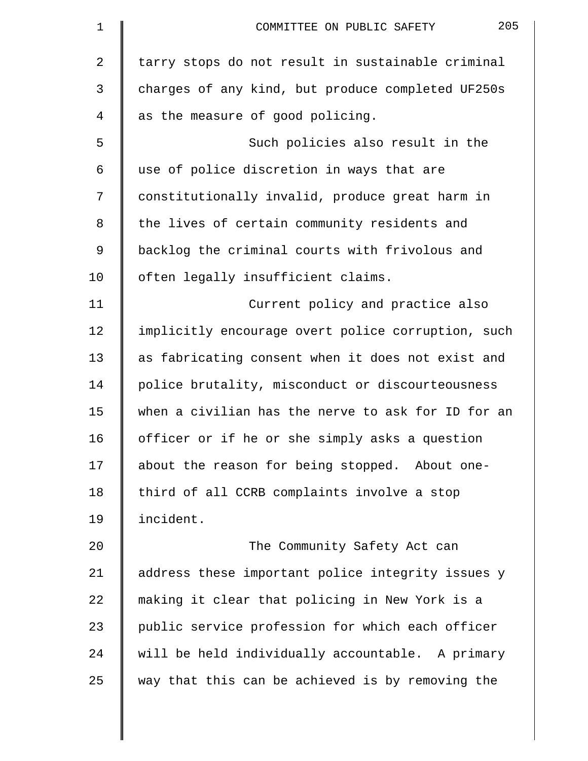| 1              | 205<br>COMMITTEE ON PUBLIC SAFETY                  |
|----------------|----------------------------------------------------|
| $\overline{a}$ | tarry stops do not result in sustainable criminal  |
| 3              | charges of any kind, but produce completed UF250s  |
| 4              | as the measure of good policing.                   |
| 5              | Such policies also result in the                   |
| 6              | use of police discretion in ways that are          |
| 7              | constitutionally invalid, produce great harm in    |
| 8              | the lives of certain community residents and       |
| 9              | backlog the criminal courts with frivolous and     |
| 10             | often legally insufficient claims.                 |
| 11             | Current policy and practice also                   |
| 12             | implicitly encourage overt police corruption, such |
| 13             | as fabricating consent when it does not exist and  |
| 14             | police brutality, misconduct or discourteousness   |
| 15             | when a civilian has the nerve to ask for ID for an |
| 16             | officer or if he or she simply asks a question     |
| 17             | about the reason for being stopped. About one-     |
| 18             | third of all CCRB complaints involve a stop        |
| 19             | incident.                                          |
| 20             | The Community Safety Act can                       |
| 21             | address these important police integrity issues y  |
| 22             | making it clear that policing in New York is a     |
| 23             | public service profession for which each officer   |
| 24             | will be held individually accountable. A primary   |
| 25             | way that this can be achieved is by removing the   |
|                |                                                    |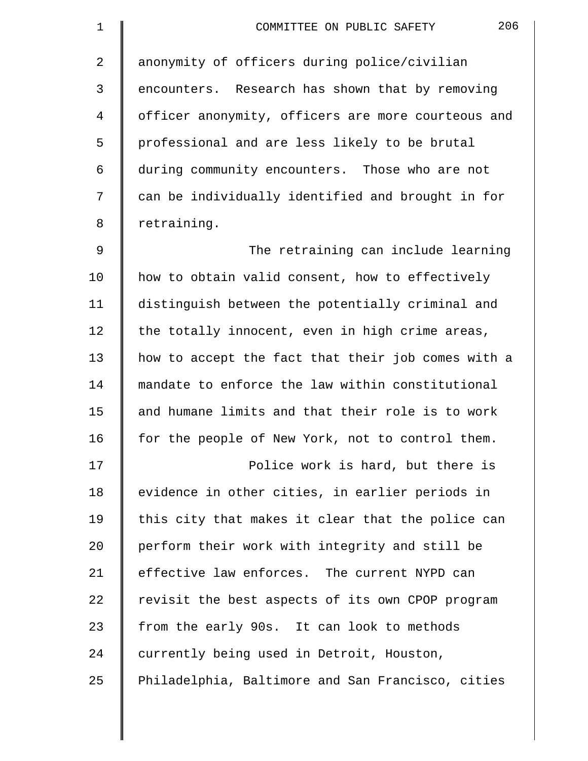| $\mathbf 1$    | 206<br>COMMITTEE ON PUBLIC SAFETY                  |
|----------------|----------------------------------------------------|
| $\overline{2}$ | anonymity of officers during police/civilian       |
| 3              | encounters. Research has shown that by removing    |
| 4              | officer anonymity, officers are more courteous and |
| 5              | professional and are less likely to be brutal      |
| 6              | during community encounters. Those who are not     |
| 7              | can be individually identified and brought in for  |
| 8              | retraining.                                        |
| $\mathsf 9$    | The retraining can include learning                |
| 10             | how to obtain valid consent, how to effectively    |
| 11             | distinguish between the potentially criminal and   |
| 12             | the totally innocent, even in high crime areas,    |
| 13             | how to accept the fact that their job comes with a |
| 14             | mandate to enforce the law within constitutional   |
| 15             | and humane limits and that their role is to work   |
| 16             | for the people of New York, not to control them.   |
| 17             | Police work is hard, but there is                  |
| 18             | evidence in other cities, in earlier periods in    |
| 19             | this city that makes it clear that the police can  |
| 20             | perform their work with integrity and still be     |
| 21             | effective law enforces. The current NYPD can       |
| 22             | revisit the best aspects of its own CPOP program   |
| 23             | from the early 90s. It can look to methods         |
| 24             | currently being used in Detroit, Houston,          |
| 25             | Philadelphia, Baltimore and San Francisco, cities  |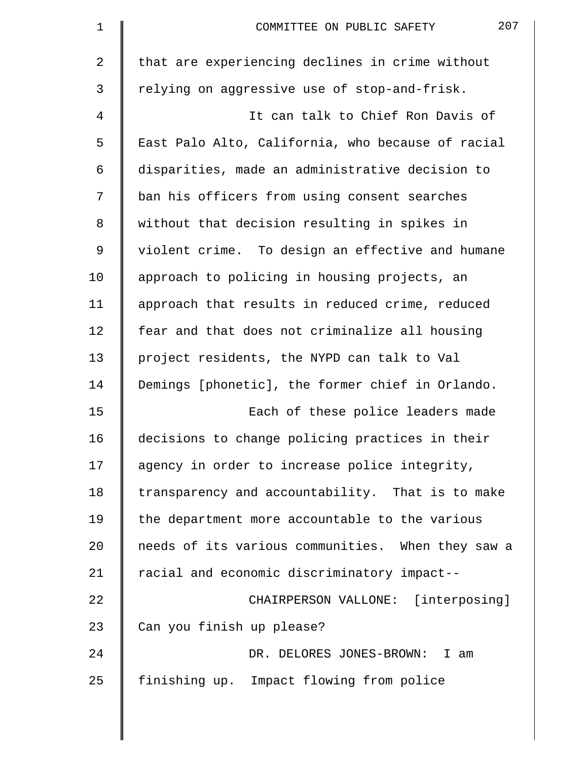| $\mathbf 1$ | 207<br>COMMITTEE ON PUBLIC SAFETY                 |
|-------------|---------------------------------------------------|
| 2           | that are experiencing declines in crime without   |
| 3           | relying on aggressive use of stop-and-frisk.      |
| 4           | It can talk to Chief Ron Davis of                 |
| 5           | East Palo Alto, California, who because of racial |
| 6           | disparities, made an administrative decision to   |
| 7           | ban his officers from using consent searches      |
| 8           | without that decision resulting in spikes in      |
| 9           | violent crime. To design an effective and humane  |
| 10          | approach to policing in housing projects, an      |
| 11          | approach that results in reduced crime, reduced   |
| 12          | fear and that does not criminalize all housing    |
| 13          | project residents, the NYPD can talk to Val       |
| 14          | Demings [phonetic], the former chief in Orlando.  |
| 15          | Each of these police leaders made                 |
| 16          | decisions to change policing practices in their   |
| 17          | agency in order to increase police integrity,     |
| 18          | transparency and accountability. That is to make  |
| 19          | the department more accountable to the various    |
| 20          | needs of its various communities. When they saw a |
| 21          | racial and economic discriminatory impact--       |
| 22          | CHAIRPERSON VALLONE: [interposing]                |
| 23          | Can you finish up please?                         |
| 24          | DR. DELORES JONES-BROWN: I am                     |
| 25          | finishing up. Impact flowing from police          |
|             |                                                   |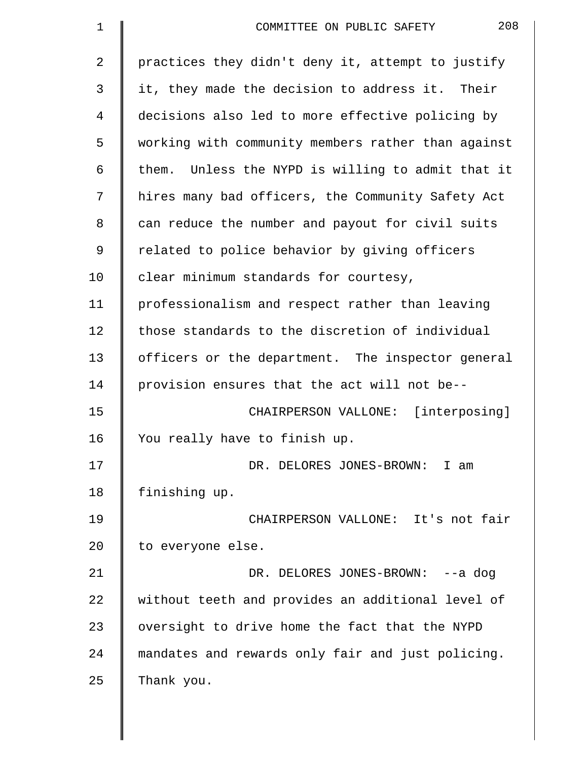| $\mathbf 1$    | 208<br>COMMITTEE ON PUBLIC SAFETY                  |
|----------------|----------------------------------------------------|
| $\overline{2}$ | practices they didn't deny it, attempt to justify  |
| 3              | it, they made the decision to address it. Their    |
| 4              | decisions also led to more effective policing by   |
| 5              | working with community members rather than against |
| 6              | them. Unless the NYPD is willing to admit that it  |
| 7              | hires many bad officers, the Community Safety Act  |
| 8              | can reduce the number and payout for civil suits   |
| 9              | related to police behavior by giving officers      |
| 10             | clear minimum standards for courtesy,              |
| 11             | professionalism and respect rather than leaving    |
| 12             | those standards to the discretion of individual    |
| 13             | officers or the department. The inspector general  |
| 14             | provision ensures that the act will not be--       |
| 15             | CHAIRPERSON VALLONE: [interposing]                 |
| 16             | You really have to finish up.                      |
| 17             | DR. DELORES JONES-BROWN: I am                      |
| 18             | finishing up.                                      |
| 19             | CHAIRPERSON VALLONE: It's not fair                 |
| 20             | to everyone else.                                  |
| 21             | DR. DELORES JONES-BROWN: --a dog                   |
| 22             | without teeth and provides an additional level of  |
| 23             | oversight to drive home the fact that the NYPD     |
| 24             | mandates and rewards only fair and just policing.  |
| 25             | Thank you.                                         |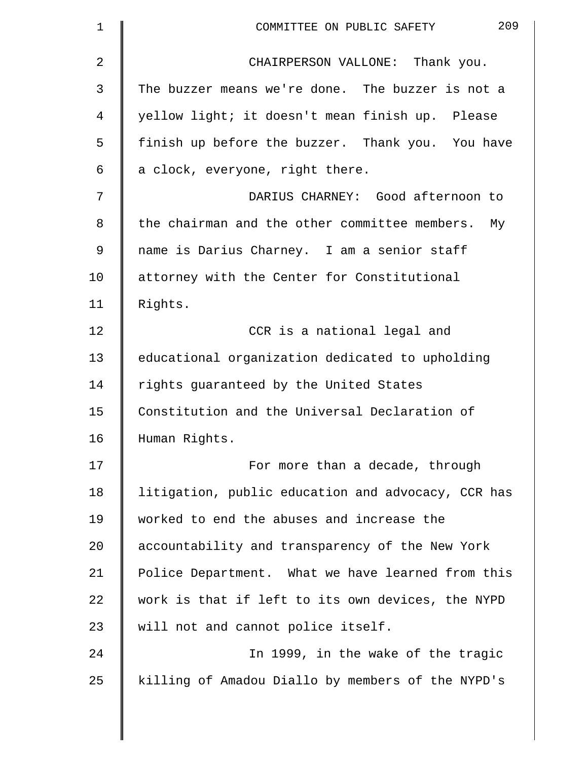| 209<br>COMMITTEE ON PUBLIC SAFETY                  |
|----------------------------------------------------|
| CHAIRPERSON VALLONE: Thank you.                    |
| The buzzer means we're done. The buzzer is not a   |
| yellow light; it doesn't mean finish up. Please    |
| finish up before the buzzer. Thank you. You have   |
| a clock, everyone, right there.                    |
| DARIUS CHARNEY: Good afternoon to                  |
| the chairman and the other committee members. My   |
| name is Darius Charney. I am a senior staff        |
| attorney with the Center for Constitutional        |
| Rights.                                            |
| CCR is a national legal and                        |
| educational organization dedicated to upholding    |
| rights guaranteed by the United States             |
| Constitution and the Universal Declaration of      |
| Human Rights.                                      |
| For more than a decade, through                    |
| litigation, public education and advocacy, CCR has |
| worked to end the abuses and increase the          |
| accountability and transparency of the New York    |
| Police Department. What we have learned from this  |
| work is that if left to its own devices, the NYPD  |
| will not and cannot police itself.                 |
| In 1999, in the wake of the tragic                 |
| killing of Amadou Diallo by members of the NYPD's  |
|                                                    |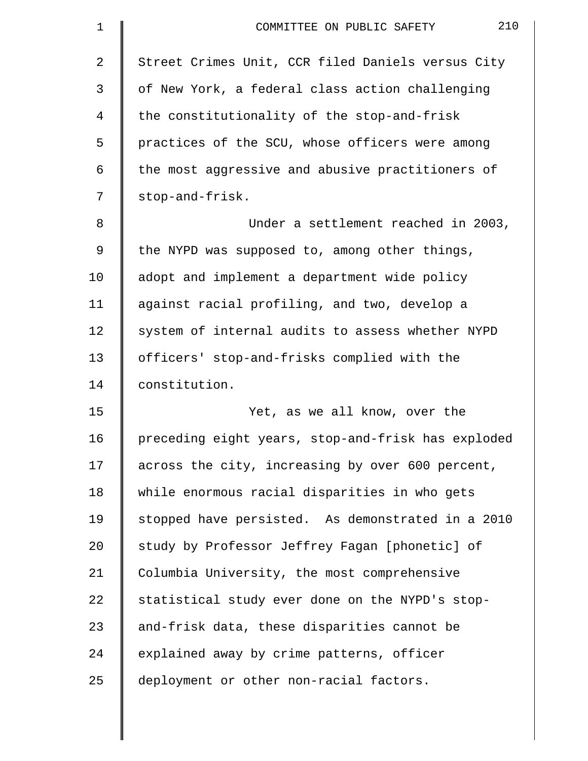| $\mathbf 1$ | 210<br>COMMITTEE ON PUBLIC SAFETY                  |
|-------------|----------------------------------------------------|
| 2           | Street Crimes Unit, CCR filed Daniels versus City  |
| 3           | of New York, a federal class action challenging    |
| 4           | the constitutionality of the stop-and-frisk        |
| 5           | practices of the SCU, whose officers were among    |
| 6           | the most aggressive and abusive practitioners of   |
| 7           | stop-and-frisk.                                    |
| 8           | Under a settlement reached in 2003,                |
| 9           | the NYPD was supposed to, among other things,      |
| 10          | adopt and implement a department wide policy       |
| 11          | against racial profiling, and two, develop a       |
| 12          | system of internal audits to assess whether NYPD   |
| 13          | officers' stop-and-frisks complied with the        |
| 14          | constitution.                                      |
| 15          | Yet, as we all know, over the                      |
| 16          | preceding eight years, stop-and-frisk has exploded |
| 17          | across the city, increasing by over 600 percent,   |
| 18          | while enormous racial disparities in who gets      |
| 19          | stopped have persisted. As demonstrated in a 2010  |
| 20          | study by Professor Jeffrey Fagan [phonetic] of     |
| 21          | Columbia University, the most comprehensive        |
| 22          | statistical study ever done on the NYPD's stop-    |
| 23          | and-frisk data, these disparities cannot be        |
| 24          | explained away by crime patterns, officer          |
| 25          | deployment or other non-racial factors.            |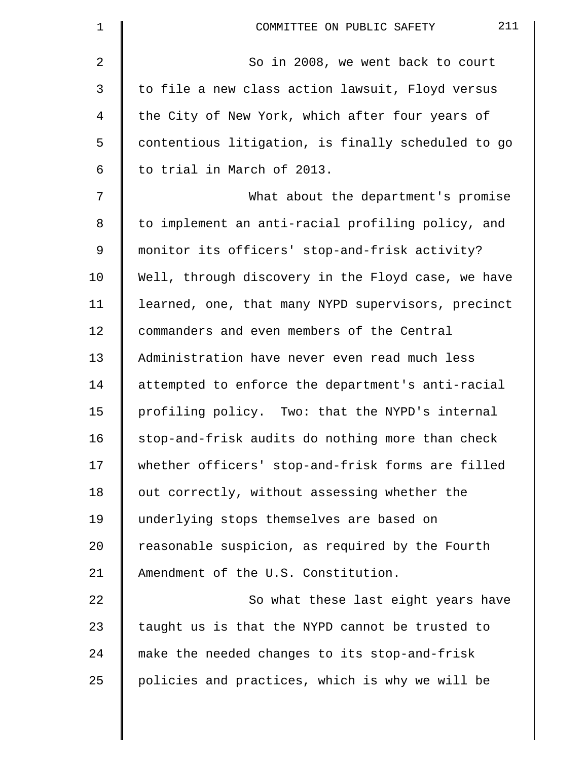| 1       | 211<br>COMMITTEE ON PUBLIC SAFETY                  |
|---------|----------------------------------------------------|
| 2       | So in 2008, we went back to court                  |
| 3       | to file a new class action lawsuit, Floyd versus   |
| 4       | the City of New York, which after four years of    |
| 5       | contentious litigation, is finally scheduled to go |
| 6       | to trial in March of 2013.                         |
| 7       | What about the department's promise                |
| $\,8\,$ | to implement an anti-racial profiling policy, and  |
| 9       | monitor its officers' stop-and-frisk activity?     |
| 10      | Well, through discovery in the Floyd case, we have |
| 11      | learned, one, that many NYPD supervisors, precinct |
| 12      | commanders and even members of the Central         |
| 13      | Administration have never even read much less      |
| 14      | attempted to enforce the department's anti-racial  |
| 15      | profiling policy. Two: that the NYPD's internal    |
| 16      | stop-and-frisk audits do nothing more than check   |
| 17      | whether officers' stop-and-frisk forms are filled  |
| 18      | out correctly, without assessing whether the       |
| 19      | underlying stops themselves are based on           |
| 20      | reasonable suspicion, as required by the Fourth    |
| 21      | Amendment of the U.S. Constitution.                |
| 22      | So what these last eight years have                |
| 23      | taught us is that the NYPD cannot be trusted to    |
| 24      | make the needed changes to its stop-and-frisk      |
| 25      | policies and practices, which is why we will be    |
|         |                                                    |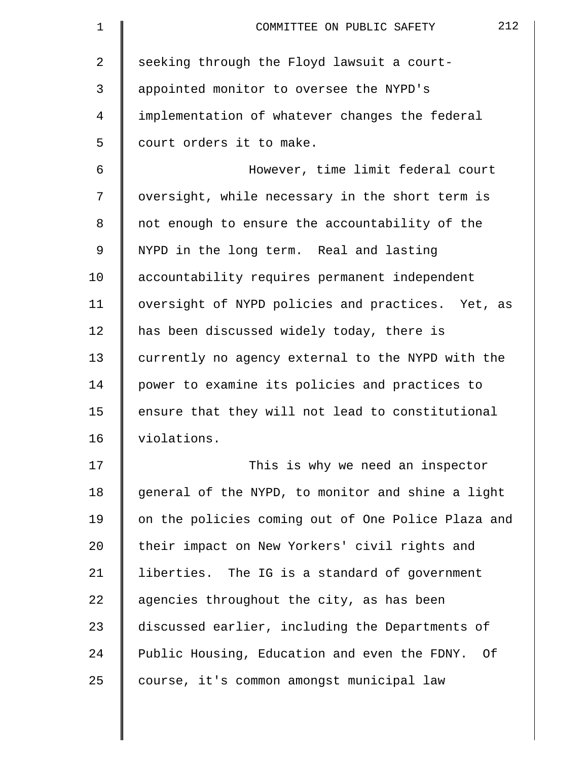| $\mathbf 1$    | 212<br>COMMITTEE ON PUBLIC SAFETY                  |
|----------------|----------------------------------------------------|
| $\overline{2}$ | seeking through the Floyd lawsuit a court-         |
| 3              | appointed monitor to oversee the NYPD's            |
| $\overline{4}$ | implementation of whatever changes the federal     |
| 5              | court orders it to make.                           |
| 6              | However, time limit federal court                  |
| 7              | oversight, while necessary in the short term is    |
| 8              | not enough to ensure the accountability of the     |
| 9              | NYPD in the long term. Real and lasting            |
| 10             | accountability requires permanent independent      |
| 11             | oversight of NYPD policies and practices. Yet, as  |
| 12             | has been discussed widely today, there is          |
| 13             | currently no agency external to the NYPD with the  |
| 14             | power to examine its policies and practices to     |
| 15             | ensure that they will not lead to constitutional   |
| 16             | violations.                                        |
| 17             | This is why we need an inspector                   |
| 18             | general of the NYPD, to monitor and shine a light  |
| 19             | on the policies coming out of One Police Plaza and |
| 20             | their impact on New Yorkers' civil rights and      |
| 21             | liberties. The IG is a standard of government      |
| 22             | agencies throughout the city, as has been          |
| 23             | discussed earlier, including the Departments of    |
| 24             | Public Housing, Education and even the FDNY. Of    |
| 25             | course, it's common amongst municipal law          |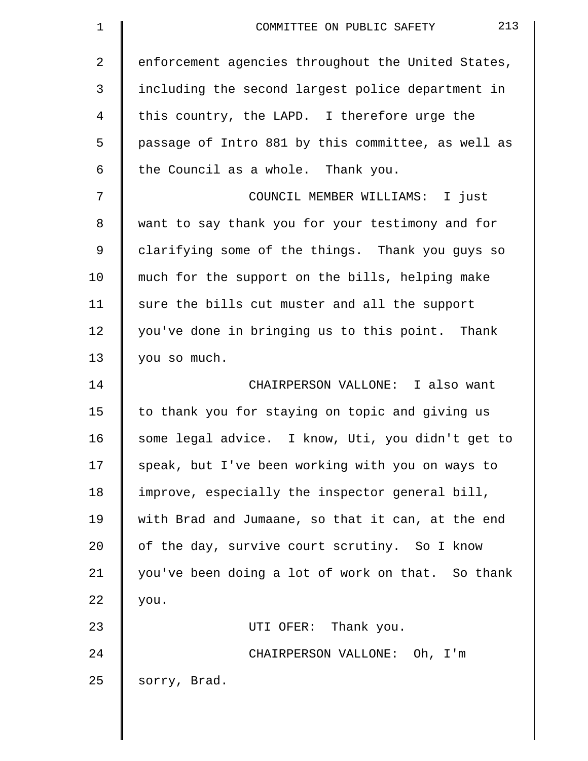| $\mathbf 1$    | 213<br>COMMITTEE ON PUBLIC SAFETY                  |
|----------------|----------------------------------------------------|
| $\overline{2}$ | enforcement agencies throughout the United States, |
| 3              | including the second largest police department in  |
| 4              | this country, the LAPD. I therefore urge the       |
| 5              | passage of Intro 881 by this committee, as well as |
| 6              | the Council as a whole. Thank you.                 |
| 7              | COUNCIL MEMBER WILLIAMS: I just                    |
| 8              | want to say thank you for your testimony and for   |
| $\mathsf 9$    | clarifying some of the things. Thank you guys so   |
| 10             | much for the support on the bills, helping make    |
| 11             | sure the bills cut muster and all the support      |
| 12             | you've done in bringing us to this point. Thank    |
| 13             | you so much.                                       |
| 14             | CHAIRPERSON VALLONE: I also want                   |
| 15             | to thank you for staying on topic and giving us    |
| 16             | some legal advice. I know, Uti, you didn't get to  |
| 17             | speak, but I've been working with you on ways to   |
| 18             | improve, especially the inspector general bill,    |
| 19             | with Brad and Jumaane, so that it can, at the end  |
| 20             | of the day, survive court scrutiny. So I know      |
| 21             | you've been doing a lot of work on that. So thank  |
| 22             | you.                                               |
| 23             | UTI OFER: Thank you.                               |
| 24             | CHAIRPERSON VALLONE: Oh, I'm                       |
| 25             | sorry, Brad.                                       |
|                |                                                    |

 $\parallel$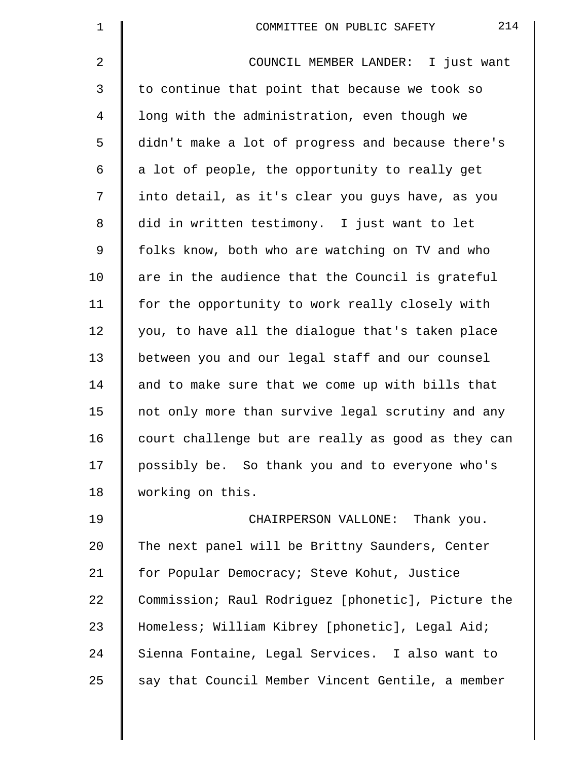| $\mathbf 1$    | 214<br>COMMITTEE ON PUBLIC SAFETY                  |
|----------------|----------------------------------------------------|
| $\overline{2}$ | COUNCIL MEMBER LANDER: I just want                 |
| 3              | to continue that point that because we took so     |
| 4              | long with the administration, even though we       |
| 5              | didn't make a lot of progress and because there's  |
| 6              | a lot of people, the opportunity to really get     |
| 7              | into detail, as it's clear you guys have, as you   |
| 8              | did in written testimony. I just want to let       |
| 9              | folks know, both who are watching on TV and who    |
| 10             | are in the audience that the Council is grateful   |
| 11             | for the opportunity to work really closely with    |
| 12             | you, to have all the dialogue that's taken place   |
| 13             | between you and our legal staff and our counsel    |
| 14             | and to make sure that we come up with bills that   |
| 15             | not only more than survive legal scrutiny and any  |
| 16             | court challenge but are really as good as they can |
| 17             | possibly be. So thank you and to everyone who's    |
| 18             | working on this.                                   |
| 19             | CHAIRPERSON VALLONE: Thank you.                    |
| 20             | The next panel will be Brittny Saunders, Center    |
| 21             | for Popular Democracy; Steve Kohut, Justice        |
| 22             | Commission; Raul Rodriguez [phonetic], Picture the |
| 23             | Homeless; William Kibrey [phonetic], Legal Aid;    |
| 24             | Sienna Fontaine, Legal Services. I also want to    |
| 25             | say that Council Member Vincent Gentile, a member  |
|                |                                                    |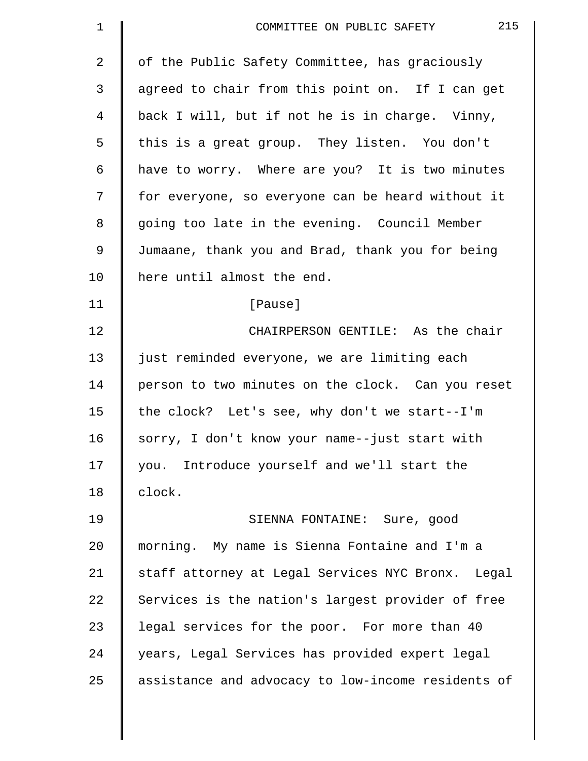| 1  | 215<br>COMMITTEE ON PUBLIC SAFETY                  |
|----|----------------------------------------------------|
| 2  | of the Public Safety Committee, has graciously     |
| 3  | agreed to chair from this point on. If I can get   |
| 4  | back I will, but if not he is in charge. Vinny,    |
| 5  | this is a great group. They listen. You don't      |
| 6  | have to worry. Where are you? It is two minutes    |
| 7  | for everyone, so everyone can be heard without it  |
| 8  | going too late in the evening. Council Member      |
| 9  | Jumaane, thank you and Brad, thank you for being   |
| 10 | here until almost the end.                         |
| 11 | [Pause]                                            |
| 12 | CHAIRPERSON GENTILE: As the chair                  |
| 13 | just reminded everyone, we are limiting each       |
| 14 | person to two minutes on the clock. Can you reset  |
| 15 | the clock? Let's see, why don't we start--I'm      |
| 16 | sorry, I don't know your name--just start with     |
| 17 | you. Introduce yourself and we'll start the        |
| 18 | clock.                                             |
| 19 | SIENNA FONTAINE: Sure, good                        |
| 20 | morning. My name is Sienna Fontaine and I'm a      |
| 21 | staff attorney at Legal Services NYC Bronx. Legal  |
| 22 | Services is the nation's largest provider of free  |
| 23 | legal services for the poor. For more than 40      |
| 24 | years, Legal Services has provided expert legal    |
| 25 | assistance and advocacy to low-income residents of |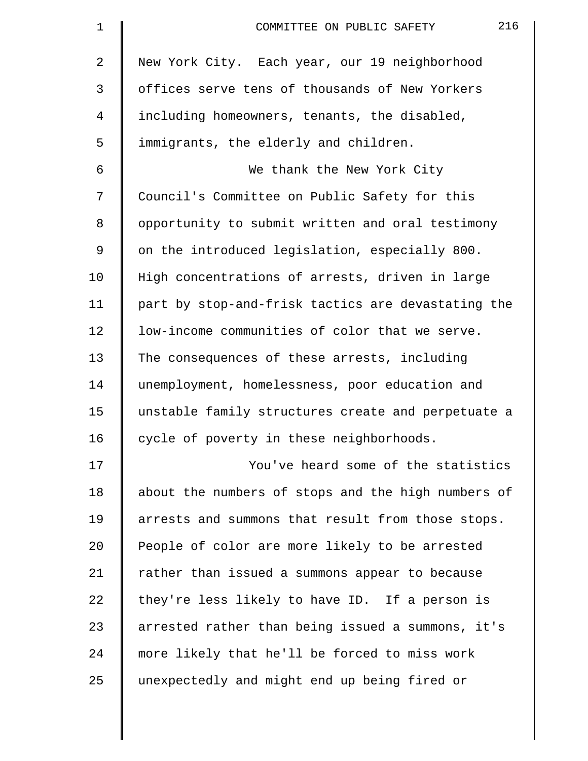| $\mathbf 1$    | 216<br>COMMITTEE ON PUBLIC SAFETY                  |
|----------------|----------------------------------------------------|
| $\overline{2}$ | New York City. Each year, our 19 neighborhood      |
| 3              | offices serve tens of thousands of New Yorkers     |
| $\overline{4}$ | including homeowners, tenants, the disabled,       |
| 5              | immigrants, the elderly and children.              |
| 6              | We thank the New York City                         |
| 7              | Council's Committee on Public Safety for this      |
| 8              | opportunity to submit written and oral testimony   |
| 9              | on the introduced legislation, especially 800.     |
| 10             | High concentrations of arrests, driven in large    |
| 11             | part by stop-and-frisk tactics are devastating the |
| 12             | low-income communities of color that we serve.     |
| 13             | The consequences of these arrests, including       |
| 14             | unemployment, homelessness, poor education and     |
| 15             | unstable family structures create and perpetuate a |
| 16             | cycle of poverty in these neighborhoods.           |
| 17             | You've heard some of the statistics                |
| 18             | about the numbers of stops and the high numbers of |
| 19             | arrests and summons that result from those stops.  |
| 20             | People of color are more likely to be arrested     |
| 21             | rather than issued a summons appear to because     |
| 22             | they're less likely to have ID. If a person is     |
| 23             | arrested rather than being issued a summons, it's  |
| 24             | more likely that he'll be forced to miss work      |
| 25             | unexpectedly and might end up being fired or       |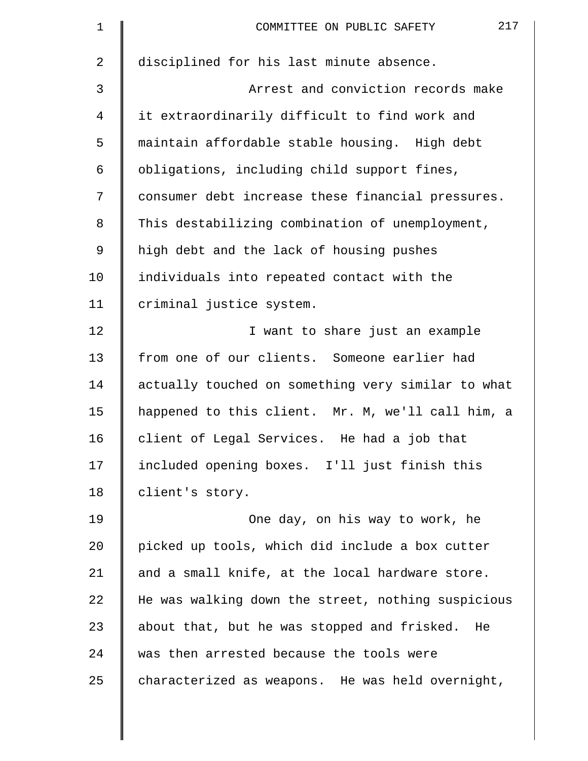| disciplined for his last minute absence.           |
|----------------------------------------------------|
| Arrest and conviction records make                 |
| it extraordinarily difficult to find work and      |
| maintain affordable stable housing. High debt      |
| obligations, including child support fines,        |
| consumer debt increase these financial pressures.  |
| This destabilizing combination of unemployment,    |
| high debt and the lack of housing pushes           |
| individuals into repeated contact with the         |
| criminal justice system.                           |
| I want to share just an example                    |
| from one of our clients. Someone earlier had       |
| actually touched on something very similar to what |
| happened to this client. Mr. M, we'll call him, a  |
| client of Legal Services. He had a job that        |
| included opening boxes. I'll just finish this      |
| client's story.                                    |
| One day, on his way to work, he                    |
| picked up tools, which did include a box cutter    |
| and a small knife, at the local hardware store.    |
| He was walking down the street, nothing suspicious |
| about that, but he was stopped and frisked. He     |
| was then arrested because the tools were           |
| characterized as weapons. He was held overnight,   |
|                                                    |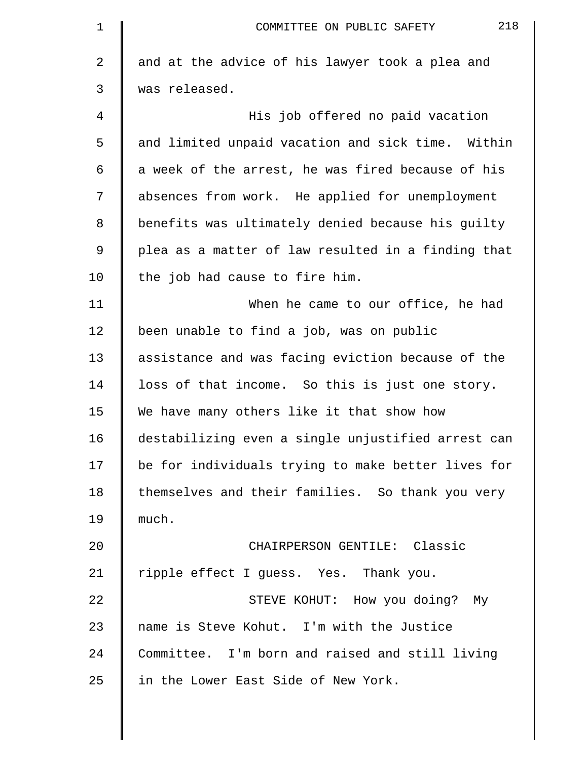| $\mathbf 1$ | 218<br>COMMITTEE ON PUBLIC SAFETY                  |
|-------------|----------------------------------------------------|
| 2           | and at the advice of his lawyer took a plea and    |
| 3           | was released.                                      |
| 4           | His job offered no paid vacation                   |
| 5           | and limited unpaid vacation and sick time. Within  |
| 6           | a week of the arrest, he was fired because of his  |
| 7           | absences from work. He applied for unemployment    |
| 8           | benefits was ultimately denied because his guilty  |
| $\mathsf 9$ | plea as a matter of law resulted in a finding that |
| 10          | the job had cause to fire him.                     |
| 11          | When he came to our office, he had                 |
| 12          | been unable to find a job, was on public           |
| 13          | assistance and was facing eviction because of the  |
| 14          | loss of that income. So this is just one story.    |
| 15          | We have many others like it that show how          |
| 16          | destabilizing even a single unjustified arrest can |
| 17          | be for individuals trying to make better lives for |
| 18          | themselves and their families. So thank you very   |
| 19          | much.                                              |
| 20          | CHAIRPERSON GENTILE: Classic                       |
| 21          | ripple effect I guess. Yes. Thank you.             |
| 22          | STEVE KOHUT: How you doing? My                     |
| 23          | name is Steve Kohut. I'm with the Justice          |
| 24          | Committee. I'm born and raised and still living    |
| 25          | in the Lower East Side of New York.                |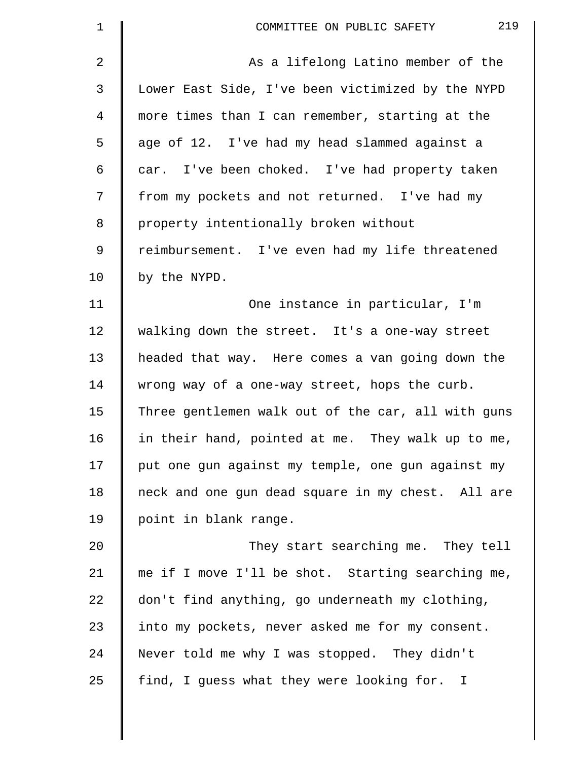| 1  | 219<br>COMMITTEE ON PUBLIC SAFETY                  |
|----|----------------------------------------------------|
| 2  | As a lifelong Latino member of the                 |
| 3  | Lower East Side, I've been victimized by the NYPD  |
| 4  | more times than I can remember, starting at the    |
| 5  | age of 12. I've had my head slammed against a      |
| 6  | car. I've been choked. I've had property taken     |
| 7  | from my pockets and not returned. I've had my      |
| 8  | property intentionally broken without              |
| 9  | reimbursement. I've even had my life threatened    |
| 10 | by the NYPD.                                       |
| 11 | One instance in particular, I'm                    |
| 12 | walking down the street. It's a one-way street     |
| 13 | headed that way. Here comes a van going down the   |
| 14 | wrong way of a one-way street, hops the curb.      |
| 15 | Three gentlemen walk out of the car, all with guns |
| 16 | in their hand, pointed at me. They walk up to me,  |
| 17 | put one gun against my temple, one gun against my  |
| 18 | neck and one gun dead square in my chest. All are  |
| 19 | point in blank range.                              |
| 20 | They start searching me. They tell                 |
| 21 | me if I move I'll be shot. Starting searching me,  |
| 22 | don't find anything, go underneath my clothing,    |
| 23 | into my pockets, never asked me for my consent.    |
| 24 | Never told me why I was stopped. They didn't       |
| 25 | find, I guess what they were looking for. I        |
|    |                                                    |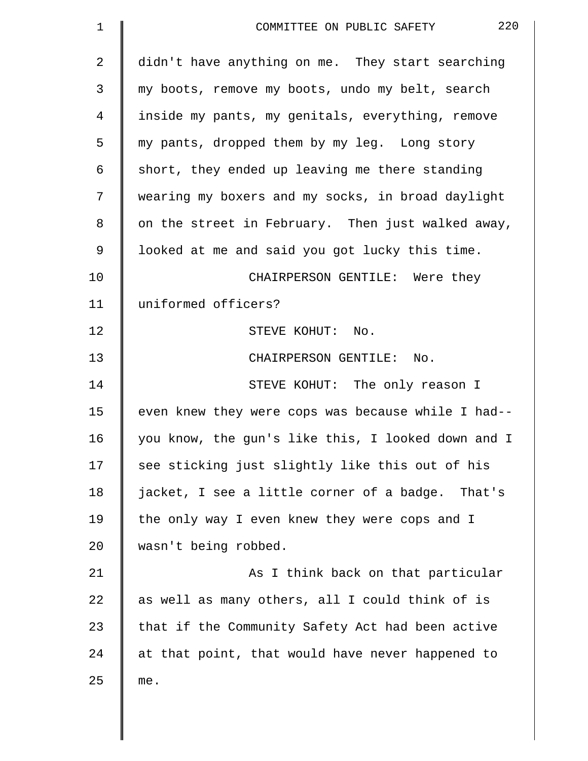| $\mathbf 1$ | 220<br>COMMITTEE ON PUBLIC SAFETY                  |
|-------------|----------------------------------------------------|
| 2           | didn't have anything on me. They start searching   |
| 3           | my boots, remove my boots, undo my belt, search    |
| 4           | inside my pants, my genitals, everything, remove   |
| 5           | my pants, dropped them by my leg. Long story       |
| 6           | short, they ended up leaving me there standing     |
| 7           | wearing my boxers and my socks, in broad daylight  |
| 8           | on the street in February. Then just walked away,  |
| 9           | looked at me and said you got lucky this time.     |
| 10          | CHAIRPERSON GENTILE: Were they                     |
| 11          | uniformed officers?                                |
| 12          | STEVE KOHUT: No.                                   |
| 13          | CHAIRPERSON GENTILE: No.                           |
| 14          | STEVE KOHUT: The only reason I                     |
| 15          | even knew they were cops was because while I had-- |
| 16          | you know, the gun's like this, I looked down and I |
| 17          | see sticking just slightly like this out of his    |
| 18          | jacket, I see a little corner of a badge. That's   |
| 19          | the only way I even knew they were cops and I      |
| 20          | wasn't being robbed.                               |
| 21          | As I think back on that particular                 |
| 22          | as well as many others, all I could think of is    |
| 23          | that if the Community Safety Act had been active   |
| 24          | at that point, that would have never happened to   |
| 25          | me.                                                |
|             |                                                    |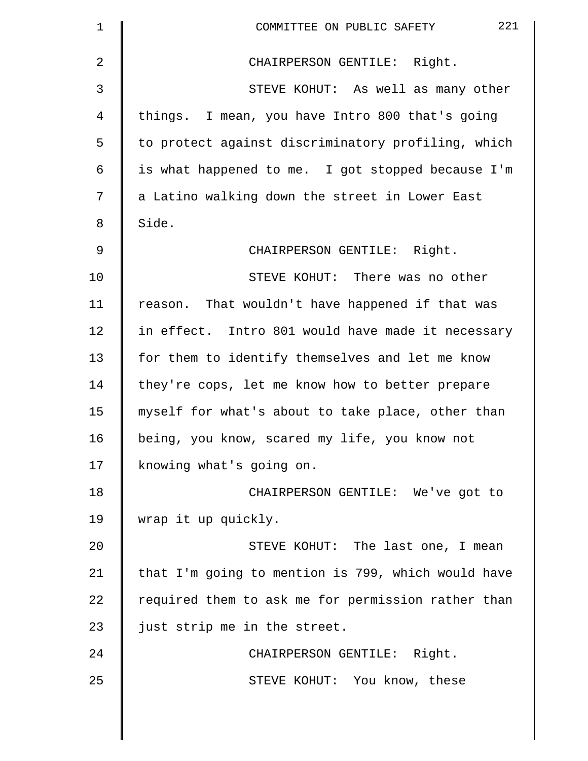| $\mathbf 1$    | 221<br>COMMITTEE ON PUBLIC SAFETY                  |
|----------------|----------------------------------------------------|
| $\overline{2}$ | CHAIRPERSON GENTILE: Right.                        |
| 3              | STEVE KOHUT: As well as many other                 |
| 4              | things. I mean, you have Intro 800 that's going    |
| 5              | to protect against discriminatory profiling, which |
| 6              | is what happened to me. I got stopped because I'm  |
| 7              | a Latino walking down the street in Lower East     |
| 8              | Side.                                              |
| 9              | CHAIRPERSON GENTILE: Right.                        |
| 10             | STEVE KOHUT: There was no other                    |
| 11             | reason. That wouldn't have happened if that was    |
| 12             | in effect. Intro 801 would have made it necessary  |
| 13             | for them to identify themselves and let me know    |
| 14             | they're cops, let me know how to better prepare    |
| 15             | myself for what's about to take place, other than  |
| 16             | being, you know, scared my life, you know not      |
| 17             | knowing what's going on.                           |
| 18             | CHAIRPERSON GENTILE: We've got to                  |
| 19             | wrap it up quickly.                                |
| 20             | STEVE KOHUT: The last one, I mean                  |
| 21             | that I'm going to mention is 799, which would have |
| 22             | required them to ask me for permission rather than |
| 23             | just strip me in the street.                       |
| 24             | CHAIRPERSON GENTILE: Right.                        |
| 25             | STEVE KOHUT: You know, these                       |
|                |                                                    |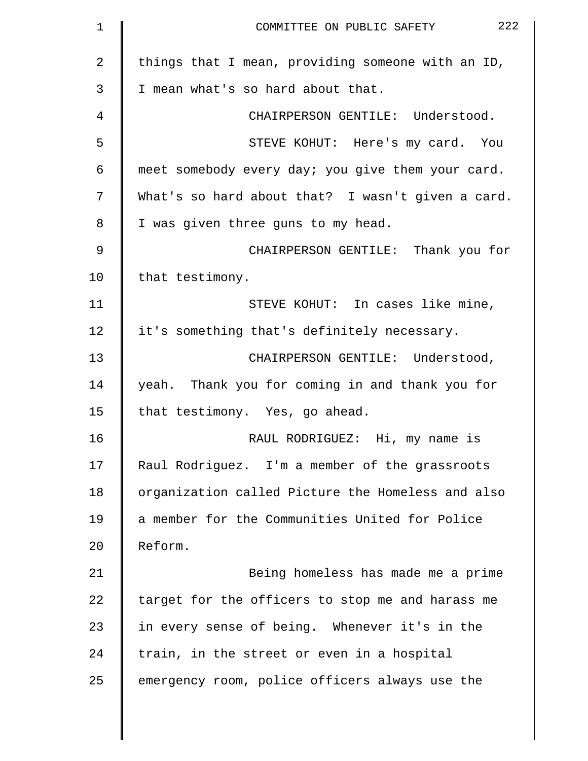| $\mathbf 1$    | 222<br>COMMITTEE ON PUBLIC SAFETY                 |
|----------------|---------------------------------------------------|
| $\overline{2}$ | things that I mean, providing someone with an ID, |
| 3              | I mean what's so hard about that.                 |
| 4              | CHAIRPERSON GENTILE: Understood.                  |
| 5              | STEVE KOHUT: Here's my card. You                  |
| 6              | meet somebody every day; you give them your card. |
| 7              | What's so hard about that? I wasn't given a card. |
| 8              | I was given three guns to my head.                |
| $\mathcal{G}$  | CHAIRPERSON GENTILE: Thank you for                |
| 10             | that testimony.                                   |
| 11             | STEVE KOHUT: In cases like mine,                  |
| 12             | it's something that's definitely necessary.       |
| 13             | CHAIRPERSON GENTILE: Understood,                  |
| 14             | yeah. Thank you for coming in and thank you for   |
| 15             | that testimony. Yes, go ahead.                    |
| 16             | RAUL RODRIGUEZ: Hi, my name is                    |
| 17             | Raul Rodriguez. I'm a member of the grassroots    |
| 18             | organization called Picture the Homeless and also |
| 19             | a member for the Communities United for Police    |
| 20             | Reform.                                           |
| 21             | Being homeless has made me a prime                |
| 22             | target for the officers to stop me and harass me  |
| 23             | in every sense of being. Whenever it's in the     |
| 24             | train, in the street or even in a hospital        |
| 25             | emergency room, police officers always use the    |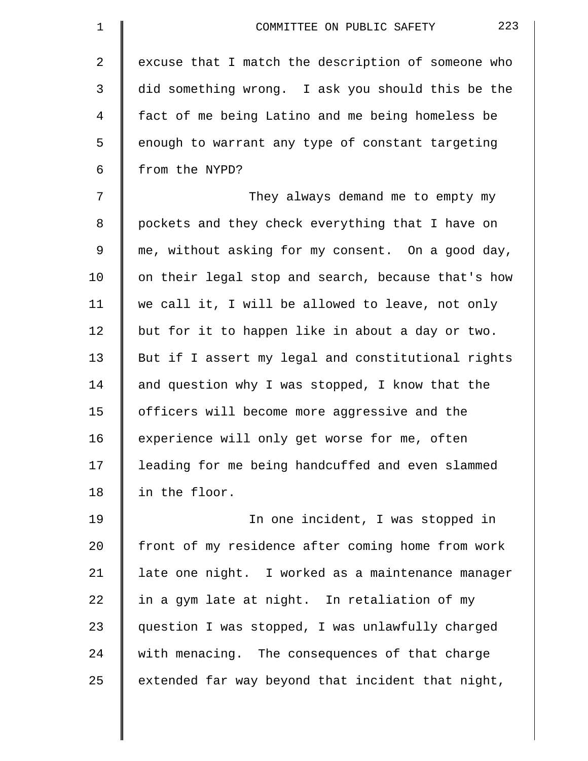| 1  | 223<br>COMMITTEE ON PUBLIC SAFETY                  |
|----|----------------------------------------------------|
| 2  | excuse that I match the description of someone who |
| 3  | did something wrong. I ask you should this be the  |
| 4  | fact of me being Latino and me being homeless be   |
| 5  | enough to warrant any type of constant targeting   |
| 6  | from the NYPD?                                     |
| 7  | They always demand me to empty my                  |
| 8  | pockets and they check everything that I have on   |
| 9  | me, without asking for my consent. On a good day,  |
| 10 | on their legal stop and search, because that's how |
| 11 | we call it, I will be allowed to leave, not only   |
| 12 | but for it to happen like in about a day or two.   |
| 13 | But if I assert my legal and constitutional rights |
| 14 | and question why I was stopped, I know that the    |
| 15 | officers will become more aggressive and the       |
| 16 | experience will only get worse for me, often       |
| 17 | leading for me being handcuffed and even slammed   |
| 18 | in the floor.                                      |
| 19 | In one incident, I was stopped in                  |
| 20 | front of my residence after coming home from work  |
| 21 | late one night. I worked as a maintenance manager  |
| 22 | in a gym late at night. In retaliation of my       |
| 23 | question I was stopped, I was unlawfully charged   |
| 24 | with menacing. The consequences of that charge     |
| 25 | extended far way beyond that incident that night,  |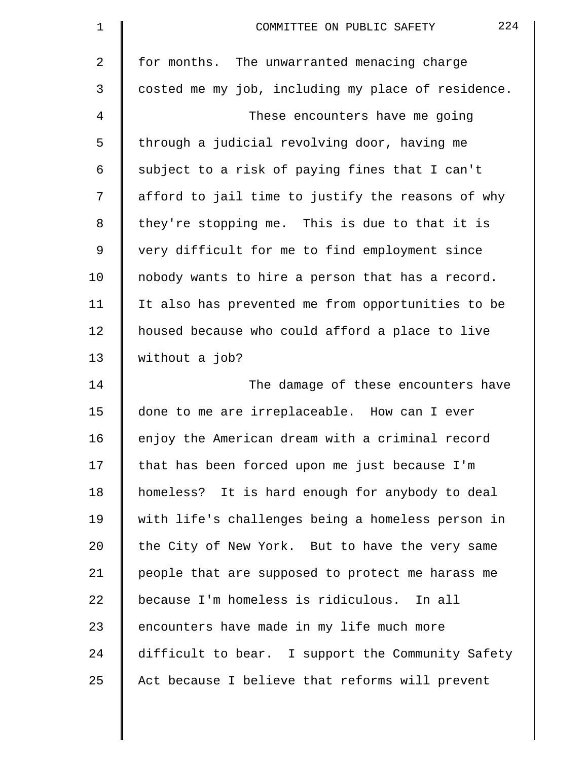| $\mathbf 1$ | 224<br>COMMITTEE ON PUBLIC SAFETY                  |
|-------------|----------------------------------------------------|
| 2           | for months. The unwarranted menacing charge        |
| 3           | costed me my job, including my place of residence. |
| 4           | These encounters have me going                     |
| 5           | through a judicial revolving door, having me       |
| 6           | subject to a risk of paying fines that I can't     |
| 7           | afford to jail time to justify the reasons of why  |
| 8           | they're stopping me. This is due to that it is     |
| 9           | very difficult for me to find employment since     |
| 10          | nobody wants to hire a person that has a record.   |
| 11          | It also has prevented me from opportunities to be  |
| 12          | housed because who could afford a place to live    |
| 13          | without a job?                                     |
| 14          | The damage of these encounters have                |
| 15          | done to me are irreplaceable. How can I ever       |
| 16          | enjoy the American dream with a criminal record    |
| 17          | that has been forced upon me just because I'm      |
| 18          | homeless? It is hard enough for anybody to deal    |
| 19          | with life's challenges being a homeless person in  |
| 20          | the City of New York. But to have the very same    |
| 21          | people that are supposed to protect me harass me   |
| 22          | because I'm homeless is ridiculous. In all         |
| 23          | encounters have made in my life much more          |
| 24          | difficult to bear. I support the Community Safety  |
| 25          | Act because I believe that reforms will prevent    |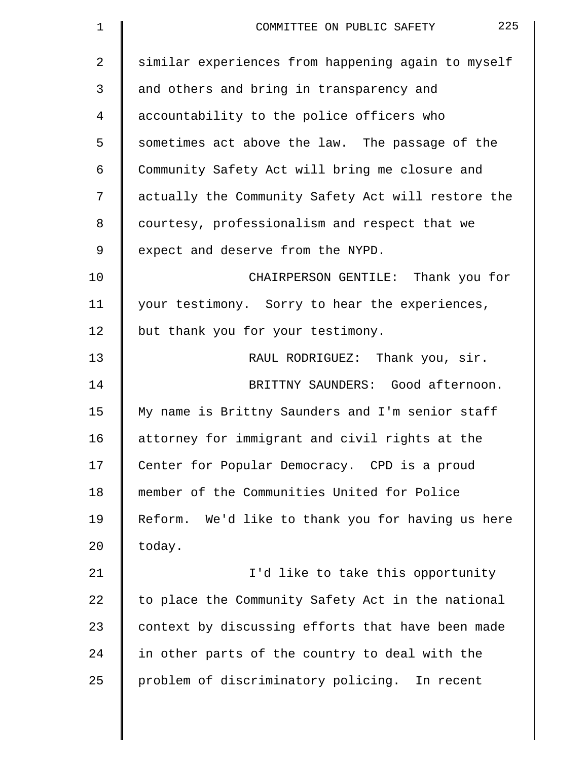| $\mathbf 1$ | 225<br>COMMITTEE ON PUBLIC SAFETY                  |
|-------------|----------------------------------------------------|
| 2           | similar experiences from happening again to myself |
| 3           | and others and bring in transparency and           |
| 4           | accountability to the police officers who          |
| 5           | sometimes act above the law. The passage of the    |
| 6           | Community Safety Act will bring me closure and     |
| 7           | actually the Community Safety Act will restore the |
| 8           | courtesy, professionalism and respect that we      |
| 9           | expect and deserve from the NYPD.                  |
| 10          | CHAIRPERSON GENTILE: Thank you for                 |
| 11          | your testimony. Sorry to hear the experiences,     |
| 12          | but thank you for your testimony.                  |
| 13          | RAUL RODRIGUEZ: Thank you, sir.                    |
| 14          | BRITTNY SAUNDERS: Good afternoon.                  |
| 15          | My name is Brittny Saunders and I'm senior staff   |
| 16          | attorney for immigrant and civil rights at the     |
| 17          | Center for Popular Democracy. CPD is a proud       |
| 18          | member of the Communities United for Police        |
| 19          | Reform. We'd like to thank you for having us here  |
| 20          | today.                                             |
| 21          | I'd like to take this opportunity                  |
| 22          | to place the Community Safety Act in the national  |
| 23          | context by discussing efforts that have been made  |
| 24          | in other parts of the country to deal with the     |
| 25          | problem of discriminatory policing. In recent      |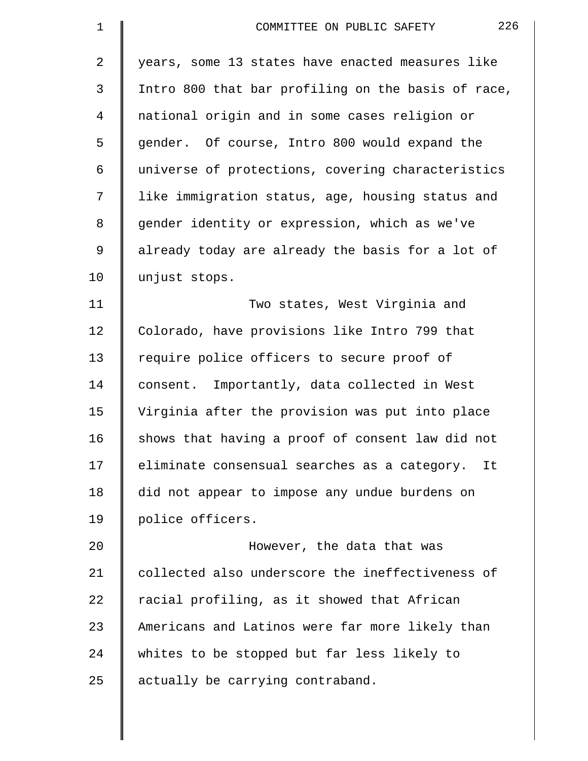| $\mathbf 1$    | 226<br>COMMITTEE ON PUBLIC SAFETY                  |
|----------------|----------------------------------------------------|
| $\overline{2}$ | years, some 13 states have enacted measures like   |
| 3              | Intro 800 that bar profiling on the basis of race, |
| 4              | national origin and in some cases religion or      |
| 5              | gender. Of course, Intro 800 would expand the      |
| 6              | universe of protections, covering characteristics  |
| 7              | like immigration status, age, housing status and   |
| 8              | gender identity or expression, which as we've      |
| 9              | already today are already the basis for a lot of   |
| 10             | unjust stops.                                      |
| 11             | Two states, West Virginia and                      |
| 12             | Colorado, have provisions like Intro 799 that      |
| 13             | require police officers to secure proof of         |
| 14             | consent. Importantly, data collected in West       |
| 15             | Virginia after the provision was put into place    |
| 16             | shows that having a proof of consent law did not   |
| 17             | eliminate consensual searches as a category. It    |
| 18             | did not appear to impose any undue burdens on      |
| 19             | police officers.                                   |
| 20             | However, the data that was                         |
| 21             | collected also underscore the ineffectiveness of   |
| 22             | racial profiling, as it showed that African        |
| 23             | Americans and Latinos were far more likely than    |
| 24             | whites to be stopped but far less likely to        |
| 25             | actually be carrying contraband.                   |
|                |                                                    |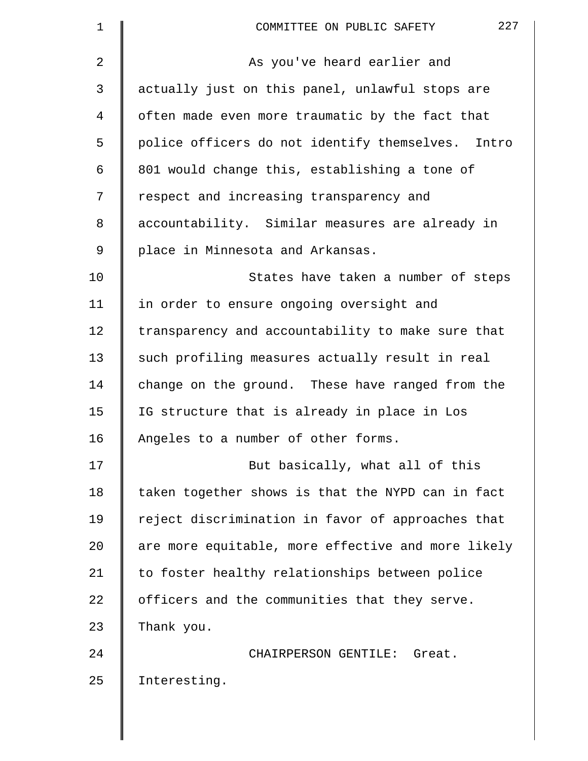| $\mathbf 1$ | 227<br>COMMITTEE ON PUBLIC SAFETY                  |
|-------------|----------------------------------------------------|
| 2           | As you've heard earlier and                        |
| 3           | actually just on this panel, unlawful stops are    |
| 4           | often made even more traumatic by the fact that    |
| 5           | police officers do not identify themselves. Intro  |
| 6           | 801 would change this, establishing a tone of      |
| 7           | respect and increasing transparency and            |
| 8           | accountability. Similar measures are already in    |
| 9           | place in Minnesota and Arkansas.                   |
| 10          | States have taken a number of steps                |
| 11          | in order to ensure ongoing oversight and           |
| 12          | transparency and accountability to make sure that  |
| 13          | such profiling measures actually result in real    |
| 14          | change on the ground. These have ranged from the   |
| 15          | IG structure that is already in place in Los       |
| 16          | Angeles to a number of other forms.                |
| 17          | But basically, what all of this                    |
| 18          | taken together shows is that the NYPD can in fact  |
| 19          | reject discrimination in favor of approaches that  |
| 20          | are more equitable, more effective and more likely |
| 21          | to foster healthy relationships between police     |
| 22          | officers and the communities that they serve.      |
| 23          | Thank you.                                         |
| 24          | CHAIRPERSON GENTILE: Great.                        |
| 25          | Interesting.                                       |
|             |                                                    |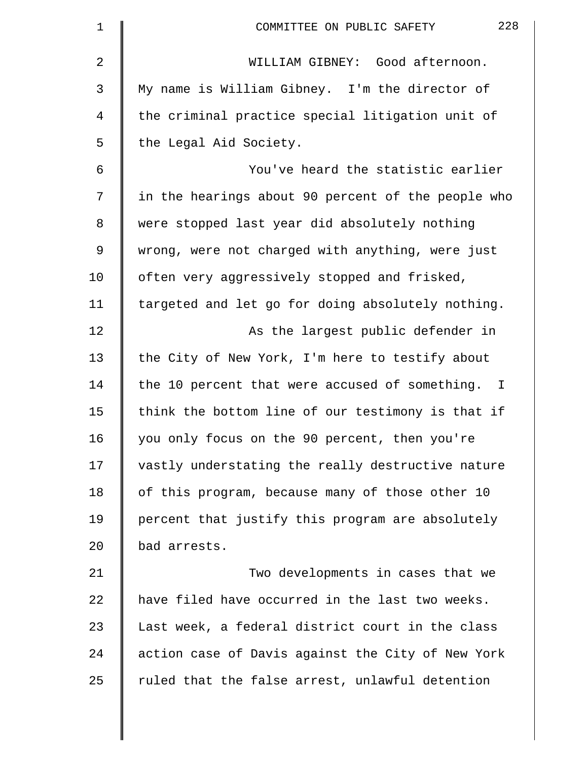| $\mathbf 1$ | 228<br>COMMITTEE ON PUBLIC SAFETY                              |
|-------------|----------------------------------------------------------------|
| 2           | WILLIAM GIBNEY: Good afternoon.                                |
| 3           | My name is William Gibney. I'm the director of                 |
| 4           | the criminal practice special litigation unit of               |
| 5           | the Legal Aid Society.                                         |
| 6           | You've heard the statistic earlier                             |
| 7           | in the hearings about 90 percent of the people who             |
| 8           | were stopped last year did absolutely nothing                  |
| 9           | wrong, were not charged with anything, were just               |
| 10          | often very aggressively stopped and frisked,                   |
| 11          | targeted and let go for doing absolutely nothing.              |
| 12          | As the largest public defender in                              |
| 13          | the City of New York, I'm here to testify about                |
| 14          | the 10 percent that were accused of something.<br>$\mathbb{I}$ |
| 15          | think the bottom line of our testimony is that if              |
| 16          | you only focus on the 90 percent, then you're                  |
| 17          | vastly understating the really destructive nature              |
| 18          | of this program, because many of those other 10                |
| 19          | percent that justify this program are absolutely               |
| 20          | bad arrests.                                                   |
| 21          | Two developments in cases that we                              |
| 22          | have filed have occurred in the last two weeks.                |
| 23          | Last week, a federal district court in the class               |
| 24          | action case of Davis against the City of New York              |
| 25          | ruled that the false arrest, unlawful detention                |
|             |                                                                |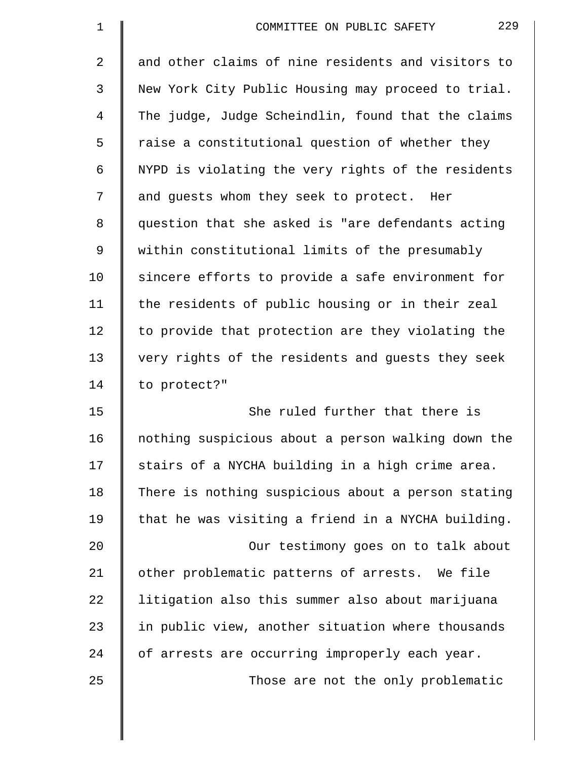| $\mathbf 1$ | 229<br>COMMITTEE ON PUBLIC SAFETY                  |
|-------------|----------------------------------------------------|
| 2           | and other claims of nine residents and visitors to |
| 3           | New York City Public Housing may proceed to trial. |
| 4           | The judge, Judge Scheindlin, found that the claims |
| 5           | raise a constitutional question of whether they    |
| 6           | NYPD is violating the very rights of the residents |
| 7           | and guests whom they seek to protect. Her          |
| 8           | question that she asked is "are defendants acting  |
| 9           | within constitutional limits of the presumably     |
| 10          | sincere efforts to provide a safe environment for  |
| 11          | the residents of public housing or in their zeal   |
| 12          | to provide that protection are they violating the  |
| 13          | very rights of the residents and guests they seek  |
| 14          | to protect?"                                       |
| 15          | She ruled further that there is                    |
| 16          | nothing suspicious about a person walking down the |
| 17          | stairs of a NYCHA building in a high crime area.   |
| 18          | There is nothing suspicious about a person stating |
| 19          | that he was visiting a friend in a NYCHA building. |
| 20          | Our testimony goes on to talk about                |
| 21          | other problematic patterns of arrests. We file     |
| 22          | litigation also this summer also about marijuana   |
| 23          | in public view, another situation where thousands  |
| 24          | of arrests are occurring improperly each year.     |
| 25          | Those are not the only problematic                 |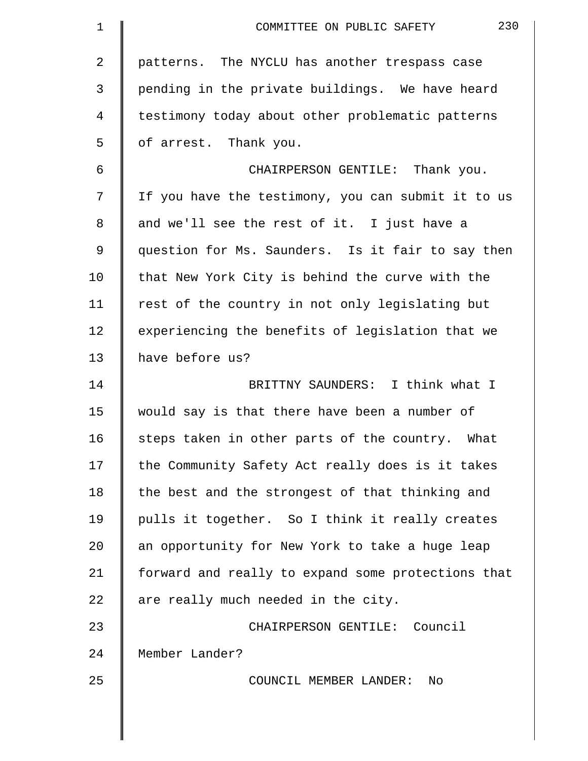| 1  | 230<br>COMMITTEE ON PUBLIC SAFETY                  |
|----|----------------------------------------------------|
| 2  | patterns. The NYCLU has another trespass case      |
| 3  | pending in the private buildings. We have heard    |
| 4  | testimony today about other problematic patterns   |
| 5  | of arrest. Thank you.                              |
| 6  | CHAIRPERSON GENTILE: Thank you.                    |
| 7  | If you have the testimony, you can submit it to us |
| 8  | and we'll see the rest of it. I just have a        |
| 9  | question for Ms. Saunders. Is it fair to say then  |
| 10 | that New York City is behind the curve with the    |
| 11 | rest of the country in not only legislating but    |
| 12 | experiencing the benefits of legislation that we   |
| 13 | have before us?                                    |
| 14 | BRITTNY SAUNDERS: I think what I                   |
| 15 | would say is that there have been a number of      |
| 16 | steps taken in other parts of the country.<br>What |
| 17 | the Community Safety Act really does is it takes   |
| 18 | the best and the strongest of that thinking and    |
| 19 | pulls it together. So I think it really creates    |
| 20 | an opportunity for New York to take a huge leap    |
| 21 | forward and really to expand some protections that |
| 22 | are really much needed in the city.                |
| 23 | CHAIRPERSON GENTILE: Council                       |
| 24 | Member Lander?                                     |
| 25 | COUNCIL MEMBER LANDER:<br>No                       |
|    |                                                    |
|    |                                                    |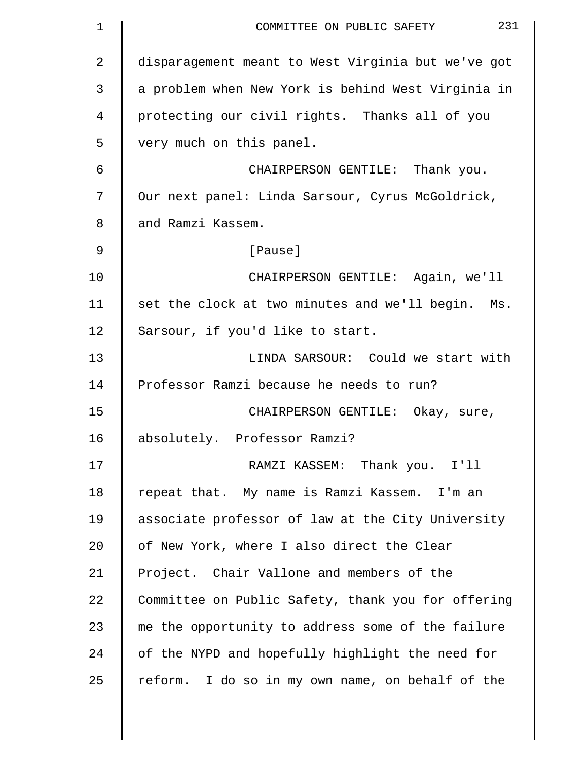| $\mathbf 1$    | 231<br>COMMITTEE ON PUBLIC SAFETY                  |
|----------------|----------------------------------------------------|
| $\overline{2}$ | disparagement meant to West Virginia but we've got |
| 3              | a problem when New York is behind West Virginia in |
| 4              | protecting our civil rights. Thanks all of you     |
| 5              | very much on this panel.                           |
| 6              | CHAIRPERSON GENTILE: Thank you.                    |
| 7              | Our next panel: Linda Sarsour, Cyrus McGoldrick,   |
| 8              | and Ramzi Kassem.                                  |
| 9              | [Pause]                                            |
| 10             | CHAIRPERSON GENTILE: Again, we'll                  |
| 11             | set the clock at two minutes and we'll begin. Ms.  |
| 12             | Sarsour, if you'd like to start.                   |
| 13             | LINDA SARSOUR: Could we start with                 |
| 14             | Professor Ramzi because he needs to run?           |
| 15             | CHAIRPERSON GENTILE: Okay, sure,                   |
| 16             | absolutely. Professor Ramzi?                       |
| 17             | RAMZI KASSEM: Thank you. I'll                      |
| 18             | repeat that. My name is Ramzi Kassem. I'm an       |
| 19             | associate professor of law at the City University  |
| 20             | of New York, where I also direct the Clear         |
| 21             | Project. Chair Vallone and members of the          |
| 22             | Committee on Public Safety, thank you for offering |
| 23             | me the opportunity to address some of the failure  |
| 24             | of the NYPD and hopefully highlight the need for   |
| 25             | reform. I do so in my own name, on behalf of the   |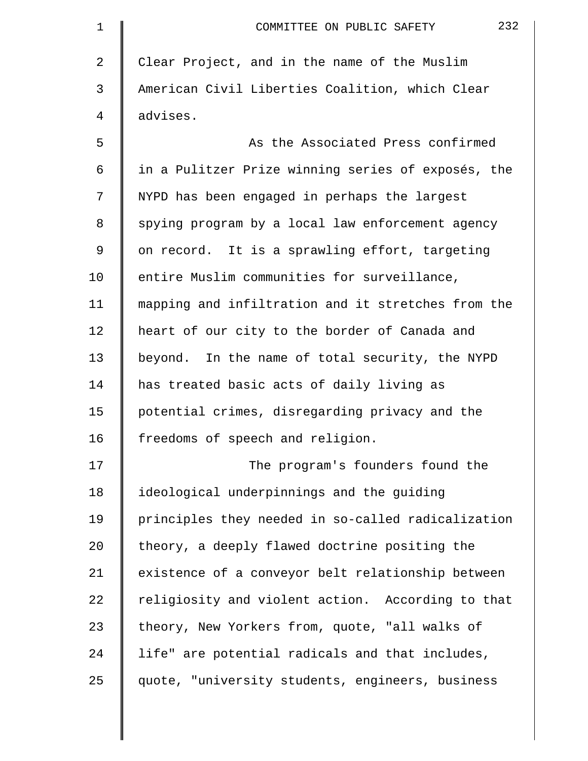| 1  | 232<br>COMMITTEE ON PUBLIC SAFETY                  |
|----|----------------------------------------------------|
| 2  | Clear Project, and in the name of the Muslim       |
| 3  | American Civil Liberties Coalition, which Clear    |
| 4  | advises.                                           |
| 5  | As the Associated Press confirmed                  |
| 6  | in a Pulitzer Prize winning series of exposés, the |
| 7  | NYPD has been engaged in perhaps the largest       |
| 8  | spying program by a local law enforcement agency   |
| 9  | on record. It is a sprawling effort, targeting     |
| 10 | entire Muslim communities for surveillance,        |
| 11 | mapping and infiltration and it stretches from the |
| 12 | heart of our city to the border of Canada and      |
| 13 | beyond. In the name of total security, the NYPD    |
| 14 | has treated basic acts of daily living as          |
| 15 | potential crimes, disregarding privacy and the     |
| 16 | freedoms of speech and religion.                   |
| 17 | The program's founders found the                   |
| 18 | ideological underpinnings and the guiding          |
| 19 | principles they needed in so-called radicalization |
| 20 | theory, a deeply flawed doctrine positing the      |
| 21 | existence of a conveyor belt relationship between  |
| 22 | religiosity and violent action. According to that  |
| 23 | theory, New Yorkers from, quote, "all walks of     |
| 24 | life" are potential radicals and that includes,    |
| 25 | quote, "university students, engineers, business   |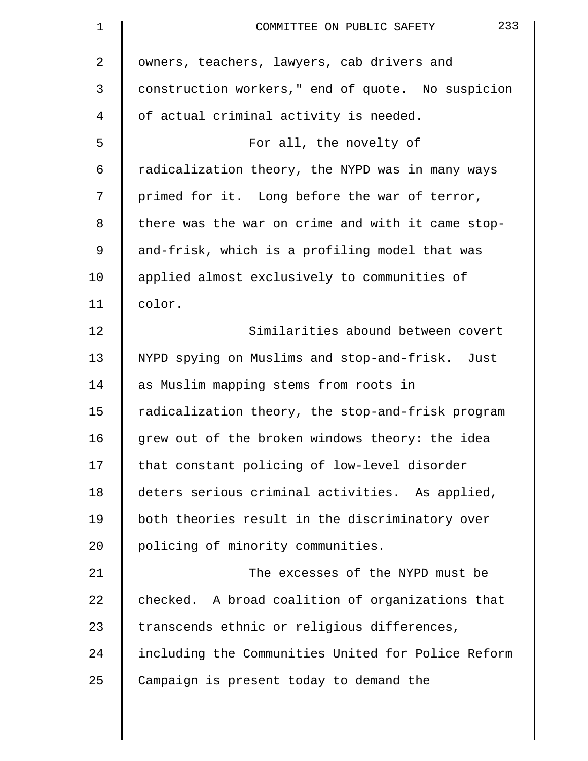| $\mathbf 1$ | 233<br>COMMITTEE ON PUBLIC SAFETY                  |
|-------------|----------------------------------------------------|
| 2           | owners, teachers, lawyers, cab drivers and         |
| 3           | construction workers," end of quote. No suspicion  |
| 4           | of actual criminal activity is needed.             |
| 5           | For all, the novelty of                            |
| 6           | radicalization theory, the NYPD was in many ways   |
| 7           | primed for it. Long before the war of terror,      |
| 8           | there was the war on crime and with it came stop-  |
| 9           | and-frisk, which is a profiling model that was     |
| 10          | applied almost exclusively to communities of       |
| 11          | color.                                             |
| 12          | Similarities abound between covert                 |
| 13          | NYPD spying on Muslims and stop-and-frisk. Just    |
| 14          | as Muslim mapping stems from roots in              |
| 15          | radicalization theory, the stop-and-frisk program  |
| 16          | grew out of the broken windows theory: the idea    |
| 17          | that constant policing of low-level disorder       |
| 18          | deters serious criminal activities. As applied,    |
| 19          | both theories result in the discriminatory over    |
| 20          | policing of minority communities.                  |
| 21          | The excesses of the NYPD must be                   |
| 22          | checked. A broad coalition of organizations that   |
| 23          | transcends ethnic or religious differences,        |
| 24          | including the Communities United for Police Reform |
| 25          | Campaign is present today to demand the            |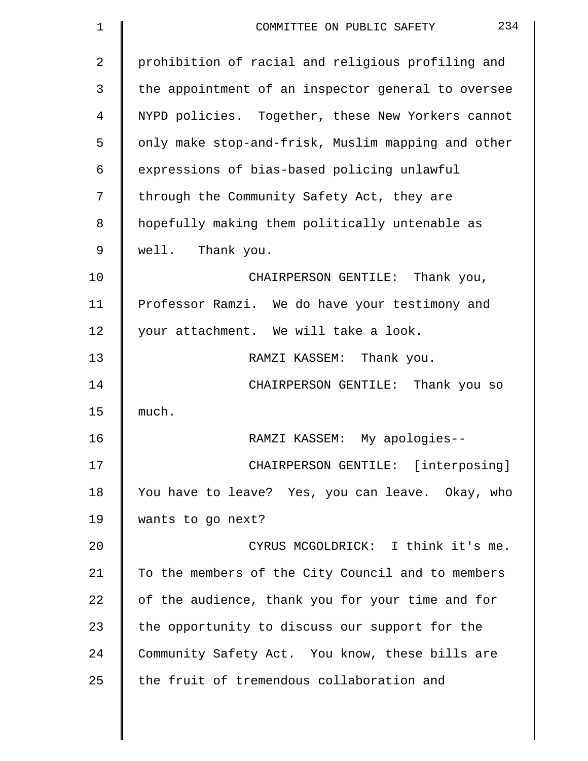| 1           | 234<br>COMMITTEE ON PUBLIC SAFETY                  |
|-------------|----------------------------------------------------|
| 2           | prohibition of racial and religious profiling and  |
| 3           | the appointment of an inspector general to oversee |
| 4           | NYPD policies. Together, these New Yorkers cannot  |
| 5           | only make stop-and-frisk, Muslim mapping and other |
| 6           | expressions of bias-based policing unlawful        |
| 7           | through the Community Safety Act, they are         |
| 8           | hopefully making them politically untenable as     |
| $\mathsf 9$ | well. Thank you.                                   |
| 10          | CHAIRPERSON GENTILE: Thank you,                    |
| 11          | Professor Ramzi. We do have your testimony and     |
| 12          | your attachment. We will take a look.              |
| 13          | RAMZI KASSEM: Thank you.                           |
| 14          | CHAIRPERSON GENTILE: Thank you so                  |
| 15          | much.                                              |
| 16          | RAMZI KASSEM: My apologies--                       |
| 17          | CHAIRPERSON GENTILE: [interposing]                 |
| 18          | You have to leave? Yes, you can leave. Okay, who   |
| 19          | wants to go next?                                  |
| 20          | CYRUS MCGOLDRICK: I think it's me.                 |
| 21          | To the members of the City Council and to members  |
| 22          | of the audience, thank you for your time and for   |
| 23          | the opportunity to discuss our support for the     |
| 24          | Community Safety Act. You know, these bills are    |
| 25          | the fruit of tremendous collaboration and          |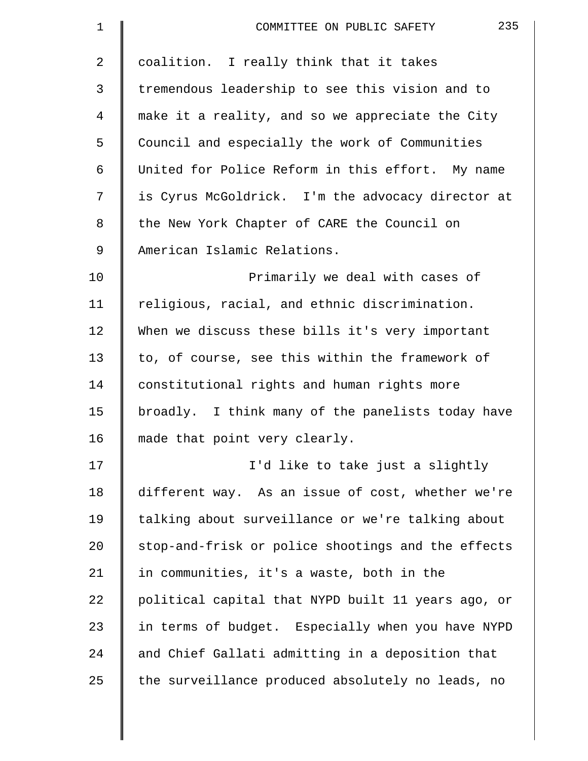| $\mathbf 1$    | 235<br>COMMITTEE ON PUBLIC SAFETY                  |
|----------------|----------------------------------------------------|
| $\overline{2}$ | coalition. I really think that it takes            |
| 3              | tremendous leadership to see this vision and to    |
| 4              | make it a reality, and so we appreciate the City   |
| 5              | Council and especially the work of Communities     |
| 6              | United for Police Reform in this effort. My name   |
| 7              | is Cyrus McGoldrick. I'm the advocacy director at  |
| 8              | the New York Chapter of CARE the Council on        |
| 9              | American Islamic Relations.                        |
| 10             | Primarily we deal with cases of                    |
| 11             | religious, racial, and ethnic discrimination.      |
| 12             | When we discuss these bills it's very important    |
| 13             | to, of course, see this within the framework of    |
| 14             | constitutional rights and human rights more        |
| 15             | broadly. I think many of the panelists today have  |
| 16             | made that point very clearly.                      |
| 17             | I'd like to take just a slightly                   |
| 18             | different way. As an issue of cost, whether we're  |
| 19             | talking about surveillance or we're talking about  |
| 20             | stop-and-frisk or police shootings and the effects |
| 21             | in communities, it's a waste, both in the          |
| 22             | political capital that NYPD built 11 years ago, or |
| 23             | in terms of budget. Especially when you have NYPD  |
| 24             | and Chief Gallati admitting in a deposition that   |
| 25             | the surveillance produced absolutely no leads, no  |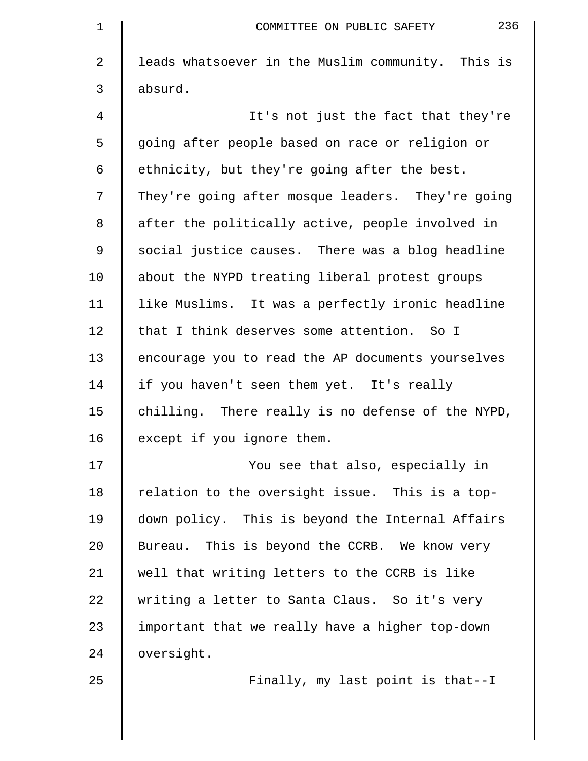| $\mathbf 1$    | 236<br>COMMITTEE ON PUBLIC SAFETY                 |
|----------------|---------------------------------------------------|
| $\overline{2}$ | leads whatsoever in the Muslim community. This is |
| 3              | absurd.                                           |
| 4              | It's not just the fact that they're               |
| 5              | going after people based on race or religion or   |
| 6              | ethnicity, but they're going after the best.      |
| 7              | They're going after mosque leaders. They're going |
| 8              | after the politically active, people involved in  |
| 9              | social justice causes. There was a blog headline  |
| 10             | about the NYPD treating liberal protest groups    |
| 11             | like Muslims. It was a perfectly ironic headline  |
| 12             | that I think deserves some attention. So I        |
| 13             | encourage you to read the AP documents yourselves |
| 14             | if you haven't seen them yet. It's really         |
| 15             | chilling. There really is no defense of the NYPD, |
| 16             | except if you ignore them.                        |
| 17             | You see that also, especially in                  |
| 18             | relation to the oversight issue. This is a top-   |
| 19             | down policy. This is beyond the Internal Affairs  |
| 20             | Bureau. This is beyond the CCRB. We know very     |
| 21             | well that writing letters to the CCRB is like     |
| 22             | writing a letter to Santa Claus. So it's very     |
| 23             | important that we really have a higher top-down   |
| 24             | oversight.                                        |
| 25             | Finally, my last point is that--I                 |
|                |                                                   |
|                |                                                   |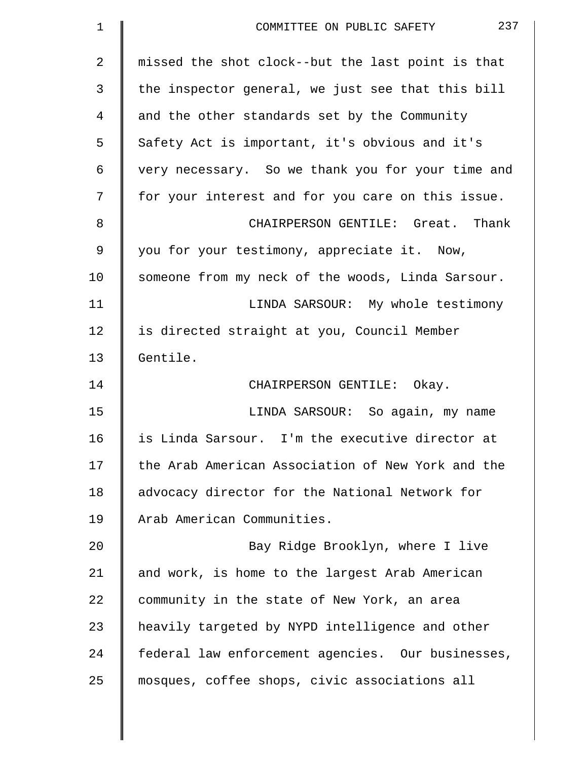| missed the shot clock--but the last point is that<br>the inspector general, we just see that this bill |
|--------------------------------------------------------------------------------------------------------|
|                                                                                                        |
|                                                                                                        |
|                                                                                                        |
|                                                                                                        |
| very necessary. So we thank you for your time and                                                      |
| for your interest and for you care on this issue.                                                      |
| CHAIRPERSON GENTILE: Great. Thank                                                                      |
|                                                                                                        |
| someone from my neck of the woods, Linda Sarsour.                                                      |
| LINDA SARSOUR: My whole testimony                                                                      |
|                                                                                                        |
|                                                                                                        |
|                                                                                                        |
| LINDA SARSOUR: So again, my name                                                                       |
| is Linda Sarsour. I'm the executive director at                                                        |
| the Arab American Association of New York and the                                                      |
|                                                                                                        |
|                                                                                                        |
|                                                                                                        |
| Bay Ridge Brooklyn, where I live                                                                       |
|                                                                                                        |
|                                                                                                        |
| heavily targeted by NYPD intelligence and other                                                        |
| federal law enforcement agencies. Our businesses,                                                      |
|                                                                                                        |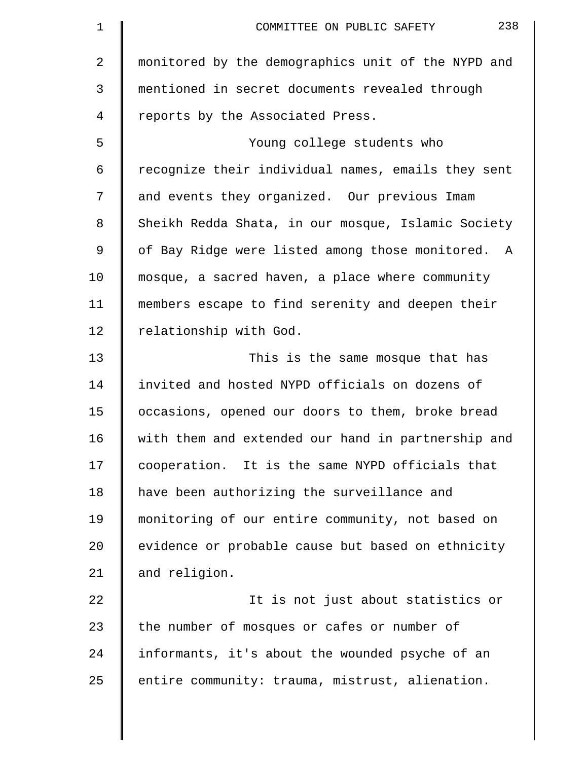| $\mathbf 1$ | 238<br>COMMITTEE ON PUBLIC SAFETY                  |
|-------------|----------------------------------------------------|
| 2           | monitored by the demographics unit of the NYPD and |
| 3           | mentioned in secret documents revealed through     |
| 4           | reports by the Associated Press.                   |
| 5           | Young college students who                         |
| 6           | recognize their individual names, emails they sent |
| 7           | and events they organized. Our previous Imam       |
| 8           | Sheikh Redda Shata, in our mosque, Islamic Society |
| 9           | of Bay Ridge were listed among those monitored. A  |
| 10          | mosque, a sacred haven, a place where community    |
| 11          | members escape to find serenity and deepen their   |
| 12          | relationship with God.                             |
| 13          | This is the same mosque that has                   |
| 14          | invited and hosted NYPD officials on dozens of     |
| 15          | occasions, opened our doors to them, broke bread   |
| 16          | with them and extended our hand in partnership and |
| 17          | cooperation. It is the same NYPD officials that    |
| 18          | have been authorizing the surveillance and         |
| 19          | monitoring of our entire community, not based on   |
| 20          | evidence or probable cause but based on ethnicity  |
| 21          | and religion.                                      |
| 22          | It is not just about statistics or                 |
| 23          | the number of mosques or cafes or number of        |
| 24          | informants, it's about the wounded psyche of an    |
| 25          | entire community: trauma, mistrust, alienation.    |
|             |                                                    |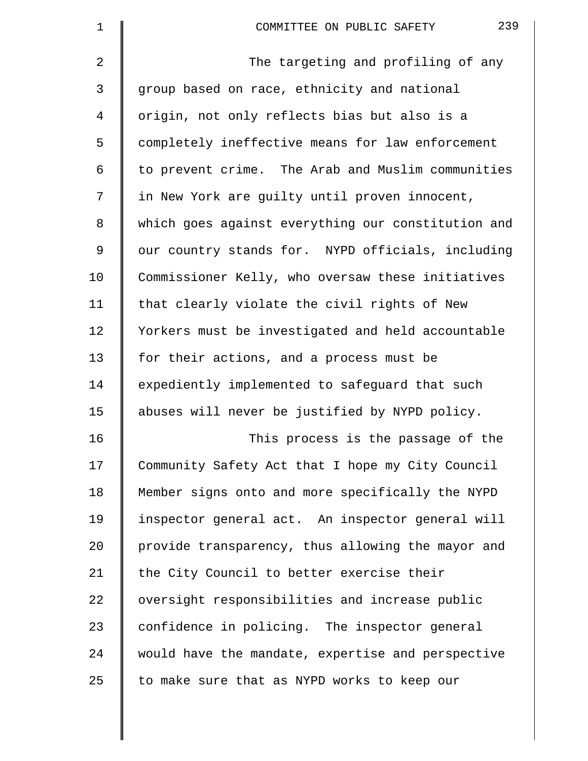| 1              | 239<br>COMMITTEE ON PUBLIC SAFETY                  |
|----------------|----------------------------------------------------|
| 2              | The targeting and profiling of any                 |
| $\mathfrak{Z}$ | group based on race, ethnicity and national        |
| 4              | origin, not only reflects bias but also is a       |
| 5              | completely ineffective means for law enforcement   |
| 6              | to prevent crime. The Arab and Muslim communities  |
| 7              | in New York are guilty until proven innocent,      |
| 8              | which goes against everything our constitution and |
| 9              | our country stands for. NYPD officials, including  |
| 10             | Commissioner Kelly, who oversaw these initiatives  |
| 11             | that clearly violate the civil rights of New       |
| 12             | Yorkers must be investigated and held accountable  |
| 13             | for their actions, and a process must be           |
| 14             | expediently implemented to safeguard that such     |
| 15             | abuses will never be justified by NYPD policy.     |
| 16             | This process is the passage of the                 |
| 17             | Community Safety Act that I hope my City Council   |
| 18             | Member signs onto and more specifically the NYPD   |
| 19             | inspector general act. An inspector general will   |
| 20             | provide transparency, thus allowing the mayor and  |
| 21             | the City Council to better exercise their          |
| 22             | oversight responsibilities and increase public     |
| 23             | confidence in policing. The inspector general      |
| 24             | would have the mandate, expertise and perspective  |
| 25             | to make sure that as NYPD works to keep our        |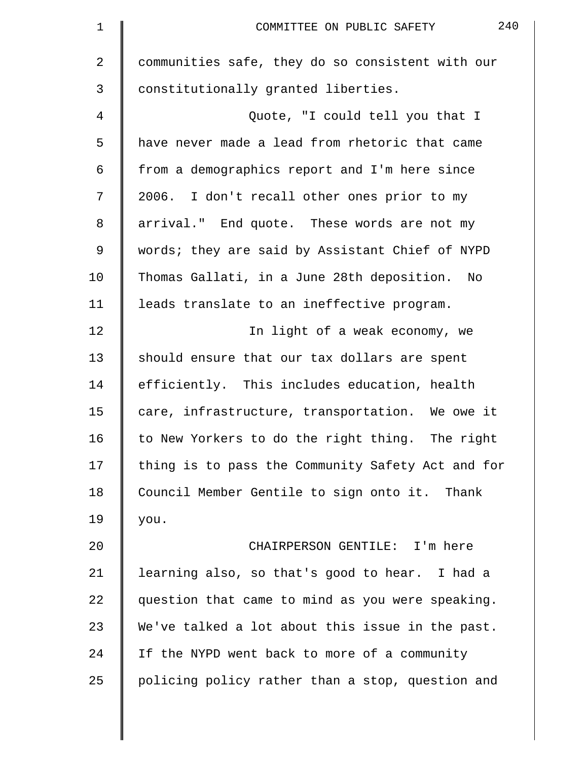| $\mathbf 1$ | 240<br>COMMITTEE ON PUBLIC SAFETY                 |
|-------------|---------------------------------------------------|
| 2           | communities safe, they do so consistent with our  |
| 3           | constitutionally granted liberties.               |
| 4           | Quote, "I could tell you that I                   |
| 5           | have never made a lead from rhetoric that came    |
| 6           | from a demographics report and I'm here since     |
| 7           | 2006. I don't recall other ones prior to my       |
| 8           | arrival." End quote. These words are not my       |
| 9           | words; they are said by Assistant Chief of NYPD   |
| 10          | Thomas Gallati, in a June 28th deposition.<br>No  |
| 11          | leads translate to an ineffective program.        |
| 12          | In light of a weak economy, we                    |
| 13          | should ensure that our tax dollars are spent      |
| 14          | efficiently. This includes education, health      |
| 15          | care, infrastructure, transportation. We owe it   |
| 16          | to New Yorkers to do the right thing. The right   |
| 17          | thing is to pass the Community Safety Act and for |
| 18          | Council Member Gentile to sign onto it. Thank     |
| 19          | you.                                              |
| 20          | CHAIRPERSON GENTILE: I'm here                     |
| 21          | learning also, so that's good to hear. I had a    |
| 22          | question that came to mind as you were speaking.  |
| 23          | We've talked a lot about this issue in the past.  |
| 24          | If the NYPD went back to more of a community      |
| 25          | policing policy rather than a stop, question and  |
|             |                                                   |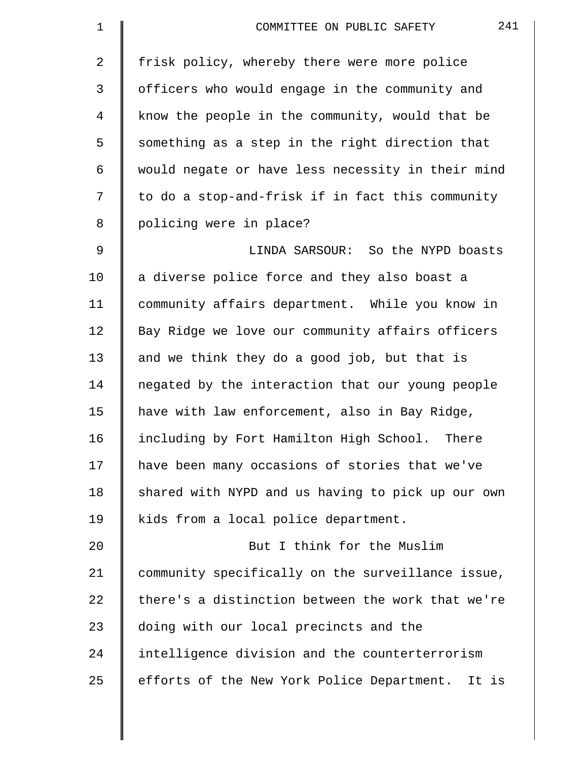| $\mathbf 1$ | 241<br>COMMITTEE ON PUBLIC SAFETY                 |
|-------------|---------------------------------------------------|
| 2           | frisk policy, whereby there were more police      |
| 3           | officers who would engage in the community and    |
| 4           | know the people in the community, would that be   |
| 5           | something as a step in the right direction that   |
| 6           | would negate or have less necessity in their mind |
| 7           | to do a stop-and-frisk if in fact this community  |
| 8           | policing were in place?                           |
| $\mathsf 9$ | LINDA SARSOUR: So the NYPD boasts                 |
| 10          | a diverse police force and they also boast a      |
| 11          | community affairs department. While you know in   |
| 12          | Bay Ridge we love our community affairs officers  |
| 13          | and we think they do a good job, but that is      |
| 14          | negated by the interaction that our young people  |
| 15          | have with law enforcement, also in Bay Ridge,     |
| 16          | including by Fort Hamilton High School.<br>There  |
| 17          | have been many occasions of stories that we've    |
| 18          | shared with NYPD and us having to pick up our own |
| 19          | kids from a local police department.              |
| 20          | But I think for the Muslim                        |
| 21          | community specifically on the surveillance issue, |
| 22          | there's a distinction between the work that we're |
| 23          | doing with our local precincts and the            |
| 24          | intelligence division and the counterterrorism    |
| 25          | efforts of the New York Police Department. It is  |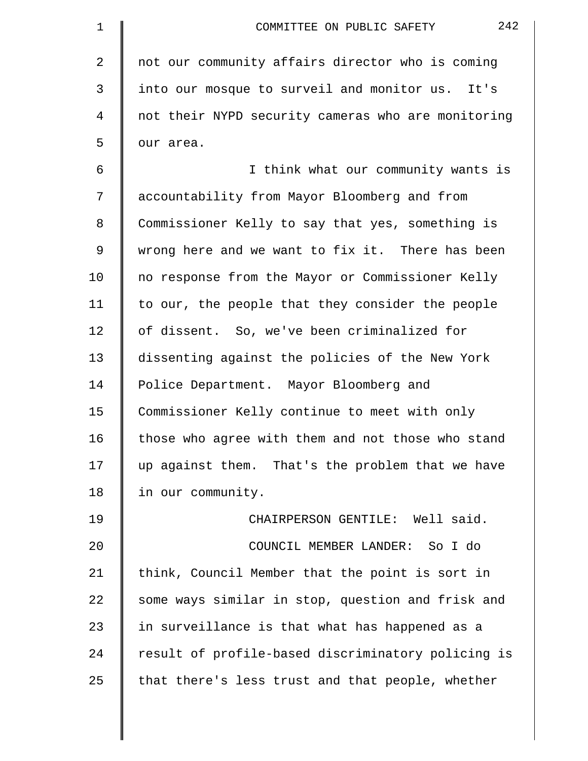| $\mathbf 1$    | 242<br>COMMITTEE ON PUBLIC SAFETY                  |
|----------------|----------------------------------------------------|
| $\overline{a}$ | not our community affairs director who is coming   |
| 3              | into our mosque to surveil and monitor us. It's    |
| $\overline{4}$ | not their NYPD security cameras who are monitoring |
| 5              | our area.                                          |
| 6              | I think what our community wants is                |
| 7              | accountability from Mayor Bloomberg and from       |
| 8              | Commissioner Kelly to say that yes, something is   |
| 9              | wrong here and we want to fix it. There has been   |
| 10             | no response from the Mayor or Commissioner Kelly   |
| 11             | to our, the people that they consider the people   |
| 12             | of dissent. So, we've been criminalized for        |
| 13             | dissenting against the policies of the New York    |
| 14             | Police Department. Mayor Bloomberg and             |
| 15             | Commissioner Kelly continue to meet with only      |
| 16             | those who agree with them and not those who stand  |
| 17             | up against them. That's the problem that we have   |
| 18             | in our community.                                  |
| 19             | CHAIRPERSON GENTILE: Well said.                    |
| 20             | COUNCIL MEMBER LANDER: So I do                     |
| 21             | think, Council Member that the point is sort in    |
| 22             | some ways similar in stop, question and frisk and  |
| 23             | in surveillance is that what has happened as a     |
| 24             | result of profile-based discriminatory policing is |
| 25             | that there's less trust and that people, whether   |
|                |                                                    |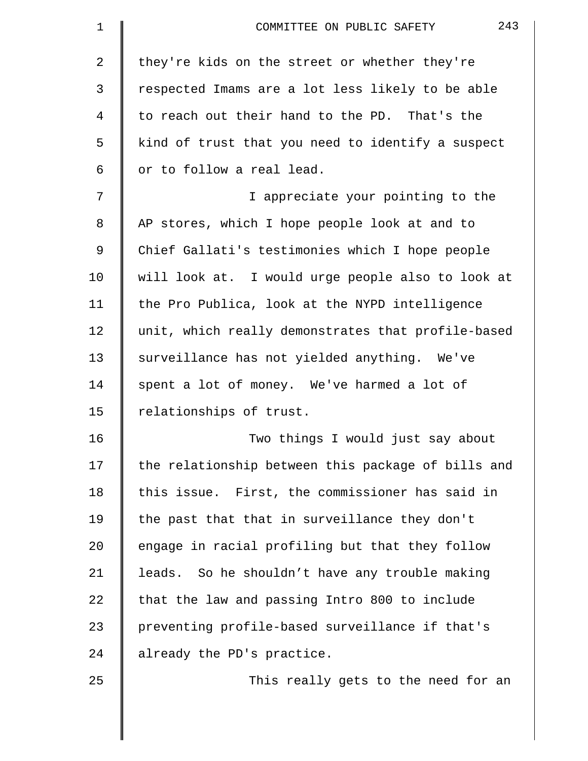| 1  | 243<br>COMMITTEE ON PUBLIC SAFETY                  |
|----|----------------------------------------------------|
| 2  | they're kids on the street or whether they're      |
| 3  | respected Imams are a lot less likely to be able   |
| 4  | to reach out their hand to the PD. That's the      |
| 5  | kind of trust that you need to identify a suspect  |
| 6  | or to follow a real lead.                          |
| 7  | I appreciate your pointing to the                  |
| 8  | AP stores, which I hope people look at and to      |
| 9  | Chief Gallati's testimonies which I hope people    |
| 10 | will look at. I would urge people also to look at  |
| 11 | the Pro Publica, look at the NYPD intelligence     |
| 12 | unit, which really demonstrates that profile-based |
| 13 | surveillance has not yielded anything. We've       |
| 14 | spent a lot of money. We've harmed a lot of        |
| 15 | relationships of trust.                            |
| 16 | Two things I would just say about                  |
| 17 | the relationship between this package of bills and |
| 18 | this issue. First, the commissioner has said in    |
| 19 | the past that that in surveillance they don't      |
| 20 | engage in racial profiling but that they follow    |
| 21 | leads. So he shouldn't have any trouble making     |
| 22 | that the law and passing Intro 800 to include      |
| 23 | preventing profile-based surveillance if that's    |
| 24 | already the PD's practice.                         |
| 25 | This really gets to the need for an                |
|    |                                                    |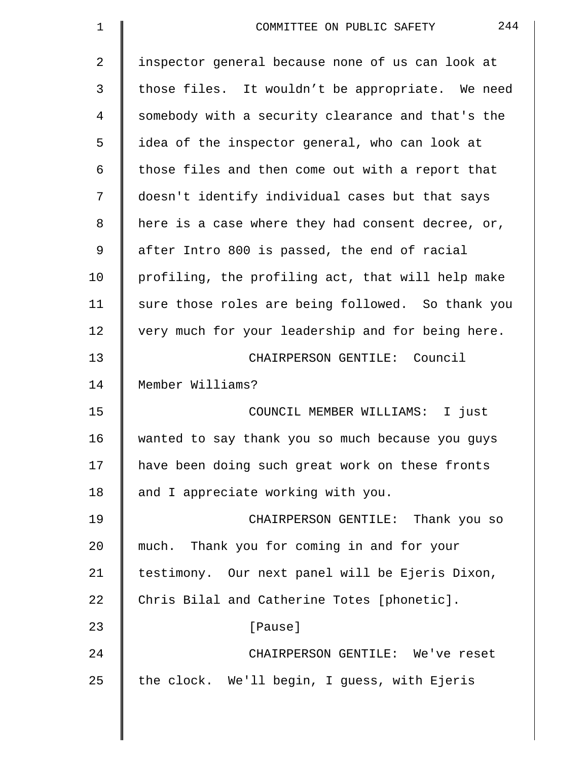| $\mathbf 1$    | 244<br>COMMITTEE ON PUBLIC SAFETY                 |
|----------------|---------------------------------------------------|
| $\overline{2}$ | inspector general because none of us can look at  |
| 3              | those files. It wouldn't be appropriate. We need  |
| 4              | somebody with a security clearance and that's the |
| 5              | idea of the inspector general, who can look at    |
| 6              | those files and then come out with a report that  |
| 7              | doesn't identify individual cases but that says   |
| 8              | here is a case where they had consent decree, or, |
| $\mathsf 9$    | after Intro 800 is passed, the end of racial      |
| 10             | profiling, the profiling act, that will help make |
| 11             | sure those roles are being followed. So thank you |
| 12             | very much for your leadership and for being here. |
| 13             | CHAIRPERSON GENTILE: Council                      |
| 14             | Member Williams?                                  |
| 15             | COUNCIL MEMBER WILLIAMS: I just                   |
| 16             | wanted to say thank you so much because you guys  |
| 17             | have been doing such great work on these fronts   |
| 18             | and I appreciate working with you.                |
| 19             | CHAIRPERSON GENTILE: Thank you so                 |
| 20             | much. Thank you for coming in and for your        |
| 21             | testimony. Our next panel will be Ejeris Dixon,   |
| 22             | Chris Bilal and Catherine Totes [phonetic].       |
| 23             | [Pause]                                           |
| 24             | CHAIRPERSON GENTILE: We've reset                  |
| 25             | the clock. We'll begin, I guess, with Ejeris      |
|                |                                                   |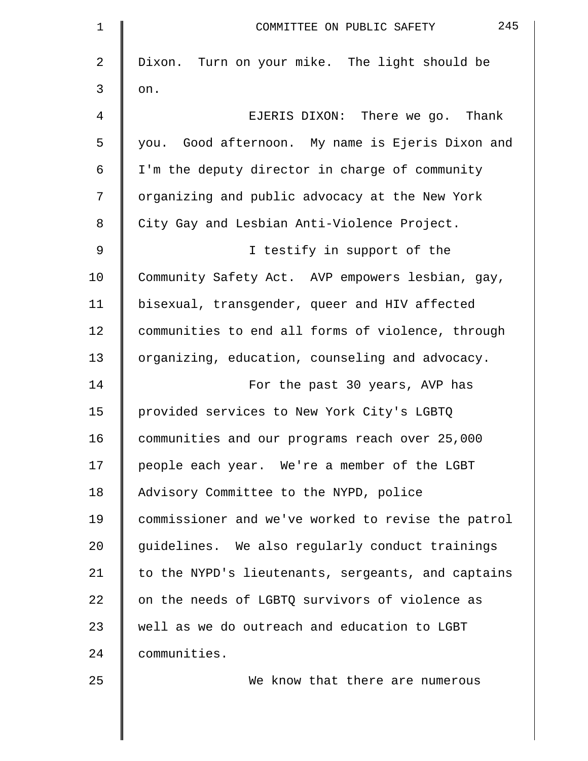| $\mathbf 1$ | 245<br>COMMITTEE ON PUBLIC SAFETY                  |
|-------------|----------------------------------------------------|
| 2           | Dixon. Turn on your mike. The light should be      |
| 3           | on.                                                |
| 4           | EJERIS DIXON: There we go. Thank                   |
| 5           | you. Good afternoon. My name is Ejeris Dixon and   |
| 6           | I'm the deputy director in charge of community     |
| 7           | organizing and public advocacy at the New York     |
| 8           | City Gay and Lesbian Anti-Violence Project.        |
| 9           | I testify in support of the                        |
| 10          | Community Safety Act. AVP empowers lesbian, gay,   |
| 11          | bisexual, transgender, queer and HIV affected      |
| 12          | communities to end all forms of violence, through  |
| 13          | organizing, education, counseling and advocacy.    |
| 14          | For the past 30 years, AVP has                     |
| 15          | provided services to New York City's LGBTQ         |
| 16          | communities and our programs reach over 25,000     |
| 17          | people each year. We're a member of the LGBT       |
| 18          | Advisory Committee to the NYPD, police             |
| 19          | commissioner and we've worked to revise the patrol |
| 20          | guidelines. We also regularly conduct trainings    |
| 21          | to the NYPD's lieutenants, sergeants, and captains |
| 22          | on the needs of LGBTQ survivors of violence as     |
| 23          | well as we do outreach and education to LGBT       |
| 24          | communities.                                       |
| 25          | We know that there are numerous                    |
|             |                                                    |
|             |                                                    |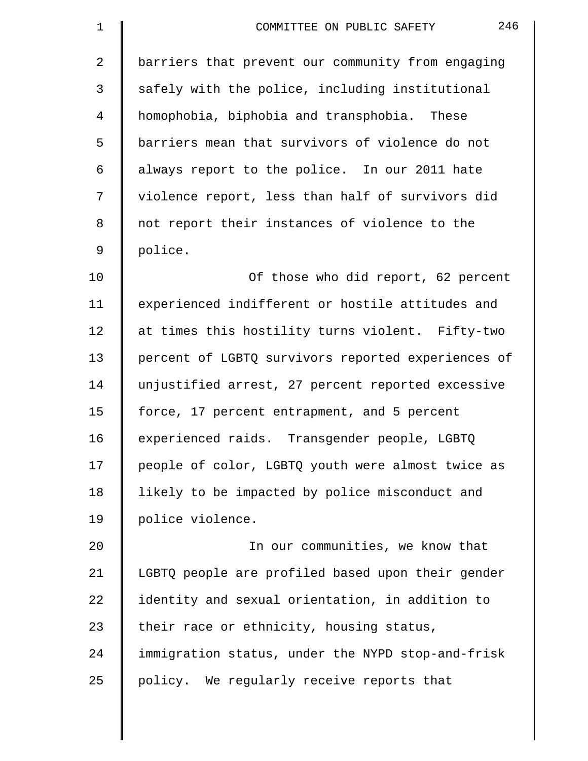| $\mathbf 1$    | 246<br>COMMITTEE ON PUBLIC SAFETY                  |
|----------------|----------------------------------------------------|
| $\overline{2}$ | barriers that prevent our community from engaging  |
| 3              | safely with the police, including institutional    |
| 4              | homophobia, biphobia and transphobia. These        |
| 5              | barriers mean that survivors of violence do not    |
| 6              | always report to the police. In our 2011 hate      |
| 7              | violence report, less than half of survivors did   |
| 8              | not report their instances of violence to the      |
| 9              | police.                                            |
| 10             | Of those who did report, 62 percent                |
| 11             | experienced indifferent or hostile attitudes and   |
| 12             | at times this hostility turns violent. Fifty-two   |
| 13             | percent of LGBTQ survivors reported experiences of |
| 14             | unjustified arrest, 27 percent reported excessive  |
| 15             | force, 17 percent entrapment, and 5 percent        |
| 16             | experienced raids. Transgender people, LGBTQ       |
| 17             | people of color, LGBTQ youth were almost twice as  |
| 18             | likely to be impacted by police misconduct and     |
| 19             | police violence.                                   |
| 20             | In our communities, we know that                   |
| 21             | LGBTQ people are profiled based upon their gender  |
| 22             | identity and sexual orientation, in addition to    |
| 23             | their race or ethnicity, housing status,           |
| 24             | immigration status, under the NYPD stop-and-frisk  |
| 25             | policy. We regularly receive reports that          |
|                |                                                    |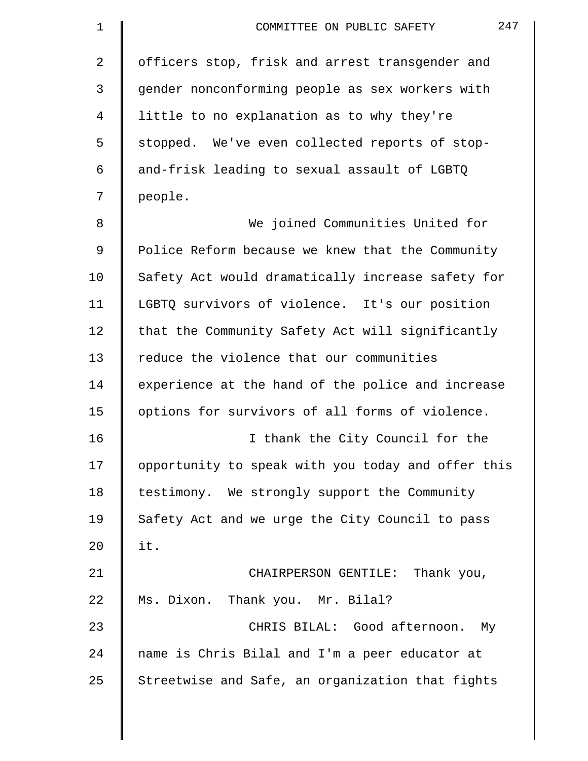| $\mathbf 1$    | 247<br>COMMITTEE ON PUBLIC SAFETY                  |
|----------------|----------------------------------------------------|
| $\overline{2}$ | officers stop, frisk and arrest transgender and    |
| 3              | gender nonconforming people as sex workers with    |
| 4              | little to no explanation as to why they're         |
| 5              | stopped. We've even collected reports of stop-     |
| 6              | and-frisk leading to sexual assault of LGBTQ       |
| 7              | people.                                            |
| 8              | We joined Communities United for                   |
| 9              | Police Reform because we knew that the Community   |
| 10             | Safety Act would dramatically increase safety for  |
| 11             | LGBTQ survivors of violence. It's our position     |
| 12             | that the Community Safety Act will significantly   |
| 13             | reduce the violence that our communities           |
| 14             | experience at the hand of the police and increase  |
| 15             | options for survivors of all forms of violence.    |
| 16             | I thank the City Council for the                   |
| 17             | opportunity to speak with you today and offer this |
| 18             | testimony. We strongly support the Community       |
| 19             | Safety Act and we urge the City Council to pass    |
| 20             | it.                                                |
| 21             | CHAIRPERSON GENTILE: Thank you,                    |
| 22             | Ms. Dixon. Thank you. Mr. Bilal?                   |
| 23             | CHRIS BILAL: Good afternoon. My                    |
| 24             | name is Chris Bilal and I'm a peer educator at     |
| 25             | Streetwise and Safe, an organization that fights   |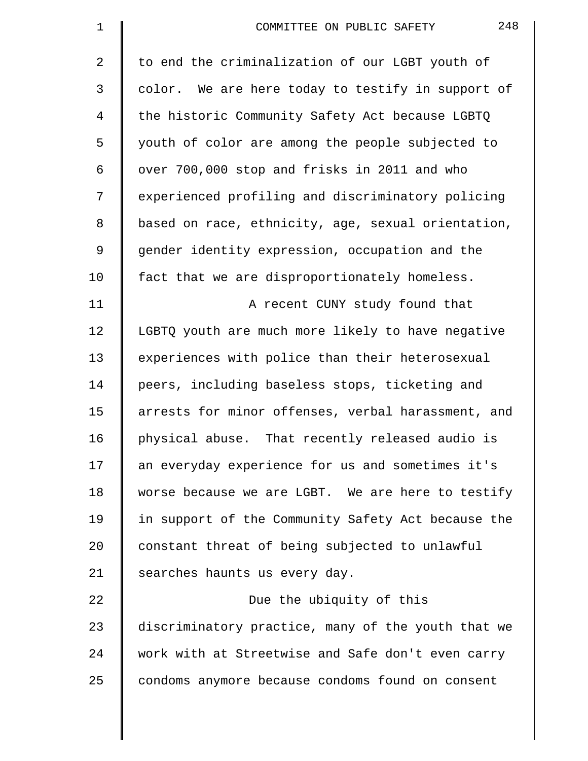| $\mathbf 1$ | 248<br>COMMITTEE ON PUBLIC SAFETY                  |
|-------------|----------------------------------------------------|
| 2           | to end the criminalization of our LGBT youth of    |
| 3           | color. We are here today to testify in support of  |
| 4           | the historic Community Safety Act because LGBTQ    |
| 5           | youth of color are among the people subjected to   |
| 6           | over 700,000 stop and frisks in 2011 and who       |
| 7           | experienced profiling and discriminatory policing  |
| 8           | based on race, ethnicity, age, sexual orientation, |
| 9           | gender identity expression, occupation and the     |
| 10          | fact that we are disproportionately homeless.      |
| 11          | A recent CUNY study found that                     |
| 12          | LGBTQ youth are much more likely to have negative  |
| 13          | experiences with police than their heterosexual    |
| 14          | peers, including baseless stops, ticketing and     |
| 15          | arrests for minor offenses, verbal harassment, and |
| 16          | physical abuse. That recently released audio is    |
| 17          | an everyday experience for us and sometimes it's   |
| 18          | worse because we are LGBT. We are here to testify  |
| 19          | in support of the Community Safety Act because the |
| 20          | constant threat of being subjected to unlawful     |
| 21          | searches haunts us every day.                      |
| 22          | Due the ubiquity of this                           |
| 23          | discriminatory practice, many of the youth that we |
| 24          | work with at Streetwise and Safe don't even carry  |
| 25          | condoms anymore because condoms found on consent   |
|             |                                                    |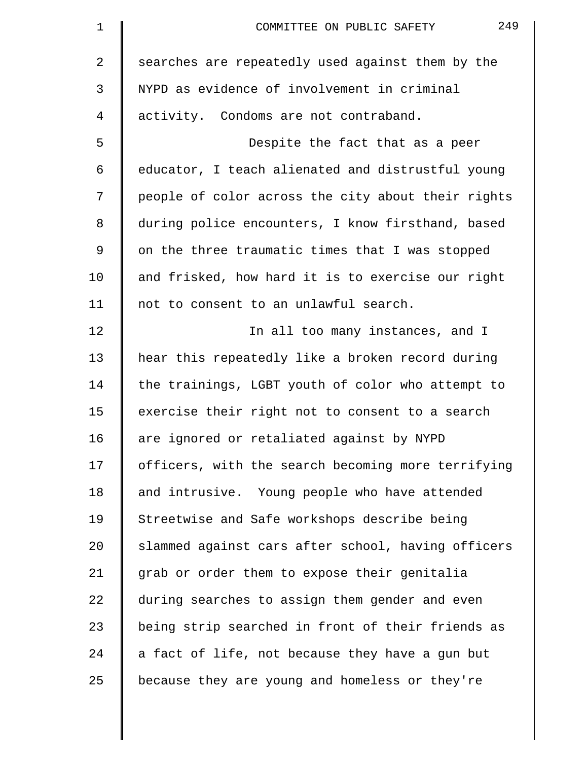| $\mathbf 1$ | 249<br>COMMITTEE ON PUBLIC SAFETY                  |
|-------------|----------------------------------------------------|
| 2           | searches are repeatedly used against them by the   |
| 3           | NYPD as evidence of involvement in criminal        |
| 4           | activity. Condoms are not contraband.              |
| 5           | Despite the fact that as a peer                    |
| 6           | educator, I teach alienated and distrustful young  |
| 7           | people of color across the city about their rights |
| 8           | during police encounters, I know firsthand, based  |
| 9           | on the three traumatic times that I was stopped    |
| 10          | and frisked, how hard it is to exercise our right  |
| 11          | not to consent to an unlawful search.              |
| 12          | In all too many instances, and I                   |
| 13          | hear this repeatedly like a broken record during   |
| 14          | the trainings, LGBT youth of color who attempt to  |
| 15          | exercise their right not to consent to a search    |
| 16          | are ignored or retaliated against by NYPD          |
| 17          | officers, with the search becoming more terrifying |
| 18          | and intrusive. Young people who have attended      |
| 19          | Streetwise and Safe workshops describe being       |
| 20          | slammed against cars after school, having officers |
| 21          | grab or order them to expose their genitalia       |
| 22          | during searches to assign them gender and even     |
| 23          | being strip searched in front of their friends as  |
| 24          | a fact of life, not because they have a gun but    |
| 25          | because they are young and homeless or they're     |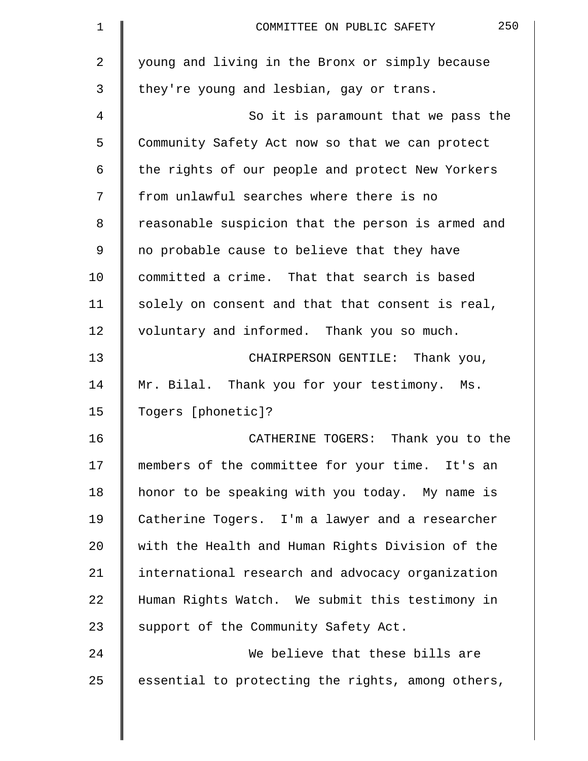| 1  | 250<br>COMMITTEE ON PUBLIC SAFETY                 |
|----|---------------------------------------------------|
| 2  | young and living in the Bronx or simply because   |
| 3  | they're young and lesbian, gay or trans.          |
| 4  | So it is paramount that we pass the               |
| 5  | Community Safety Act now so that we can protect   |
| 6  | the rights of our people and protect New Yorkers  |
| 7  | from unlawful searches where there is no          |
| 8  | reasonable suspicion that the person is armed and |
| 9  | no probable cause to believe that they have       |
| 10 | committed a crime. That that search is based      |
| 11 | solely on consent and that that consent is real,  |
| 12 | voluntary and informed. Thank you so much.        |
| 13 | CHAIRPERSON GENTILE: Thank you,                   |
| 14 | Mr. Bilal. Thank you for your testimony. Ms.      |
| 15 | Togers [phonetic]?                                |
| 16 | CATHERINE TOGERS: Thank you to the                |
| 17 | members of the committee for your time. It's an   |
| 18 | honor to be speaking with you today. My name is   |
| 19 | Catherine Togers. I'm a lawyer and a researcher   |
| 20 | with the Health and Human Rights Division of the  |
| 21 | international research and advocacy organization  |
| 22 | Human Rights Watch. We submit this testimony in   |
| 23 | support of the Community Safety Act.              |
| 24 | We believe that these bills are                   |
| 25 | essential to protecting the rights, among others, |
|    |                                                   |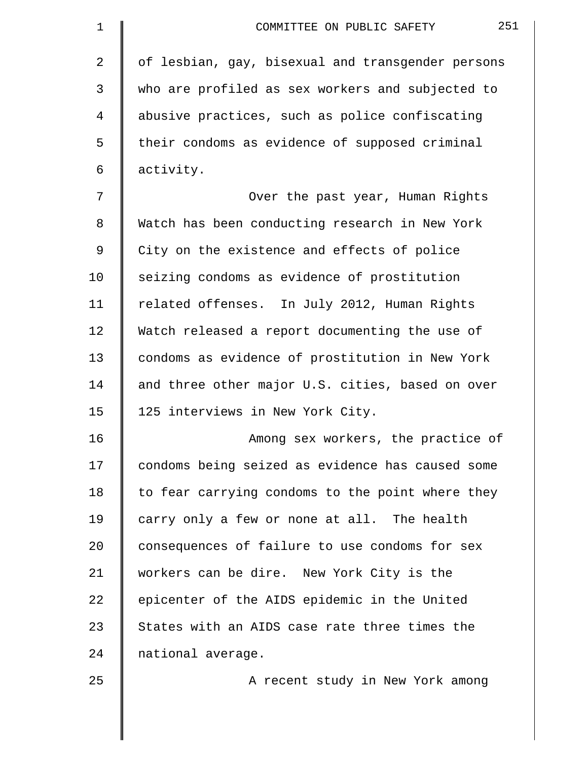| $\mathbf 1$ | 251<br>COMMITTEE ON PUBLIC SAFETY                 |
|-------------|---------------------------------------------------|
| 2           | of lesbian, gay, bisexual and transgender persons |
| 3           | who are profiled as sex workers and subjected to  |
| 4           | abusive practices, such as police confiscating    |
| 5           | their condoms as evidence of supposed criminal    |
| 6           | activity.                                         |
| 7           | Over the past year, Human Rights                  |
| 8           | Watch has been conducting research in New York    |
| 9           | City on the existence and effects of police       |
| 10          | seizing condoms as evidence of prostitution       |
| 11          | related offenses. In July 2012, Human Rights      |
| 12          | Watch released a report documenting the use of    |
| 13          | condoms as evidence of prostitution in New York   |
| 14          | and three other major U.S. cities, based on over  |
| 15          | 125 interviews in New York City.                  |
| 16          | Among sex workers, the practice of                |
| 17          | condoms being seized as evidence has caused some  |
| 18          | to fear carrying condoms to the point where they  |
| 19          | carry only a few or none at all. The health       |
| 20          | consequences of failure to use condoms for sex    |
| 21          | workers can be dire. New York City is the         |
| 22          | epicenter of the AIDS epidemic in the United      |
| 23          | States with an AIDS case rate three times the     |
| 24          | national average.                                 |
| 25          | A recent study in New York among                  |
|             |                                                   |
|             |                                                   |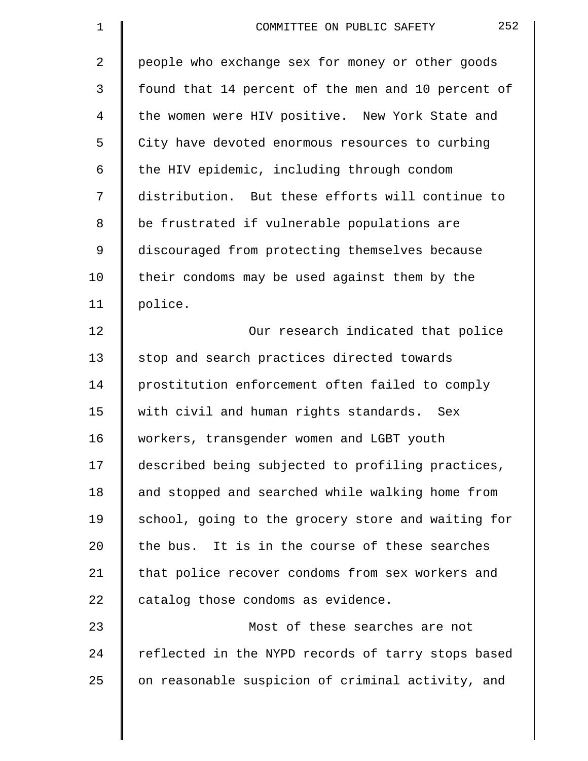| 1              | 252<br>COMMITTEE ON PUBLIC SAFETY                  |
|----------------|----------------------------------------------------|
| $\overline{2}$ | people who exchange sex for money or other goods   |
| 3              | found that 14 percent of the men and 10 percent of |
| 4              | the women were HIV positive. New York State and    |
| 5              | City have devoted enormous resources to curbing    |
| 6              | the HIV epidemic, including through condom         |
| 7              | distribution. But these efforts will continue to   |
| 8              | be frustrated if vulnerable populations are        |
| 9              | discouraged from protecting themselves because     |
| 10             | their condoms may be used against them by the      |
| 11             | police.                                            |
| 12             | Our research indicated that police                 |
| 13             | stop and search practices directed towards         |
| 14             | prostitution enforcement often failed to comply    |
| 15             | with civil and human rights standards. Sex         |
| 16             | workers, transgender women and LGBT youth          |
| 17             | described being subjected to profiling practices,  |
| 18             | and stopped and searched while walking home from   |
| 19             | school, going to the grocery store and waiting for |
| 20             | the bus. It is in the course of these searches     |
| 21             | that police recover condoms from sex workers and   |
| 22             | catalog those condoms as evidence.                 |
| 23             | Most of these searches are not                     |
| 24             | reflected in the NYPD records of tarry stops based |
| 25             | on reasonable suspicion of criminal activity, and  |
|                |                                                    |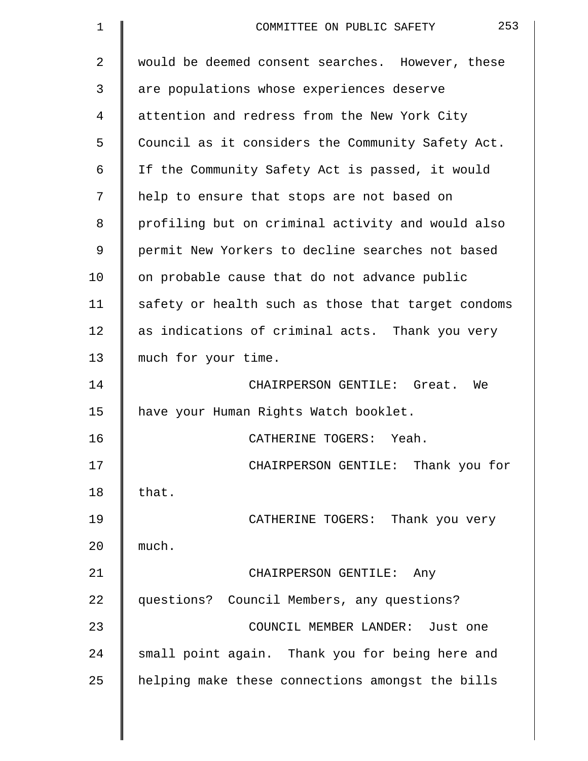| $\mathbf 1$ | 253<br>COMMITTEE ON PUBLIC SAFETY                  |
|-------------|----------------------------------------------------|
| 2           | would be deemed consent searches. However, these   |
| 3           | are populations whose experiences deserve          |
| 4           | attention and redress from the New York City       |
| 5           | Council as it considers the Community Safety Act.  |
| 6           | If the Community Safety Act is passed, it would    |
| 7           | help to ensure that stops are not based on         |
| 8           | profiling but on criminal activity and would also  |
| 9           | permit New Yorkers to decline searches not based   |
| 10          | on probable cause that do not advance public       |
| 11          | safety or health such as those that target condoms |
| 12          | as indications of criminal acts. Thank you very    |
| 13          | much for your time.                                |
| 14          | CHAIRPERSON GENTILE: Great. We                     |
| 15          | have your Human Rights Watch booklet.              |
| 16          | CATHERINE TOGERS:<br>Yeah.                         |
| 17          | CHAIRPERSON GENTILE: Thank you for                 |
| 18          | that.                                              |
| 19          | CATHERINE TOGERS: Thank you very                   |
| 20          | much.                                              |
| 21          | CHAIRPERSON GENTILE: Any                           |
| 22          | questions? Council Members, any questions?         |
| 23          | COUNCIL MEMBER LANDER: Just one                    |
| 24          | small point again. Thank you for being here and    |
| 25          | helping make these connections amongst the bills   |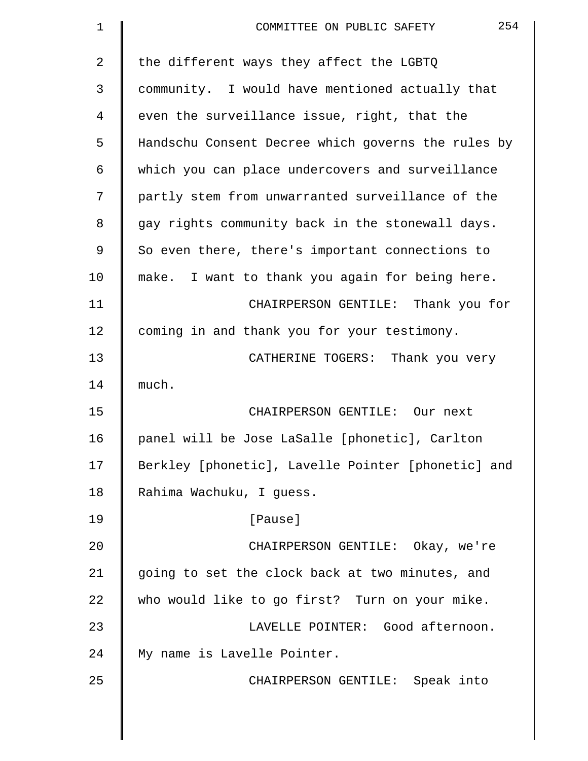| $\mathbf 1$ | 254<br>COMMITTEE ON PUBLIC SAFETY                  |
|-------------|----------------------------------------------------|
| 2           | the different ways they affect the LGBTQ           |
| 3           | community. I would have mentioned actually that    |
| 4           | even the surveillance issue, right, that the       |
| 5           | Handschu Consent Decree which governs the rules by |
| 6           | which you can place undercovers and surveillance   |
| 7           | partly stem from unwarranted surveillance of the   |
| 8           | gay rights community back in the stonewall days.   |
| 9           | So even there, there's important connections to    |
| 10          | make. I want to thank you again for being here.    |
| 11          | CHAIRPERSON GENTILE: Thank you for                 |
| 12          | coming in and thank you for your testimony.        |
| 13          | CATHERINE TOGERS: Thank you very                   |
| 14          | much.                                              |
| 15          | CHAIRPERSON GENTILE: Our next                      |
| 16          | panel will be Jose LaSalle [phonetic], Carlton     |
| 17          | Berkley [phonetic], Lavelle Pointer [phonetic] and |
| 18          | Rahima Wachuku, I guess.                           |
| 19          | [Pause]                                            |
| 20          | CHAIRPERSON GENTILE: Okay, we're                   |
| 21          | going to set the clock back at two minutes, and    |
| 22          | who would like to go first? Turn on your mike.     |
| 23          | LAVELLE POINTER: Good afternoon.                   |
| 24          | My name is Lavelle Pointer.                        |
| 25          | CHAIRPERSON GENTILE: Speak into                    |
|             |                                                    |
|             |                                                    |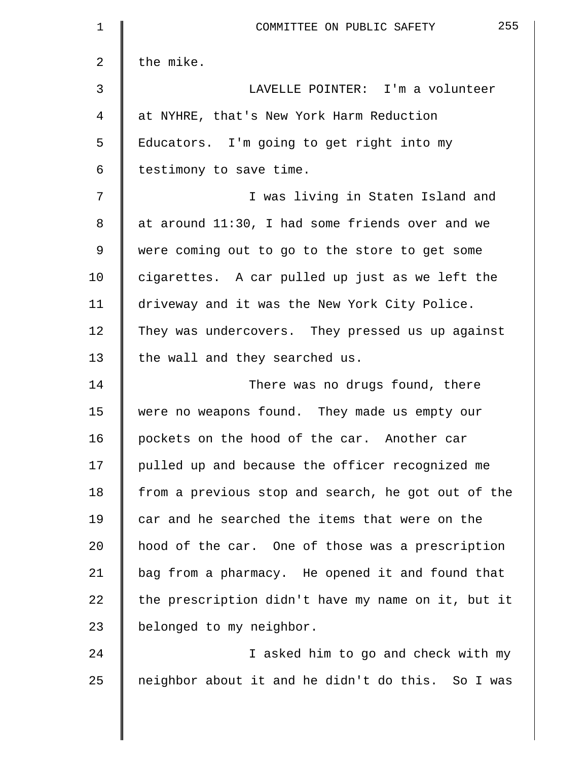| 1  | 255<br>COMMITTEE ON PUBLIC SAFETY                  |
|----|----------------------------------------------------|
| 2  | the mike.                                          |
| 3  | LAVELLE POINTER: I'm a volunteer                   |
| 4  | at NYHRE, that's New York Harm Reduction           |
| 5  | Educators. I'm going to get right into my          |
| 6  | testimony to save time.                            |
| 7  | I was living in Staten Island and                  |
| 8  | at around 11:30, I had some friends over and we    |
| 9  | were coming out to go to the store to get some     |
| 10 | cigarettes. A car pulled up just as we left the    |
| 11 | driveway and it was the New York City Police.      |
| 12 | They was undercovers. They pressed us up against   |
| 13 | the wall and they searched us.                     |
| 14 | There was no drugs found, there                    |
| 15 | were no weapons found. They made us empty our      |
| 16 | pockets on the hood of the car. Another car        |
| 17 | pulled up and because the officer recognized me    |
| 18 | from a previous stop and search, he got out of the |
| 19 | car and he searched the items that were on the     |
| 20 | hood of the car. One of those was a prescription   |
| 21 | bag from a pharmacy. He opened it and found that   |
| 22 | the prescription didn't have my name on it, but it |
| 23 | belonged to my neighbor.                           |
| 24 | I asked him to go and check with my                |
| 25 | neighbor about it and he didn't do this. So I was  |
|    |                                                    |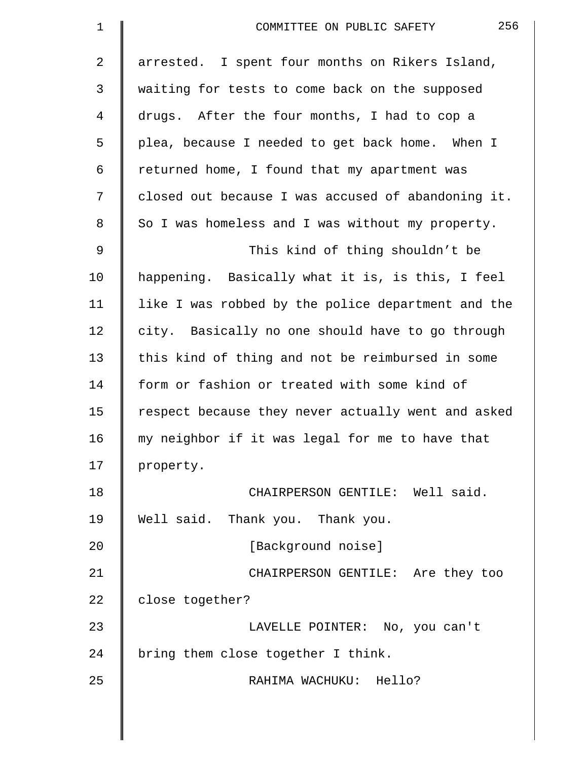| $\mathbf 1$    | 256<br>COMMITTEE ON PUBLIC SAFETY                  |
|----------------|----------------------------------------------------|
| $\overline{2}$ | arrested. I spent four months on Rikers Island,    |
| 3              | waiting for tests to come back on the supposed     |
| 4              | drugs. After the four months, I had to cop a       |
| 5              | plea, because I needed to get back home. When I    |
| 6              | returned home, I found that my apartment was       |
| 7              | closed out because I was accused of abandoning it. |
| 8              | So I was homeless and I was without my property.   |
| $\mathsf 9$    | This kind of thing shouldn't be                    |
| 10             | happening. Basically what it is, is this, I feel   |
| 11             | like I was robbed by the police department and the |
| 12             | city. Basically no one should have to go through   |
| 13             | this kind of thing and not be reimbursed in some   |
| 14             | form or fashion or treated with some kind of       |
| 15             | respect because they never actually went and asked |
| 16             | my neighbor if it was legal for me to have that    |
| 17             | property.                                          |
| 18             | CHAIRPERSON GENTILE: Well said.                    |
| 19             | Well said. Thank you. Thank you.                   |
| 20             | [Background noise]                                 |
| 21             | CHAIRPERSON GENTILE: Are they too                  |
| 22             | close together?                                    |
| 23             | LAVELLE POINTER: No, you can't                     |
| 24             | bring them close together I think.                 |
| 25             | RAHIMA WACHUKU: Hello?                             |
|                |                                                    |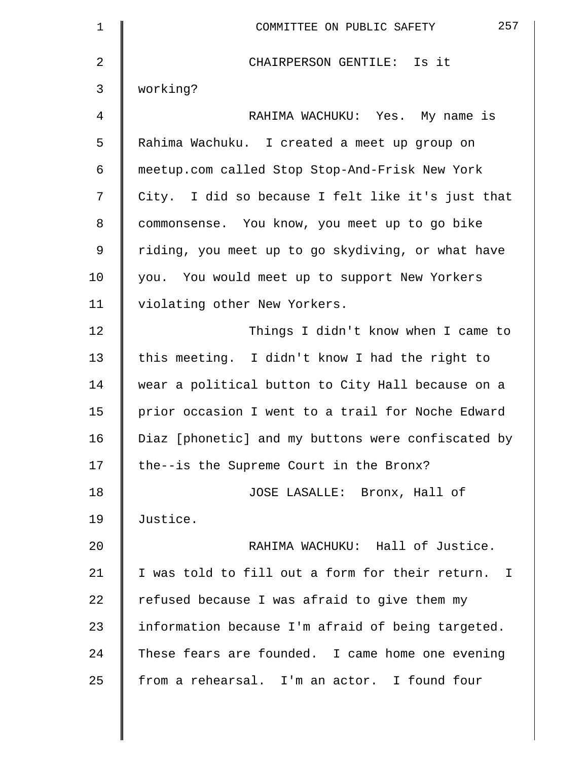| 257<br>COMMITTEE ON PUBLIC SAFETY                  |
|----------------------------------------------------|
| CHAIRPERSON GENTILE: Is it                         |
| working?                                           |
| RAHIMA WACHUKU: Yes. My name is                    |
| Rahima Wachuku. I created a meet up group on       |
| meetup.com called Stop Stop-And-Frisk New York     |
| City. I did so because I felt like it's just that  |
| commonsense. You know, you meet up to go bike      |
| riding, you meet up to go skydiving, or what have  |
| you. You would meet up to support New Yorkers      |
| violating other New Yorkers.                       |
| Things I didn't know when I came to                |
| this meeting. I didn't know I had the right to     |
| wear a political button to City Hall because on a  |
| prior occasion I went to a trail for Noche Edward  |
| Diaz [phonetic] and my buttons were confiscated by |
| the--is the Supreme Court in the Bronx?            |
| JOSE LASALLE: Bronx, Hall of                       |
| Justice.                                           |
| RAHIMA WACHUKU: Hall of Justice.                   |
| I was told to fill out a form for their return. I  |
| refused because I was afraid to give them my       |
| information because I'm afraid of being targeted.  |
| These fears are founded. I came home one evening   |
| from a rehearsal. I'm an actor. I found four       |
|                                                    |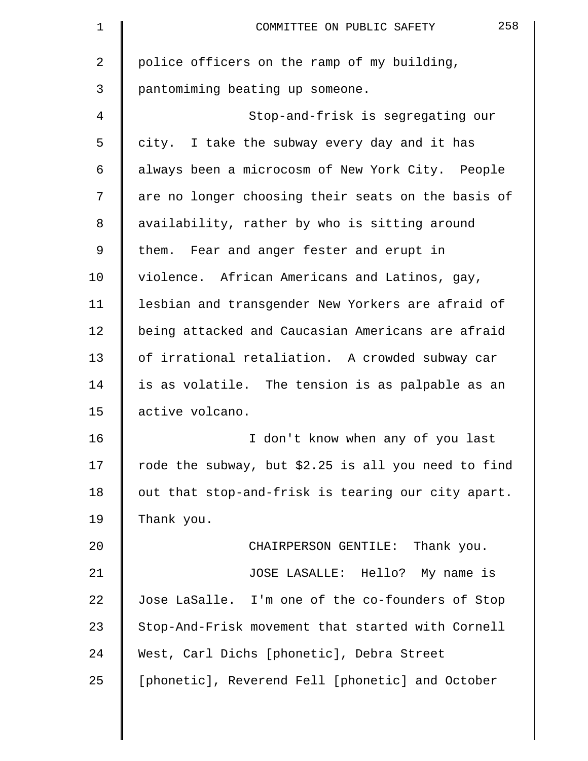| 1              | 258<br>COMMITTEE ON PUBLIC SAFETY                   |
|----------------|-----------------------------------------------------|
| $\overline{a}$ | police officers on the ramp of my building,         |
| 3              | pantomiming beating up someone.                     |
| 4              | Stop-and-frisk is segregating our                   |
| 5              | city. I take the subway every day and it has        |
| 6              | always been a microcosm of New York City. People    |
| 7              | are no longer choosing their seats on the basis of  |
| 8              | availability, rather by who is sitting around       |
| 9              | them. Fear and anger fester and erupt in            |
| 10             | violence. African Americans and Latinos, gay,       |
| 11             | lesbian and transgender New Yorkers are afraid of   |
| 12             | being attacked and Caucasian Americans are afraid   |
| 13             | of irrational retaliation. A crowded subway car     |
| 14             | is as volatile. The tension is as palpable as an    |
| 15             | active volcano.                                     |
| 16             | I don't know when any of you last                   |
| 17             | rode the subway, but \$2.25 is all you need to find |
| 18             | out that stop-and-frisk is tearing our city apart.  |
| 19             | Thank you.                                          |
| 20             | CHAIRPERSON GENTILE: Thank you.                     |
| 21             | JOSE LASALLE: Hello? My name is                     |
| 22             | Jose LaSalle. I'm one of the co-founders of Stop    |
| 23             | Stop-And-Frisk movement that started with Cornell   |
| 24             | West, Carl Dichs [phonetic], Debra Street           |
| 25             | [phonetic], Reverend Fell [phonetic] and October    |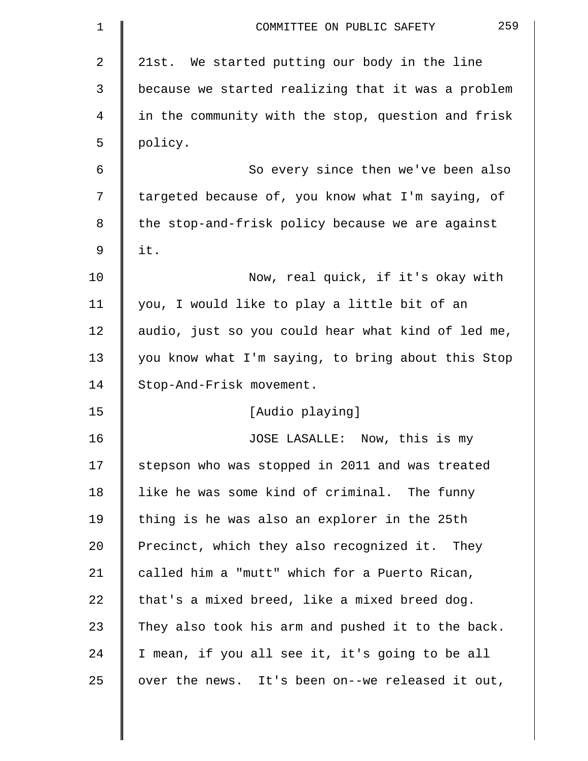| 1  | 259<br>COMMITTEE ON PUBLIC SAFETY                  |
|----|----------------------------------------------------|
| 2  | 21st. We started putting our body in the line      |
| 3  | because we started realizing that it was a problem |
| 4  | in the community with the stop, question and frisk |
| 5  | policy.                                            |
| 6  | So every since then we've been also                |
| 7  | targeted because of, you know what I'm saying, of  |
| 8  | the stop-and-frisk policy because we are against   |
| 9  | it.                                                |
| 10 | Now, real quick, if it's okay with                 |
| 11 | you, I would like to play a little bit of an       |
| 12 | audio, just so you could hear what kind of led me, |
| 13 | you know what I'm saying, to bring about this Stop |
| 14 | Stop-And-Frisk movement.                           |
| 15 | [Audio playing]                                    |
| 16 | JOSE LASALLE: Now, this is my                      |
| 17 | stepson who was stopped in 2011 and was treated    |
| 18 | like he was some kind of criminal. The funny       |
| 19 | thing is he was also an explorer in the 25th       |
| 20 | Precinct, which they also recognized it. They      |
| 21 | called him a "mutt" which for a Puerto Rican,      |
| 22 | that's a mixed breed, like a mixed breed dog.      |
| 23 | They also took his arm and pushed it to the back.  |
| 24 | I mean, if you all see it, it's going to be all    |
| 25 | over the news. It's been on--we released it out,   |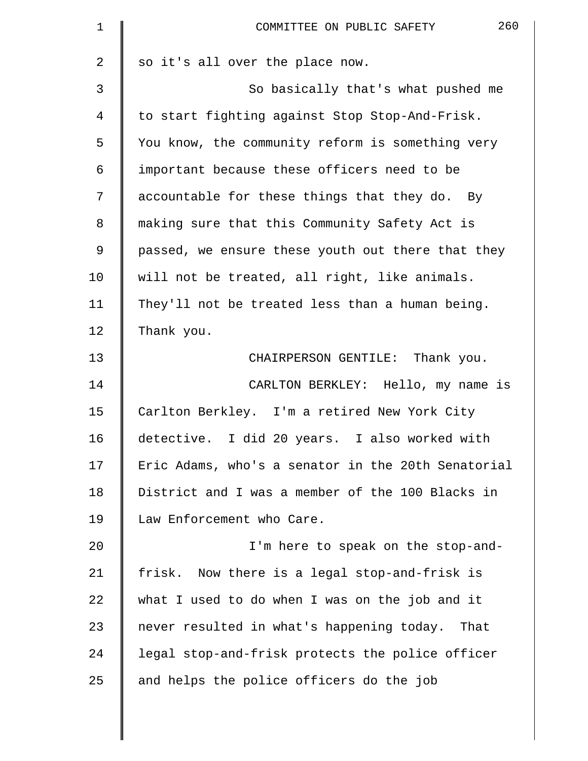| 260<br>COMMITTEE ON PUBLIC SAFETY                  |
|----------------------------------------------------|
| so it's all over the place now.                    |
| So basically that's what pushed me                 |
| to start fighting against Stop Stop-And-Frisk.     |
| You know, the community reform is something very   |
| important because these officers need to be        |
| accountable for these things that they do. By      |
| making sure that this Community Safety Act is      |
| passed, we ensure these youth out there that they  |
| will not be treated, all right, like animals.      |
| They'll not be treated less than a human being.    |
| Thank you.                                         |
| CHAIRPERSON GENTILE: Thank you.                    |
| CARLTON BERKLEY: Hello, my name is                 |
| Carlton Berkley. I'm a retired New York City       |
| detective. I did 20 years. I also worked with      |
| Eric Adams, who's a senator in the 20th Senatorial |
| District and I was a member of the 100 Blacks in   |
| Law Enforcement who Care.                          |
| I'm here to speak on the stop-and-                 |
| frisk. Now there is a legal stop-and-frisk is      |
| what I used to do when I was on the job and it     |
| never resulted in what's happening today. That     |
| legal stop-and-frisk protects the police officer   |
| and helps the police officers do the job           |
|                                                    |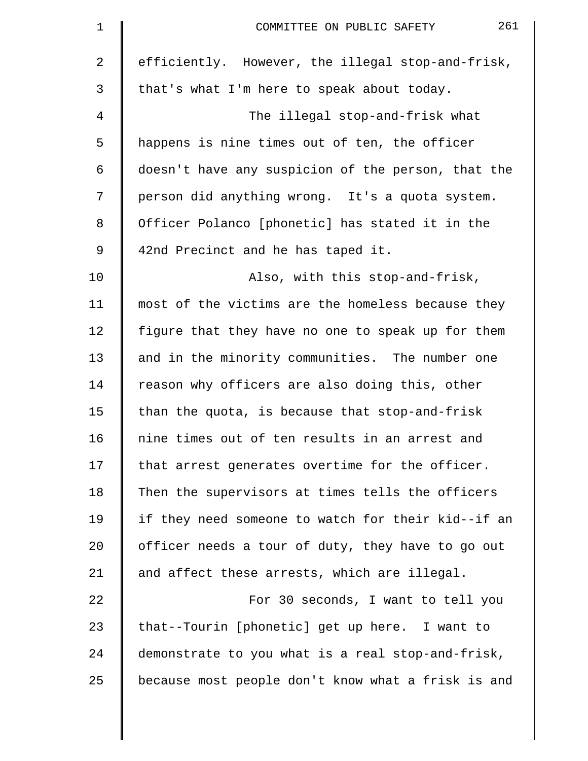| $\mathbf 1$    | 261<br>COMMITTEE ON PUBLIC SAFETY                  |
|----------------|----------------------------------------------------|
| $\overline{2}$ | efficiently. However, the illegal stop-and-frisk,  |
| 3              | that's what I'm here to speak about today.         |
| 4              | The illegal stop-and-frisk what                    |
| 5              | happens is nine times out of ten, the officer      |
| 6              | doesn't have any suspicion of the person, that the |
| 7              | person did anything wrong. It's a quota system.    |
| 8              | Officer Polanco [phonetic] has stated it in the    |
| 9              | 42nd Precinct and he has taped it.                 |
| 10             | Also, with this stop-and-frisk,                    |
| 11             | most of the victims are the homeless because they  |
| 12             | figure that they have no one to speak up for them  |
| 13             | and in the minority communities. The number one    |
| 14             | reason why officers are also doing this, other     |
| 15             | than the quota, is because that stop-and-frisk     |
| 16             | nine times out of ten results in an arrest and     |
| 17             | that arrest generates overtime for the officer.    |
| 18             | Then the supervisors at times tells the officers   |
| 19             | if they need someone to watch for their kid--if an |
| 20             | officer needs a tour of duty, they have to go out  |
| 21             | and affect these arrests, which are illegal.       |
| 22             | For 30 seconds, I want to tell you                 |
| 23             | that--Tourin [phonetic] get up here. I want to     |
| 24             | demonstrate to you what is a real stop-and-frisk,  |
| 25             | because most people don't know what a frisk is and |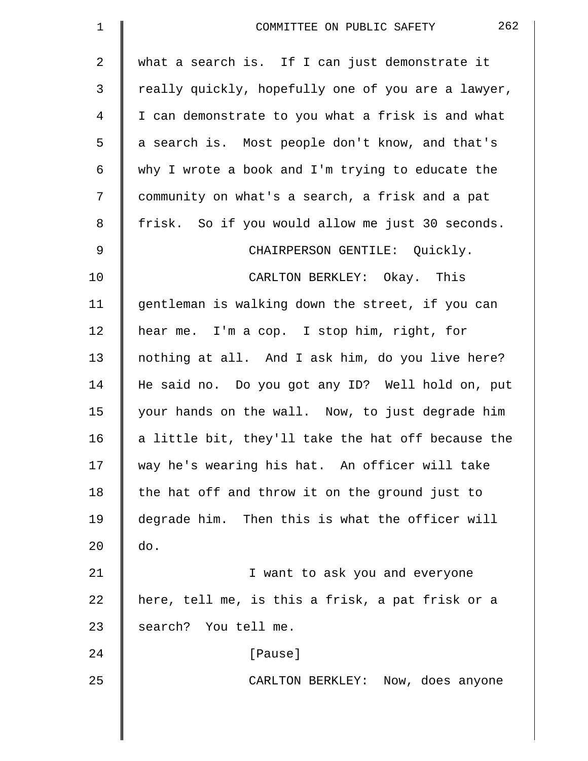| $\mathbf 1$ | 262<br>COMMITTEE ON PUBLIC SAFETY                  |
|-------------|----------------------------------------------------|
| 2           | what a search is. If I can just demonstrate it     |
| 3           | really quickly, hopefully one of you are a lawyer, |
| 4           | I can demonstrate to you what a frisk is and what  |
| 5           | a search is. Most people don't know, and that's    |
| 6           | why I wrote a book and I'm trying to educate the   |
| 7           | community on what's a search, a frisk and a pat    |
| 8           | frisk. So if you would allow me just 30 seconds.   |
| $\mathsf 9$ | CHAIRPERSON GENTILE: Quickly.                      |
| 10          | CARLTON BERKLEY: Okay. This                        |
| 11          | gentleman is walking down the street, if you can   |
| 12          | hear me. I'm a cop. I stop him, right, for         |
| 13          | nothing at all. And I ask him, do you live here?   |
| 14          | He said no. Do you got any ID? Well hold on, put   |
| 15          | your hands on the wall. Now, to just degrade him   |
| 16          | a little bit, they'll take the hat off because the |
| 17          | way he's wearing his hat. An officer will take     |
| 18          | the hat off and throw it on the ground just to     |
| 19          | degrade him. Then this is what the officer will    |
| 20          | do.                                                |
| 21          | I want to ask you and everyone                     |
| 22          | here, tell me, is this a frisk, a pat frisk or a   |
| 23          | search? You tell me.                               |
| 24          | [Pause]                                            |
| 25          | CARLTON BERKLEY: Now, does anyone                  |
|             |                                                    |
|             |                                                    |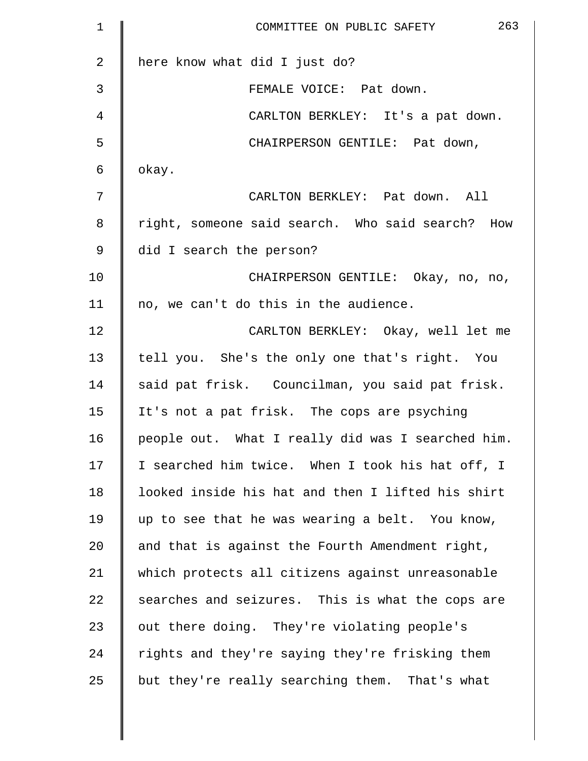| 1           | 263<br>COMMITTEE ON PUBLIC SAFETY                 |
|-------------|---------------------------------------------------|
| 2           | here know what did I just do?                     |
| 3           | FEMALE VOICE: Pat down.                           |
| 4           | CARLTON BERKLEY: It's a pat down.                 |
| 5           | CHAIRPERSON GENTILE: Pat down,                    |
| 6           | okay.                                             |
| 7           | CARLTON BERKLEY: Pat down. All                    |
| 8           | right, someone said search. Who said search? How  |
| $\mathsf 9$ | did I search the person?                          |
| 10          | CHAIRPERSON GENTILE: Okay, no, no,                |
| 11          | no, we can't do this in the audience.             |
| 12          | CARLTON BERKLEY: Okay, well let me                |
| 13          | tell you. She's the only one that's right. You    |
| 14          | said pat frisk. Councilman, you said pat frisk.   |
| 15          | It's not a pat frisk. The cops are psyching       |
| 16          | people out. What I really did was I searched him. |
| 17          | I searched him twice. When I took his hat off, I  |
| 18          | looked inside his hat and then I lifted his shirt |
| 19          | up to see that he was wearing a belt. You know,   |
| 20          | and that is against the Fourth Amendment right,   |
| 21          | which protects all citizens against unreasonable  |
| 22          | searches and seizures. This is what the cops are  |
| 23          | out there doing. They're violating people's       |
| 24          | rights and they're saying they're frisking them   |
| 25          | but they're really searching them. That's what    |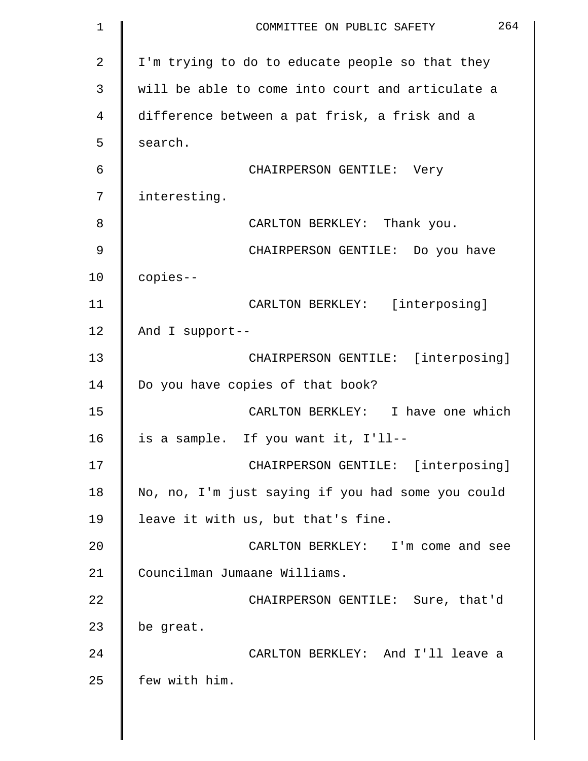| 1              | 264<br>COMMITTEE ON PUBLIC SAFETY                 |
|----------------|---------------------------------------------------|
| $\overline{2}$ | I'm trying to do to educate people so that they   |
| 3              | will be able to come into court and articulate a  |
| 4              | difference between a pat frisk, a frisk and a     |
| 5              | search.                                           |
| 6              | CHAIRPERSON GENTILE: Very                         |
| 7              | interesting.                                      |
| 8              | CARLTON BERKLEY: Thank you.                       |
| 9              | CHAIRPERSON GENTILE: Do you have                  |
| 10             | copies--                                          |
| 11             | CARLTON BERKLEY: [interposing]                    |
| 12             | And I support--                                   |
| 13             | CHAIRPERSON GENTILE: [interposing]                |
| 14             | Do you have copies of that book?                  |
| 15             | CARLTON BERKLEY: I have one which                 |
| 16             | is a sample. If you want it, I'll--               |
| 17             | CHAIRPERSON GENTILE: [interposing]                |
| 18             | No, no, I'm just saying if you had some you could |
| 19             | leave it with us, but that's fine.                |
| 20             | CARLTON BERKLEY: I'm come and see                 |
| 21             | Councilman Jumaane Williams.                      |
| 22             | CHAIRPERSON GENTILE: Sure, that'd                 |
| 23             | be great.                                         |
| 24             | CARLTON BERKLEY: And I'll leave a                 |
| 25             | few with him.                                     |
|                |                                                   |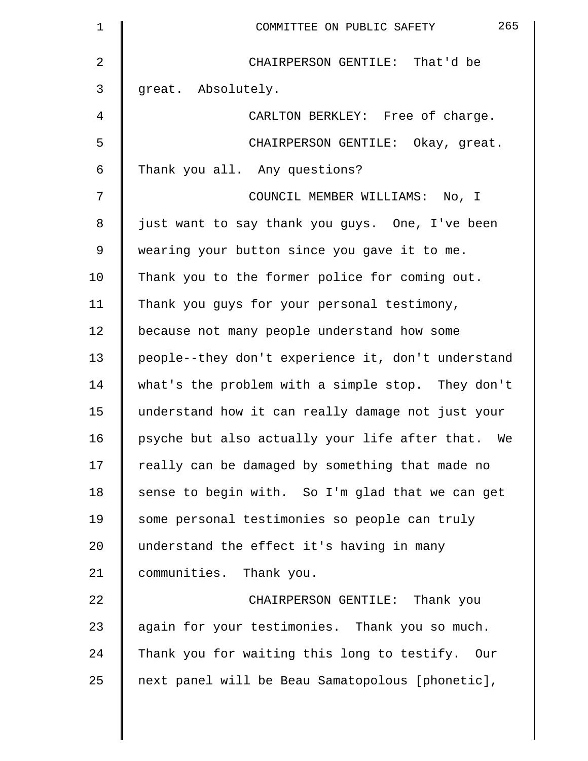| $\mathbf 1$ | 265<br>COMMITTEE ON PUBLIC SAFETY                  |
|-------------|----------------------------------------------------|
| 2           | CHAIRPERSON GENTILE: That'd be                     |
| 3           | great. Absolutely.                                 |
| 4           | CARLTON BERKLEY: Free of charge.                   |
| 5           | CHAIRPERSON GENTILE: Okay, great.                  |
| 6           | Thank you all. Any questions?                      |
| 7           | COUNCIL MEMBER WILLIAMS: No, I                     |
| 8           | just want to say thank you guys. One, I've been    |
| 9           | wearing your button since you gave it to me.       |
| 10          | Thank you to the former police for coming out.     |
| 11          | Thank you guys for your personal testimony,        |
| 12          | because not many people understand how some        |
| 13          | people--they don't experience it, don't understand |
| 14          | what's the problem with a simple stop. They don't  |
| 15          | understand how it can really damage not just your  |
| 16          | psyche but also actually your life after that. We  |
| 17          | really can be damaged by something that made no    |
| 18          | sense to begin with. So I'm glad that we can get   |
| 19          | some personal testimonies so people can truly      |
| 20          | understand the effect it's having in many          |
| 21          | communities. Thank you.                            |
| 22          | CHAIRPERSON GENTILE: Thank you                     |
| 23          | again for your testimonies. Thank you so much.     |
| 24          | Thank you for waiting this long to testify. Our    |
| 25          | next panel will be Beau Samatopolous [phonetic],   |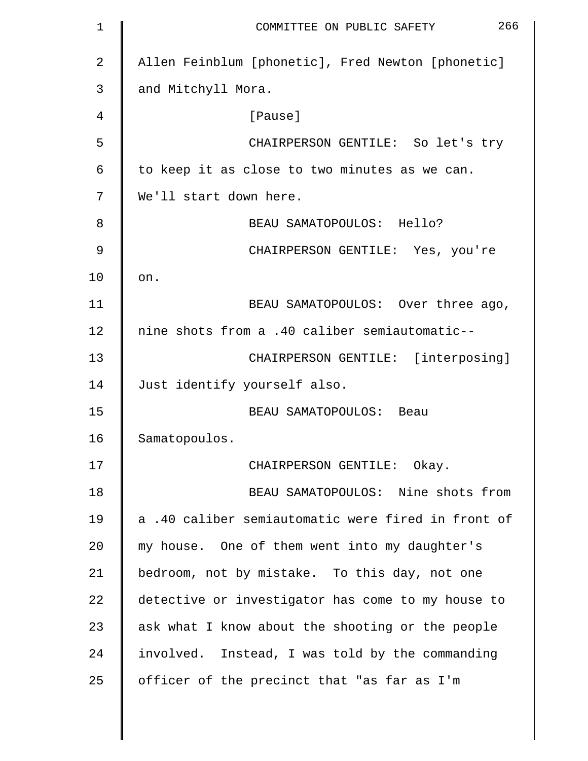| 1  | 266<br>COMMITTEE ON PUBLIC SAFETY                  |
|----|----------------------------------------------------|
| 2  | Allen Feinblum [phonetic], Fred Newton [phonetic]  |
| 3  | and Mitchyll Mora.                                 |
| 4  | [Pause]                                            |
| 5  | CHAIRPERSON GENTILE: So let's try                  |
| 6  | to keep it as close to two minutes as we can.      |
| 7  | We'll start down here.                             |
| 8  | BEAU SAMATOPOULOS: Hello?                          |
| 9  | CHAIRPERSON GENTILE: Yes, you're                   |
| 10 | on.                                                |
| 11 | BEAU SAMATOPOULOS: Over three ago,                 |
| 12 | nine shots from a .40 caliber semiautomatic--      |
| 13 | CHAIRPERSON GENTILE: [interposing]                 |
| 14 | Just identify yourself also.                       |
| 15 | BEAU SAMATOPOULOS: Beau                            |
| 16 | Samatopoulos.                                      |
| 17 | CHAIRPERSON GENTILE: Okay.                         |
| 18 | BEAU SAMATOPOULOS: Nine shots from                 |
| 19 | a .40 caliber semiautomatic were fired in front of |
| 20 | my house. One of them went into my daughter's      |
| 21 | bedroom, not by mistake. To this day, not one      |
| 22 | detective or investigator has come to my house to  |
| 23 | ask what I know about the shooting or the people   |
| 24 | involved. Instead, I was told by the commanding    |
| 25 | officer of the precinct that "as far as I'm        |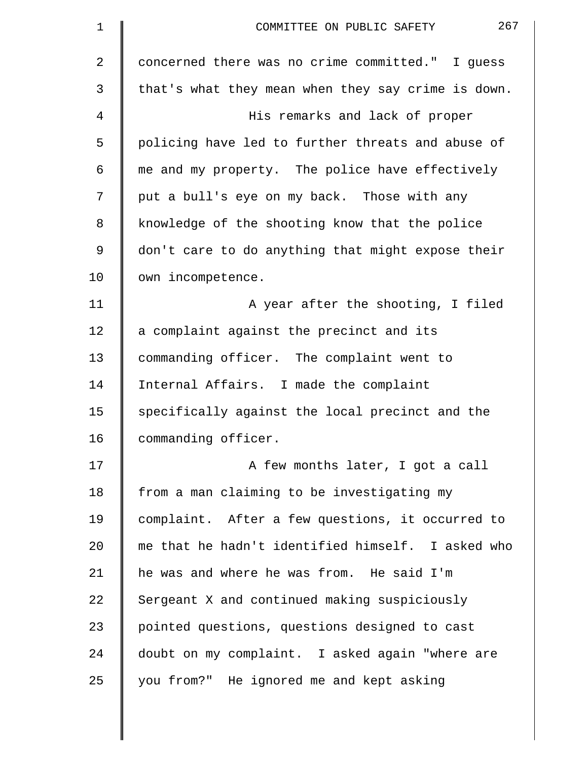| $\mathbf 1$ | 267<br>COMMITTEE ON PUBLIC SAFETY                  |
|-------------|----------------------------------------------------|
| 2           | concerned there was no crime committed." I guess   |
| 3           | that's what they mean when they say crime is down. |
| 4           | His remarks and lack of proper                     |
| 5           | policing have led to further threats and abuse of  |
| 6           | me and my property. The police have effectively    |
| 7           | put a bull's eye on my back. Those with any        |
| 8           | knowledge of the shooting know that the police     |
| 9           | don't care to do anything that might expose their  |
| 10          | own incompetence.                                  |
| 11          | A year after the shooting, I filed                 |
| 12          | a complaint against the precinct and its           |
| 13          | commanding officer. The complaint went to          |
| 14          | Internal Affairs. I made the complaint             |
| 15          | specifically against the local precinct and the    |
| 16          | commanding officer.                                |
| 17          | A few months later, I got a call                   |
| 18          | from a man claiming to be investigating my         |
| 19          | complaint. After a few questions, it occurred to   |
| 20          | me that he hadn't identified himself. I asked who  |
| 21          | he was and where he was from. He said I'm          |
| 22          | Sergeant X and continued making suspiciously       |
| 23          | pointed questions, questions designed to cast      |
| 24          | doubt on my complaint. I asked again "where are    |
| 25          | you from?" He ignored me and kept asking           |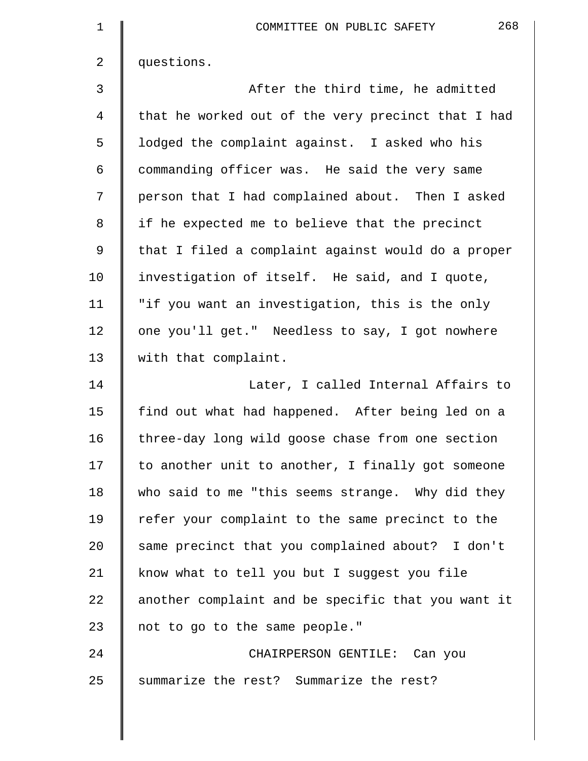| $\mathbf 1$    | 268<br>COMMITTEE ON PUBLIC SAFETY                  |
|----------------|----------------------------------------------------|
| $\overline{2}$ | questions.                                         |
| 3              | After the third time, he admitted                  |
| 4              | that he worked out of the very precinct that I had |
| 5              | lodged the complaint against. I asked who his      |
| 6              | commanding officer was. He said the very same      |
| 7              | person that I had complained about. Then I asked   |
| 8              | if he expected me to believe that the precinct     |
| $\mathsf 9$    | that I filed a complaint against would do a proper |
| 10             | investigation of itself. He said, and I quote,     |
| 11             | "if you want an investigation, this is the only    |
| 12             | one you'll get." Needless to say, I got nowhere    |
| 13             | with that complaint.                               |
| 14             | Later, I called Internal Affairs to                |
| 15             | find out what had happened. After being led on a   |
| 16             | three-day long wild goose chase from one section   |
| 17             | to another unit to another, I finally got someone  |
| 18             | who said to me "this seems strange. Why did they   |
| 19             | refer your complaint to the same precinct to the   |
| 20             | same precinct that you complained about? I don't   |
| 21             | know what to tell you but I suggest you file       |
| 22             | another complaint and be specific that you want it |
| 23             | not to go to the same people."                     |
| 24             | CHAIRPERSON GENTILE: Can you                       |
| 25             | summarize the rest? Summarize the rest?            |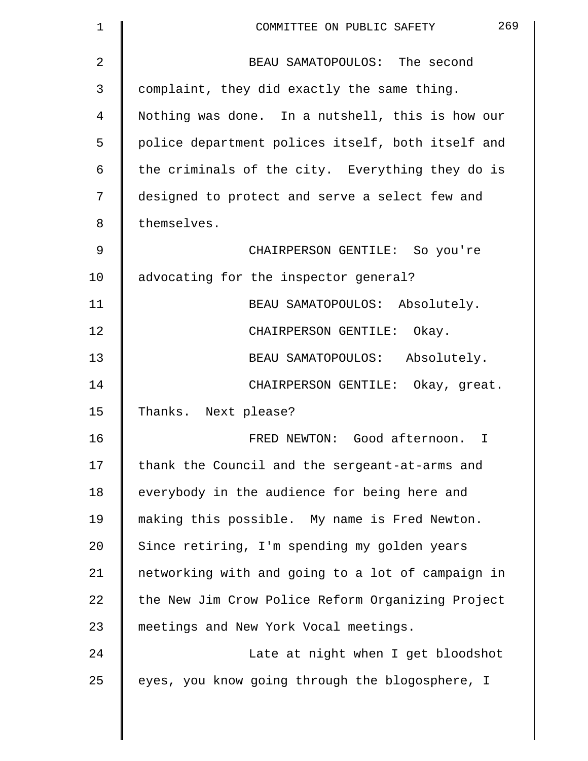| 1  | 269<br>COMMITTEE ON PUBLIC SAFETY                 |
|----|---------------------------------------------------|
| 2  | BEAU SAMATOPOULOS: The second                     |
| 3  | complaint, they did exactly the same thing.       |
| 4  | Nothing was done. In a nutshell, this is how our  |
| 5  | police department polices itself, both itself and |
| 6  | the criminals of the city. Everything they do is  |
| 7  | designed to protect and serve a select few and    |
| 8  | themselves.                                       |
| 9  | CHAIRPERSON GENTILE: So you're                    |
| 10 | advocating for the inspector general?             |
| 11 | BEAU SAMATOPOULOS: Absolutely.                    |
| 12 | CHAIRPERSON GENTILE:<br>Okay.                     |
| 13 | BEAU SAMATOPOULOS: Absolutely.                    |
| 14 | CHAIRPERSON GENTILE: Okay, great.                 |
| 15 | Thanks. Next please?                              |
| 16 | FRED NEWTON: Good afternoon.<br>T.                |
| 17 | thank the Council and the sergeant-at-arms and    |
| 18 | everybody in the audience for being here and      |
| 19 | making this possible. My name is Fred Newton.     |
| 20 | Since retiring, I'm spending my golden years      |
| 21 | networking with and going to a lot of campaign in |
| 22 | the New Jim Crow Police Reform Organizing Project |
| 23 | meetings and New York Vocal meetings.             |
| 24 | Late at night when I get bloodshot                |
| 25 | eyes, you know going through the blogosphere, I   |
|    |                                                   |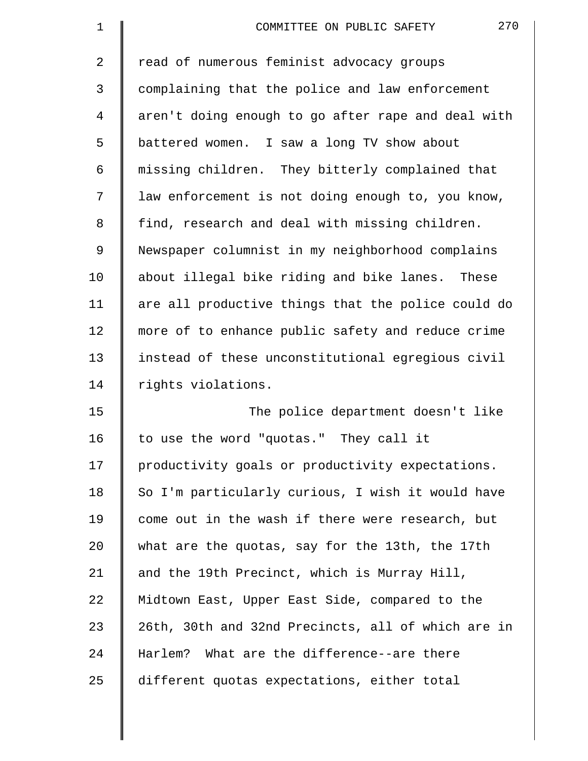| $\mathbf 1$ | 270<br>COMMITTEE ON PUBLIC SAFETY                  |
|-------------|----------------------------------------------------|
| 2           | read of numerous feminist advocacy groups          |
| 3           | complaining that the police and law enforcement    |
| 4           | aren't doing enough to go after rape and deal with |
| 5           | battered women. I saw a long TV show about         |
| 6           | missing children. They bitterly complained that    |
| 7           | law enforcement is not doing enough to, you know,  |
| 8           | find, research and deal with missing children.     |
| 9           | Newspaper columnist in my neighborhood complains   |
| 10          | about illegal bike riding and bike lanes. These    |
| 11          | are all productive things that the police could do |
| 12          | more of to enhance public safety and reduce crime  |
| 13          | instead of these unconstitutional egregious civil  |
| 14          | rights violations.                                 |
| 15          | The police department doesn't like                 |
| 16          | to use the word "quotas." They call it             |
| 17          | productivity goals or productivity expectations.   |
| 18          | So I'm particularly curious, I wish it would have  |
| 19          | come out in the wash if there were research, but   |
| 20          | what are the quotas, say for the 13th, the 17th    |
| 21          | and the 19th Precinct, which is Murray Hill,       |
| 22          | Midtown East, Upper East Side, compared to the     |
| 23          | 26th, 30th and 32nd Precincts, all of which are in |
| 24          | Harlem? What are the difference--are there         |
| 25          | different quotas expectations, either total        |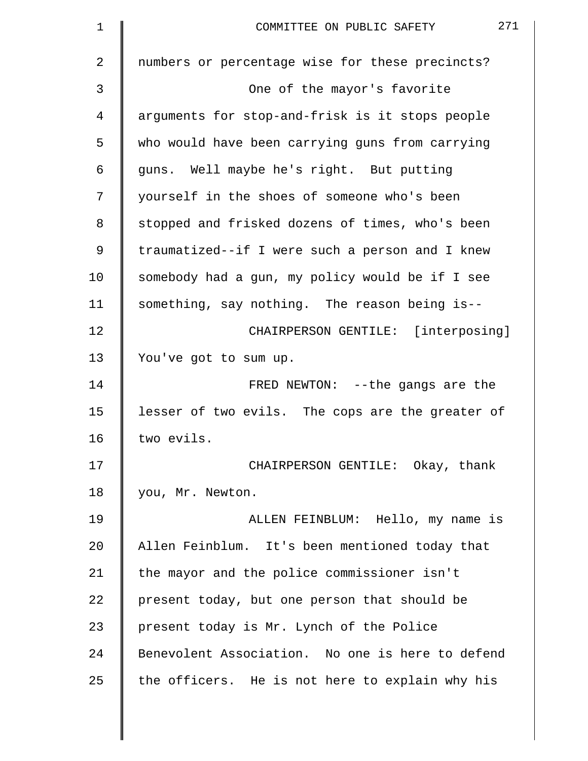| $\mathbf 1$    | 271<br>COMMITTEE ON PUBLIC SAFETY                |
|----------------|--------------------------------------------------|
| $\overline{2}$ | numbers or percentage wise for these precincts?  |
| 3              | One of the mayor's favorite                      |
| 4              | arguments for stop-and-frisk is it stops people  |
| 5              | who would have been carrying guns from carrying  |
| 6              | guns. Well maybe he's right. But putting         |
| 7              | yourself in the shoes of someone who's been      |
| 8              | stopped and frisked dozens of times, who's been  |
| 9              | traumatized--if I were such a person and I knew  |
| 10             | somebody had a gun, my policy would be if I see  |
| 11             | something, say nothing. The reason being is--    |
| 12             | CHAIRPERSON GENTILE: [interposing]               |
| 13             | You've got to sum up.                            |
| 14             | FRED NEWTON: --the gangs are the                 |
| 15             | lesser of two evils. The cops are the greater of |
| 16             | two evils.                                       |
| 17             | CHAIRPERSON GENTILE: Okay, thank                 |
| 18             | you, Mr. Newton.                                 |
| 19             | ALLEN FEINBLUM: Hello, my name is                |
| 20             | Allen Feinblum. It's been mentioned today that   |
| 21             | the mayor and the police commissioner isn't      |
| 22             | present today, but one person that should be     |
| 23             | present today is Mr. Lynch of the Police         |
| 24             | Benevolent Association. No one is here to defend |
| 25             | the officers. He is not here to explain why his  |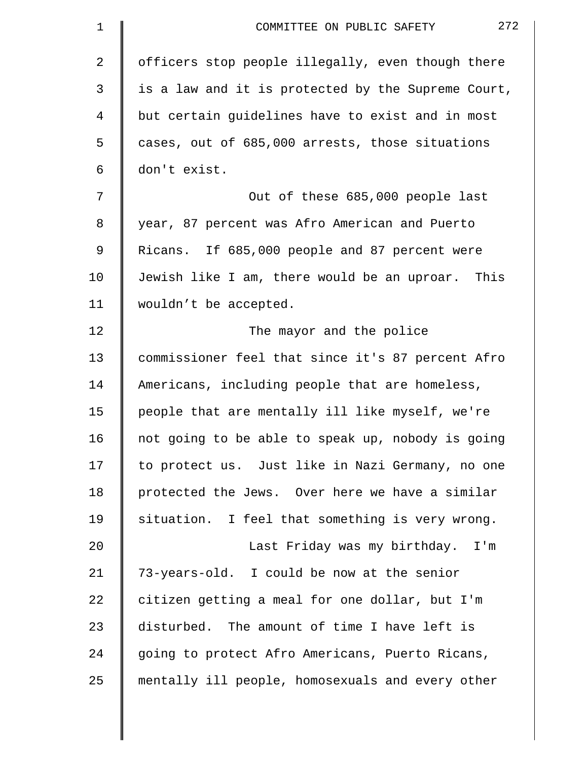| $\mathbf 1$ | 272<br>COMMITTEE ON PUBLIC SAFETY                  |
|-------------|----------------------------------------------------|
| 2           | officers stop people illegally, even though there  |
| 3           | is a law and it is protected by the Supreme Court, |
| 4           | but certain guidelines have to exist and in most   |
| 5           | cases, out of 685,000 arrests, those situations    |
| 6           | don't exist.                                       |
| 7           | Out of these 685,000 people last                   |
| 8           | year, 87 percent was Afro American and Puerto      |
| 9           | Ricans. If 685,000 people and 87 percent were      |
| 10          | Jewish like I am, there would be an uproar. This   |
| 11          | wouldn't be accepted.                              |
| 12          | The mayor and the police                           |
| 13          | commissioner feel that since it's 87 percent Afro  |
| 14          | Americans, including people that are homeless,     |
| 15          | people that are mentally ill like myself, we're    |
| 16          | not going to be able to speak up, nobody is going  |
| 17          | to protect us. Just like in Nazi Germany, no one   |
| 18          | protected the Jews. Over here we have a similar    |
| 19          | situation. I feel that something is very wrong.    |
| 20          | Last Friday was my birthday. I'm                   |
| 21          | 73-years-old. I could be now at the senior         |
| 22          | citizen getting a meal for one dollar, but I'm     |
| 23          | disturbed. The amount of time I have left is       |
| 24          | going to protect Afro Americans, Puerto Ricans,    |
| 25          | mentally ill people, homosexuals and every other   |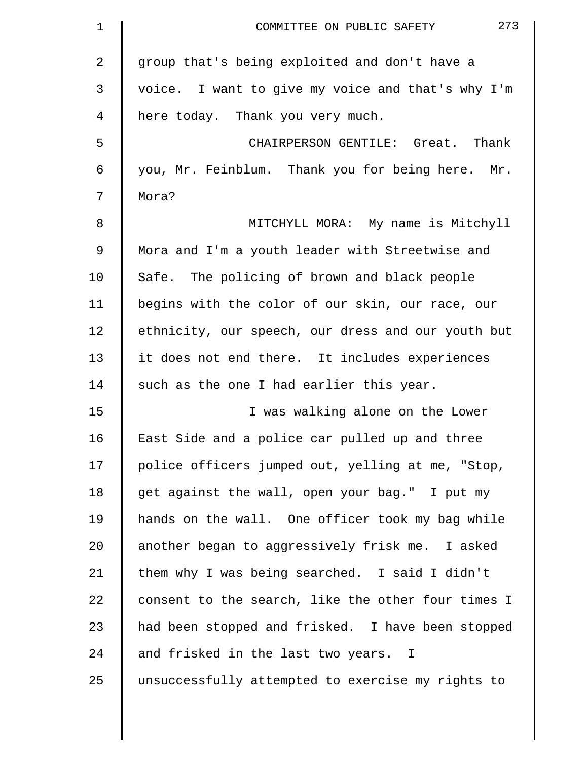| $\mathbf{1}$   | 273<br>COMMITTEE ON PUBLIC SAFETY                  |
|----------------|----------------------------------------------------|
| $\overline{2}$ | group that's being exploited and don't have a      |
| 3              | voice. I want to give my voice and that's why I'm  |
| 4              | here today. Thank you very much.                   |
| 5              | CHAIRPERSON GENTILE: Great. Thank                  |
| 6              | you, Mr. Feinblum. Thank you for being here. Mr.   |
| 7              | Mora?                                              |
| 8              | MITCHYLL MORA: My name is Mitchyll                 |
| 9              | Mora and I'm a youth leader with Streetwise and    |
| 10             | Safe. The policing of brown and black people       |
| 11             | begins with the color of our skin, our race, our   |
| 12             | ethnicity, our speech, our dress and our youth but |
| 13             | it does not end there. It includes experiences     |
| 14             | such as the one I had earlier this year.           |
| 15             | I was walking alone on the Lower                   |
| 16             | East Side and a police car pulled up and three     |
| 17             | police officers jumped out, yelling at me, "Stop,  |
| 18             | get against the wall, open your bag." I put my     |
| 19             | hands on the wall. One officer took my bag while   |
| 20             | another began to aggressively frisk me. I asked    |
| 21             | them why I was being searched. I said I didn't     |
| 22             | consent to the search, like the other four times I |
| 23             | had been stopped and frisked. I have been stopped  |
| 24             | and frisked in the last two years. I               |
| 25             | unsuccessfully attempted to exercise my rights to  |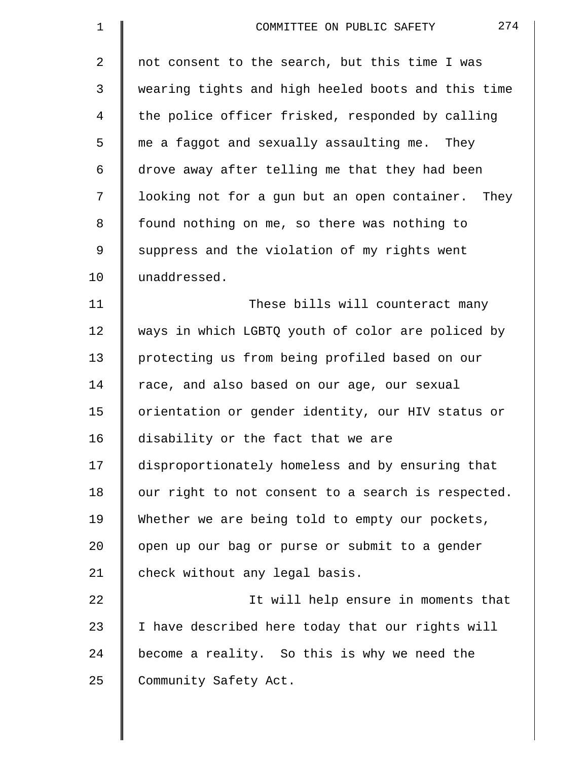| $\mathbf 1$    | 274<br>COMMITTEE ON PUBLIC SAFETY                  |
|----------------|----------------------------------------------------|
| $\overline{2}$ | not consent to the search, but this time I was     |
| 3              | wearing tights and high heeled boots and this time |
| 4              | the police officer frisked, responded by calling   |
| 5              | me a faggot and sexually assaulting me. They       |
| 6              | drove away after telling me that they had been     |
| 7              | looking not for a gun but an open container. They  |
| 8              | found nothing on me, so there was nothing to       |
| 9              | suppress and the violation of my rights went       |
| 10             | unaddressed.                                       |
| 11             | These bills will counteract many                   |
| 12             | ways in which LGBTQ youth of color are policed by  |
| 13             | protecting us from being profiled based on our     |
| 14             | race, and also based on our age, our sexual        |
| 15             | orientation or gender identity, our HIV status or  |
| 16             | disability or the fact that we are                 |
| 17             | disproportionately homeless and by ensuring that   |
| 18             | our right to not consent to a search is respected. |
| 19             | Whether we are being told to empty our pockets,    |
| 20             | open up our bag or purse or submit to a gender     |
| 21             | check without any legal basis.                     |
| 22             | It will help ensure in moments that                |
| 23             | I have described here today that our rights will   |
| 24             | become a reality. So this is why we need the       |
| 25             | Community Safety Act.                              |
|                |                                                    |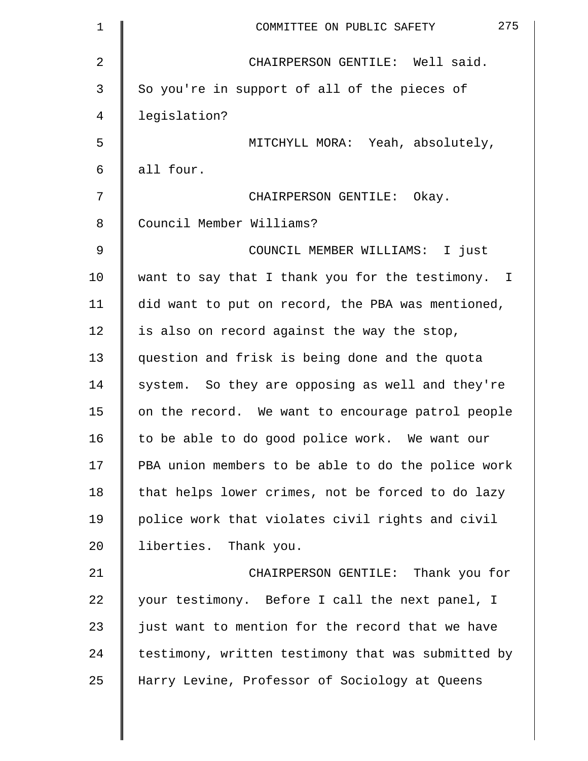| 1              | 275<br>COMMITTEE ON PUBLIC SAFETY                  |
|----------------|----------------------------------------------------|
| $\overline{2}$ | CHAIRPERSON GENTILE: Well said.                    |
| 3              | So you're in support of all of the pieces of       |
| 4              | legislation?                                       |
| 5              | MITCHYLL MORA: Yeah, absolutely,                   |
| 6              | all four.                                          |
| 7              | CHAIRPERSON GENTILE: Okay.                         |
| 8              | Council Member Williams?                           |
| 9              | COUNCIL MEMBER WILLIAMS: I just                    |
| 10             | want to say that I thank you for the testimony. I  |
| 11             | did want to put on record, the PBA was mentioned,  |
| 12             | is also on record against the way the stop,        |
| 13             | question and frisk is being done and the quota     |
| 14             | system. So they are opposing as well and they're   |
| 15             | on the record. We want to encourage patrol people  |
| 16             | to be able to do good police work. We want our     |
| 17             | PBA union members to be able to do the police work |
| 18             | that helps lower crimes, not be forced to do lazy  |
| 19             | police work that violates civil rights and civil   |
| 20             | liberties. Thank you.                              |
| 21             | CHAIRPERSON GENTILE: Thank you for                 |
| 22             | your testimony. Before I call the next panel, I    |
| 23             | just want to mention for the record that we have   |
| 24             | testimony, written testimony that was submitted by |
| 25             | Harry Levine, Professor of Sociology at Queens     |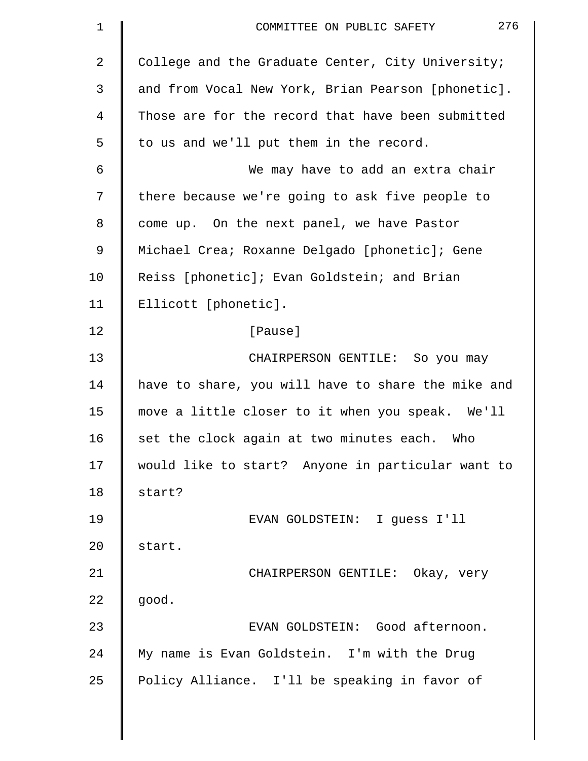| $\mathbf 1$ | 276<br>COMMITTEE ON PUBLIC SAFETY                  |
|-------------|----------------------------------------------------|
| 2           | College and the Graduate Center, City University;  |
| 3           | and from Vocal New York, Brian Pearson [phonetic]. |
| 4           | Those are for the record that have been submitted  |
| 5           | to us and we'll put them in the record.            |
| 6           | We may have to add an extra chair                  |
| 7           | there because we're going to ask five people to    |
| 8           | come up. On the next panel, we have Pastor         |
| 9           | Michael Crea; Roxanne Delgado [phonetic]; Gene     |
| 10          | Reiss [phonetic]; Evan Goldstein; and Brian        |
| 11          | Ellicott [phonetic].                               |
| 12          | [Pause]                                            |
| 13          | CHAIRPERSON GENTILE: So you may                    |
| 14          | have to share, you will have to share the mike and |
| 15          | move a little closer to it when you speak. We'll   |
| 16          | set the clock again at two minutes each.<br>Who    |
| 17          | would like to start? Anyone in particular want to  |
| 18          | start?                                             |
| 19          | EVAN GOLDSTEIN: I guess I'll                       |
| 20          | start.                                             |
| 21          | CHAIRPERSON GENTILE: Okay, very                    |
| 22          | good.                                              |
| 23          | EVAN GOLDSTEIN: Good afternoon.                    |
| 24          | My name is Evan Goldstein. I'm with the Drug       |
| 25          | Policy Alliance. I'll be speaking in favor of      |
|             |                                                    |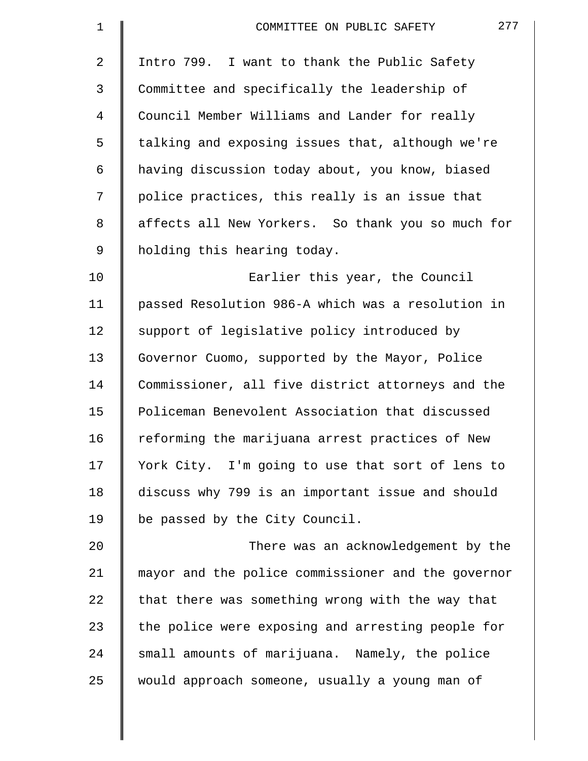| $\mathbf 1$    | 277<br>COMMITTEE ON PUBLIC SAFETY                  |
|----------------|----------------------------------------------------|
| $\overline{2}$ | Intro 799. I want to thank the Public Safety       |
| 3              | Committee and specifically the leadership of       |
| 4              | Council Member Williams and Lander for really      |
| 5              | talking and exposing issues that, although we're   |
| 6              | having discussion today about, you know, biased    |
| 7              | police practices, this really is an issue that     |
| 8              | affects all New Yorkers. So thank you so much for  |
| 9              | holding this hearing today.                        |
| 10             | Earlier this year, the Council                     |
| 11             | passed Resolution 986-A which was a resolution in  |
| 12             | support of legislative policy introduced by        |
| 13             | Governor Cuomo, supported by the Mayor, Police     |
| 14             | Commissioner, all five district attorneys and the  |
| 15             | Policeman Benevolent Association that discussed    |
| 16             | reforming the marijuana arrest practices of New    |
| 17             | York City. I'm going to use that sort of lens to   |
| 18             | discuss why 799 is an important issue and should   |
| 19             | be passed by the City Council.                     |
| 20             | There was an acknowledgement by the                |
| 21             | mayor and the police commissioner and the governor |
| 22             | that there was something wrong with the way that   |
| 23             | the police were exposing and arresting people for  |
| 24             | small amounts of marijuana. Namely, the police     |
| 25             | would approach someone, usually a young man of     |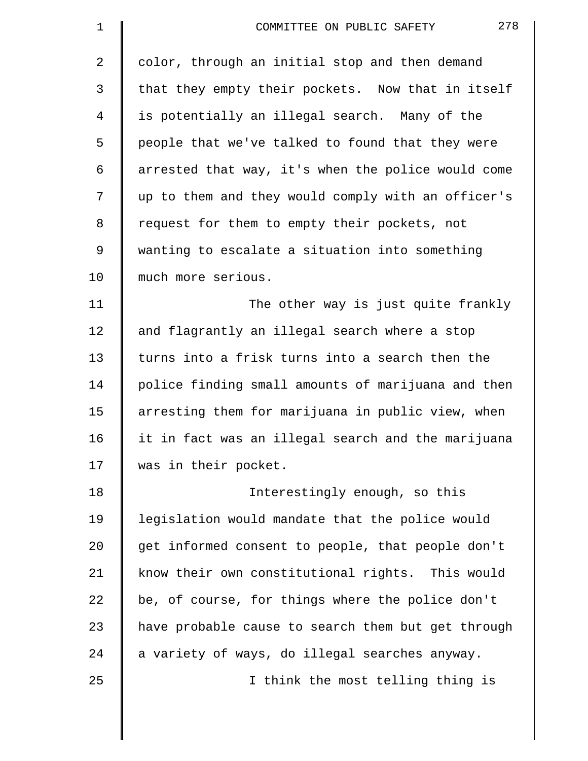| $\mathbf 1$    | 278<br>COMMITTEE ON PUBLIC SAFETY                  |
|----------------|----------------------------------------------------|
| $\overline{2}$ | color, through an initial stop and then demand     |
| 3              | that they empty their pockets. Now that in itself  |
| 4              | is potentially an illegal search. Many of the      |
| 5              | people that we've talked to found that they were   |
| 6              | arrested that way, it's when the police would come |
| 7              | up to them and they would comply with an officer's |
| 8              | request for them to empty their pockets, not       |
| 9              | wanting to escalate a situation into something     |
| 10             | much more serious.                                 |
| 11             | The other way is just quite frankly                |
| 12             | and flagrantly an illegal search where a stop      |
| 13             | turns into a frisk turns into a search then the    |
| 14             | police finding small amounts of marijuana and then |
| 15             | arresting them for marijuana in public view, when  |
| 16             | it in fact was an illegal search and the marijuana |
| 17             | was in their pocket.                               |
| 18             | Interestingly enough, so this                      |
| 19             | legislation would mandate that the police would    |
| 20             | get informed consent to people, that people don't  |
| 21             | know their own constitutional rights. This would   |
| 22             | be, of course, for things where the police don't   |
| 23             | have probable cause to search them but get through |
| 24             | a variety of ways, do illegal searches anyway.     |
| 25             | I think the most telling thing is                  |
|                |                                                    |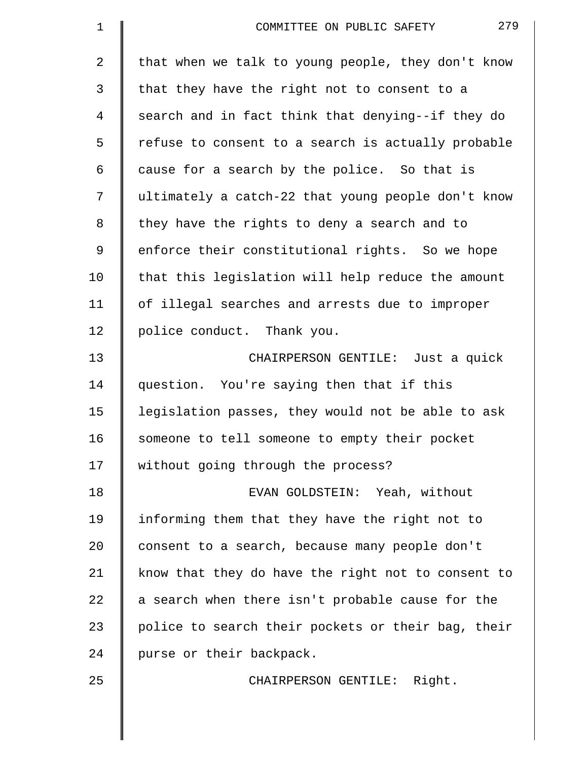| 1              | 279<br>COMMITTEE ON PUBLIC SAFETY                  |
|----------------|----------------------------------------------------|
| $\overline{a}$ | that when we talk to young people, they don't know |
| 3              | that they have the right not to consent to a       |
| 4              | search and in fact think that denying--if they do  |
| 5              | refuse to consent to a search is actually probable |
| 6              | cause for a search by the police. So that is       |
| 7              | ultimately a catch-22 that young people don't know |
| 8              | they have the rights to deny a search and to       |
| 9              | enforce their constitutional rights. So we hope    |
| 10             | that this legislation will help reduce the amount  |
| 11             | of illegal searches and arrests due to improper    |
| 12             | police conduct. Thank you.                         |
| 13             | CHAIRPERSON GENTILE: Just a quick                  |
| 14             | question. You're saying then that if this          |
| 15             | legislation passes, they would not be able to ask  |
| 16             | someone to tell someone to empty their pocket      |
| 17             | without going through the process?                 |
| 18             | EVAN GOLDSTEIN: Yeah, without                      |
| 19             | informing them that they have the right not to     |
| 20             | consent to a search, because many people don't     |
| 21             | know that they do have the right not to consent to |
| 22             | a search when there isn't probable cause for the   |
| 23             | police to search their pockets or their bag, their |
| 24             | purse or their backpack.                           |
| 25             | CHAIRPERSON GENTILE: Right.                        |
|                |                                                    |
|                |                                                    |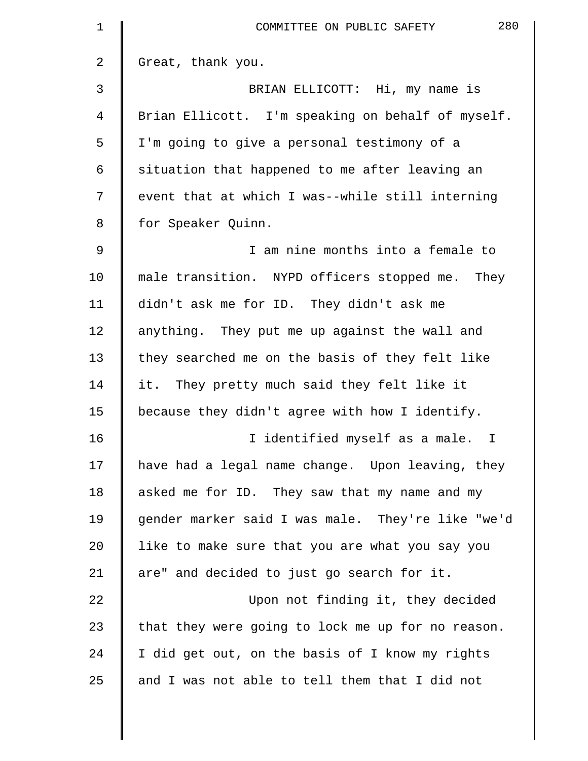| 1              | 280<br>COMMITTEE ON PUBLIC SAFETY                 |
|----------------|---------------------------------------------------|
| 2              | Great, thank you.                                 |
| 3              | BRIAN ELLICOTT: Hi, my name is                    |
| 4              | Brian Ellicott. I'm speaking on behalf of myself. |
| 5              | I'm going to give a personal testimony of a       |
| 6              | situation that happened to me after leaving an    |
| 7              | event that at which I was--while still interning  |
| 8              | for Speaker Quinn.                                |
| $\overline{9}$ | I am nine months into a female to                 |
| 10             | male transition. NYPD officers stopped me. They   |
| 11             | didn't ask me for ID. They didn't ask me          |
| 12             | anything. They put me up against the wall and     |
| 13             | they searched me on the basis of they felt like   |
| 14             | it. They pretty much said they felt like it       |
| 15             | because they didn't agree with how I identify.    |
| 16             | I identified myself as a male.<br>$\mathbf I$     |
| 17             | have had a legal name change. Upon leaving, they  |
| 18             | asked me for ID. They saw that my name and my     |
| 19             | gender marker said I was male. They're like "we'd |
| 20             | like to make sure that you are what you say you   |
| 21             | are" and decided to just go search for it.        |
| 22             | Upon not finding it, they decided                 |
| 23             | that they were going to lock me up for no reason. |
| 24             | I did get out, on the basis of I know my rights   |
| 25             | and I was not able to tell them that I did not    |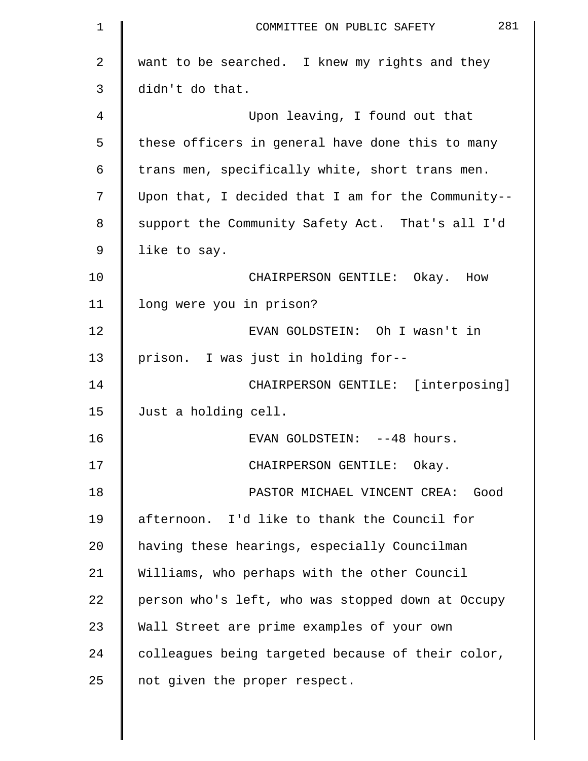| 1  | 281<br>COMMITTEE ON PUBLIC SAFETY                  |
|----|----------------------------------------------------|
| 2  | want to be searched. I knew my rights and they     |
| 3  | didn't do that.                                    |
| 4  | Upon leaving, I found out that                     |
| 5  | these officers in general have done this to many   |
| 6  | trans men, specifically white, short trans men.    |
| 7  | Upon that, I decided that I am for the Community-- |
| 8  | support the Community Safety Act. That's all I'd   |
| 9  | like to say.                                       |
| 10 | CHAIRPERSON GENTILE: Okay. How                     |
| 11 | long were you in prison?                           |
| 12 | EVAN GOLDSTEIN: Oh I wasn't in                     |
| 13 | prison. I was just in holding for--                |
| 14 | CHAIRPERSON GENTILE: [interposing]                 |
| 15 | Just a holding cell.                               |
| 16 | EVAN GOLDSTEIN: --48 hours.                        |
| 17 | CHAIRPERSON GENTILE: Okay.                         |
| 18 | PASTOR MICHAEL VINCENT CREA: Good                  |
| 19 | afternoon. I'd like to thank the Council for       |
| 20 | having these hearings, especially Councilman       |
| 21 | Williams, who perhaps with the other Council       |
| 22 | person who's left, who was stopped down at Occupy  |
| 23 | Wall Street are prime examples of your own         |
| 24 | colleagues being targeted because of their color,  |
| 25 | not given the proper respect.                      |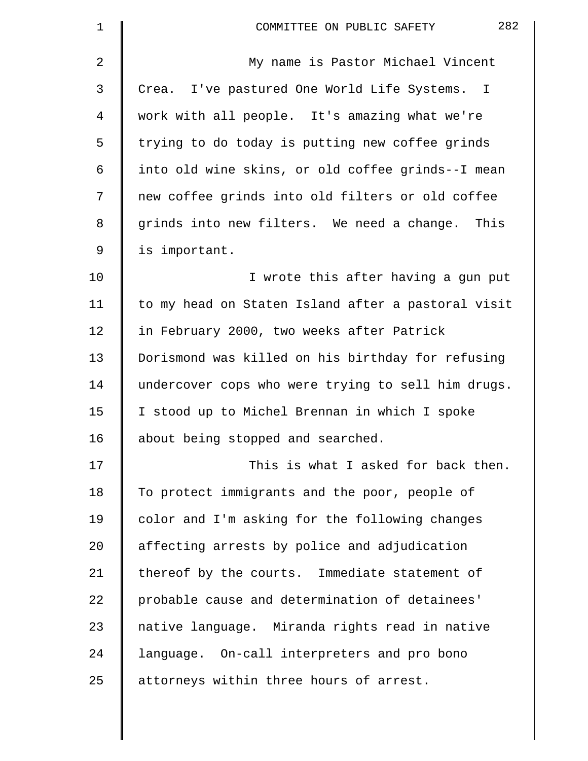| 1  | 282<br>COMMITTEE ON PUBLIC SAFETY                  |
|----|----------------------------------------------------|
| 2  | My name is Pastor Michael Vincent                  |
| 3  | Crea. I've pastured One World Life Systems. I      |
| 4  | work with all people. It's amazing what we're      |
| 5  | trying to do today is putting new coffee grinds    |
| 6  | into old wine skins, or old coffee grinds--I mean  |
| 7  | new coffee grinds into old filters or old coffee   |
| 8  | grinds into new filters. We need a change. This    |
| 9  | is important.                                      |
| 10 | I wrote this after having a gun put                |
| 11 | to my head on Staten Island after a pastoral visit |
| 12 | in February 2000, two weeks after Patrick          |
| 13 | Dorismond was killed on his birthday for refusing  |
| 14 | undercover cops who were trying to sell him drugs. |
| 15 | I stood up to Michel Brennan in which I spoke      |
| 16 | about being stopped and searched.                  |
| 17 | This is what I asked for back then.                |
| 18 | To protect immigrants and the poor, people of      |
| 19 | color and I'm asking for the following changes     |
| 20 | affecting arrests by police and adjudication       |
| 21 | thereof by the courts. Immediate statement of      |
| 22 | probable cause and determination of detainees'     |
| 23 | native language. Miranda rights read in native     |
| 24 | language. On-call interpreters and pro bono        |
| 25 | attorneys within three hours of arrest.            |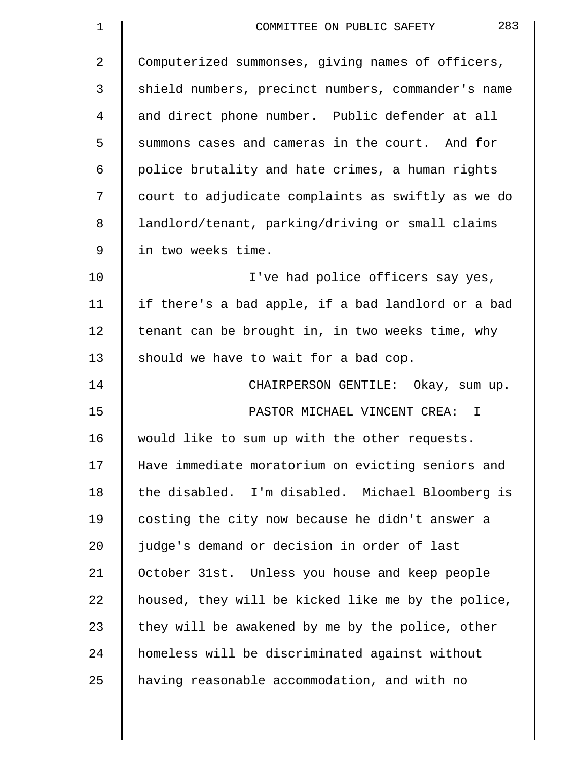| $\mathbf 1$    | 283<br>COMMITTEE ON PUBLIC SAFETY                  |
|----------------|----------------------------------------------------|
| $\overline{2}$ | Computerized summonses, giving names of officers,  |
| 3              | shield numbers, precinct numbers, commander's name |
| 4              | and direct phone number. Public defender at all    |
| 5              | summons cases and cameras in the court. And for    |
| 6              | police brutality and hate crimes, a human rights   |
| 7              | court to adjudicate complaints as swiftly as we do |
| 8              | landlord/tenant, parking/driving or small claims   |
| 9              | in two weeks time.                                 |
| 10             | I've had police officers say yes,                  |
| 11             | if there's a bad apple, if a bad landlord or a bad |
| 12             | tenant can be brought in, in two weeks time, why   |
| 13             | should we have to wait for a bad cop.              |
| 14             | CHAIRPERSON GENTILE: Okay, sum up.                 |
| 15             | PASTOR MICHAEL VINCENT CREA: I                     |
| 16             | would like to sum up with the other requests.      |
| 17             | Have immediate moratorium on evicting seniors and  |
| 18             | the disabled. I'm disabled. Michael Bloomberg is   |
| 19             | costing the city now because he didn't answer a    |
| 20             | judge's demand or decision in order of last        |
| 21             | October 31st. Unless you house and keep people     |
| 22             | housed, they will be kicked like me by the police, |
| 23             | they will be awakened by me by the police, other   |
| 24             | homeless will be discriminated against without     |
| 25             | having reasonable accommodation, and with no       |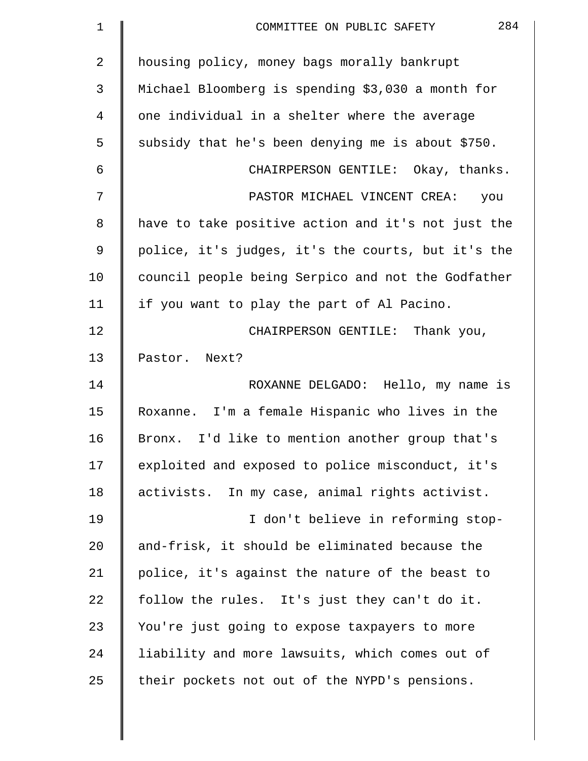| 1  | 284<br>COMMITTEE ON PUBLIC SAFETY                  |
|----|----------------------------------------------------|
| 2  | housing policy, money bags morally bankrupt        |
| 3  | Michael Bloomberg is spending \$3,030 a month for  |
| 4  | one individual in a shelter where the average      |
| 5  | subsidy that he's been denying me is about \$750.  |
| 6  | CHAIRPERSON GENTILE: Okay, thanks.                 |
| 7  | PASTOR MICHAEL VINCENT CREA:<br>you                |
| 8  | have to take positive action and it's not just the |
| 9  | police, it's judges, it's the courts, but it's the |
| 10 | council people being Serpico and not the Godfather |
| 11 | if you want to play the part of Al Pacino.         |
| 12 | CHAIRPERSON GENTILE: Thank you,                    |
| 13 | Pastor. Next?                                      |
| 14 | ROXANNE DELGADO: Hello, my name is                 |
| 15 | Roxanne. I'm a female Hispanic who lives in the    |
| 16 | Bronx. I'd like to mention another group that's    |
| 17 | exploited and exposed to police misconduct, it's   |
| 18 | activists. In my case, animal rights activist.     |
| 19 | I don't believe in reforming stop-                 |
| 20 | and-frisk, it should be eliminated because the     |
| 21 | police, it's against the nature of the beast to    |
| 22 | follow the rules. It's just they can't do it.      |
| 23 | You're just going to expose taxpayers to more      |
| 24 | liability and more lawsuits, which comes out of    |
| 25 | their pockets not out of the NYPD's pensions.      |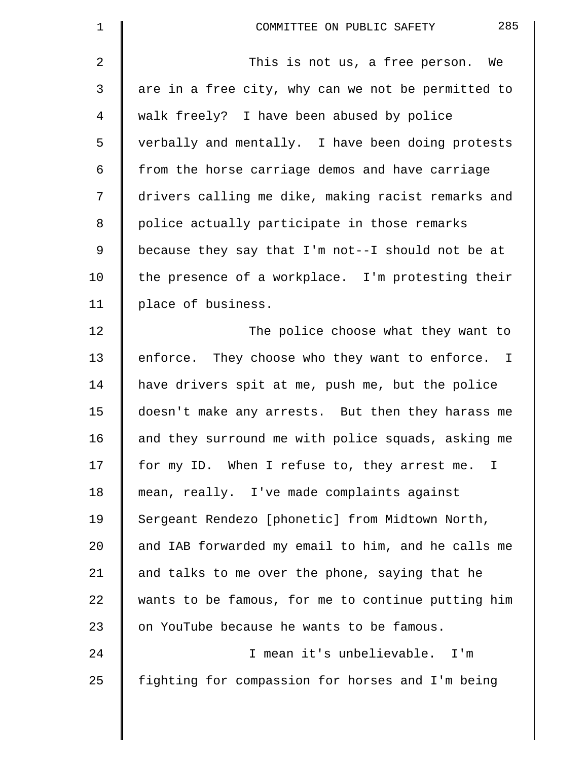| 1  | 285<br>COMMITTEE ON PUBLIC SAFETY                  |
|----|----------------------------------------------------|
| 2  | This is not us, a free person. We                  |
| 3  | are in a free city, why can we not be permitted to |
| 4  | walk freely? I have been abused by police          |
| 5  | verbally and mentally. I have been doing protests  |
| 6  | from the horse carriage demos and have carriage    |
| 7  | drivers calling me dike, making racist remarks and |
| 8  | police actually participate in those remarks       |
| 9  | because they say that I'm not--I should not be at  |
| 10 | the presence of a workplace. I'm protesting their  |
| 11 | place of business.                                 |
| 12 | The police choose what they want to                |
| 13 | enforce. They choose who they want to enforce. I   |
| 14 | have drivers spit at me, push me, but the police   |
| 15 | doesn't make any arrests. But then they harass me  |
| 16 | and they surround me with police squads, asking me |
| 17 | for my ID. When I refuse to, they arrest me. I     |
| 18 | mean, really. I've made complaints against         |
| 19 | Sergeant Rendezo [phonetic] from Midtown North,    |
| 20 | and IAB forwarded my email to him, and he calls me |
| 21 | and talks to me over the phone, saying that he     |
| 22 | wants to be famous, for me to continue putting him |
| 23 | on YouTube because he wants to be famous.          |
| 24 | I mean it's unbelievable. I'm                      |
| 25 | fighting for compassion for horses and I'm being   |
|    |                                                    |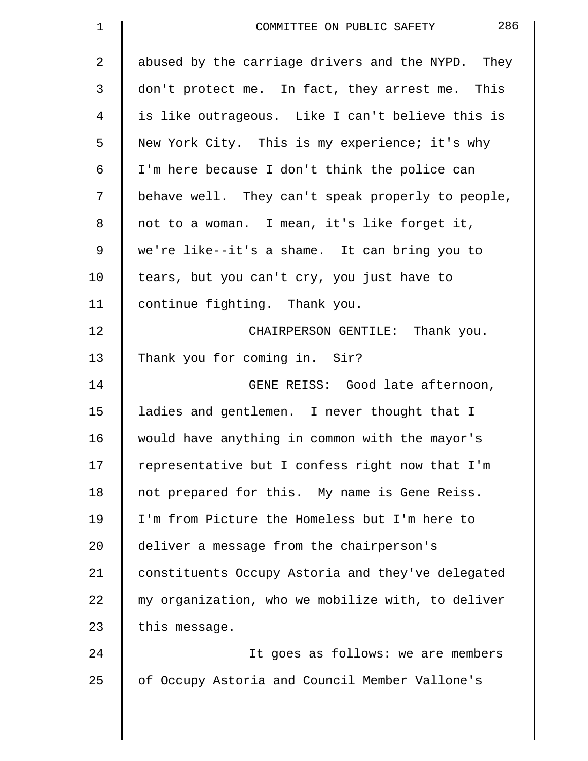| 1  | 286<br>COMMITTEE ON PUBLIC SAFETY                 |
|----|---------------------------------------------------|
| 2  | abused by the carriage drivers and the NYPD. They |
| 3  | don't protect me. In fact, they arrest me. This   |
| 4  | is like outrageous. Like I can't believe this is  |
| 5  | New York City. This is my experience; it's why    |
| 6  | I'm here because I don't think the police can     |
| 7  | behave well. They can't speak properly to people, |
| 8  | not to a woman. I mean, it's like forget it,      |
| 9  | we're like--it's a shame. It can bring you to     |
| 10 | tears, but you can't cry, you just have to        |
| 11 | continue fighting. Thank you.                     |
| 12 | CHAIRPERSON GENTILE: Thank you.                   |
| 13 | Thank you for coming in. Sir?                     |
| 14 | GENE REISS: Good late afternoon,                  |
| 15 | ladies and gentlemen. I never thought that I      |
| 16 | would have anything in common with the mayor's    |
| 17 | representative but I confess right now that I'm   |
| 18 | not prepared for this. My name is Gene Reiss.     |
| 19 | I'm from Picture the Homeless but I'm here to     |
| 20 | deliver a message from the chairperson's          |
| 21 | constituents Occupy Astoria and they've delegated |
| 22 | my organization, who we mobilize with, to deliver |
| 23 | this message.                                     |
| 24 | It goes as follows: we are members                |
| 25 | of Occupy Astoria and Council Member Vallone's    |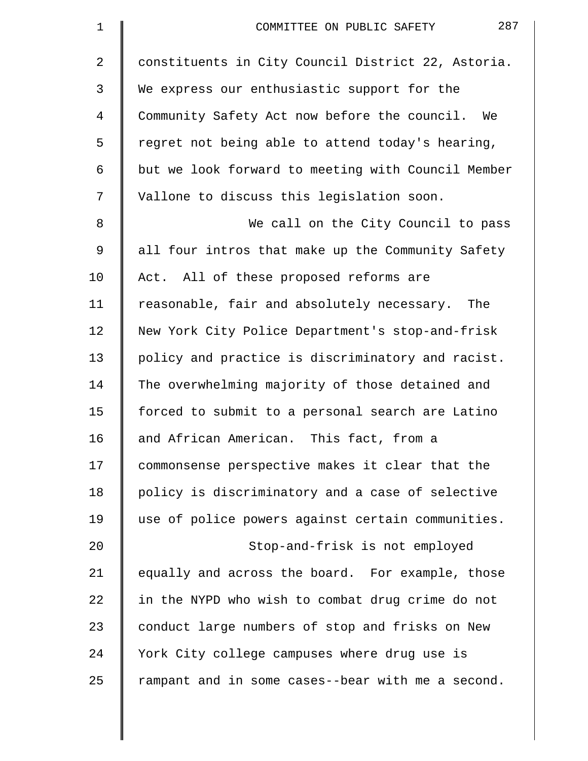| $\mathbf 1$ | 287<br>COMMITTEE ON PUBLIC SAFETY                  |
|-------------|----------------------------------------------------|
| 2           | constituents in City Council District 22, Astoria. |
| 3           | We express our enthusiastic support for the        |
| 4           | Community Safety Act now before the council. We    |
| 5           | regret not being able to attend today's hearing,   |
| 6           | but we look forward to meeting with Council Member |
| 7           | Vallone to discuss this legislation soon.          |
| 8           | We call on the City Council to pass                |
| 9           | all four intros that make up the Community Safety  |
| 10          | Act. All of these proposed reforms are             |
| 11          | reasonable, fair and absolutely necessary. The     |
| 12          | New York City Police Department's stop-and-frisk   |
| 13          | policy and practice is discriminatory and racist.  |
| 14          | The overwhelming majority of those detained and    |
| 15          | forced to submit to a personal search are Latino   |
| 16          | and African American. This fact, from a            |
| 17          | commonsense perspective makes it clear that the    |
| 18          | policy is discriminatory and a case of selective   |
| 19          | use of police powers against certain communities.  |
| 20          | Stop-and-frisk is not employed                     |
| 21          | equally and across the board. For example, those   |
| 22          | in the NYPD who wish to combat drug crime do not   |
| 23          | conduct large numbers of stop and frisks on New    |
| 24          | York City college campuses where drug use is       |
| 25          | rampant and in some cases--bear with me a second.  |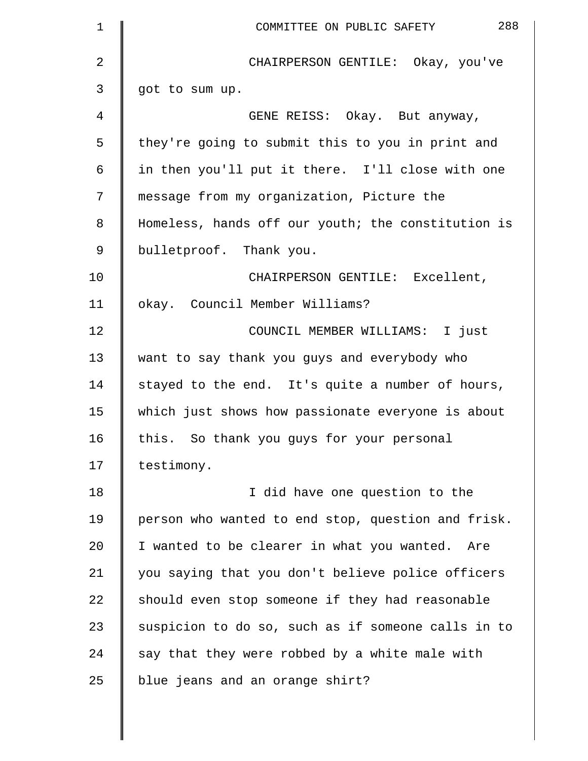| $\mathbf 1$ | 288<br>COMMITTEE ON PUBLIC SAFETY                  |
|-------------|----------------------------------------------------|
| 2           | CHAIRPERSON GENTILE: Okay, you've                  |
| 3           | got to sum up.                                     |
| 4           | GENE REISS: Okay. But anyway,                      |
| 5           | they're going to submit this to you in print and   |
| 6           | in then you'll put it there. I'll close with one   |
| 7           | message from my organization, Picture the          |
| 8           | Homeless, hands off our youth; the constitution is |
| 9           | bulletproof. Thank you.                            |
| 10          | CHAIRPERSON GENTILE: Excellent,                    |
| 11          | okay. Council Member Williams?                     |
| 12          | COUNCIL MEMBER WILLIAMS: I just                    |
| 13          | want to say thank you guys and everybody who       |
| 14          | stayed to the end. It's quite a number of hours,   |
| 15          | which just shows how passionate everyone is about  |
| 16          | this. So thank you guys for your personal          |
| 17          | testimony.                                         |
| 18          | I did have one question to the                     |
| 19          | person who wanted to end stop, question and frisk. |
| 20          | I wanted to be clearer in what you wanted. Are     |
| 21          | you saying that you don't believe police officers  |
| 22          | should even stop someone if they had reasonable    |
| 23          | suspicion to do so, such as if someone calls in to |
| 24          | say that they were robbed by a white male with     |
| 25          | blue jeans and an orange shirt?                    |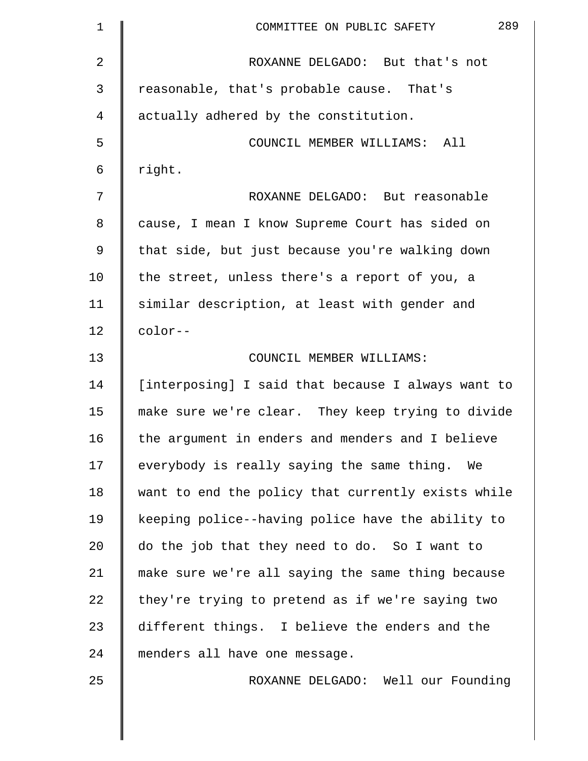| $\mathbf 1$    | 289<br>COMMITTEE ON PUBLIC SAFETY                  |
|----------------|----------------------------------------------------|
| $\overline{a}$ | ROXANNE DELGADO: But that's not                    |
| 3              | reasonable, that's probable cause. That's          |
| 4              | actually adhered by the constitution.              |
| 5              | COUNCIL MEMBER WILLIAMS: All                       |
| 6              | right.                                             |
| 7              | ROXANNE DELGADO: But reasonable                    |
| 8              | cause, I mean I know Supreme Court has sided on    |
| 9              | that side, but just because you're walking down    |
| 10             | the street, unless there's a report of you, a      |
| 11             | similar description, at least with gender and      |
| 12             | color--                                            |
| 13             | COUNCIL MEMBER WILLIAMS:                           |
| 14             | [interposing] I said that because I always want to |
| 15             | make sure we're clear. They keep trying to divide  |
| 16             | the argument in enders and menders and I believe   |
| 17             | everybody is really saying the same thing. We      |
| 18             | want to end the policy that currently exists while |
| 19             | keeping police--having police have the ability to  |
| 20             | do the job that they need to do. So I want to      |
| 21             | make sure we're all saying the same thing because  |
| 22             | they're trying to pretend as if we're saying two   |
| 23             | different things. I believe the enders and the     |
| 24             | menders all have one message.                      |
| 25             | ROXANNE DELGADO: Well our Founding                 |
|                |                                                    |

 $\parallel$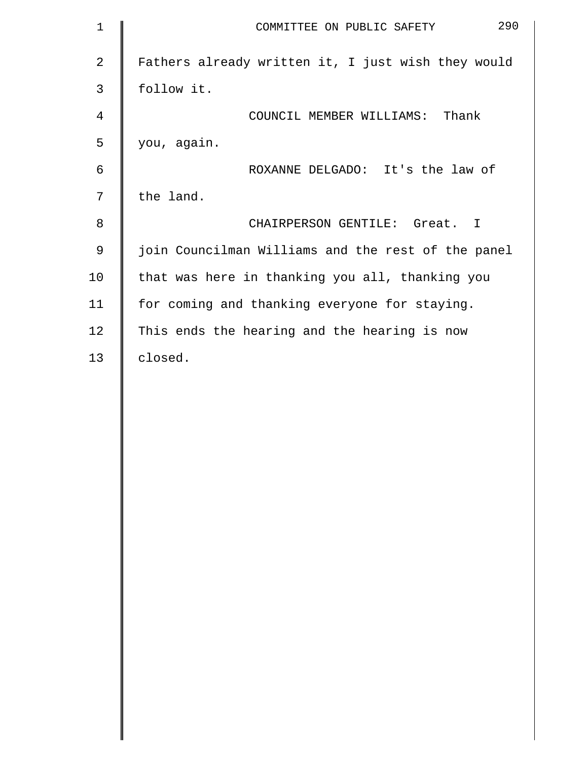| $\mathbf 1$    | 290<br>COMMITTEE ON PUBLIC SAFETY                  |
|----------------|----------------------------------------------------|
| 2              | Fathers already written it, I just wish they would |
| 3              | follow it.                                         |
| $\overline{4}$ | COUNCIL MEMBER WILLIAMS: Thank                     |
| 5              | you, again.                                        |
| 6              | ROXANNE DELGADO: It's the law of                   |
| 7              | the land.                                          |
| 8              | CHAIRPERSON GENTILE: Great. I                      |
| $\mathsf 9$    | join Councilman Williams and the rest of the panel |
| 10             | that was here in thanking you all, thanking you    |
| 11             | for coming and thanking everyone for staying.      |
| 12             | This ends the hearing and the hearing is now       |
| 13             | closed.                                            |
|                |                                                    |
|                |                                                    |
|                |                                                    |
|                |                                                    |
|                |                                                    |
|                |                                                    |
|                |                                                    |
|                |                                                    |
|                |                                                    |
|                |                                                    |
|                |                                                    |
|                |                                                    |
|                |                                                    |
|                |                                                    |